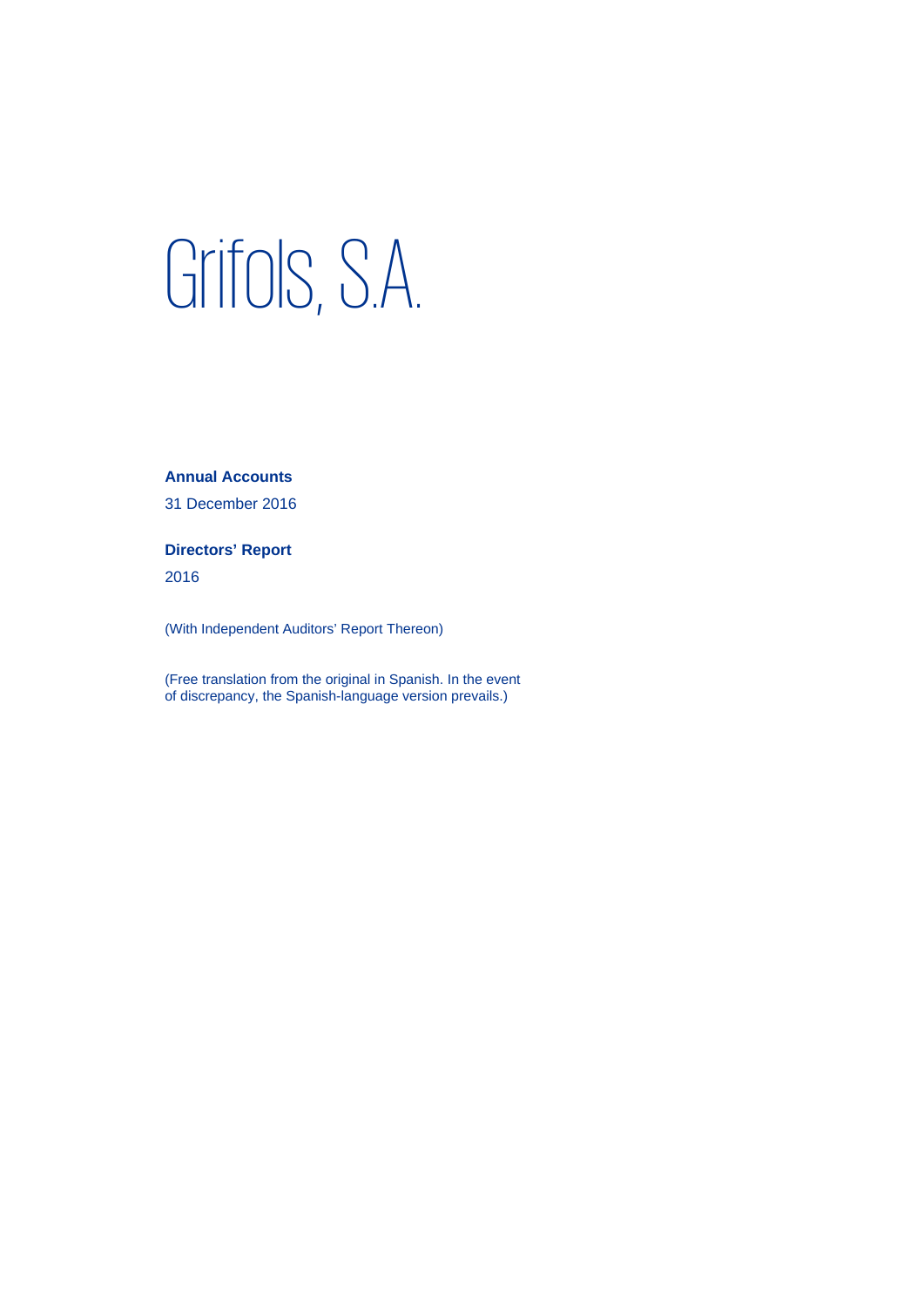# Grifols, S.A.

**Annual Accounts** 

31 December 2016

**Directors' Report** 

2016

(With Independent Auditors' Report Thereon)

(Free translation from the original in Spanish. In the event of discrepancy, the Spanish-language version prevails.)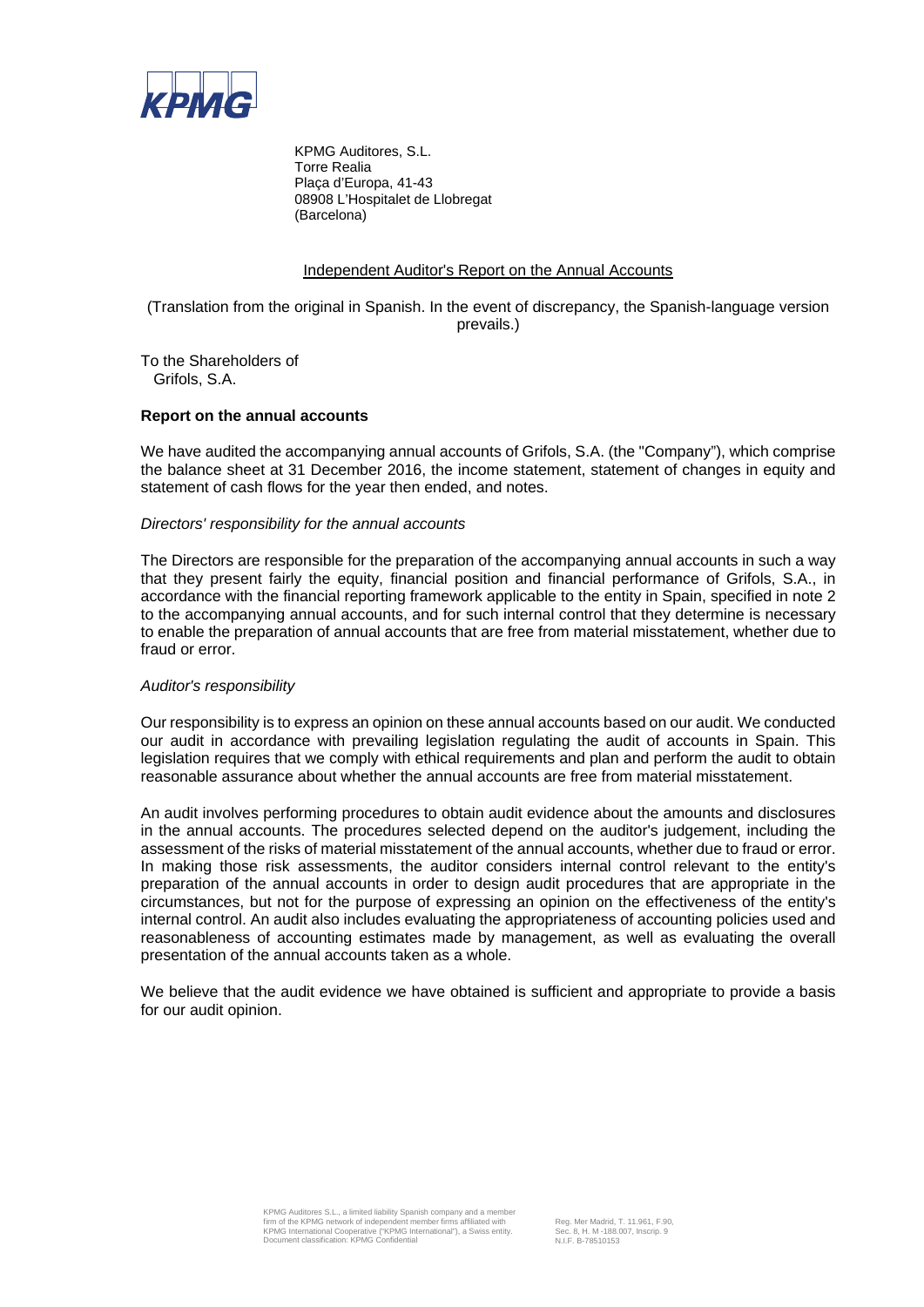

KPMG Auditores, S.L. Torre Realia Plaça d'Europa, 41-43 08908 L'Hospitalet de Llobregat (Barcelona)

# Independent Auditor's Report on the Annual Accounts

(Translation from the original in Spanish. In the event of discrepancy, the Spanish-language version prevails.)

To the Shareholders of Grifols, S.A.

# **Report on the annual accounts**

We have audited the accompanying annual accounts of Grifols, S.A. (the "Company"), which comprise the balance sheet at 31 December 2016, the income statement, statement of changes in equity and statement of cash flows for the year then ended, and notes.

# *Directors' responsibility for the annual accounts*

The Directors are responsible for the preparation of the accompanying annual accounts in such a way that they present fairly the equity, financial position and financial performance of Grifols, S.A., in accordance with the financial reporting framework applicable to the entity in Spain, specified in note 2 to the accompanying annual accounts, and for such internal control that they determine is necessary to enable the preparation of annual accounts that are free from material misstatement, whether due to fraud or error.

# *Auditor's responsibility*

Our responsibility is to express an opinion on these annual accounts based on our audit. We conducted our audit in accordance with prevailing legislation regulating the audit of accounts in Spain. This legislation requires that we comply with ethical requirements and plan and perform the audit to obtain reasonable assurance about whether the annual accounts are free from material misstatement.

An audit involves performing procedures to obtain audit evidence about the amounts and disclosures in the annual accounts. The procedures selected depend on the auditor's judgement, including the assessment of the risks of material misstatement of the annual accounts, whether due to fraud or error. In making those risk assessments, the auditor considers internal control relevant to the entity's preparation of the annual accounts in order to design audit procedures that are appropriate in the circumstances, but not for the purpose of expressing an opinion on the effectiveness of the entity's internal control. An audit also includes evaluating the appropriateness of accounting policies used and reasonableness of accounting estimates made by management, as well as evaluating the overall presentation of the annual accounts taken as a whole.

We believe that the audit evidence we have obtained is sufficient and appropriate to provide a basis for our audit opinion.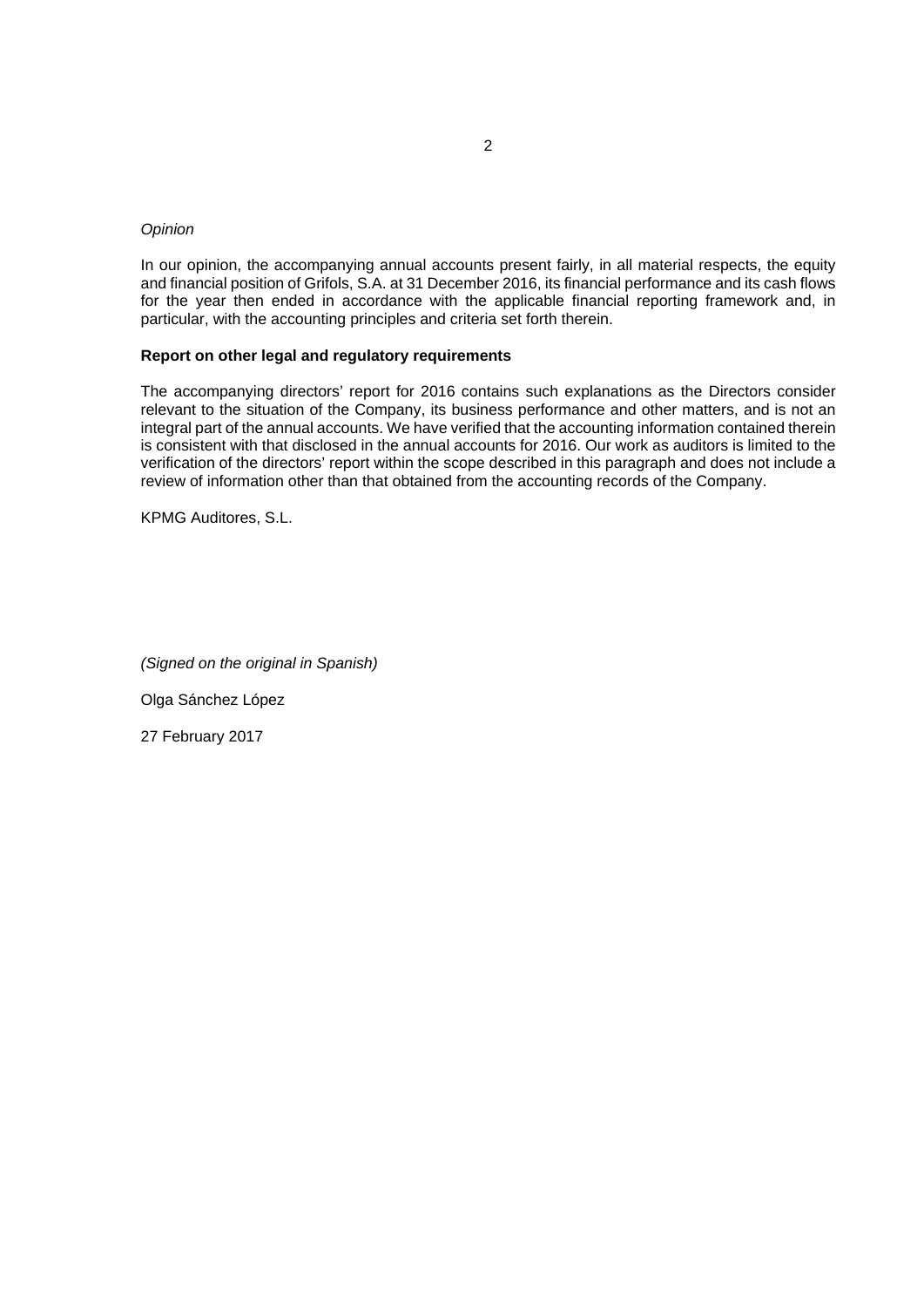# *Opinion*

In our opinion, the accompanying annual accounts present fairly, in all material respects, the equity and financial position of Grifols, S.A. at 31 December 2016, its financial performance and its cash flows for the year then ended in accordance with the applicable financial reporting framework and, in particular, with the accounting principles and criteria set forth therein.

# **Report on other legal and regulatory requirements**

The accompanying directors' report for 2016 contains such explanations as the Directors consider relevant to the situation of the Company, its business performance and other matters, and is not an integral part of the annual accounts. We have verified that the accounting information contained therein is consistent with that disclosed in the annual accounts for 2016. Our work as auditors is limited to the verification of the directors' report within the scope described in this paragraph and does not include a review of information other than that obtained from the accounting records of the Company.

KPMG Auditores, S.L.

*(Signed on the original in Spanish)* 

Olga Sánchez López

27 February 2017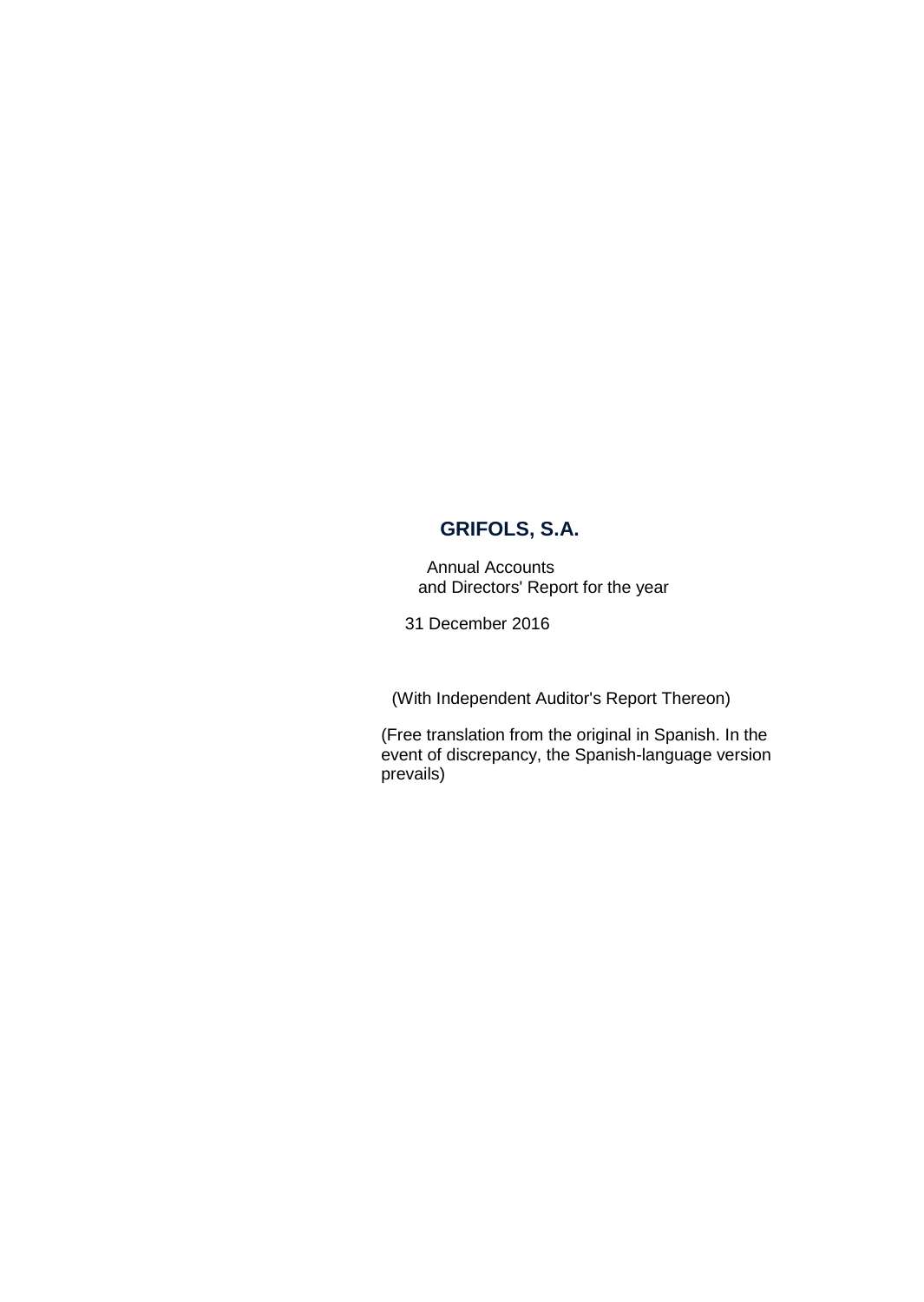Annual Accounts and Directors' Report for the year

31 December 2016

(With Independent Auditor's Report Thereon)

(Free translation from the original in Spanish. In the event of discrepancy, the Spanish-language version prevails)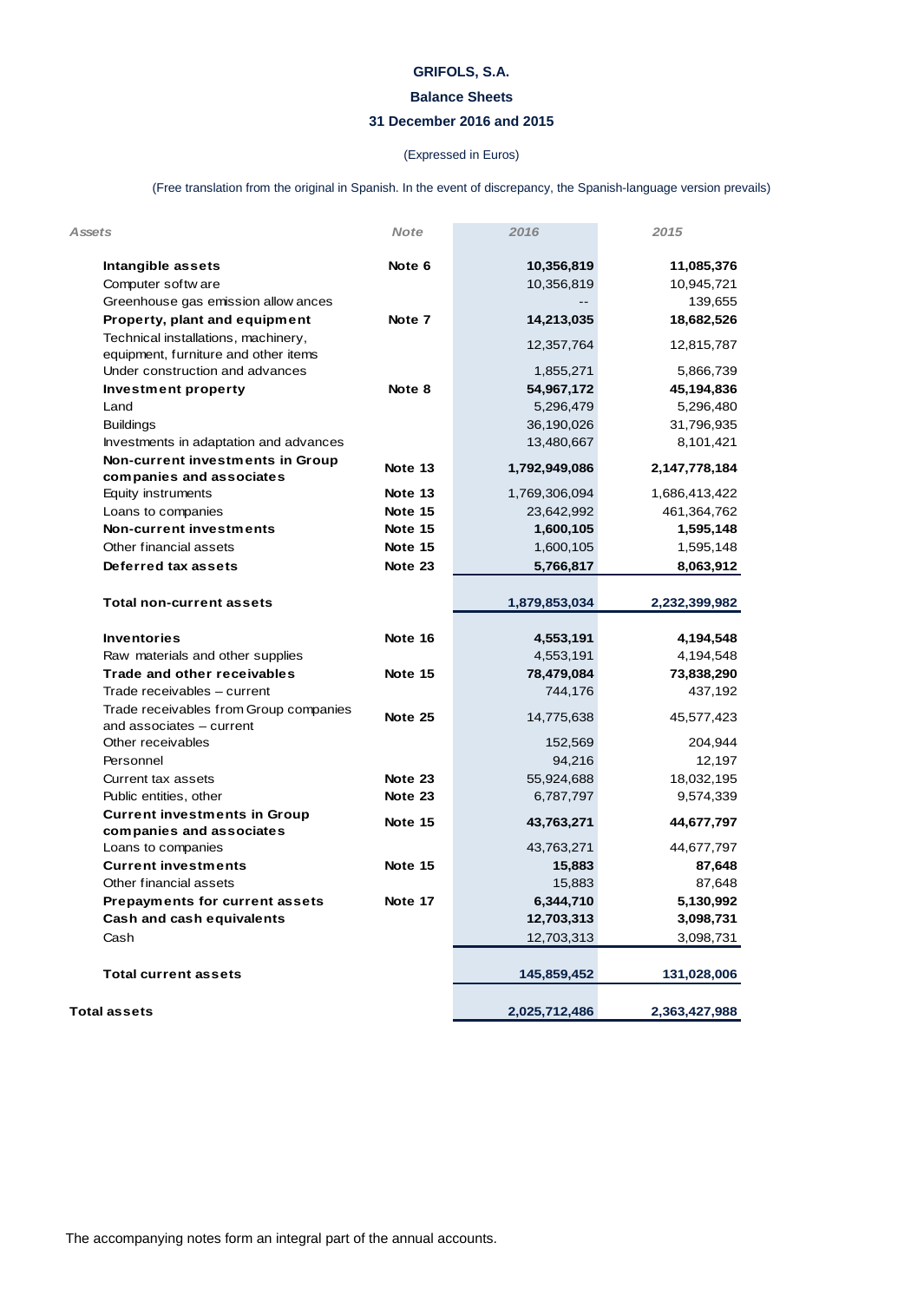# **Balance Sheets**

# **31 December 2016 and 2015**

# (Expressed in Euros)

(Free translation from the original in Spanish. In the event of discrepancy, the Spanish-language version prevails)

| Assets                                                             | <b>Note</b> | 2016          | 2015          |
|--------------------------------------------------------------------|-------------|---------------|---------------|
| Intangible assets                                                  | Note 6      | 10,356,819    | 11,085,376    |
| Computer softw are                                                 |             | 10,356,819    | 10,945,721    |
| Greenhouse gas emission allow ances                                |             |               | 139,655       |
| Property, plant and equipment                                      | Note 7      | 14,213,035    | 18,682,526    |
| Technical installations, machinery,                                |             | 12,357,764    | 12,815,787    |
| equipment, furniture and other items                               |             |               |               |
| Under construction and advances                                    |             | 1,855,271     | 5,866,739     |
| <b>Investment property</b>                                         | Note 8      | 54,967,172    | 45,194,836    |
| Land                                                               |             | 5,296,479     | 5,296,480     |
| <b>Buildings</b>                                                   |             | 36,190,026    | 31,796,935    |
| Investments in adaptation and advances                             |             | 13,480,667    | 8,101,421     |
| Non-current investments in Group<br>companies and associates       | Note 13     | 1,792,949,086 | 2,147,778,184 |
| Equity instruments                                                 | Note 13     | 1,769,306,094 | 1,686,413,422 |
| Loans to companies                                                 | Note 15     | 23,642,992    | 461,364,762   |
| <b>Non-current investments</b>                                     | Note 15     | 1,600,105     | 1,595,148     |
| Other financial assets                                             | Note 15     | 1,600,105     | 1,595,148     |
| Deferred tax assets                                                | Note 23     | 5,766,817     | 8,063,912     |
|                                                                    |             |               |               |
| <b>Total non-current assets</b>                                    |             | 1,879,853,034 | 2,232,399,982 |
| <b>Inventories</b>                                                 | Note 16     | 4,553,191     | 4,194,548     |
| Raw materials and other supplies                                   |             | 4,553,191     | 4,194,548     |
| Trade and other receivables                                        | Note 15     | 78,479,084    | 73,838,290    |
| Trade receivables - current                                        |             | 744,176       | 437,192       |
| Trade receivables from Group companies<br>and associates - current | Note 25     | 14,775,638    | 45,577,423    |
| Other receivables                                                  |             | 152,569       | 204,944       |
| Personnel                                                          |             | 94,216        | 12,197        |
| Current tax assets                                                 | Note 23     | 55,924,688    | 18,032,195    |
| Public entities, other                                             | Note 23     | 6,787,797     | 9,574,339     |
| <b>Current investments in Group</b>                                | Note 15     | 43,763,271    | 44,677,797    |
| companies and associates                                           |             |               |               |
| Loans to companies                                                 |             | 43,763,271    | 44,677,797    |
| <b>Current investments</b>                                         | Note 15     | 15,883        | 87,648        |
| Other financial assets                                             |             | 15,883        | 87,648        |
| <b>Prepayments for current assets</b>                              | Note 17     | 6,344,710     | 5,130,992     |
| <b>Cash and cash equivalents</b>                                   |             | 12,703,313    | 3,098,731     |
| Cash                                                               |             | 12,703,313    | 3,098,731     |
| <b>Total current assets</b>                                        |             | 145,859,452   | 131,028,006   |
|                                                                    |             |               |               |
| Total assets                                                       |             | 2,025,712,486 | 2,363,427,988 |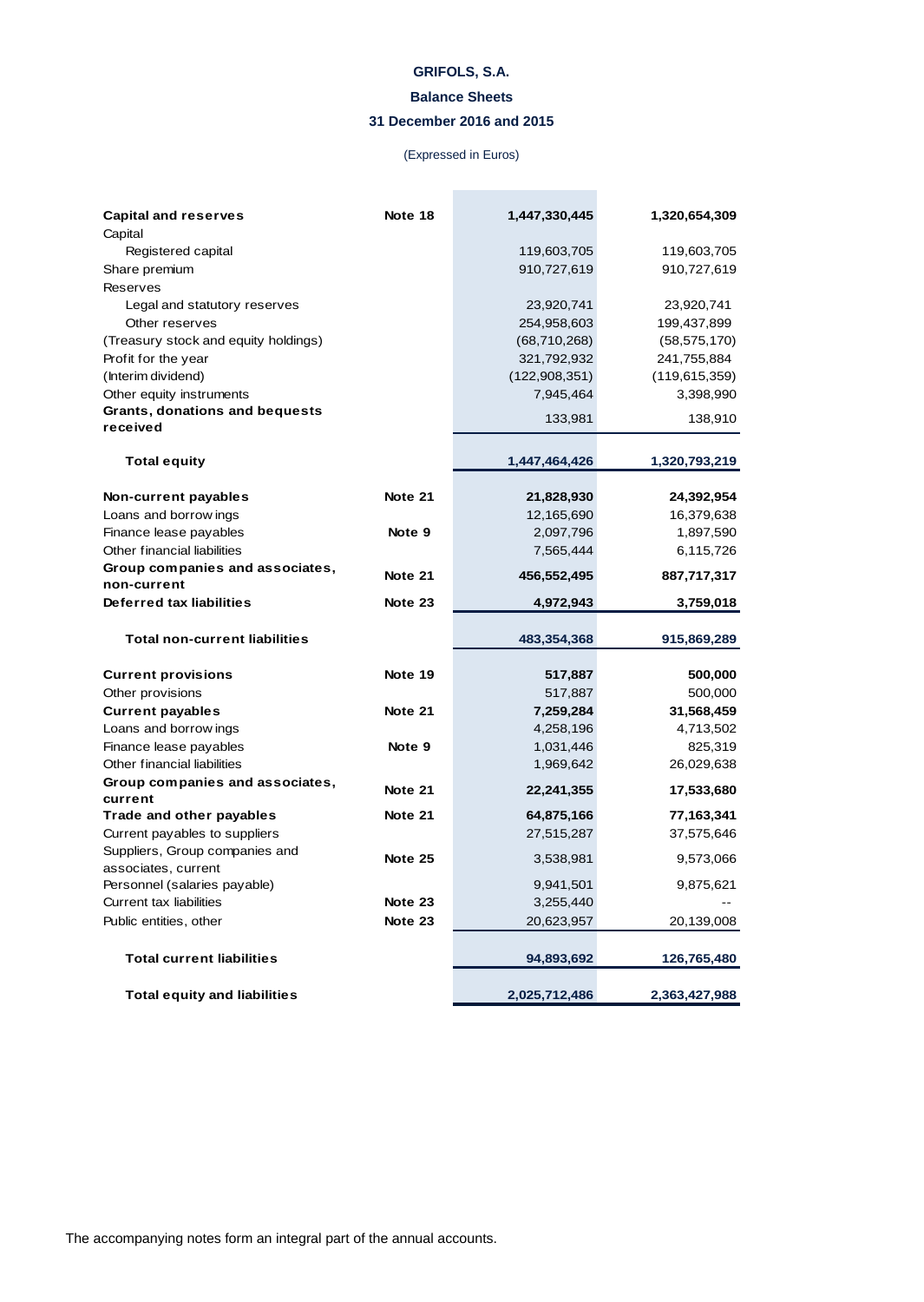# **Balance Sheets**

# **31 December 2016 and 2015**

# (Expressed in Euros)

**Contract Contract Contract** 

| <b>Capital and reserves</b>                           | Note 18 | 1,447,330,445   | 1,320,654,309   |
|-------------------------------------------------------|---------|-----------------|-----------------|
| Capital                                               |         |                 |                 |
| Registered capital                                    |         | 119,603,705     | 119,603,705     |
| Share premium                                         |         | 910,727,619     | 910,727,619     |
| <b>Reserves</b>                                       |         |                 |                 |
| Legal and statutory reserves                          |         | 23,920,741      | 23,920,741      |
| Other reserves                                        |         | 254,958,603     | 199,437,899     |
| (Treasury stock and equity holdings)                  |         | (68, 710, 268)  | (58, 575, 170)  |
| Profit for the year                                   |         | 321,792,932     | 241,755,884     |
| (Interim dividend)                                    |         | (122, 908, 351) | (119, 615, 359) |
| Other equity instruments                              |         | 7,945,464       | 3,398,990       |
| Grants, donations and bequests                        |         | 133,981         | 138,910         |
| received                                              |         |                 |                 |
| <b>Total equity</b>                                   |         | 1,447,464,426   | 1,320,793,219   |
| Non-current payables                                  | Note 21 | 21,828,930      | 24,392,954      |
| Loans and borrow ings                                 |         | 12,165,690      | 16,379,638      |
| Finance lease payables                                | Note 9  | 2,097,796       | 1,897,590       |
| Other financial liabilities                           |         | 7,565,444       | 6,115,726       |
| Group companies and associates,                       |         |                 |                 |
| non-current                                           | Note 21 | 456,552,495     | 887,717,317     |
| Deferred tax liabilities                              | Note 23 | 4,972,943       | 3,759,018       |
| <b>Total non-current liabilities</b>                  |         | 483,354,368     | 915,869,289     |
| <b>Current provisions</b>                             | Note 19 | 517,887         | 500,000         |
| Other provisions                                      |         | 517,887         | 500,000         |
| <b>Current payables</b>                               | Note 21 | 7,259,284       | 31,568,459      |
| Loans and borrow ings                                 |         | 4,258,196       | 4,713,502       |
| Finance lease payables                                | Note 9  | 1,031,446       | 825,319         |
| Other financial liabilities                           |         | 1,969,642       | 26,029,638      |
| Group companies and associates,                       | Note 21 | 22,241,355      | 17,533,680      |
| current                                               |         |                 |                 |
| Trade and other payables                              | Note 21 | 64,875,166      | 77,163,341      |
| Current payables to suppliers                         |         | 27,515,287      | 37,575,646      |
| Suppliers, Group companies and<br>associates, current | Note 25 | 3,538,981       | 9,573,066       |
| Personnel (salaries payable)                          |         | 9,941,501       | 9,875,621       |
| <b>Current tax liabilities</b>                        | Note 23 | 3,255,440       |                 |
| Public entities, other                                | Note 23 | 20,623,957      | 20,139,008      |
|                                                       |         |                 |                 |
| <b>Total current liabilities</b>                      |         | 94,893,692      | 126,765,480     |
| <b>Total equity and liabilities</b>                   |         | 2,025,712,486   | 2,363,427,988   |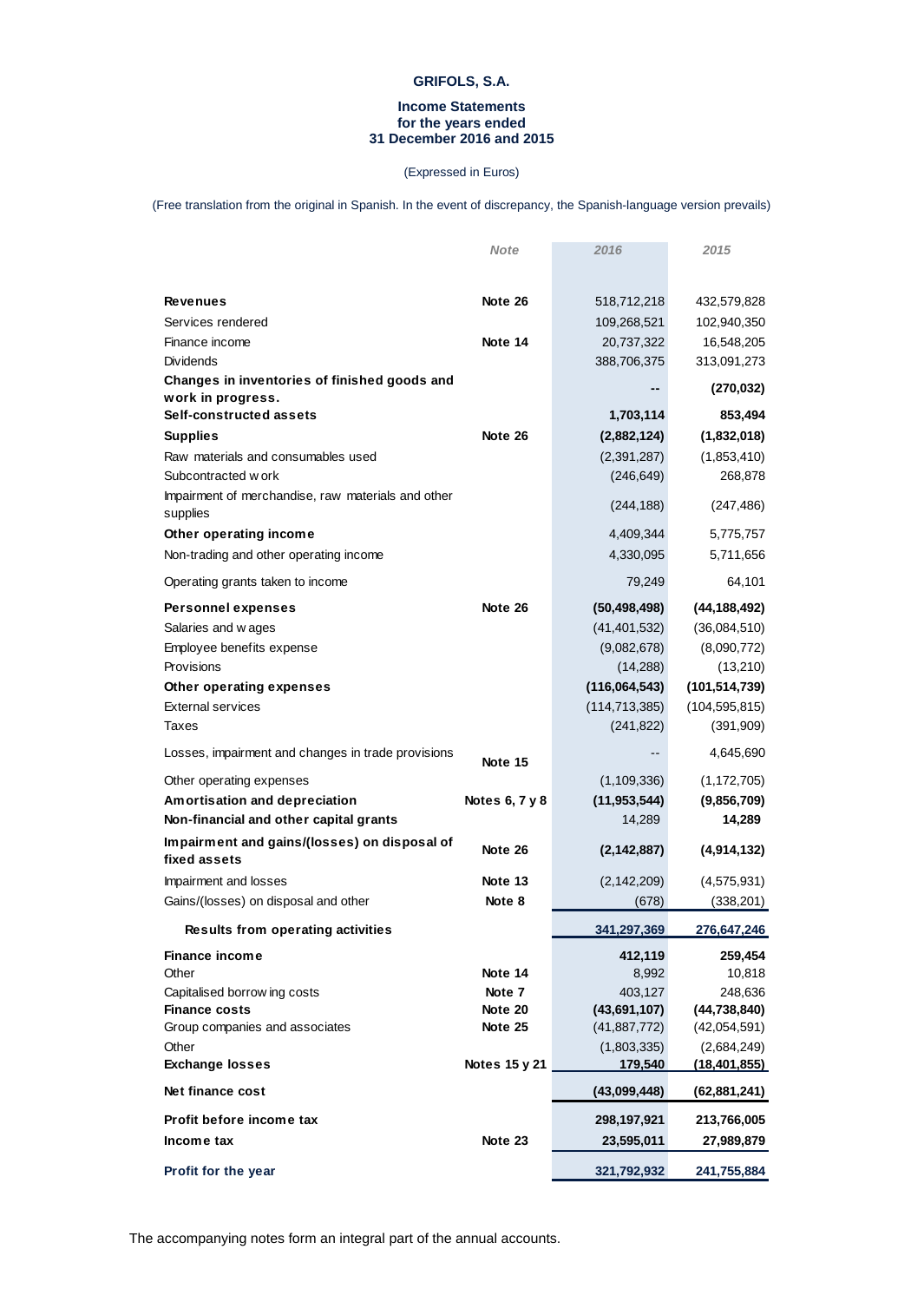# **Income Statements for the years ended 31 December 2016 and 2015**

# (Expressed in Euros)

(Free translation from the original in Spanish. In the event of discrepancy, the Spanish-language version prevails)

|                                                                | <b>Note</b>        | 2016                           | 2015                           |
|----------------------------------------------------------------|--------------------|--------------------------------|--------------------------------|
| <b>Revenues</b>                                                | Note 26            | 518,712,218                    | 432,579,828                    |
| Services rendered                                              |                    | 109,268,521                    | 102,940,350                    |
| Finance income                                                 | Note 14            | 20,737,322                     | 16,548,205                     |
| Dividends                                                      |                    | 388,706,375                    | 313,091,273                    |
| Changes in inventories of finished goods and                   |                    |                                | (270, 032)                     |
| work in progress.                                              |                    |                                |                                |
| Self-constructed assets                                        |                    | 1,703,114                      | 853,494                        |
| <b>Supplies</b>                                                | Note 26            | (2,882,124)                    | (1,832,018)                    |
| Raw materials and consumables used                             |                    | (2,391,287)                    | (1,853,410)                    |
| Subcontracted w ork                                            |                    | (246, 649)                     | 268,878                        |
| Impairment of merchandise, raw materials and other<br>supplies |                    | (244, 188)                     | (247, 486)                     |
| Other operating income                                         |                    | 4,409,344                      | 5,775,757                      |
| Non-trading and other operating income                         |                    | 4,330,095                      | 5,711,656                      |
| Operating grants taken to income                               |                    | 79,249                         | 64,101                         |
| <b>Personnel expenses</b>                                      | Note 26            | (50, 498, 498)                 | (44, 188, 492)                 |
| Salaries and wages                                             |                    | (41, 401, 532)                 | (36,084,510)                   |
| Employee benefits expense                                      |                    | (9,082,678)                    | (8,090,772)                    |
| Provisions                                                     |                    | (14, 288)                      | (13,210)                       |
| Other operating expenses                                       |                    | (116,064,543)                  | (101, 514, 739)                |
| <b>External services</b>                                       |                    | (114, 713, 385)                | (104, 595, 815)                |
| Taxes                                                          |                    | (241, 822)                     | (391,909)                      |
| Losses, impairment and changes in trade provisions             | Note 15            |                                | 4,645,690                      |
| Other operating expenses                                       |                    | (1, 109, 336)                  | (1, 172, 705)                  |
| Amortisation and depreciation                                  | Notes 6, 7 y 8     | (11, 953, 544)                 | (9,856,709)                    |
| Non-financial and other capital grants                         |                    | 14,289                         | 14,289                         |
| Impairment and gains/(losses) on disposal of<br>fixed assets   | Note 26            | (2, 142, 887)                  | (4,914,132)                    |
| Impairment and losses                                          | Note 13            | (2, 142, 209)                  | (4, 575, 931)                  |
| Gains/(losses) on disposal and other                           | Note 8             | (678)                          | (338, 201)                     |
| Results from operating activities                              |                    | 341,297,369                    | 276,647,246                    |
| <b>Finance income</b>                                          |                    | 412,119                        | 259,454                        |
| Other                                                          | Note 14            | 8,992                          | 10,818                         |
| Capitalised borrow ing costs                                   | Note 7             | 403,127                        | 248,636                        |
| <b>Finance costs</b><br>Group companies and associates         | Note 20<br>Note 25 | (43,691,107)<br>(41, 887, 772) | (44, 738, 840)<br>(42,054,591) |
| Other                                                          |                    | (1,803,335)                    | (2,684,249)                    |
| <b>Exchange losses</b>                                         | Notes 15 y 21      | 179,540                        | (18, 401, 855)                 |
| Net finance cost                                               |                    | (43,099,448)                   | (62, 881, 241)                 |
| Profit before income tax                                       |                    | 298,197,921                    | 213,766,005                    |
| Income tax                                                     | Note 23            | 23,595,011                     | 27,989,879                     |
| Profit for the year                                            |                    | 321,792,932                    | 241,755,884                    |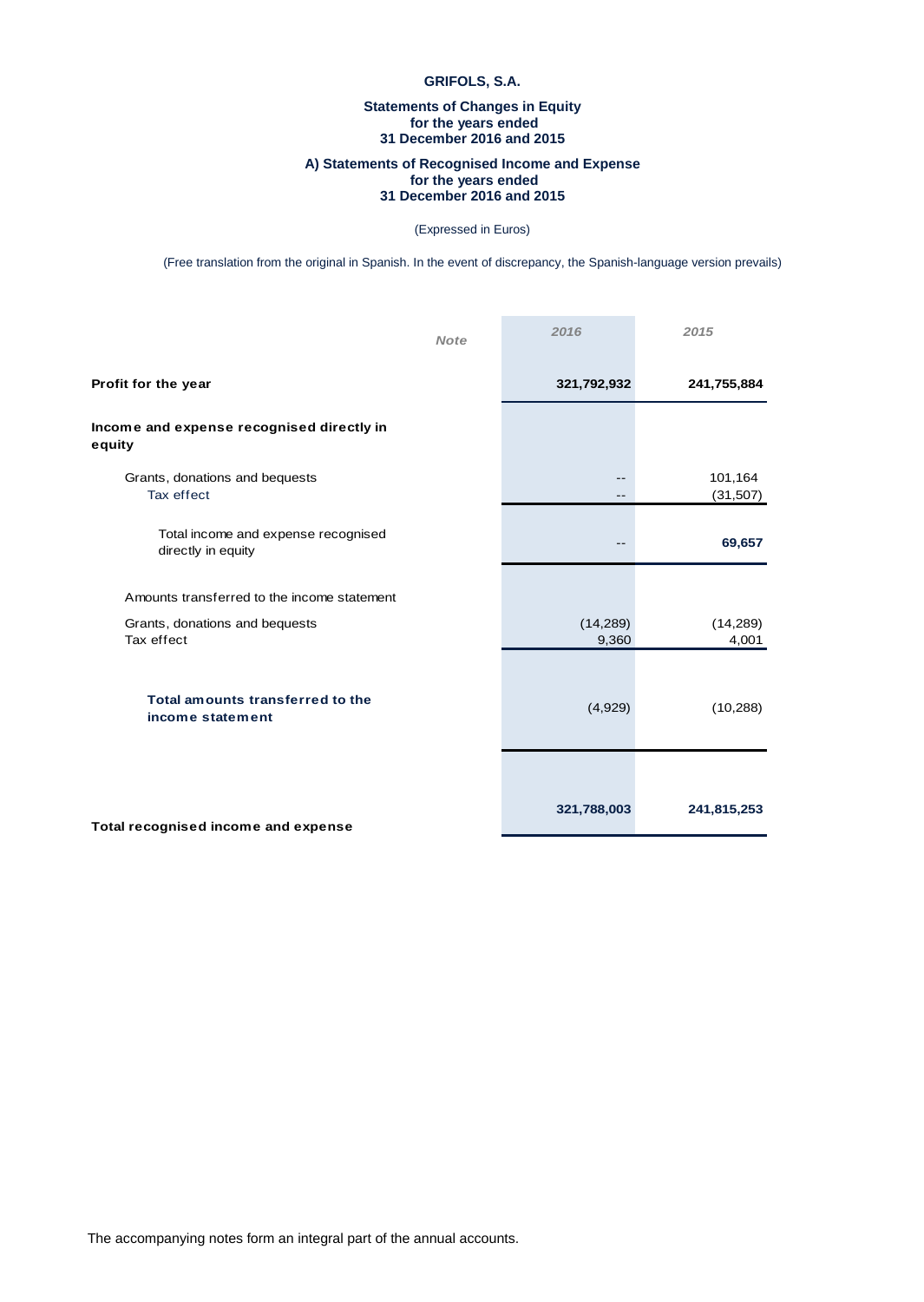# **Statements of Changes in Equity for the years ended 31 December 2016 and 2015**

# **A) Statements of Recognised Income and Expense for the years ended 31 December 2016 and 2015**

### (Expressed in Euros)

(Free translation from the original in Spanish. In the event of discrepancy, the Spanish-language version prevails)

| <b>Note</b>                                               | 2016               | 2015                 |
|-----------------------------------------------------------|--------------------|----------------------|
| Profit for the year                                       | 321,792,932        | 241,755,884          |
| Income and expense recognised directly in<br>equity       |                    |                      |
| Grants, donations and bequests<br>Tax effect              | --<br>--           | 101,164<br>(31, 507) |
| Total income and expense recognised<br>directly in equity | $- -$              | 69,657               |
| Amounts transferred to the income statement               |                    |                      |
| Grants, donations and bequests<br>Tax effect              | (14, 289)<br>9,360 | (14, 289)<br>4,001   |
| Total amounts transferred to the<br>income statement      | (4,929)            | (10, 288)            |
| Total recognised income and expense                       | 321,788,003        | 241,815,253          |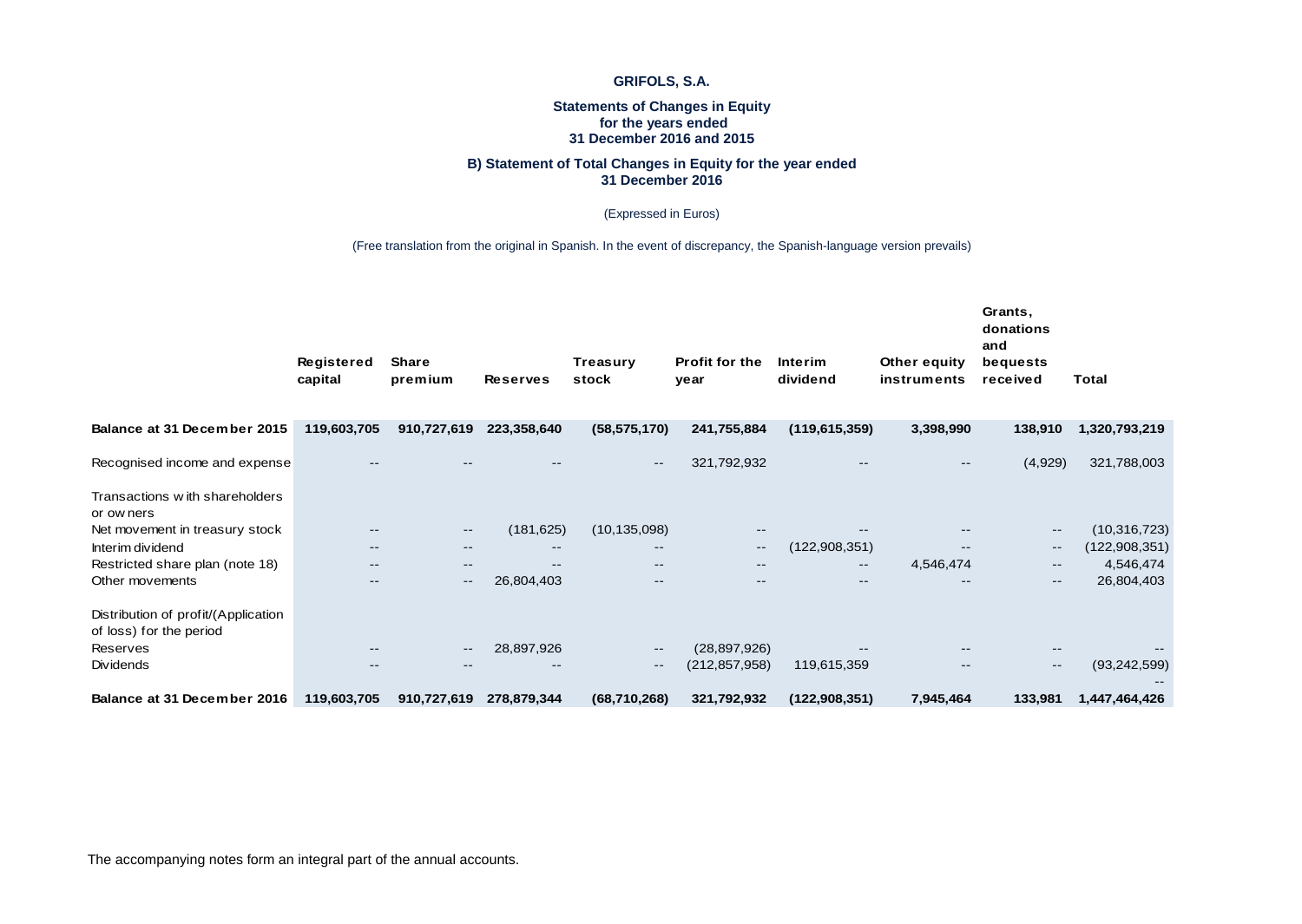# **Statements of Changes in Equity for the years ended 31 December 2016 and 2015**

### **B) Statement of Total Changes in Equity for the year ended 31 December 2016**

(Expressed in Euros)

# (Free translation from the original in Spanish. In the event of discrepancy, the Spanish-language version prevails)

|                                                                | Registered<br>capital    | <b>Share</b><br>premium | <b>Reserves</b>          | <b>Treasury</b><br>stock | Profit for the<br>year | Interim<br>dividend | Other equity<br>instruments | Grants,<br>donations<br>and<br>bequests<br>received | <b>Total</b>    |
|----------------------------------------------------------------|--------------------------|-------------------------|--------------------------|--------------------------|------------------------|---------------------|-----------------------------|-----------------------------------------------------|-----------------|
| Balance at 31 December 2015                                    | 119,603,705              | 910,727,619             | 223,358,640              | (58, 575, 170)           | 241,755,884            | (119, 615, 359)     | 3,398,990                   | 138,910                                             | 1,320,793,219   |
| Recognised income and expense                                  |                          |                         |                          | $\qquad \qquad -$        | 321,792,932            | $- -$               | $\overline{\phantom{m}}$    | (4,929)                                             | 321,788,003     |
| Transactions with shareholders<br>or ow ners                   |                          |                         |                          |                          |                        |                     |                             |                                                     |                 |
| Net movement in treasury stock                                 |                          | $\qquad \qquad -$       | (181, 625)               | (10, 135, 098)           | $- -$                  |                     | $-$                         | $\hspace{0.05cm}$ – $\hspace{0.05cm}$               | (10, 316, 723)  |
| Interim dividend                                               | $-$                      | --                      | $\overline{\phantom{m}}$ | $- -$                    | $\qquad \qquad -$      | (122, 908, 351)     | $\overline{\phantom{m}}$    | $\overline{\phantom{a}}$                            | (122, 908, 351) |
| Restricted share plan (note 18)                                |                          | --                      | $\overline{\phantom{m}}$ | $\qquad \qquad -$        | $- -$                  | $- -$               | 4,546,474                   | $\overline{\phantom{a}}$                            | 4,546,474       |
| Other movements                                                |                          | $--$                    | 26,804,403               | $- -$                    | $- -$                  | $- -$               | $\overline{\phantom{m}}$    | $\sim$ $\sim$                                       | 26,804,403      |
| Distribution of profit/(Application<br>of loss) for the period |                          |                         |                          |                          |                        |                     |                             |                                                     |                 |
| Reserves                                                       |                          | --                      | 28,897,926               | $\overline{\phantom{a}}$ | (28, 897, 926)         |                     |                             |                                                     |                 |
| Dividends                                                      | $\overline{\phantom{m}}$ | $- -$                   | $\overline{\phantom{m}}$ | $\qquad \qquad -$        | (212, 857, 958)        | 119,615,359         | $\qquad \qquad -$           | $\overline{\phantom{a}}$                            | (93, 242, 599)  |
| Balance at 31 December 2016                                    | 119,603,705              | 910,727,619             | 278,879,344              | (68,710,268)             | 321,792,932            | (122, 908, 351)     | 7,945,464                   | 133,981                                             | 1,447,464,426   |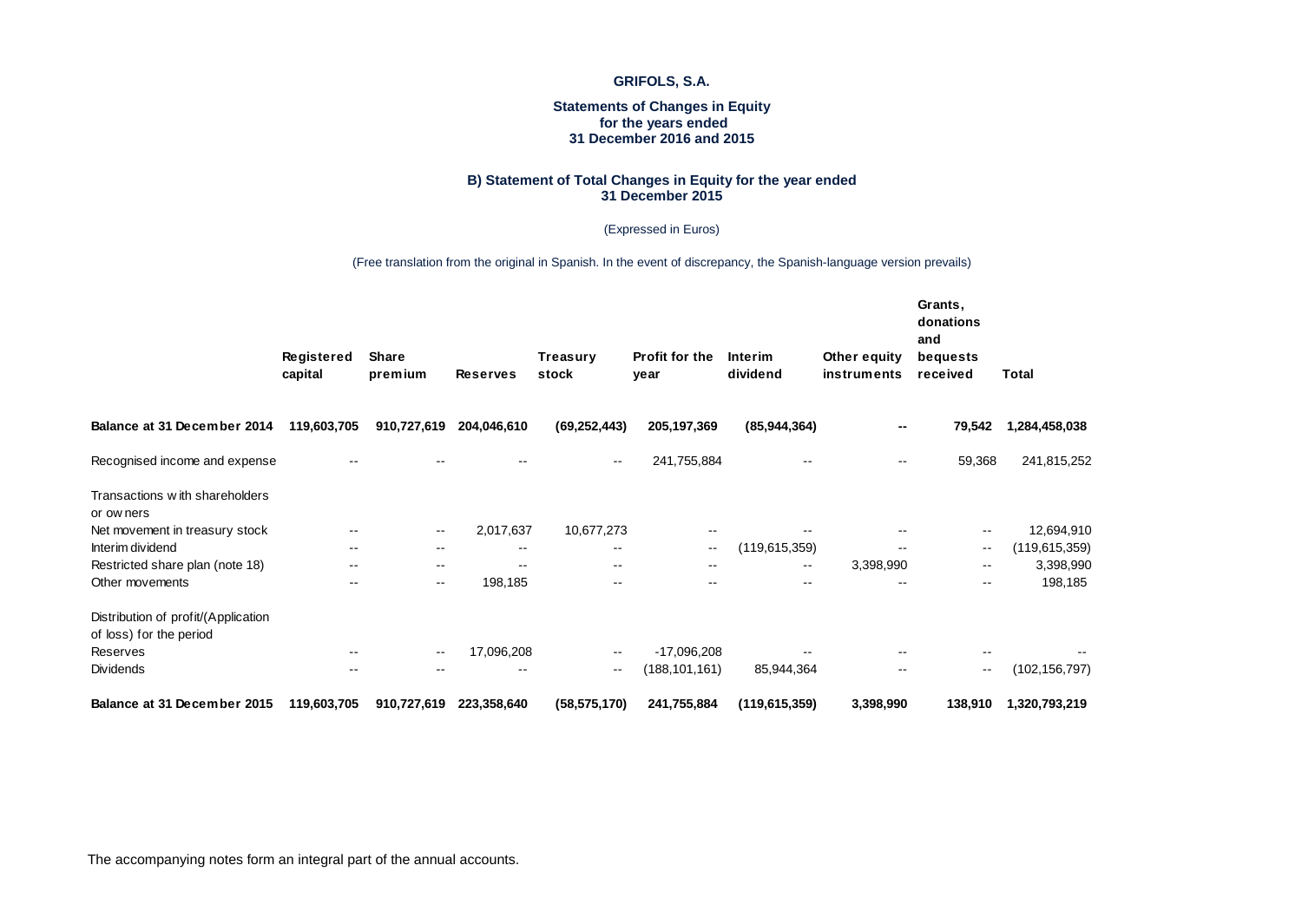# **Statements of Changes in Equity for the years ended 31 December 2016 and 2015**

### **B) Statement of Total Changes in Equity for the year ended 31 December 2015**

### (Expressed in Euros)

(Free translation from the original in Spanish. In the event of discrepancy, the Spanish-language version prevails)

|                                                                | Registered<br>capital    | <b>Share</b><br>premium  | <b>Reserves</b> | Treasury<br>stock        | Profit for the<br>year   | Interim<br>dividend | Other equity<br>instruments | Grants,<br>donations<br>and<br>bequests<br>received | <b>Total</b>    |
|----------------------------------------------------------------|--------------------------|--------------------------|-----------------|--------------------------|--------------------------|---------------------|-----------------------------|-----------------------------------------------------|-----------------|
| Balance at 31 December 2014                                    | 119,603,705              | 910,727,619              | 204,046,610     | (69, 252, 443)           | 205, 197, 369            | (85, 944, 364)      | $\overline{\phantom{a}}$    | 79,542                                              | 1,284,458,038   |
| Recognised income and expense                                  |                          |                          |                 | $\overline{\phantom{m}}$ | 241,755,884              |                     | $\overline{\phantom{m}}$    | 59,368                                              | 241,815,252     |
| Transactions with shareholders<br>or ow ners                   |                          |                          |                 |                          |                          |                     |                             |                                                     |                 |
| Net movement in treasury stock                                 |                          | $\sim$ $-$               | 2,017,637       | 10,677,273               | --                       |                     |                             |                                                     | 12,694,910      |
| Interim dividend                                               | $\overline{\phantom{m}}$ | $\overline{\phantom{m}}$ | $- -$           | $\overline{\phantom{m}}$ | $\overline{\phantom{m}}$ | (119, 615, 359)     |                             | $\sim$ $\sim$                                       | (119, 615, 359) |
| Restricted share plan (note 18)                                | $\sim$ $-$               | $\sim$ $-$               |                 | $\overline{\phantom{m}}$ | $- -$                    | $\sim$ $\sim$       | 3,398,990                   | $- -$                                               | 3,398,990       |
| Other movements                                                | $\sim$ $-$               | $\sim$ $-$               | 198,185         | $\sim$ $\sim$            | $- -$                    | $\sim$ $\sim$       |                             | $- -$                                               | 198,185         |
| Distribution of profit/(Application<br>of loss) for the period |                          |                          |                 |                          |                          |                     |                             |                                                     |                 |
| Reserves                                                       |                          | $\sim$ $-$               | 17,096,208      | $\sim$ $\sim$            | $-17,096,208$            |                     |                             |                                                     |                 |
| Dividends                                                      | --                       | --                       | $- -$           | $\overline{\phantom{m}}$ | (188, 101, 161)          | 85,944,364          |                             | $\sim$ $\sim$                                       | (102, 156, 797) |
| Balance at 31 December 2015                                    | 119,603,705              | 910,727,619              | 223,358,640     | (58, 575, 170)           | 241,755,884              | (119,615,359)       | 3,398,990                   | 138,910                                             | 1,320,793,219   |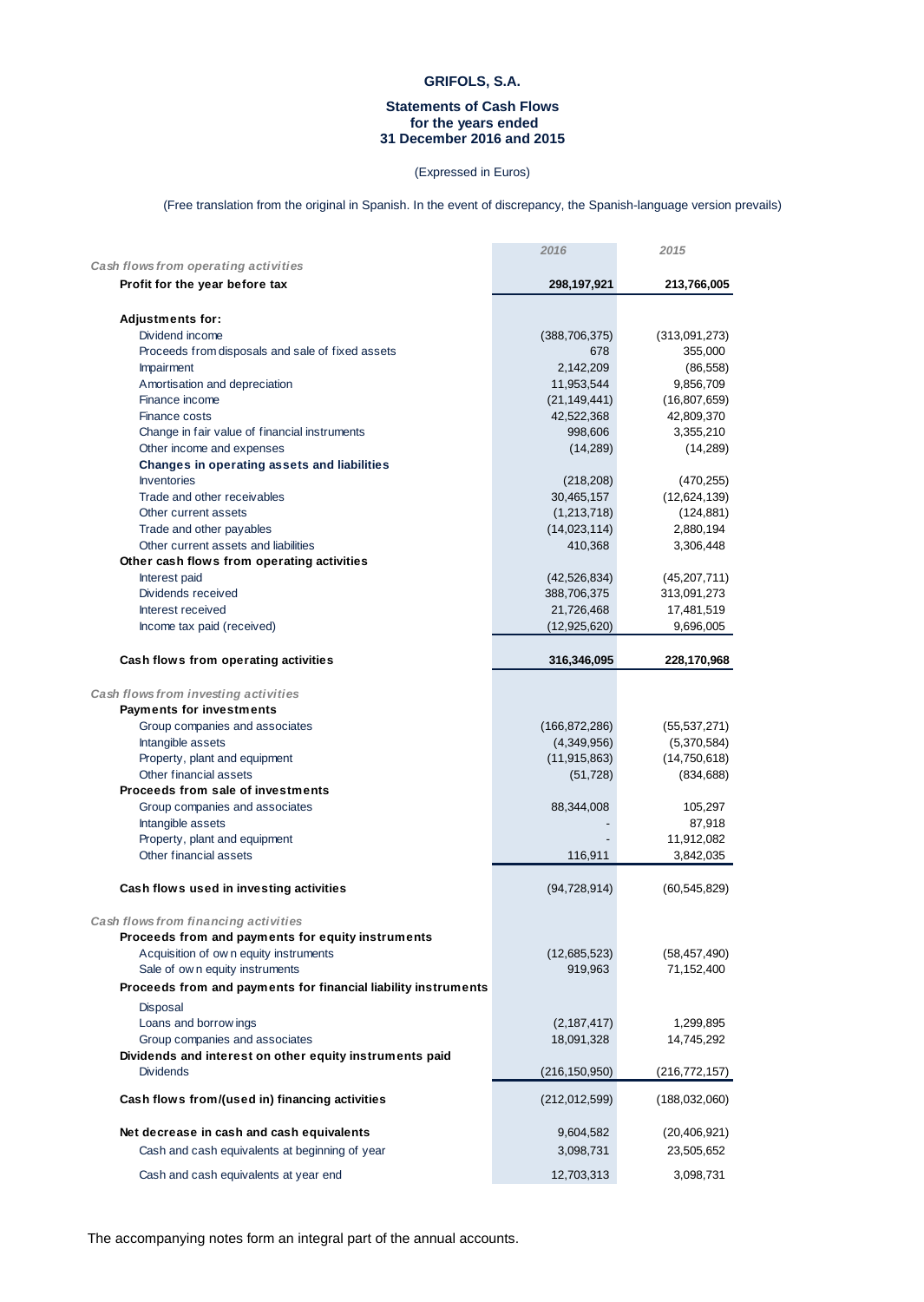# **Statements of Cash Flows for the years ended 31 December 2016 and 2015**

# (Expressed in Euros)

(Free translation from the original in Spanish. In the event of discrepancy, the Spanish-language version prevails)

|                                                                | 2016            | 2015           |
|----------------------------------------------------------------|-----------------|----------------|
| Cash flows from operating activities                           |                 |                |
| Profit for the year before tax                                 | 298,197,921     | 213,766,005    |
| <b>Adjustments for:</b>                                        |                 |                |
| Dividend income                                                | (388, 706, 375) | (313,091,273)  |
|                                                                | 678             |                |
| Proceeds from disposals and sale of fixed assets               |                 | 355,000        |
| Impairment                                                     | 2,142,209       | (86, 558)      |
| Amortisation and depreciation                                  | 11,953,544      | 9,856,709      |
| Finance income                                                 | (21, 149, 441)  | (16,807,659)   |
| Finance costs                                                  | 42,522,368      | 42,809,370     |
| Change in fair value of financial instruments                  | 998,606         | 3,355,210      |
| Other income and expenses                                      | (14, 289)       | (14, 289)      |
| Changes in operating assets and liabilities                    |                 |                |
| <b>Inventories</b>                                             | (218, 208)      | (470, 255)     |
| Trade and other receivables                                    | 30,465,157      | (12,624,139)   |
| Other current assets                                           | (1,213,718)     | (124, 881)     |
| Trade and other payables                                       | (14,023,114)    | 2,880,194      |
| Other current assets and liabilities                           | 410,368         | 3,306,448      |
| Other cash flows from operating activities                     |                 |                |
| Interest paid                                                  | (42, 526, 834)  | (45,207,711)   |
| Dividends received                                             | 388,706,375     | 313,091,273    |
| Interest received                                              | 21,726,468      | 17,481,519     |
| Income tax paid (received)                                     | (12, 925, 620)  | 9,696,005      |
|                                                                |                 |                |
| Cash flows from operating activities                           | 316,346,095     | 228,170,968    |
| Cash flows from investing activities                           |                 |                |
| <b>Payments for investments</b>                                |                 |                |
| Group companies and associates                                 | (166, 872, 286) | (55, 537, 271) |
| Intangible assets                                              | (4,349,956)     | (5,370,584)    |
| Property, plant and equipment                                  | (11, 915, 863)  | (14,750,618)   |
| Other financial assets                                         |                 | (834, 688)     |
| Proceeds from sale of investments                              | (51, 728)       |                |
|                                                                |                 |                |
| Group companies and associates                                 | 88,344,008      | 105,297        |
| Intangible assets                                              |                 | 87,918         |
| Property, plant and equipment                                  |                 | 11,912,082     |
| Other financial assets                                         | 116,911         | 3,842,035      |
| Cash flows used in investing activities                        | (94, 728, 914)  | (60, 545, 829) |
|                                                                |                 |                |
| Cash flows from financing activities                           |                 |                |
| Proceeds from and payments for equity instruments              |                 |                |
| Acquisition of own equity instruments                          | (12,685,523)    | (58, 457, 490) |
| Sale of own equity instruments                                 | 919,963         | 71,152,400     |
| Proceeds from and payments for financial liability instruments |                 |                |
|                                                                |                 |                |
| Disposal                                                       |                 |                |
| Loans and borrow ings                                          | (2, 187, 417)   | 1,299,895      |
| Group companies and associates                                 | 18,091,328      | 14,745,292     |
| Dividends and interest on other equity instruments paid        |                 |                |
| <b>Dividends</b>                                               | (216, 150, 950) | (216,772,157)  |
| Cash flows from/(used in) financing activities                 | (212, 012, 599) | (188,032,060)  |
|                                                                |                 |                |
| Net decrease in cash and cash equivalents                      | 9,604,582       | (20, 406, 921) |
| Cash and cash equivalents at beginning of year                 | 3,098,731       | 23,505,652     |
| Cash and cash equivalents at year end                          | 12,703,313      | 3,098,731      |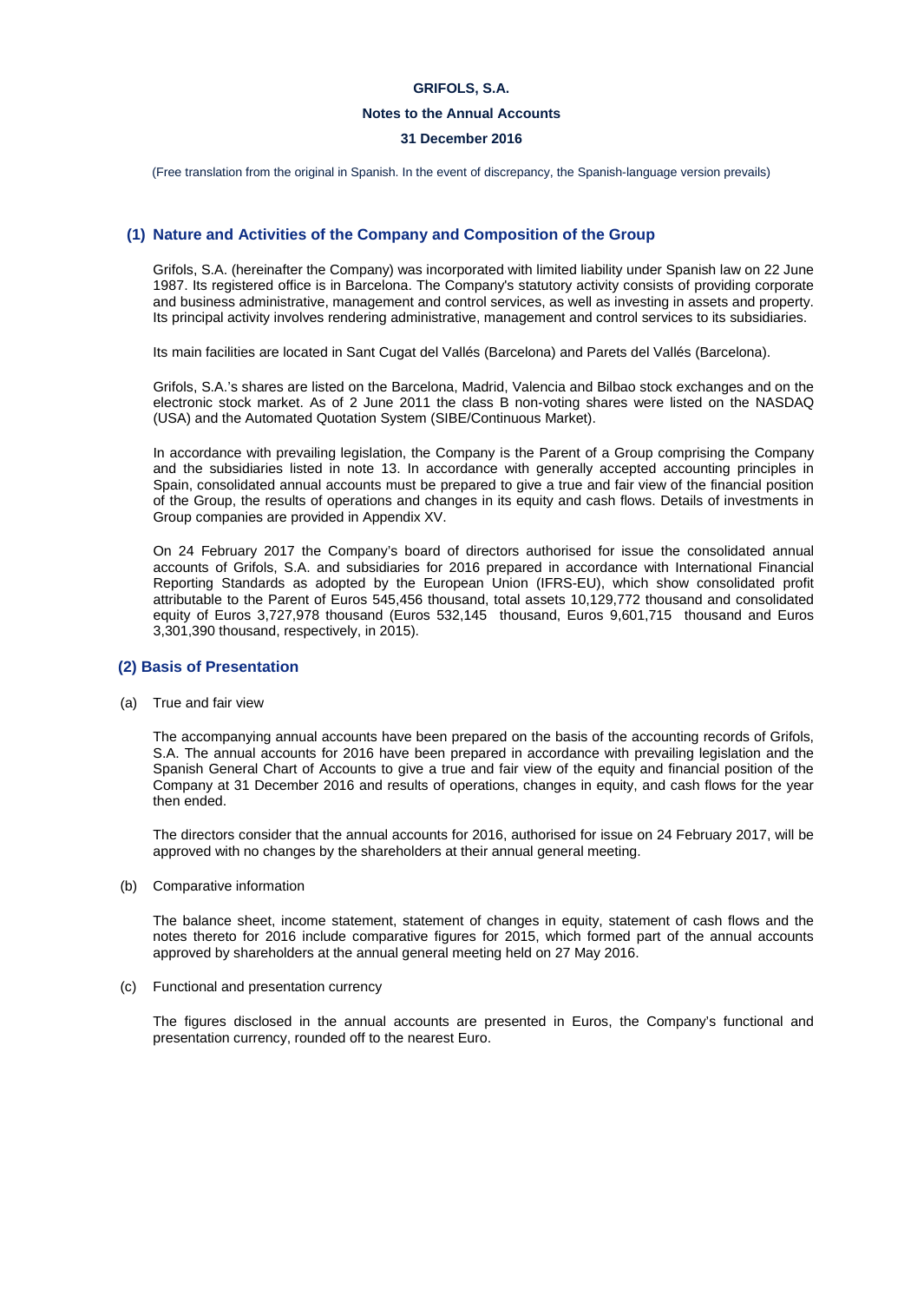# **Notes to the Annual Accounts**

# **31 December 2016**

(Free translation from the original in Spanish. In the event of discrepancy, the Spanish-language version prevails)

# **(1) Nature and Activities of the Company and Composition of the Group**

Grifols, S.A. (hereinafter the Company) was incorporated with limited liability under Spanish law on 22 June 1987. Its registered office is in Barcelona. The Company's statutory activity consists of providing corporate and business administrative, management and control services, as well as investing in assets and property. Its principal activity involves rendering administrative, management and control services to its subsidiaries.

Its main facilities are located in Sant Cugat del Vallés (Barcelona) and Parets del Vallés (Barcelona).

Grifols, S.A.'s shares are listed on the Barcelona, Madrid, Valencia and Bilbao stock exchanges and on the electronic stock market. As of 2 June 2011 the class B non-voting shares were listed on the NASDAQ (USA) and the Automated Quotation System (SIBE/Continuous Market).

In accordance with prevailing legislation, the Company is the Parent of a Group comprising the Company and the subsidiaries listed in note 13. In accordance with generally accepted accounting principles in Spain, consolidated annual accounts must be prepared to give a true and fair view of the financial position of the Group, the results of operations and changes in its equity and cash flows. Details of investments in Group companies are provided in Appendix XV.

On 24 February 2017 the Company's board of directors authorised for issue the consolidated annual accounts of Grifols, S.A. and subsidiaries for 2016 prepared in accordance with International Financial Reporting Standards as adopted by the European Union (IFRS-EU), which show consolidated profit attributable to the Parent of Euros 545,456 thousand, total assets 10,129,772 thousand and consolidated equity of Euros 3,727,978 thousand (Euros 532,145 thousand, Euros 9,601,715 thousand and Euros 3,301,390 thousand, respectively, in 2015).

# **(2) Basis of Presentation**

(a) True and fair view

The accompanying annual accounts have been prepared on the basis of the accounting records of Grifols, S.A. The annual accounts for 2016 have been prepared in accordance with prevailing legislation and the Spanish General Chart of Accounts to give a true and fair view of the equity and financial position of the Company at 31 December 2016 and results of operations, changes in equity, and cash flows for the year then ended.

The directors consider that the annual accounts for 2016, authorised for issue on 24 February 2017, will be approved with no changes by the shareholders at their annual general meeting.

(b) Comparative information

The balance sheet, income statement, statement of changes in equity, statement of cash flows and the notes thereto for 2016 include comparative figures for 2015, which formed part of the annual accounts approved by shareholders at the annual general meeting held on 27 May 2016.

(c) Functional and presentation currency

The figures disclosed in the annual accounts are presented in Euros, the Company's functional and presentation currency, rounded off to the nearest Euro.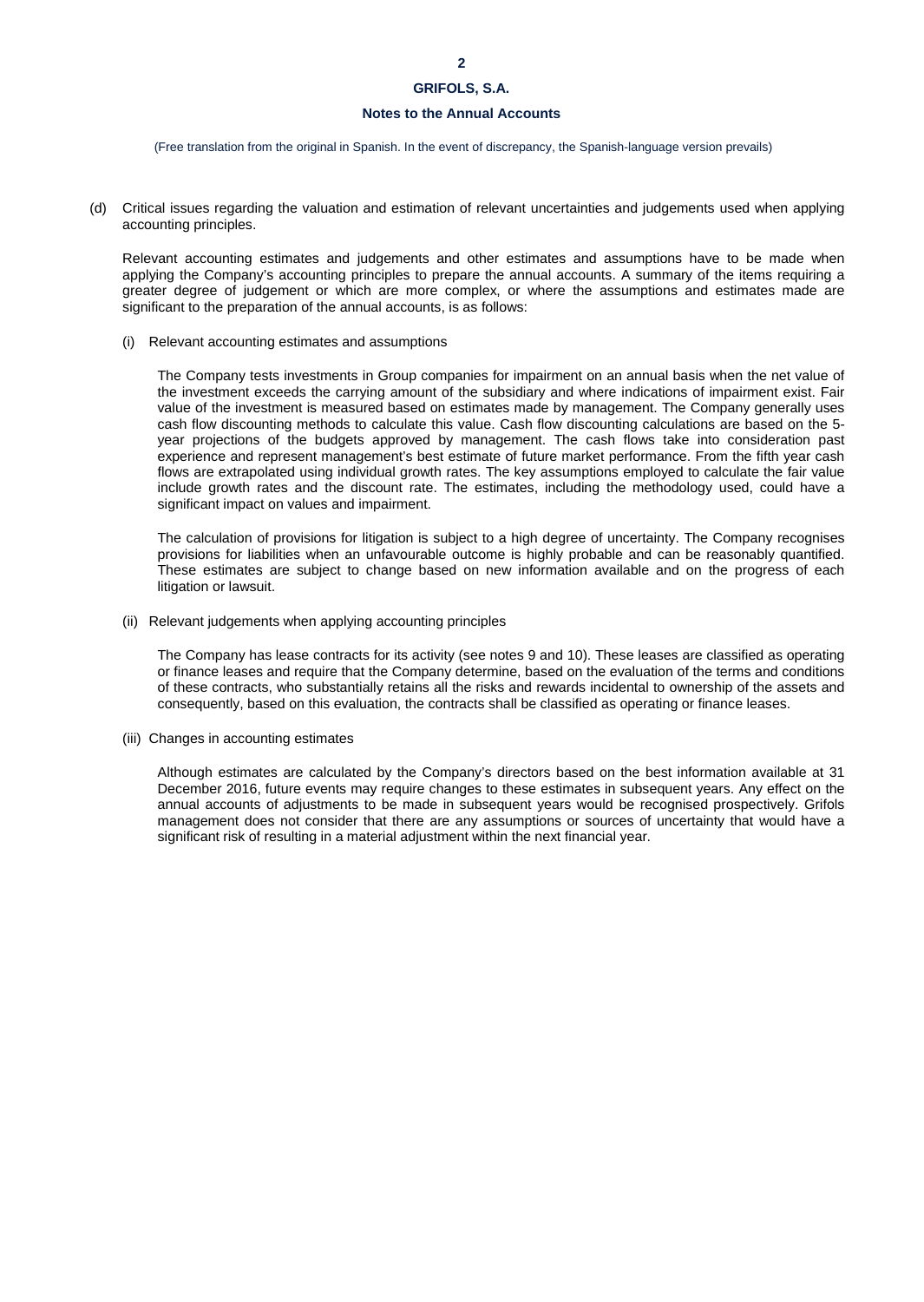# **Notes to the Annual Accounts**

(Free translation from the original in Spanish. In the event of discrepancy, the Spanish-language version prevails)

(d) Critical issues regarding the valuation and estimation of relevant uncertainties and judgements used when applying accounting principles.

Relevant accounting estimates and judgements and other estimates and assumptions have to be made when applying the Company's accounting principles to prepare the annual accounts. A summary of the items requiring a greater degree of judgement or which are more complex, or where the assumptions and estimates made are significant to the preparation of the annual accounts, is as follows:

(i) Relevant accounting estimates and assumptions

The Company tests investments in Group companies for impairment on an annual basis when the net value of the investment exceeds the carrying amount of the subsidiary and where indications of impairment exist. Fair value of the investment is measured based on estimates made by management. The Company generally uses cash flow discounting methods to calculate this value. Cash flow discounting calculations are based on the 5 year projections of the budgets approved by management. The cash flows take into consideration past experience and represent management's best estimate of future market performance. From the fifth year cash flows are extrapolated using individual growth rates. The key assumptions employed to calculate the fair value include growth rates and the discount rate. The estimates, including the methodology used, could have a significant impact on values and impairment.

The calculation of provisions for litigation is subject to a high degree of uncertainty. The Company recognises provisions for liabilities when an unfavourable outcome is highly probable and can be reasonably quantified. These estimates are subject to change based on new information available and on the progress of each litigation or lawsuit.

(ii) Relevant judgements when applying accounting principles

The Company has lease contracts for its activity (see notes 9 and 10). These leases are classified as operating or finance leases and require that the Company determine, based on the evaluation of the terms and conditions of these contracts, who substantially retains all the risks and rewards incidental to ownership of the assets and consequently, based on this evaluation, the contracts shall be classified as operating or finance leases.

(iii) Changes in accounting estimates

Although estimates are calculated by the Company's directors based on the best information available at 31 December 2016, future events may require changes to these estimates in subsequent years. Any effect on the annual accounts of adjustments to be made in subsequent years would be recognised prospectively. Grifols management does not consider that there are any assumptions or sources of uncertainty that would have a significant risk of resulting in a material adjustment within the next financial year.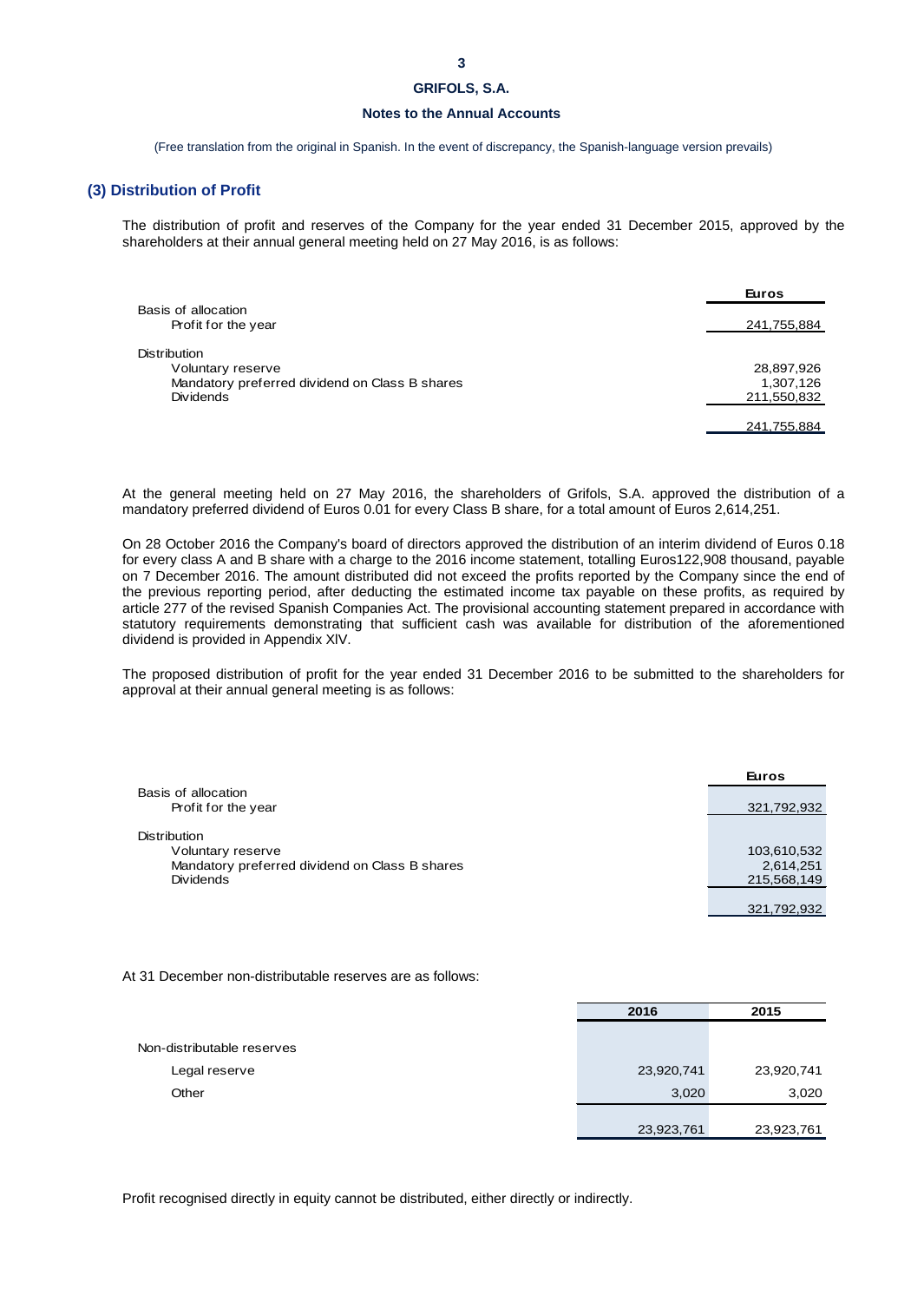# **Notes to the Annual Accounts**

(Free translation from the original in Spanish. In the event of discrepancy, the Spanish-language version prevails)

# **(3) Distribution of Profit**

The distribution of profit and reserves of the Company for the year ended 31 December 2015, approved by the shareholders at their annual general meeting held on 27 May 2016, is as follows:

|                                                | Euros       |
|------------------------------------------------|-------------|
| Basis of allocation                            |             |
| Profit for the year                            | 241,755,884 |
| <b>Distribution</b>                            |             |
| Voluntary reserve                              | 28,897,926  |
| Mandatory preferred dividend on Class B shares | 1,307,126   |
| <b>Dividends</b>                               | 211,550,832 |
|                                                | 241,755,884 |

At the general meeting held on 27 May 2016, the shareholders of Grifols, S.A. approved the distribution of a mandatory preferred dividend of Euros 0.01 for every Class B share, for a total amount of Euros 2,614,251.

On 28 October 2016 the Company's board of directors approved the distribution of an interim dividend of Euros 0.18 for every class A and B share with a charge to the 2016 income statement, totalling Euros122,908 thousand, payable on 7 December 2016. The amount distributed did not exceed the profits reported by the Company since the end of the previous reporting period, after deducting the estimated income tax payable on these profits, as required by article 277 of the revised Spanish Companies Act. The provisional accounting statement prepared in accordance with statutory requirements demonstrating that sufficient cash was available for distribution of the aforementioned dividend is provided in Appendix XlV.

The proposed distribution of profit for the year ended 31 December 2016 to be submitted to the shareholders for approval at their annual general meeting is as follows:

|                                                | <b>Euros</b> |
|------------------------------------------------|--------------|
| Basis of allocation                            |              |
| Profit for the year                            | 321,792,932  |
|                                                |              |
| <b>Distribution</b>                            |              |
| Voluntary reserve                              | 103,610,532  |
| Mandatory preferred dividend on Class B shares | 2,614,251    |
| <b>Dividends</b>                               | 215,568,149  |
|                                                |              |
|                                                | 321,792,932  |

At 31 December non-distributable reserves are as follows:

|                            | 2016       | 2015       |
|----------------------------|------------|------------|
|                            |            |            |
| Non-distributable reserves |            |            |
| Legal reserve              | 23,920,741 | 23,920,741 |
| Other                      | 3,020      | 3,020      |
|                            |            |            |
|                            | 23,923,761 | 23,923,761 |

Profit recognised directly in equity cannot be distributed, either directly or indirectly.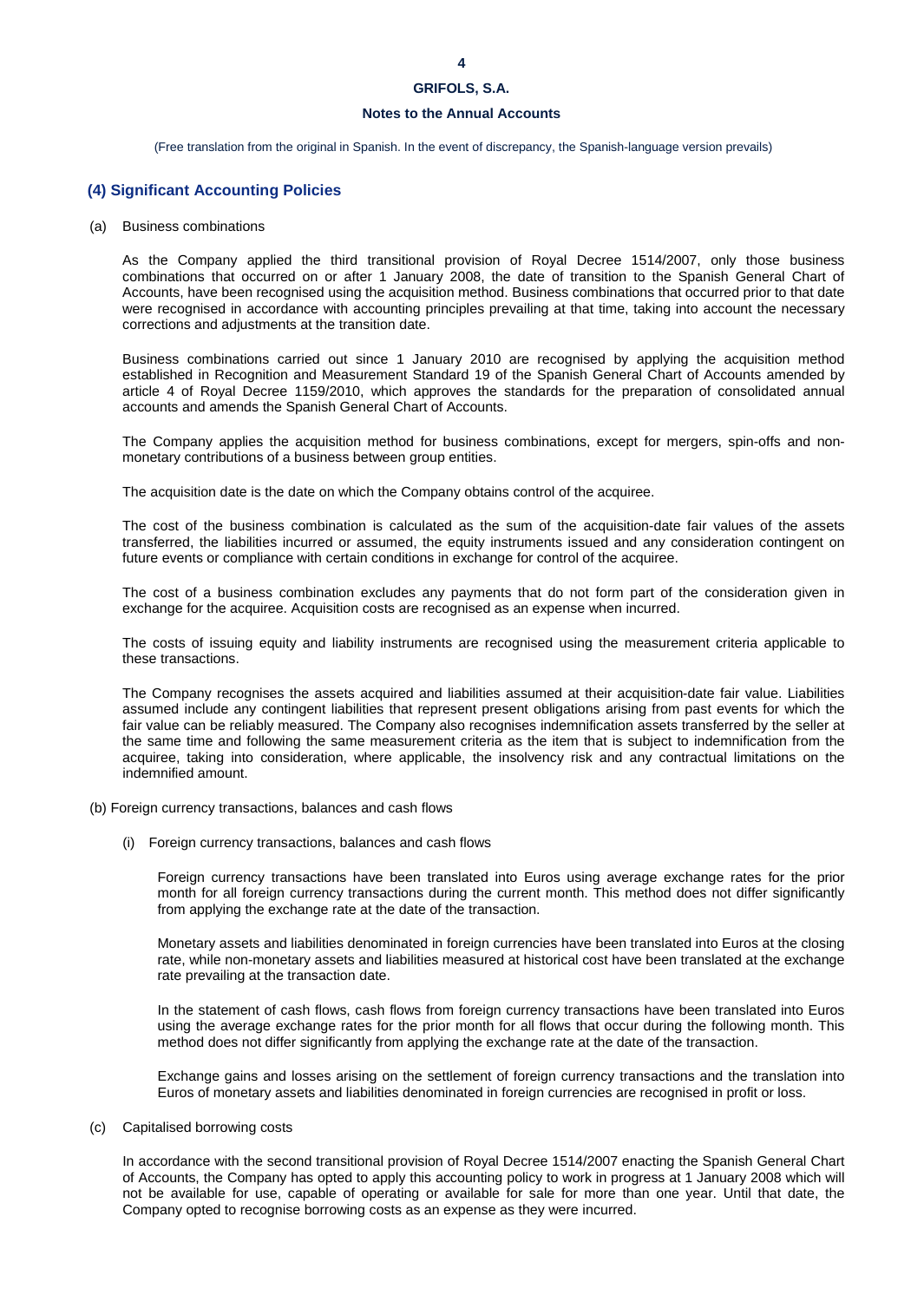# **Notes to the Annual Accounts**

(Free translation from the original in Spanish. In the event of discrepancy, the Spanish-language version prevails)

# **(4) Significant Accounting Policies**

(a) Business combinations

As the Company applied the third transitional provision of Royal Decree 1514/2007, only those business combinations that occurred on or after 1 January 2008, the date of transition to the Spanish General Chart of Accounts, have been recognised using the acquisition method. Business combinations that occurred prior to that date were recognised in accordance with accounting principles prevailing at that time, taking into account the necessary corrections and adjustments at the transition date.

Business combinations carried out since 1 January 2010 are recognised by applying the acquisition method established in Recognition and Measurement Standard 19 of the Spanish General Chart of Accounts amended by article 4 of Royal Decree 1159/2010, which approves the standards for the preparation of consolidated annual accounts and amends the Spanish General Chart of Accounts.

The Company applies the acquisition method for business combinations, except for mergers, spin-offs and nonmonetary contributions of a business between group entities.

The acquisition date is the date on which the Company obtains control of the acquiree.

The cost of the business combination is calculated as the sum of the acquisition-date fair values of the assets transferred, the liabilities incurred or assumed, the equity instruments issued and any consideration contingent on future events or compliance with certain conditions in exchange for control of the acquiree.

The cost of a business combination excludes any payments that do not form part of the consideration given in exchange for the acquiree. Acquisition costs are recognised as an expense when incurred.

The costs of issuing equity and liability instruments are recognised using the measurement criteria applicable to these transactions.

The Company recognises the assets acquired and liabilities assumed at their acquisition-date fair value. Liabilities assumed include any contingent liabilities that represent present obligations arising from past events for which the fair value can be reliably measured. The Company also recognises indemnification assets transferred by the seller at the same time and following the same measurement criteria as the item that is subject to indemnification from the acquiree, taking into consideration, where applicable, the insolvency risk and any contractual limitations on the indemnified amount.

- (b) Foreign currency transactions, balances and cash flows
	- (i) Foreign currency transactions, balances and cash flows

Foreign currency transactions have been translated into Euros using average exchange rates for the prior month for all foreign currency transactions during the current month. This method does not differ significantly from applying the exchange rate at the date of the transaction.

Monetary assets and liabilities denominated in foreign currencies have been translated into Euros at the closing rate, while non-monetary assets and liabilities measured at historical cost have been translated at the exchange rate prevailing at the transaction date.

In the statement of cash flows, cash flows from foreign currency transactions have been translated into Euros using the average exchange rates for the prior month for all flows that occur during the following month. This method does not differ significantly from applying the exchange rate at the date of the transaction.

Exchange gains and losses arising on the settlement of foreign currency transactions and the translation into Euros of monetary assets and liabilities denominated in foreign currencies are recognised in profit or loss.

# (c) Capitalised borrowing costs

In accordance with the second transitional provision of Royal Decree 1514/2007 enacting the Spanish General Chart of Accounts, the Company has opted to apply this accounting policy to work in progress at 1 January 2008 which will not be available for use, capable of operating or available for sale for more than one year. Until that date, the Company opted to recognise borrowing costs as an expense as they were incurred.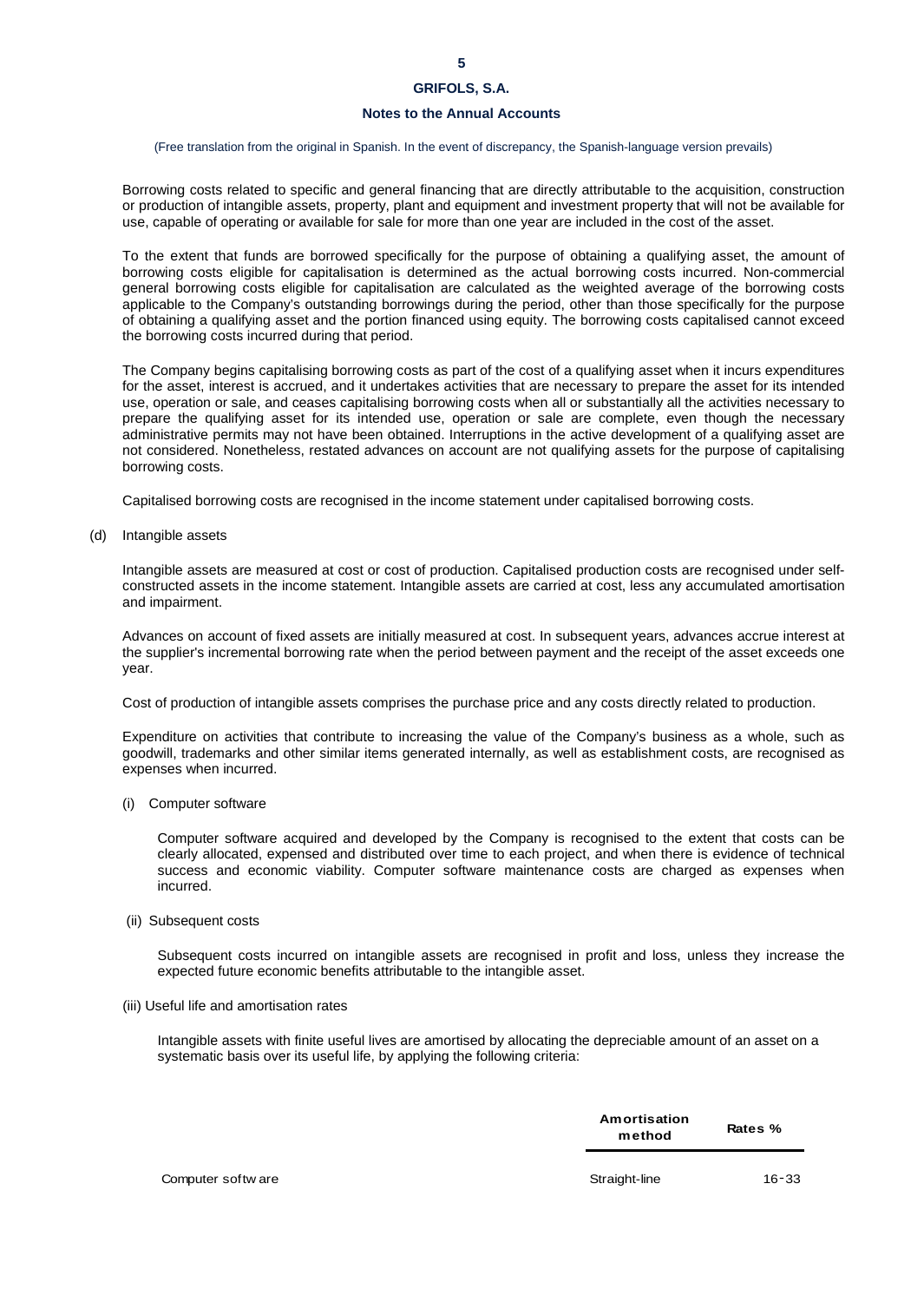# **Notes to the Annual Accounts**

### (Free translation from the original in Spanish. In the event of discrepancy, the Spanish-language version prevails)

Borrowing costs related to specific and general financing that are directly attributable to the acquisition, construction or production of intangible assets, property, plant and equipment and investment property that will not be available for use, capable of operating or available for sale for more than one year are included in the cost of the asset.

To the extent that funds are borrowed specifically for the purpose of obtaining a qualifying asset, the amount of borrowing costs eligible for capitalisation is determined as the actual borrowing costs incurred. Non-commercial general borrowing costs eligible for capitalisation are calculated as the weighted average of the borrowing costs applicable to the Company's outstanding borrowings during the period, other than those specifically for the purpose of obtaining a qualifying asset and the portion financed using equity. The borrowing costs capitalised cannot exceed the borrowing costs incurred during that period.

The Company begins capitalising borrowing costs as part of the cost of a qualifying asset when it incurs expenditures for the asset, interest is accrued, and it undertakes activities that are necessary to prepare the asset for its intended use, operation or sale, and ceases capitalising borrowing costs when all or substantially all the activities necessary to prepare the qualifying asset for its intended use, operation or sale are complete, even though the necessary administrative permits may not have been obtained. Interruptions in the active development of a qualifying asset are not considered. Nonetheless, restated advances on account are not qualifying assets for the purpose of capitalising borrowing costs.

Capitalised borrowing costs are recognised in the income statement under capitalised borrowing costs.

(d) Intangible assets

Intangible assets are measured at cost or cost of production. Capitalised production costs are recognised under selfconstructed assets in the income statement. Intangible assets are carried at cost, less any accumulated amortisation and impairment.

Advances on account of fixed assets are initially measured at cost. In subsequent years, advances accrue interest at the supplier's incremental borrowing rate when the period between payment and the receipt of the asset exceeds one year.

Cost of production of intangible assets comprises the purchase price and any costs directly related to production.

Expenditure on activities that contribute to increasing the value of the Company's business as a whole, such as goodwill, trademarks and other similar items generated internally, as well as establishment costs, are recognised as expenses when incurred.

(i) Computer software

Computer software acquired and developed by the Company is recognised to the extent that costs can be clearly allocated, expensed and distributed over time to each project, and when there is evidence of technical success and economic viability. Computer software maintenance costs are charged as expenses when incurred.

(ii) Subsequent costs

Subsequent costs incurred on intangible assets are recognised in profit and loss, unless they increase the expected future economic benefits attributable to the intangible asset.

### (iii) Useful life and amortisation rates

Intangible assets with finite useful lives are amortised by allocating the depreciable amount of an asset on a systematic basis over its useful life, by applying the following criteria:

| Amortisation | Rates % |
|--------------|---------|
| method       |         |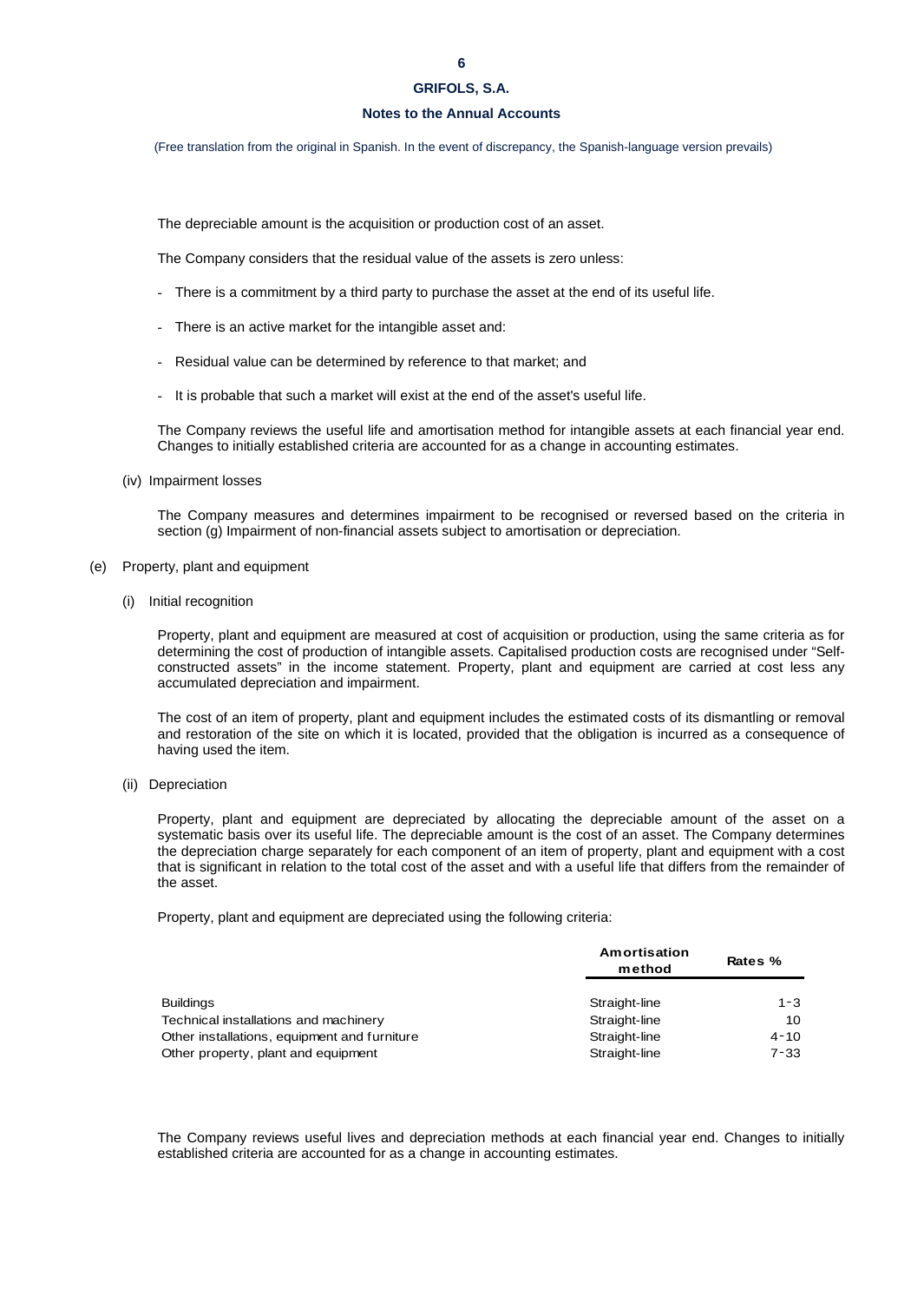# **Notes to the Annual Accounts**

(Free translation from the original in Spanish. In the event of discrepancy, the Spanish-language version prevails)

The depreciable amount is the acquisition or production cost of an asset.

The Company considers that the residual value of the assets is zero unless:

- There is a commitment by a third party to purchase the asset at the end of its useful life.
- There is an active market for the intangible asset and:
- Residual value can be determined by reference to that market; and
- It is probable that such a market will exist at the end of the asset's useful life.

The Company reviews the useful life and amortisation method for intangible assets at each financial year end. Changes to initially established criteria are accounted for as a change in accounting estimates.

(iv) Impairment losses

The Company measures and determines impairment to be recognised or reversed based on the criteria in section (g) Impairment of non-financial assets subject to amortisation or depreciation.

- (e) Property, plant and equipment
	- (i) Initial recognition

Property, plant and equipment are measured at cost of acquisition or production, using the same criteria as for determining the cost of production of intangible assets. Capitalised production costs are recognised under "Selfconstructed assets" in the income statement. Property, plant and equipment are carried at cost less any accumulated depreciation and impairment.

The cost of an item of property, plant and equipment includes the estimated costs of its dismantling or removal and restoration of the site on which it is located, provided that the obligation is incurred as a consequence of having used the item.

(ii) Depreciation

Property, plant and equipment are depreciated by allocating the depreciable amount of the asset on a systematic basis over its useful life. The depreciable amount is the cost of an asset. The Company determines the depreciation charge separately for each component of an item of property, plant and equipment with a cost that is significant in relation to the total cost of the asset and with a useful life that differs from the remainder of the asset.

Property, plant and equipment are depreciated using the following criteria:

|                                              | Amortisation<br>method | Rates %  |  |
|----------------------------------------------|------------------------|----------|--|
| <b>Buildings</b>                             | Straight-line          | $1 - 3$  |  |
| Technical installations and machinery        | Straight-line          | 10       |  |
| Other installations, equipment and furniture | Straight-line          | $4 - 10$ |  |
| Other property, plant and equipment          | Straight-line          | $7 - 33$ |  |

The Company reviews useful lives and depreciation methods at each financial year end. Changes to initially established criteria are accounted for as a change in accounting estimates.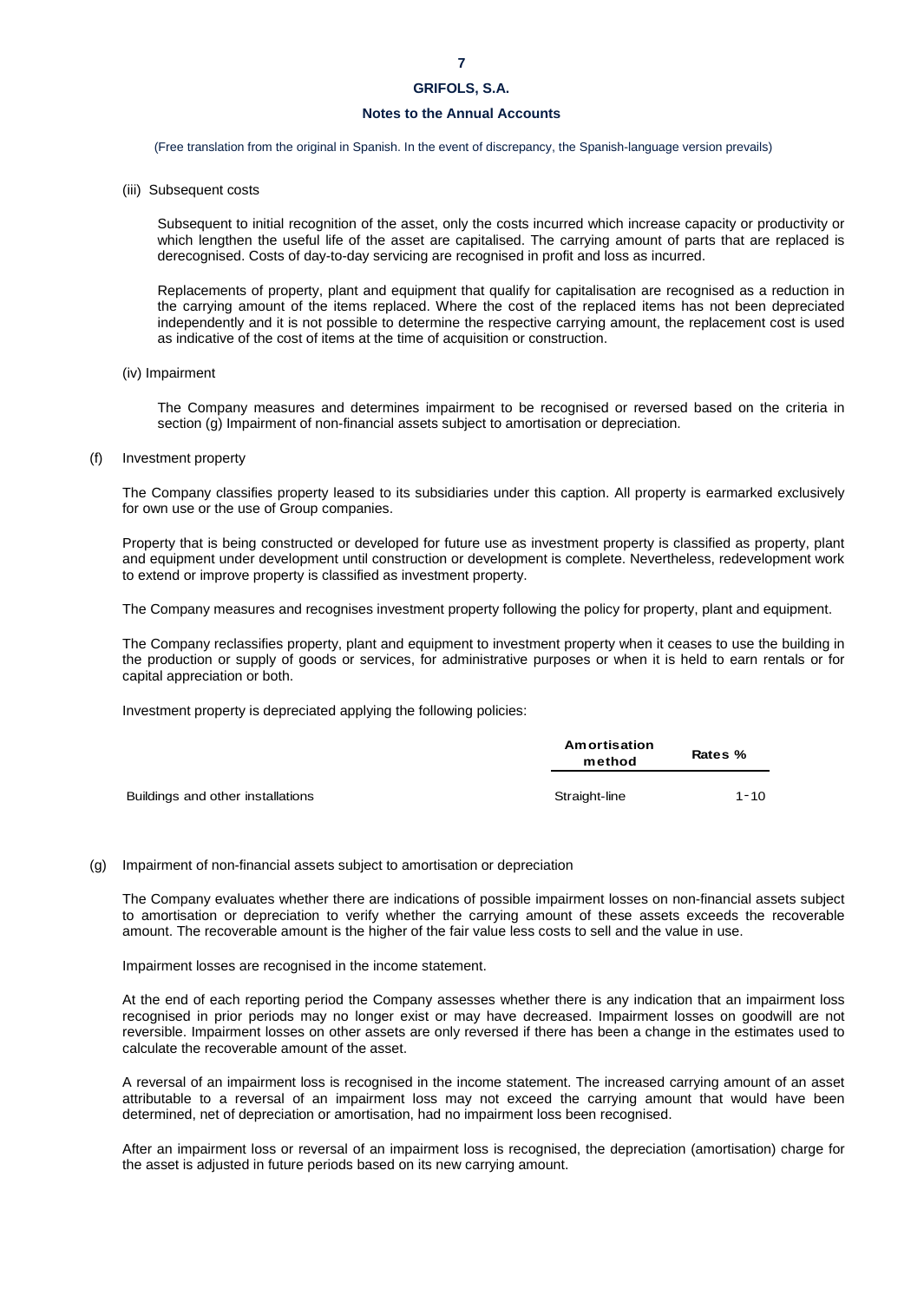# **Notes to the Annual Accounts**

(Free translation from the original in Spanish. In the event of discrepancy, the Spanish-language version prevails)

(iii) Subsequent costs

Subsequent to initial recognition of the asset, only the costs incurred which increase capacity or productivity or which lengthen the useful life of the asset are capitalised. The carrying amount of parts that are replaced is derecognised. Costs of day-to-day servicing are recognised in profit and loss as incurred.

Replacements of property, plant and equipment that qualify for capitalisation are recognised as a reduction in the carrying amount of the items replaced. Where the cost of the replaced items has not been depreciated independently and it is not possible to determine the respective carrying amount, the replacement cost is used as indicative of the cost of items at the time of acquisition or construction.

(iv) Impairment

The Company measures and determines impairment to be recognised or reversed based on the criteria in section (g) Impairment of non-financial assets subject to amortisation or depreciation.

(f) Investment property

The Company classifies property leased to its subsidiaries under this caption. All property is earmarked exclusively for own use or the use of Group companies.

Property that is being constructed or developed for future use as investment property is classified as property, plant and equipment under development until construction or development is complete. Nevertheless, redevelopment work to extend or improve property is classified as investment property.

The Company measures and recognises investment property following the policy for property, plant and equipment.

The Company reclassifies property, plant and equipment to investment property when it ceases to use the building in the production or supply of goods or services, for administrative purposes or when it is held to earn rentals or for capital appreciation or both.

Investment property is depreciated applying the following policies:

|                                   | Amortisation<br>method | Rates %  |
|-----------------------------------|------------------------|----------|
| Buildings and other installations | Straight-line          | $1 - 10$ |

# (g) Impairment of non-financial assets subject to amortisation or depreciation

The Company evaluates whether there are indications of possible impairment losses on non-financial assets subject to amortisation or depreciation to verify whether the carrying amount of these assets exceeds the recoverable amount. The recoverable amount is the higher of the fair value less costs to sell and the value in use.

Impairment losses are recognised in the income statement.

At the end of each reporting period the Company assesses whether there is any indication that an impairment loss recognised in prior periods may no longer exist or may have decreased. Impairment losses on goodwill are not reversible. Impairment losses on other assets are only reversed if there has been a change in the estimates used to calculate the recoverable amount of the asset.

A reversal of an impairment loss is recognised in the income statement. The increased carrying amount of an asset attributable to a reversal of an impairment loss may not exceed the carrying amount that would have been determined, net of depreciation or amortisation, had no impairment loss been recognised.

After an impairment loss or reversal of an impairment loss is recognised, the depreciation (amortisation) charge for the asset is adjusted in future periods based on its new carrying amount.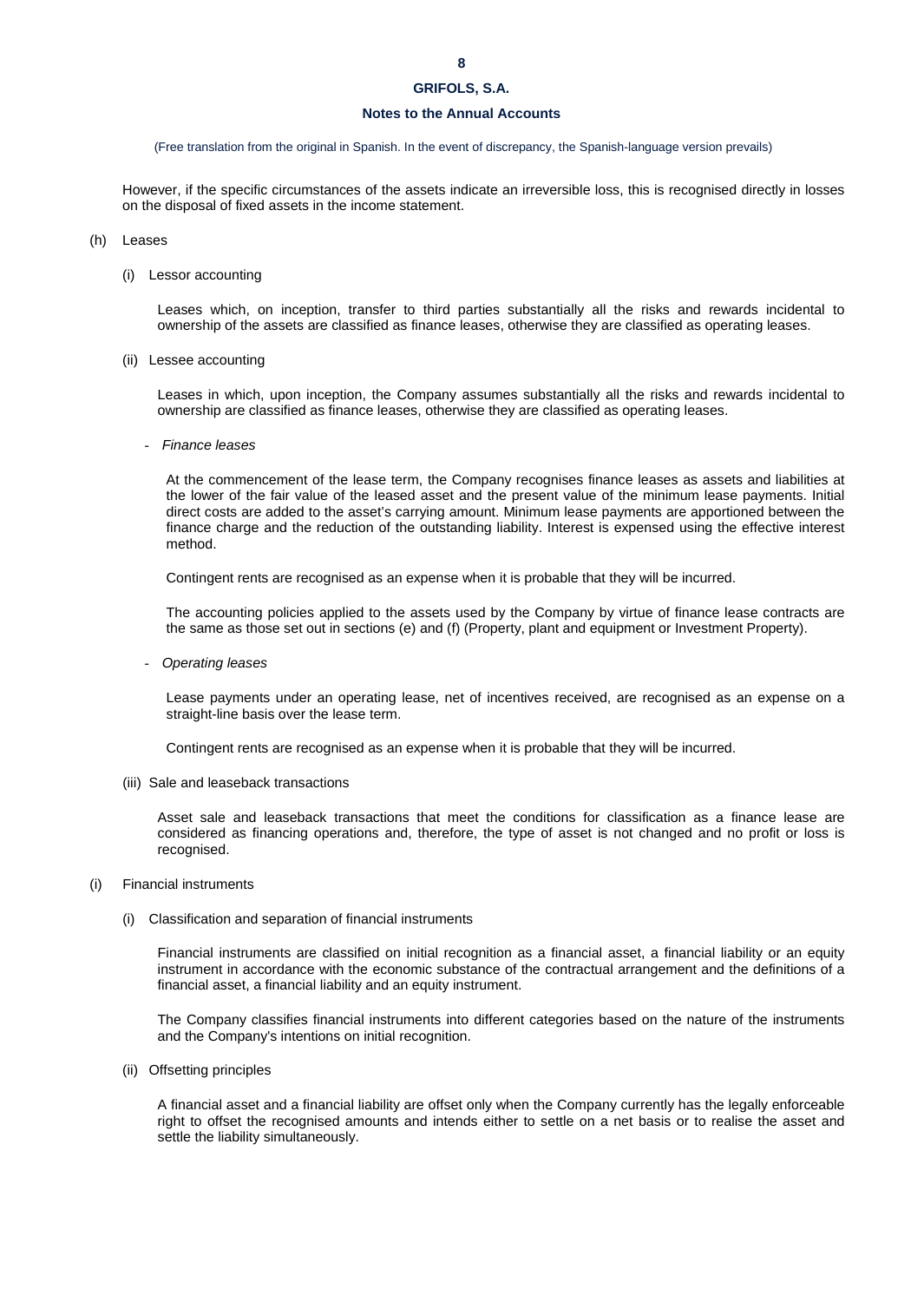## **Notes to the Annual Accounts**

### (Free translation from the original in Spanish. In the event of discrepancy, the Spanish-language version prevails)

However, if the specific circumstances of the assets indicate an irreversible loss, this is recognised directly in losses on the disposal of fixed assets in the income statement.

### (h) Leases

(i) Lessor accounting

Leases which, on inception, transfer to third parties substantially all the risks and rewards incidental to ownership of the assets are classified as finance leases, otherwise they are classified as operating leases.

(ii) Lessee accounting

Leases in which, upon inception, the Company assumes substantially all the risks and rewards incidental to ownership are classified as finance leases, otherwise they are classified as operating leases.

- *Finance leases*

At the commencement of the lease term, the Company recognises finance leases as assets and liabilities at the lower of the fair value of the leased asset and the present value of the minimum lease payments. Initial direct costs are added to the asset's carrying amount. Minimum lease payments are apportioned between the finance charge and the reduction of the outstanding liability. Interest is expensed using the effective interest method.

Contingent rents are recognised as an expense when it is probable that they will be incurred.

The accounting policies applied to the assets used by the Company by virtue of finance lease contracts are the same as those set out in sections (e) and (f) (Property, plant and equipment or Investment Property).

- *Operating leases*

Lease payments under an operating lease, net of incentives received, are recognised as an expense on a straight-line basis over the lease term.

Contingent rents are recognised as an expense when it is probable that they will be incurred.

(iii) Sale and leaseback transactions

Asset sale and leaseback transactions that meet the conditions for classification as a finance lease are considered as financing operations and, therefore, the type of asset is not changed and no profit or loss is recognised.

- (i) Financial instruments
	- (i) Classification and separation of financial instruments

Financial instruments are classified on initial recognition as a financial asset, a financial liability or an equity instrument in accordance with the economic substance of the contractual arrangement and the definitions of a financial asset, a financial liability and an equity instrument.

The Company classifies financial instruments into different categories based on the nature of the instruments and the Company's intentions on initial recognition.

(ii) Offsetting principles

A financial asset and a financial liability are offset only when the Company currently has the legally enforceable right to offset the recognised amounts and intends either to settle on a net basis or to realise the asset and settle the liability simultaneously.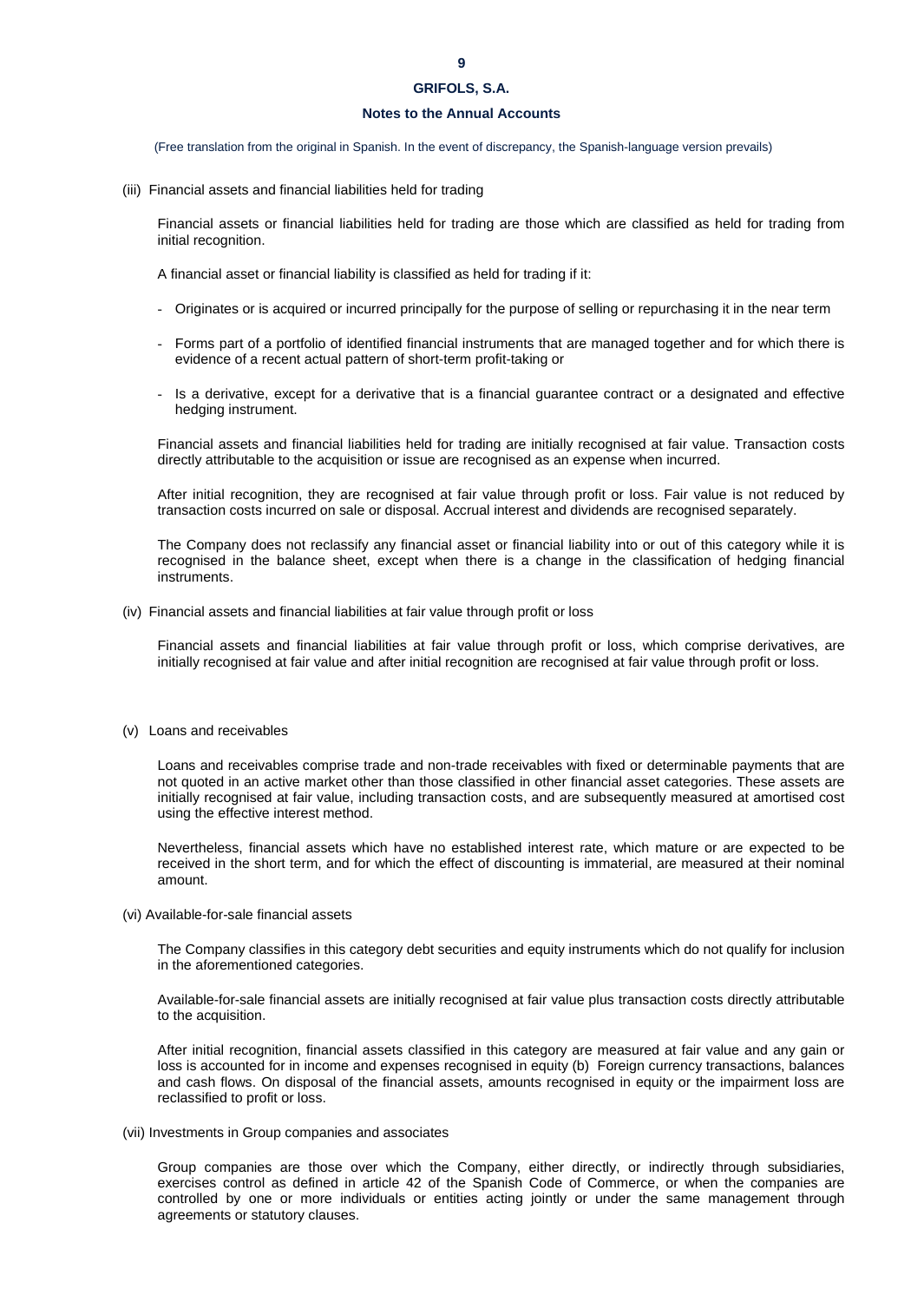# **Notes to the Annual Accounts**

(Free translation from the original in Spanish. In the event of discrepancy, the Spanish-language version prevails)

(iii) Financial assets and financial liabilities held for trading

Financial assets or financial liabilities held for trading are those which are classified as held for trading from initial recognition.

A financial asset or financial liability is classified as held for trading if it:

- Originates or is acquired or incurred principally for the purpose of selling or repurchasing it in the near term
- Forms part of a portfolio of identified financial instruments that are managed together and for which there is evidence of a recent actual pattern of short-term profit-taking or
- Is a derivative, except for a derivative that is a financial guarantee contract or a designated and effective hedging instrument.

Financial assets and financial liabilities held for trading are initially recognised at fair value. Transaction costs directly attributable to the acquisition or issue are recognised as an expense when incurred.

After initial recognition, they are recognised at fair value through profit or loss. Fair value is not reduced by transaction costs incurred on sale or disposal. Accrual interest and dividends are recognised separately.

The Company does not reclassify any financial asset or financial liability into or out of this category while it is recognised in the balance sheet, except when there is a change in the classification of hedging financial instruments.

(iv) Financial assets and financial liabilities at fair value through profit or loss

Financial assets and financial liabilities at fair value through profit or loss, which comprise derivatives, are initially recognised at fair value and after initial recognition are recognised at fair value through profit or loss.

# (v) Loans and receivables

Loans and receivables comprise trade and non-trade receivables with fixed or determinable payments that are not quoted in an active market other than those classified in other financial asset categories. These assets are initially recognised at fair value, including transaction costs, and are subsequently measured at amortised cost using the effective interest method.

Nevertheless, financial assets which have no established interest rate, which mature or are expected to be received in the short term, and for which the effect of discounting is immaterial, are measured at their nominal amount.

(vi) Available-for-sale financial assets

The Company classifies in this category debt securities and equity instruments which do not qualify for inclusion in the aforementioned categories.

Available-for-sale financial assets are initially recognised at fair value plus transaction costs directly attributable to the acquisition.

After initial recognition, financial assets classified in this category are measured at fair value and any gain or loss is accounted for in income and expenses recognised in equity (b) Foreign currency transactions, balances and cash flows. On disposal of the financial assets, amounts recognised in equity or the impairment loss are reclassified to profit or loss.

(vii) Investments in Group companies and associates

Group companies are those over which the Company, either directly, or indirectly through subsidiaries, exercises control as defined in article 42 of the Spanish Code of Commerce, or when the companies are controlled by one or more individuals or entities acting jointly or under the same management through agreements or statutory clauses.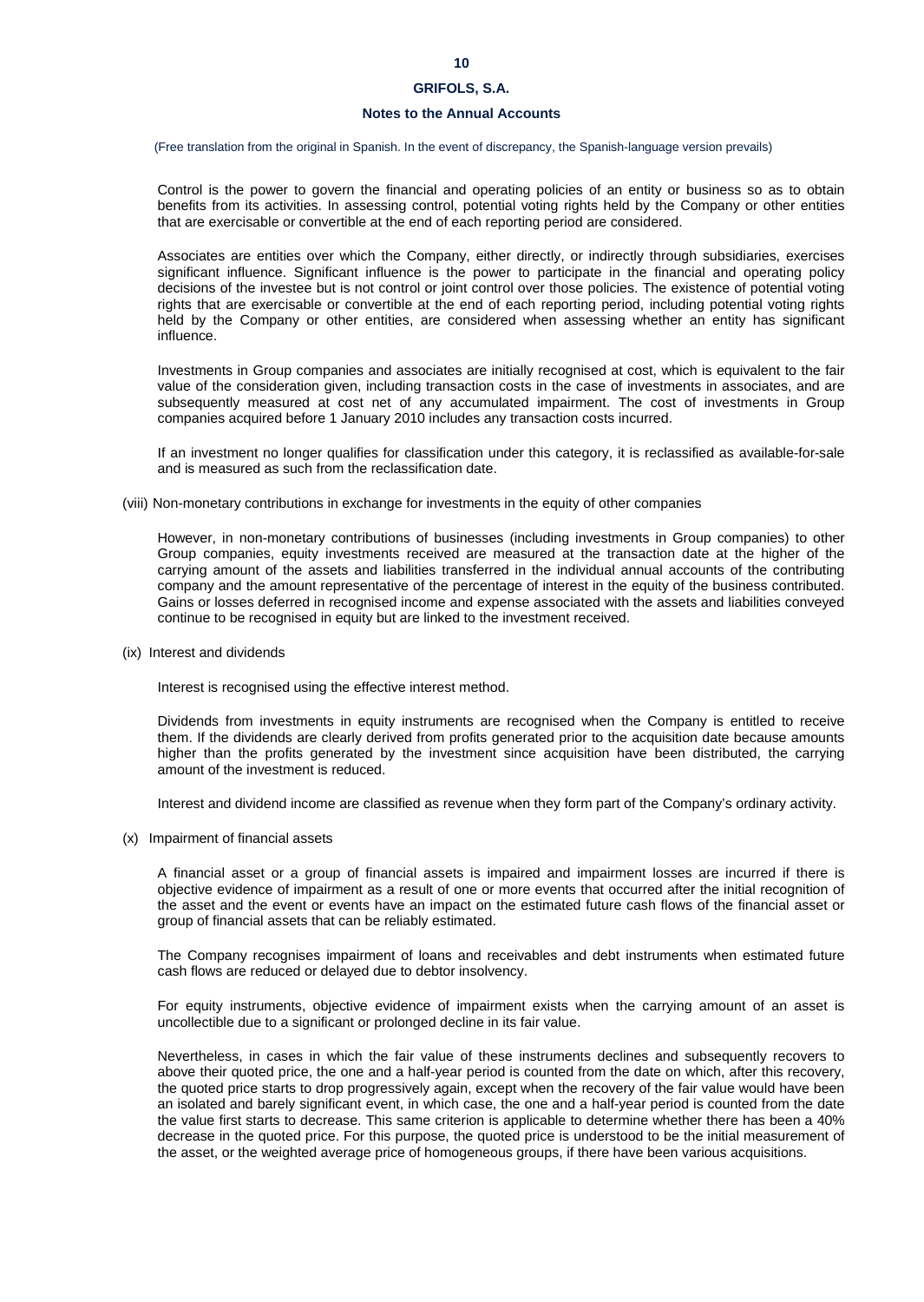## **Notes to the Annual Accounts**

(Free translation from the original in Spanish. In the event of discrepancy, the Spanish-language version prevails)

Control is the power to govern the financial and operating policies of an entity or business so as to obtain benefits from its activities. In assessing control, potential voting rights held by the Company or other entities that are exercisable or convertible at the end of each reporting period are considered.

Associates are entities over which the Company, either directly, or indirectly through subsidiaries, exercises significant influence. Significant influence is the power to participate in the financial and operating policy decisions of the investee but is not control or joint control over those policies. The existence of potential voting rights that are exercisable or convertible at the end of each reporting period, including potential voting rights held by the Company or other entities, are considered when assessing whether an entity has significant influence.

Investments in Group companies and associates are initially recognised at cost, which is equivalent to the fair value of the consideration given, including transaction costs in the case of investments in associates, and are subsequently measured at cost net of any accumulated impairment. The cost of investments in Group companies acquired before 1 January 2010 includes any transaction costs incurred.

If an investment no longer qualifies for classification under this category, it is reclassified as available-for-sale and is measured as such from the reclassification date.

(viii) Non-monetary contributions in exchange for investments in the equity of other companies

However, in non-monetary contributions of businesses (including investments in Group companies) to other Group companies, equity investments received are measured at the transaction date at the higher of the carrying amount of the assets and liabilities transferred in the individual annual accounts of the contributing company and the amount representative of the percentage of interest in the equity of the business contributed. Gains or losses deferred in recognised income and expense associated with the assets and liabilities conveyed continue to be recognised in equity but are linked to the investment received.

(ix) Interest and dividends

Interest is recognised using the effective interest method.

Dividends from investments in equity instruments are recognised when the Company is entitled to receive them. If the dividends are clearly derived from profits generated prior to the acquisition date because amounts higher than the profits generated by the investment since acquisition have been distributed, the carrying amount of the investment is reduced.

Interest and dividend income are classified as revenue when they form part of the Company's ordinary activity.

(x) Impairment of financial assets

A financial asset or a group of financial assets is impaired and impairment losses are incurred if there is objective evidence of impairment as a result of one or more events that occurred after the initial recognition of the asset and the event or events have an impact on the estimated future cash flows of the financial asset or group of financial assets that can be reliably estimated.

The Company recognises impairment of loans and receivables and debt instruments when estimated future cash flows are reduced or delayed due to debtor insolvency.

For equity instruments, objective evidence of impairment exists when the carrying amount of an asset is uncollectible due to a significant or prolonged decline in its fair value.

Nevertheless, in cases in which the fair value of these instruments declines and subsequently recovers to above their quoted price, the one and a half-year period is counted from the date on which, after this recovery, the quoted price starts to drop progressively again, except when the recovery of the fair value would have been an isolated and barely significant event, in which case, the one and a half-year period is counted from the date the value first starts to decrease. This same criterion is applicable to determine whether there has been a 40% decrease in the quoted price. For this purpose, the quoted price is understood to be the initial measurement of the asset, or the weighted average price of homogeneous groups, if there have been various acquisitions.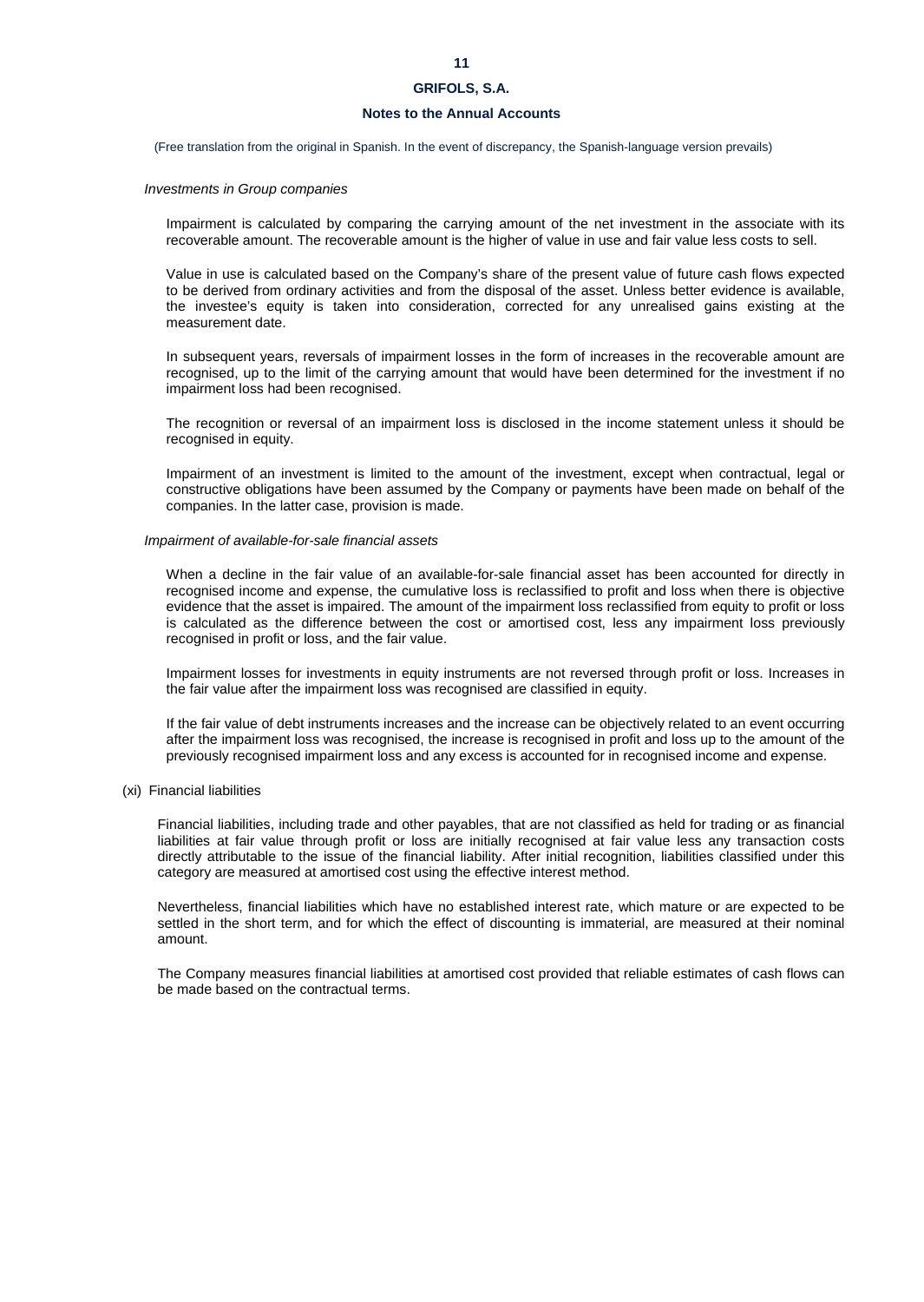# **Notes to the Annual Accounts**

(Free translation from the original in Spanish. In the event of discrepancy, the Spanish-language version prevails)

### *Investments in Group companies*

Impairment is calculated by comparing the carrying amount of the net investment in the associate with its recoverable amount. The recoverable amount is the higher of value in use and fair value less costs to sell.

Value in use is calculated based on the Company's share of the present value of future cash flows expected to be derived from ordinary activities and from the disposal of the asset. Unless better evidence is available, the investee's equity is taken into consideration, corrected for any unrealised gains existing at the measurement date.

In subsequent years, reversals of impairment losses in the form of increases in the recoverable amount are recognised, up to the limit of the carrying amount that would have been determined for the investment if no impairment loss had been recognised.

The recognition or reversal of an impairment loss is disclosed in the income statement unless it should be recognised in equity.

Impairment of an investment is limited to the amount of the investment, except when contractual, legal or constructive obligations have been assumed by the Company or payments have been made on behalf of the companies. In the latter case, provision is made.

### *Impairment of available-for-sale financial assets*

When a decline in the fair value of an available-for-sale financial asset has been accounted for directly in recognised income and expense, the cumulative loss is reclassified to profit and loss when there is objective evidence that the asset is impaired. The amount of the impairment loss reclassified from equity to profit or loss is calculated as the difference between the cost or amortised cost, less any impairment loss previously recognised in profit or loss, and the fair value.

Impairment losses for investments in equity instruments are not reversed through profit or loss. Increases in the fair value after the impairment loss was recognised are classified in equity.

If the fair value of debt instruments increases and the increase can be objectively related to an event occurring after the impairment loss was recognised, the increase is recognised in profit and loss up to the amount of the previously recognised impairment loss and any excess is accounted for in recognised income and expense.

# (xi) Financial liabilities

Financial liabilities, including trade and other payables, that are not classified as held for trading or as financial liabilities at fair value through profit or loss are initially recognised at fair value less any transaction costs directly attributable to the issue of the financial liability. After initial recognition, liabilities classified under this category are measured at amortised cost using the effective interest method.

Nevertheless, financial liabilities which have no established interest rate, which mature or are expected to be settled in the short term, and for which the effect of discounting is immaterial, are measured at their nominal amount.

The Company measures financial liabilities at amortised cost provided that reliable estimates of cash flows can be made based on the contractual terms.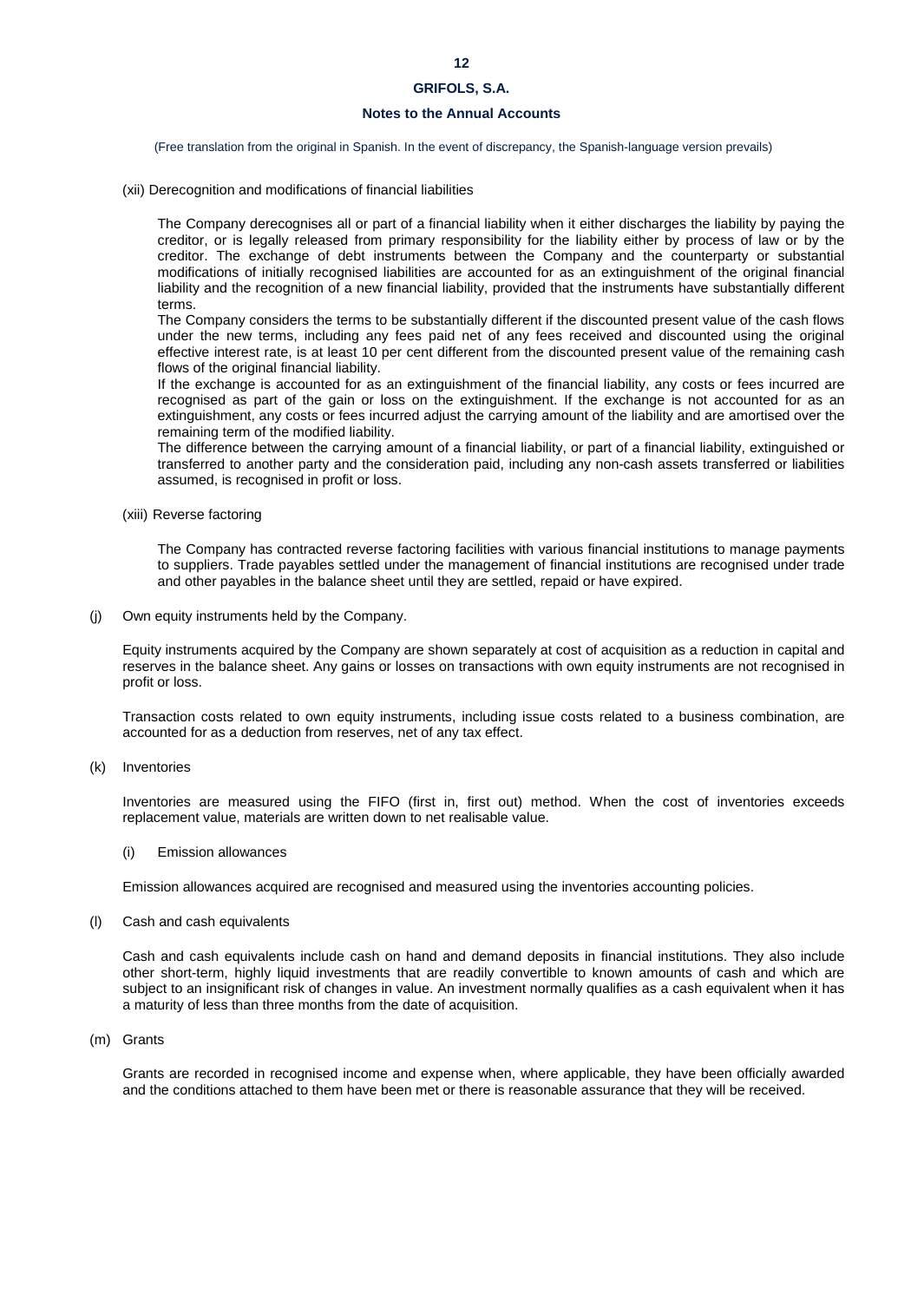## **12**

# **GRIFOLS, S.A.**

# **Notes to the Annual Accounts**

(Free translation from the original in Spanish. In the event of discrepancy, the Spanish-language version prevails)

(xii) Derecognition and modifications of financial liabilities

The Company derecognises all or part of a financial liability when it either discharges the liability by paying the creditor, or is legally released from primary responsibility for the liability either by process of law or by the creditor. The exchange of debt instruments between the Company and the counterparty or substantial modifications of initially recognised liabilities are accounted for as an extinguishment of the original financial liability and the recognition of a new financial liability, provided that the instruments have substantially different terms.

The Company considers the terms to be substantially different if the discounted present value of the cash flows under the new terms, including any fees paid net of any fees received and discounted using the original effective interest rate, is at least 10 per cent different from the discounted present value of the remaining cash flows of the original financial liability.

If the exchange is accounted for as an extinguishment of the financial liability, any costs or fees incurred are recognised as part of the gain or loss on the extinguishment. If the exchange is not accounted for as an extinguishment, any costs or fees incurred adjust the carrying amount of the liability and are amortised over the remaining term of the modified liability.

The difference between the carrying amount of a financial liability, or part of a financial liability, extinguished or transferred to another party and the consideration paid, including any non-cash assets transferred or liabilities assumed, is recognised in profit or loss.

(xiii) Reverse factoring

The Company has contracted reverse factoring facilities with various financial institutions to manage payments to suppliers. Trade payables settled under the management of financial institutions are recognised under trade and other payables in the balance sheet until they are settled, repaid or have expired.

(j) Own equity instruments held by the Company.

Equity instruments acquired by the Company are shown separately at cost of acquisition as a reduction in capital and reserves in the balance sheet. Any gains or losses on transactions with own equity instruments are not recognised in profit or loss.

Transaction costs related to own equity instruments, including issue costs related to a business combination, are accounted for as a deduction from reserves, net of any tax effect.

(k) Inventories

Inventories are measured using the FIFO (first in, first out) method. When the cost of inventories exceeds replacement value, materials are written down to net realisable value.

(i) Emission allowances

Emission allowances acquired are recognised and measured using the inventories accounting policies.

(l) Cash and cash equivalents

Cash and cash equivalents include cash on hand and demand deposits in financial institutions. They also include other short-term, highly liquid investments that are readily convertible to known amounts of cash and which are subject to an insignificant risk of changes in value. An investment normally qualifies as a cash equivalent when it has a maturity of less than three months from the date of acquisition.

(m) Grants

Grants are recorded in recognised income and expense when, where applicable, they have been officially awarded and the conditions attached to them have been met or there is reasonable assurance that they will be received.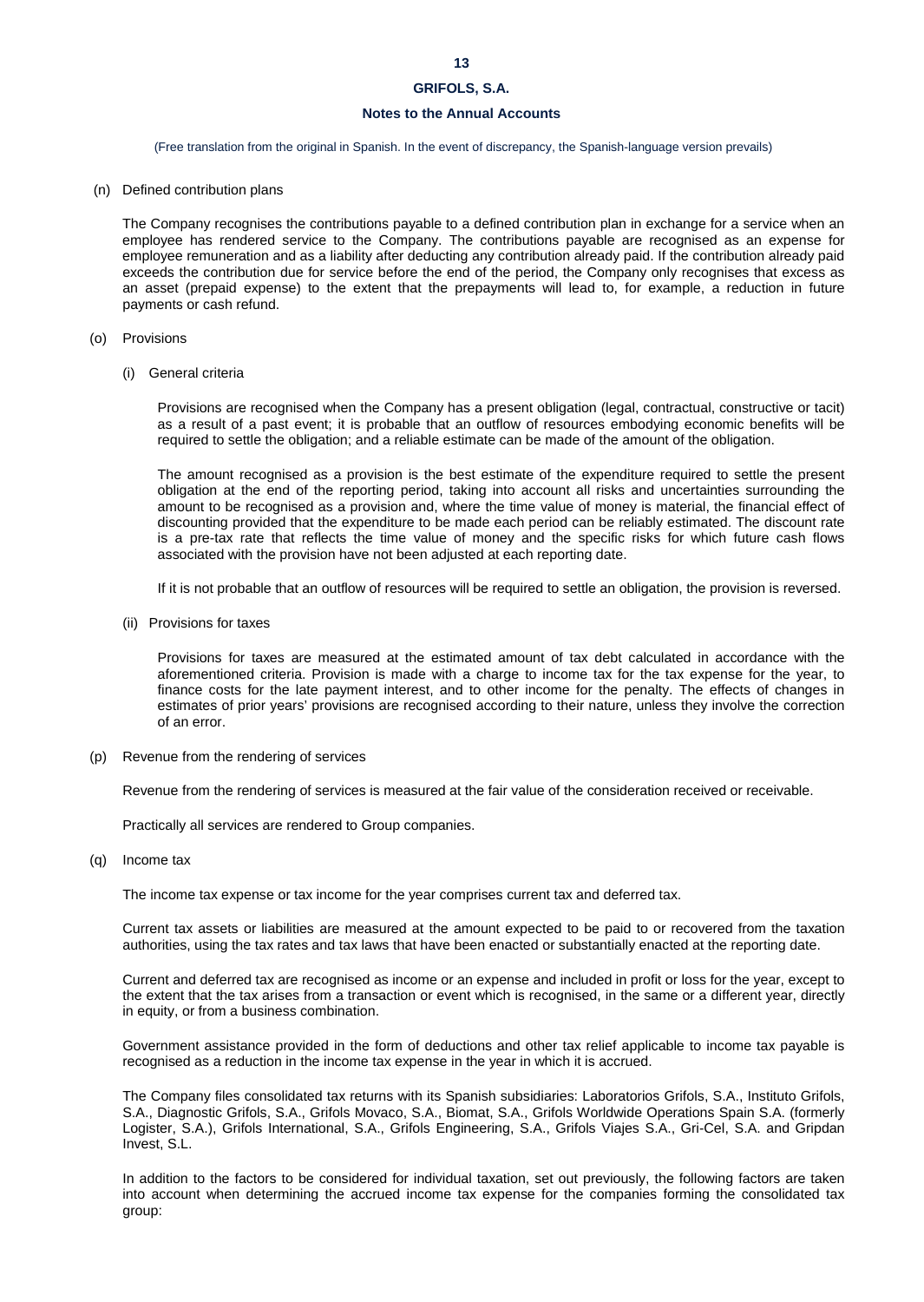# **Notes to the Annual Accounts**

(Free translation from the original in Spanish. In the event of discrepancy, the Spanish-language version prevails)

(n) Defined contribution plans

The Company recognises the contributions payable to a defined contribution plan in exchange for a service when an employee has rendered service to the Company. The contributions payable are recognised as an expense for employee remuneration and as a liability after deducting any contribution already paid. If the contribution already paid exceeds the contribution due for service before the end of the period, the Company only recognises that excess as an asset (prepaid expense) to the extent that the prepayments will lead to, for example, a reduction in future payments or cash refund.

- (o) Provisions
	- (i) General criteria

Provisions are recognised when the Company has a present obligation (legal, contractual, constructive or tacit) as a result of a past event; it is probable that an outflow of resources embodying economic benefits will be required to settle the obligation; and a reliable estimate can be made of the amount of the obligation.

The amount recognised as a provision is the best estimate of the expenditure required to settle the present obligation at the end of the reporting period, taking into account all risks and uncertainties surrounding the amount to be recognised as a provision and, where the time value of money is material, the financial effect of discounting provided that the expenditure to be made each period can be reliably estimated. The discount rate is a pre-tax rate that reflects the time value of money and the specific risks for which future cash flows associated with the provision have not been adjusted at each reporting date.

If it is not probable that an outflow of resources will be required to settle an obligation, the provision is reversed.

(ii) Provisions for taxes

Provisions for taxes are measured at the estimated amount of tax debt calculated in accordance with the aforementioned criteria. Provision is made with a charge to income tax for the tax expense for the year, to finance costs for the late payment interest, and to other income for the penalty. The effects of changes in estimates of prior years' provisions are recognised according to their nature, unless they involve the correction of an error.

(p) Revenue from the rendering of services

Revenue from the rendering of services is measured at the fair value of the consideration received or receivable.

Practically all services are rendered to Group companies.

(q) Income tax

The income tax expense or tax income for the year comprises current tax and deferred tax.

Current tax assets or liabilities are measured at the amount expected to be paid to or recovered from the taxation authorities, using the tax rates and tax laws that have been enacted or substantially enacted at the reporting date.

Current and deferred tax are recognised as income or an expense and included in profit or loss for the year, except to the extent that the tax arises from a transaction or event which is recognised, in the same or a different year, directly in equity, or from a business combination.

Government assistance provided in the form of deductions and other tax relief applicable to income tax payable is recognised as a reduction in the income tax expense in the year in which it is accrued.

The Company files consolidated tax returns with its Spanish subsidiaries: Laboratorios Grifols, S.A., Instituto Grifols, S.A., Diagnostic Grifols, S.A., Grifols Movaco, S.A., Biomat, S.A., Grifols Worldwide Operations Spain S.A. (formerly Logister, S.A.), Grifols International, S.A., Grifols Engineering, S.A., Grifols Viajes S.A., Gri-Cel, S.A. and Gripdan Invest, S.L.

In addition to the factors to be considered for individual taxation, set out previously, the following factors are taken into account when determining the accrued income tax expense for the companies forming the consolidated tax group: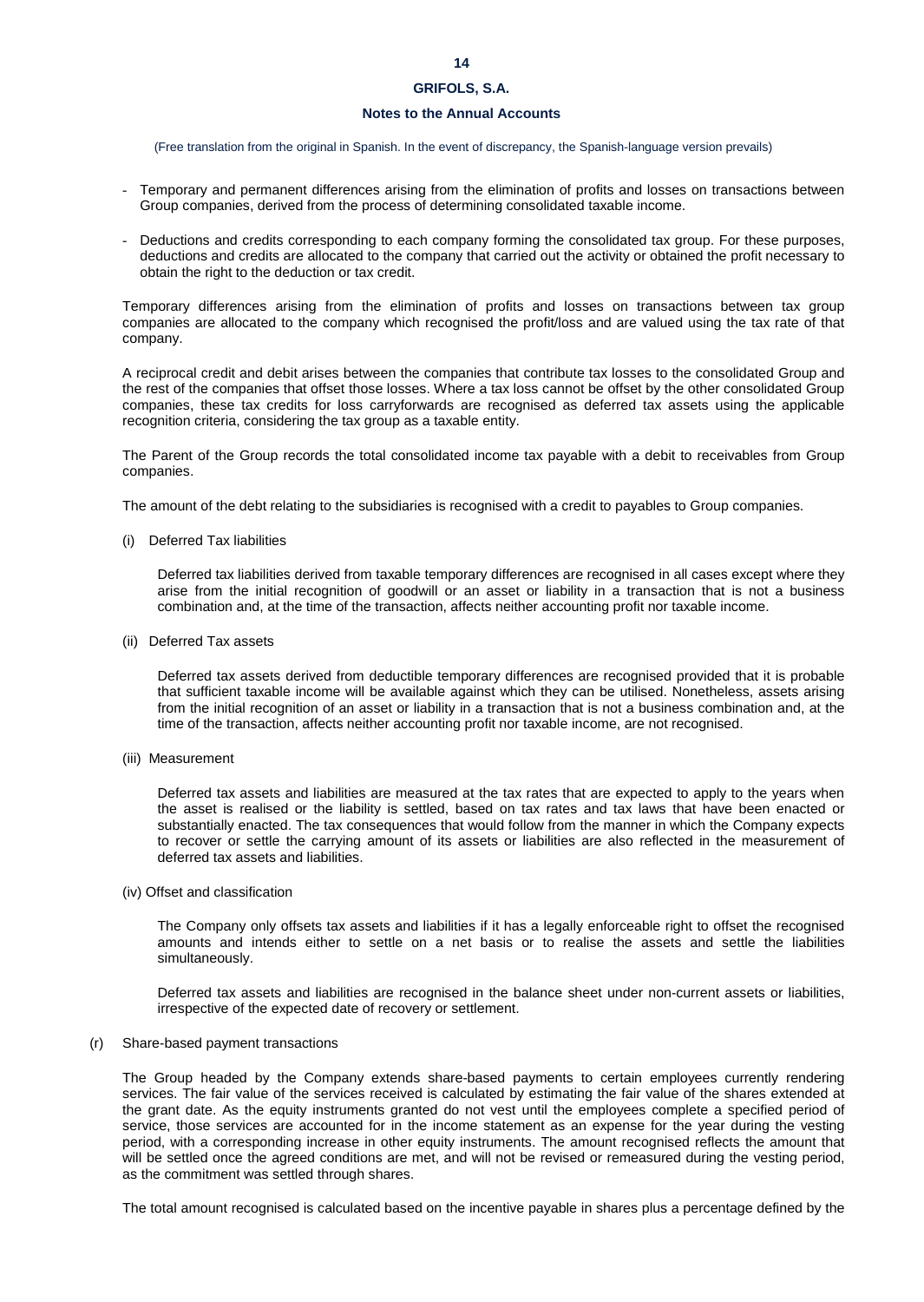# **Notes to the Annual Accounts**

(Free translation from the original in Spanish. In the event of discrepancy, the Spanish-language version prevails)

- Temporary and permanent differences arising from the elimination of profits and losses on transactions between Group companies, derived from the process of determining consolidated taxable income.
- Deductions and credits corresponding to each company forming the consolidated tax group. For these purposes, deductions and credits are allocated to the company that carried out the activity or obtained the profit necessary to obtain the right to the deduction or tax credit.

Temporary differences arising from the elimination of profits and losses on transactions between tax group companies are allocated to the company which recognised the profit/loss and are valued using the tax rate of that company.

A reciprocal credit and debit arises between the companies that contribute tax losses to the consolidated Group and the rest of the companies that offset those losses. Where a tax loss cannot be offset by the other consolidated Group companies, these tax credits for loss carryforwards are recognised as deferred tax assets using the applicable recognition criteria, considering the tax group as a taxable entity.

The Parent of the Group records the total consolidated income tax payable with a debit to receivables from Group companies.

The amount of the debt relating to the subsidiaries is recognised with a credit to payables to Group companies.

(i) Deferred Tax liabilities

Deferred tax liabilities derived from taxable temporary differences are recognised in all cases except where they arise from the initial recognition of goodwill or an asset or liability in a transaction that is not a business combination and, at the time of the transaction, affects neither accounting profit nor taxable income.

(ii) Deferred Tax assets

Deferred tax assets derived from deductible temporary differences are recognised provided that it is probable that sufficient taxable income will be available against which they can be utilised. Nonetheless, assets arising from the initial recognition of an asset or liability in a transaction that is not a business combination and, at the time of the transaction, affects neither accounting profit nor taxable income, are not recognised.

(iii) Measurement

Deferred tax assets and liabilities are measured at the tax rates that are expected to apply to the years when the asset is realised or the liability is settled, based on tax rates and tax laws that have been enacted or substantially enacted. The tax consequences that would follow from the manner in which the Company expects to recover or settle the carrying amount of its assets or liabilities are also reflected in the measurement of deferred tax assets and liabilities.

(iv) Offset and classification

The Company only offsets tax assets and liabilities if it has a legally enforceable right to offset the recognised amounts and intends either to settle on a net basis or to realise the assets and settle the liabilities simultaneously.

Deferred tax assets and liabilities are recognised in the balance sheet under non-current assets or liabilities, irrespective of the expected date of recovery or settlement.

(r) Share-based payment transactions

The Group headed by the Company extends share-based payments to certain employees currently rendering services. The fair value of the services received is calculated by estimating the fair value of the shares extended at the grant date. As the equity instruments granted do not vest until the employees complete a specified period of service, those services are accounted for in the income statement as an expense for the year during the vesting period, with a corresponding increase in other equity instruments. The amount recognised reflects the amount that will be settled once the agreed conditions are met, and will not be revised or remeasured during the vesting period, as the commitment was settled through shares.

The total amount recognised is calculated based on the incentive payable in shares plus a percentage defined by the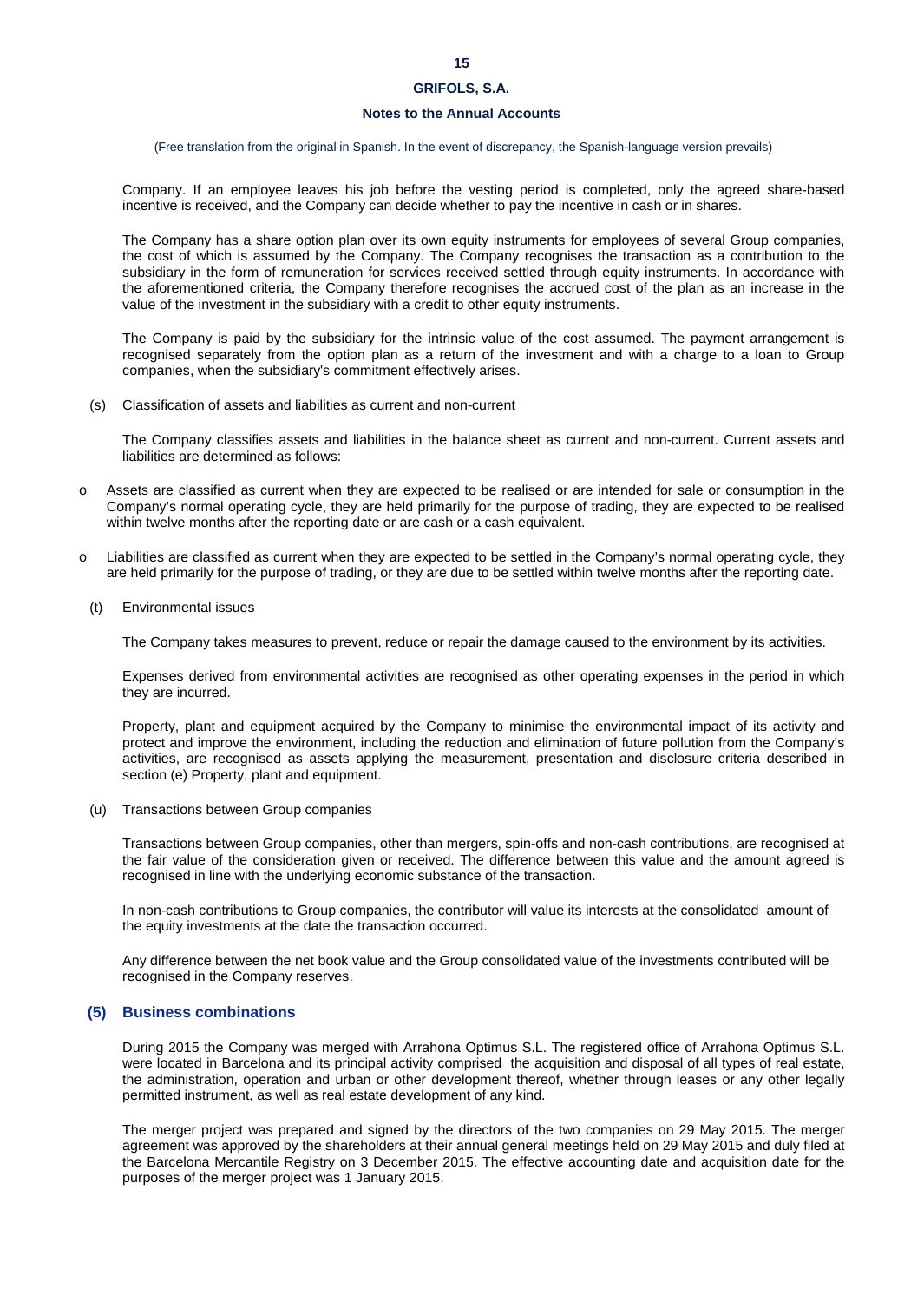# **Notes to the Annual Accounts**

(Free translation from the original in Spanish. In the event of discrepancy, the Spanish-language version prevails)

Company. If an employee leaves his job before the vesting period is completed, only the agreed share-based incentive is received, and the Company can decide whether to pay the incentive in cash or in shares.

The Company has a share option plan over its own equity instruments for employees of several Group companies, the cost of which is assumed by the Company. The Company recognises the transaction as a contribution to the subsidiary in the form of remuneration for services received settled through equity instruments. In accordance with the aforementioned criteria, the Company therefore recognises the accrued cost of the plan as an increase in the value of the investment in the subsidiary with a credit to other equity instruments.

The Company is paid by the subsidiary for the intrinsic value of the cost assumed. The payment arrangement is recognised separately from the option plan as a return of the investment and with a charge to a loan to Group companies, when the subsidiary's commitment effectively arises.

(s) Classification of assets and liabilities as current and non-current

The Company classifies assets and liabilities in the balance sheet as current and non-current. Current assets and liabilities are determined as follows:

- o Assets are classified as current when they are expected to be realised or are intended for sale or consumption in the Company's normal operating cycle, they are held primarily for the purpose of trading, they are expected to be realised within twelve months after the reporting date or are cash or a cash equivalent.
- o Liabilities are classified as current when they are expected to be settled in the Company's normal operating cycle, they are held primarily for the purpose of trading, or they are due to be settled within twelve months after the reporting date.
- (t) Environmental issues

The Company takes measures to prevent, reduce or repair the damage caused to the environment by its activities.

Expenses derived from environmental activities are recognised as other operating expenses in the period in which they are incurred.

Property, plant and equipment acquired by the Company to minimise the environmental impact of its activity and protect and improve the environment, including the reduction and elimination of future pollution from the Company's activities, are recognised as assets applying the measurement, presentation and disclosure criteria described in section (e) Property, plant and equipment.

(u) Transactions between Group companies

Transactions between Group companies, other than mergers, spin-offs and non-cash contributions, are recognised at the fair value of the consideration given or received. The difference between this value and the amount agreed is recognised in line with the underlying economic substance of the transaction.

In non-cash contributions to Group companies, the contributor will value its interests at the consolidated amount of the equity investments at the date the transaction occurred.

Any difference between the net book value and the Group consolidated value of the investments contributed will be recognised in the Company reserves.

# **(5) Business combinations**

During 2015 the Company was merged with Arrahona Optimus S.L. The registered office of Arrahona Optimus S.L. were located in Barcelona and its principal activity comprised the acquisition and disposal of all types of real estate, the administration, operation and urban or other development thereof, whether through leases or any other legally permitted instrument, as well as real estate development of any kind.

The merger project was prepared and signed by the directors of the two companies on 29 May 2015. The merger agreement was approved by the shareholders at their annual general meetings held on 29 May 2015 and duly filed at the Barcelona Mercantile Registry on 3 December 2015. The effective accounting date and acquisition date for the purposes of the merger project was 1 January 2015.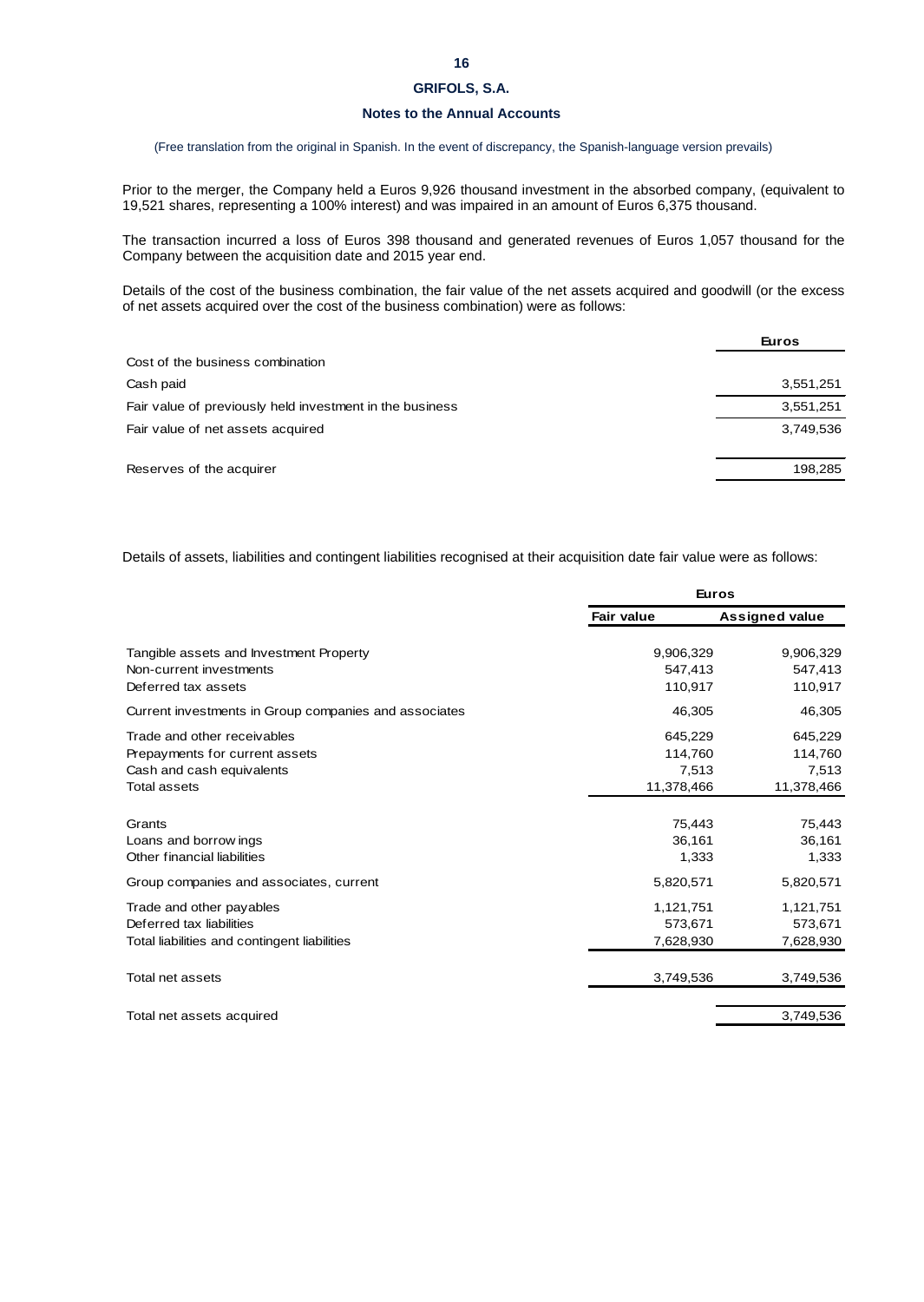# **Notes to the Annual Accounts**

(Free translation from the original in Spanish. In the event of discrepancy, the Spanish-language version prevails)

Prior to the merger, the Company held a Euros 9,926 thousand investment in the absorbed company, (equivalent to 19,521 shares, representing a 100% interest) and was impaired in an amount of Euros 6,375 thousand.

The transaction incurred a loss of Euros 398 thousand and generated revenues of Euros 1,057 thousand for the Company between the acquisition date and 2015 year end.

Details of the cost of the business combination, the fair value of the net assets acquired and goodwill (or the excess of net assets acquired over the cost of the business combination) were as follows:

|                                                          | <b>Euros</b> |
|----------------------------------------------------------|--------------|
| Cost of the business combination                         |              |
| Cash paid                                                | 3,551,251    |
| Fair value of previously held investment in the business | 3,551,251    |
| Fair value of net assets acquired                        | 3,749,536    |
| Reserves of the acquirer                                 | 198,285      |
|                                                          |              |

Details of assets, liabilities and contingent liabilities recognised at their acquisition date fair value were as follows:

|                                                                                                                   | <b>Euros</b>                              |                                           |
|-------------------------------------------------------------------------------------------------------------------|-------------------------------------------|-------------------------------------------|
|                                                                                                                   | Fair value                                | <b>Assigned value</b>                     |
| Tangible assets and Investment Property<br>Non-current investments<br>Deferred tax assets                         | 9,906,329<br>547,413<br>110,917           | 9,906,329<br>547,413<br>110,917           |
| Current investments in Group companies and associates                                                             | 46,305                                    | 46,305                                    |
| Trade and other receivables<br>Prepayments for current assets<br>Cash and cash equivalents<br><b>Total assets</b> | 645,229<br>114,760<br>7,513<br>11,378,466 | 645,229<br>114,760<br>7,513<br>11,378,466 |
| Grants<br>Loans and borrow ings<br>Other financial liabilities                                                    | 75,443<br>36,161<br>1,333                 | 75,443<br>36,161<br>1,333                 |
| Group companies and associates, current                                                                           | 5,820,571                                 | 5,820,571                                 |
| Trade and other payables<br>Deferred tax liabilities<br>Total liabilities and contingent liabilities              | 1,121,751<br>573,671<br>7,628,930         | 1,121,751<br>573,671<br>7,628,930         |
| Total net assets                                                                                                  | 3,749,536                                 | 3,749,536                                 |
| Total net assets acquired                                                                                         |                                           | 3,749,536                                 |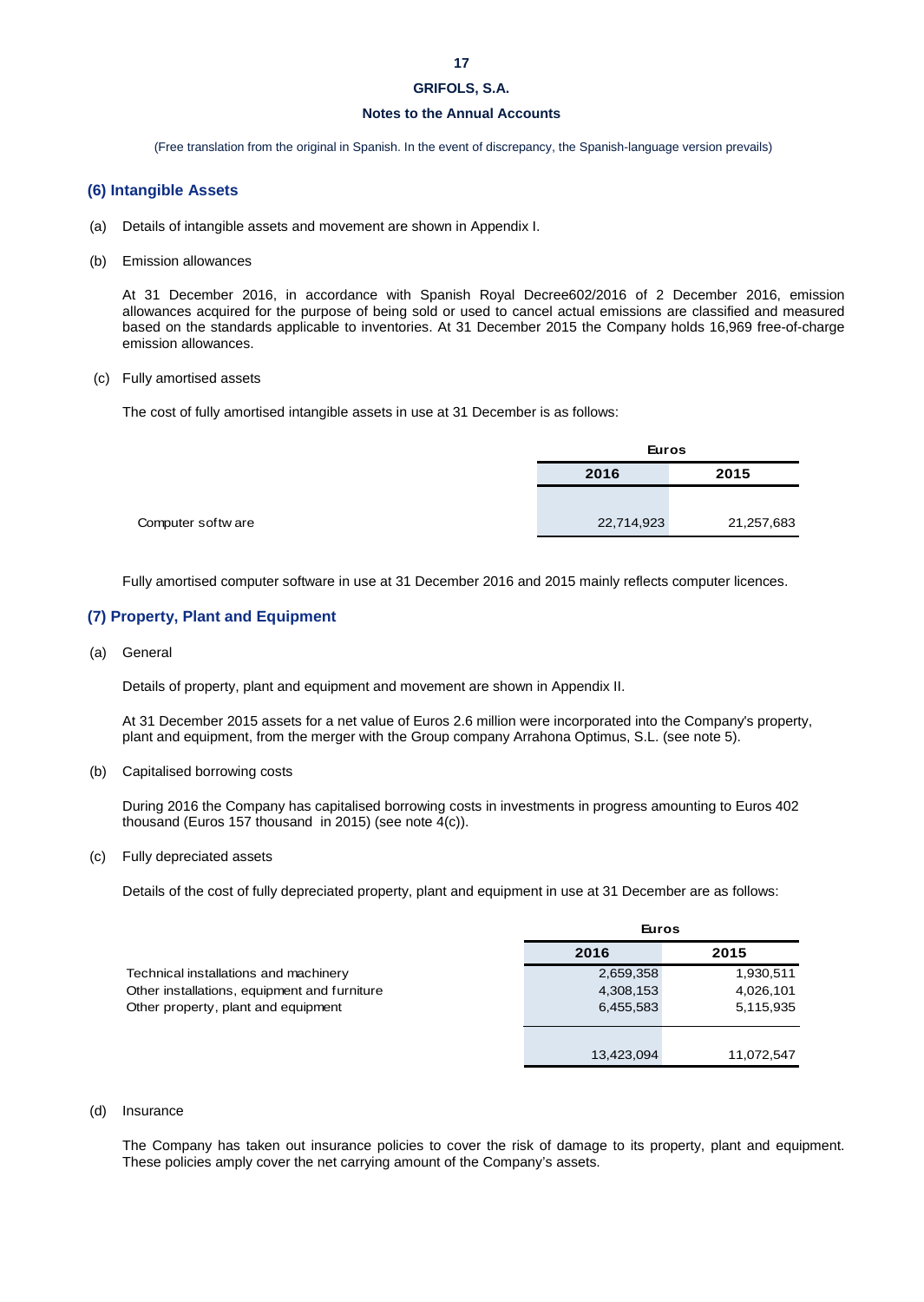# **17**

# **GRIFOLS, S.A.**

# **Notes to the Annual Accounts**

(Free translation from the original in Spanish. In the event of discrepancy, the Spanish-language version prevails)

# **(6) Intangible Assets**

- (a) Details of intangible assets and movement are shown in Appendix I.
- (b) Emission allowances

At 31 December 2016, in accordance with Spanish Royal Decree602/2016 of 2 December 2016, emission allowances acquired for the purpose of being sold or used to cancel actual emissions are classified and measured based on the standards applicable to inventories. At 31 December 2015 the Company holds 16,969 free-of-charge emission allowances.

### (c) Fully amortised assets

The cost of fully amortised intangible assets in use at 31 December is as follows:

| Euros |            |
|-------|------------|
| 2016  | 2015       |
|       |            |
|       | 21,257,683 |
|       | 22,714,923 |

Fully amortised computer software in use at 31 December 2016 and 2015 mainly reflects computer licences.

# **(7) Property, Plant and Equipment**

(a) General

Details of property, plant and equipment and movement are shown in Appendix II.

At 31 December 2015 assets for a net value of Euros 2.6 million were incorporated into the Company's property, plant and equipment, from the merger with the Group company Arrahona Optimus, S.L. (see note 5).

(b) Capitalised borrowing costs

During 2016 the Company has capitalised borrowing costs in investments in progress amounting to Euros 402 thousand (Euros 157 thousand in 2015) (see note 4(c)).

(c) Fully depreciated assets

Details of the cost of fully depreciated property, plant and equipment in use at 31 December are as follows:

|                                              | <b>Euros</b> |            |  |
|----------------------------------------------|--------------|------------|--|
|                                              | 2016         | 2015       |  |
| Technical installations and machinery        | 2,659,358    | 1,930,511  |  |
| Other installations, equipment and furniture | 4,308,153    | 4,026,101  |  |
| Other property, plant and equipment          | 6,455,583    | 5,115,935  |  |
|                                              |              |            |  |
|                                              | 13,423,094   | 11,072,547 |  |

# (d) Insurance

The Company has taken out insurance policies to cover the risk of damage to its property, plant and equipment. These policies amply cover the net carrying amount of the Company's assets.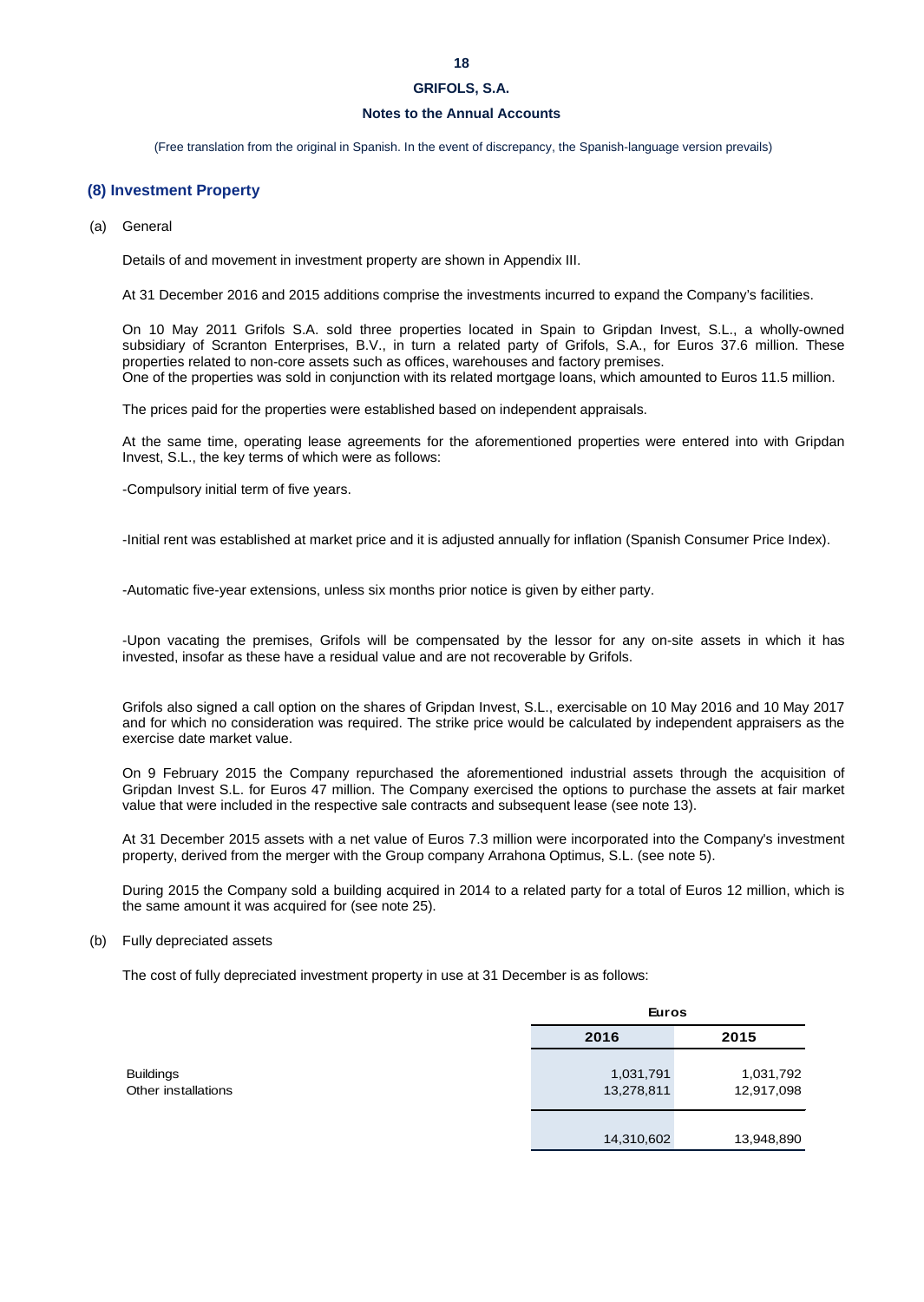# **Notes to the Annual Accounts**

(Free translation from the original in Spanish. In the event of discrepancy, the Spanish-language version prevails)

# **(8) Investment Property**

(a) General

Details of and movement in investment property are shown in Appendix III.

At 31 December 2016 and 2015 additions comprise the investments incurred to expand the Company's facilities.

On 10 May 2011 Grifols S.A. sold three properties located in Spain to Gripdan Invest, S.L., a wholly-owned subsidiary of Scranton Enterprises, B.V., in turn a related party of Grifols, S.A., for Euros 37.6 million. These properties related to non-core assets such as offices, warehouses and factory premises. One of the properties was sold in conjunction with its related mortgage loans, which amounted to Euros 11.5 million.

The prices paid for the properties were established based on independent appraisals.

At the same time, operating lease agreements for the aforementioned properties were entered into with Gripdan Invest, S.L., the key terms of which were as follows:

-Compulsory initial term of five years.

-Initial rent was established at market price and it is adjusted annually for inflation (Spanish Consumer Price Index).

-Automatic five-year extensions, unless six months prior notice is given by either party.

-Upon vacating the premises, Grifols will be compensated by the lessor for any on-site assets in which it has invested, insofar as these have a residual value and are not recoverable by Grifols.

Grifols also signed a call option on the shares of Gripdan Invest, S.L., exercisable on 10 May 2016 and 10 May 2017 and for which no consideration was required. The strike price would be calculated by independent appraisers as the exercise date market value.

On 9 February 2015 the Company repurchased the aforementioned industrial assets through the acquisition of Gripdan Invest S.L. for Euros 47 million. The Company exercised the options to purchase the assets at fair market value that were included in the respective sale contracts and subsequent lease (see note 13).

At 31 December 2015 assets with a net value of Euros 7.3 million were incorporated into the Company's investment property, derived from the merger with the Group company Arrahona Optimus, S.L. (see note 5).

During 2015 the Company sold a building acquired in 2014 to a related party for a total of Euros 12 million, which is the same amount it was acquired for (see note 25).

### (b) Fully depreciated assets

The cost of fully depreciated investment property in use at 31 December is as follows:

|                                         | <b>Euros</b>            |                         |  |
|-----------------------------------------|-------------------------|-------------------------|--|
|                                         | 2016                    | 2015                    |  |
| <b>Buildings</b><br>Other installations | 1,031,791<br>13,278,811 | 1,031,792<br>12,917,098 |  |
|                                         | 14,310,602              | 13,948,890              |  |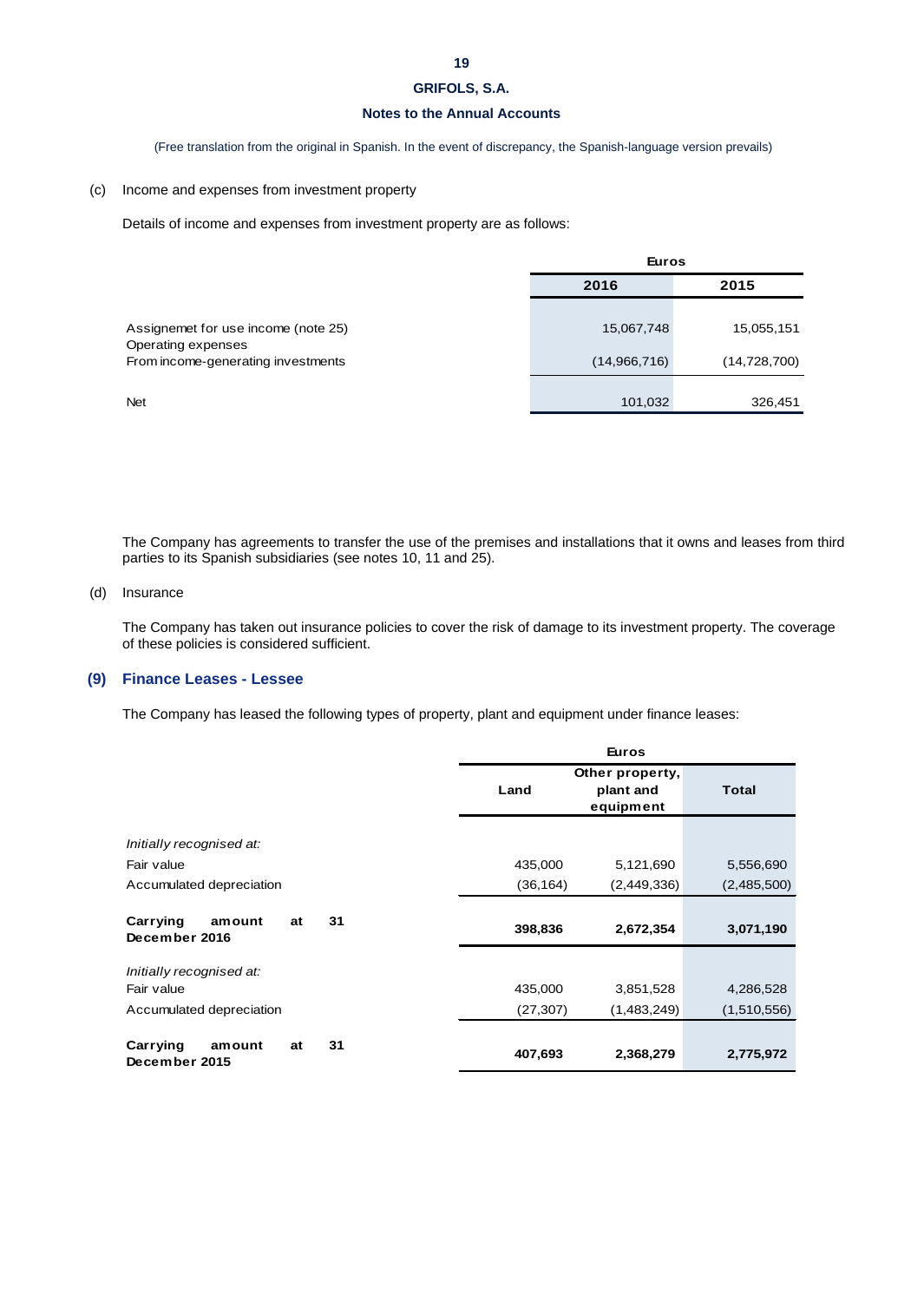# **Notes to the Annual Accounts**

(Free translation from the original in Spanish. In the event of discrepancy, the Spanish-language version prevails)

# (c) Income and expenses from investment property

Details of income and expenses from investment property are as follows:

|                                                          | <b>Euros</b> |                |  |
|----------------------------------------------------------|--------------|----------------|--|
|                                                          | 2016         | 2015           |  |
| Assignemet for use income (note 25)                      | 15,067,748   | 15,055,151     |  |
| Operating expenses<br>From income-generating investments | (14,966,716) | (14, 728, 700) |  |
| <b>Net</b>                                               | 101,032      | 326,451        |  |

The Company has agreements to transfer the use of the premises and installations that it owns and leases from third parties to its Spanish subsidiaries (see notes 10, 11 and 25).

# (d) Insurance

The Company has taken out insurance policies to cover the risk of damage to its investment property. The coverage of these policies is considered sufficient.

# **(9) Finance Leases - Lessee**

The Company has leased the following types of property, plant and equipment under finance leases:

|                                                 | <b>Euros</b> |                 |              |
|-------------------------------------------------|--------------|-----------------|--------------|
|                                                 |              | Other property, |              |
|                                                 | Land         | plant and       | <b>Total</b> |
|                                                 |              | equipment       |              |
|                                                 |              |                 |              |
| Initially recognised at:                        |              |                 |              |
| Fair value                                      | 435,000      | 5,121,690       | 5,556,690    |
| Accumulated depreciation                        | (36, 164)    | (2,449,336)     | (2,485,500)  |
|                                                 |              |                 |              |
| Carrying<br>31<br>amount<br>at<br>December 2016 | 398,836      | 2,672,354       | 3,071,190    |
|                                                 |              |                 |              |
| Initially recognised at:                        |              |                 |              |
| Fair value                                      | 435,000      | 3,851,528       | 4,286,528    |
| Accumulated depreciation                        | (27, 307)    | (1,483,249)     | (1,510,556)  |
|                                                 |              |                 |              |
| Carrying<br>31<br>amount<br>at<br>December 2015 | 407,693      | 2,368,279       | 2,775,972    |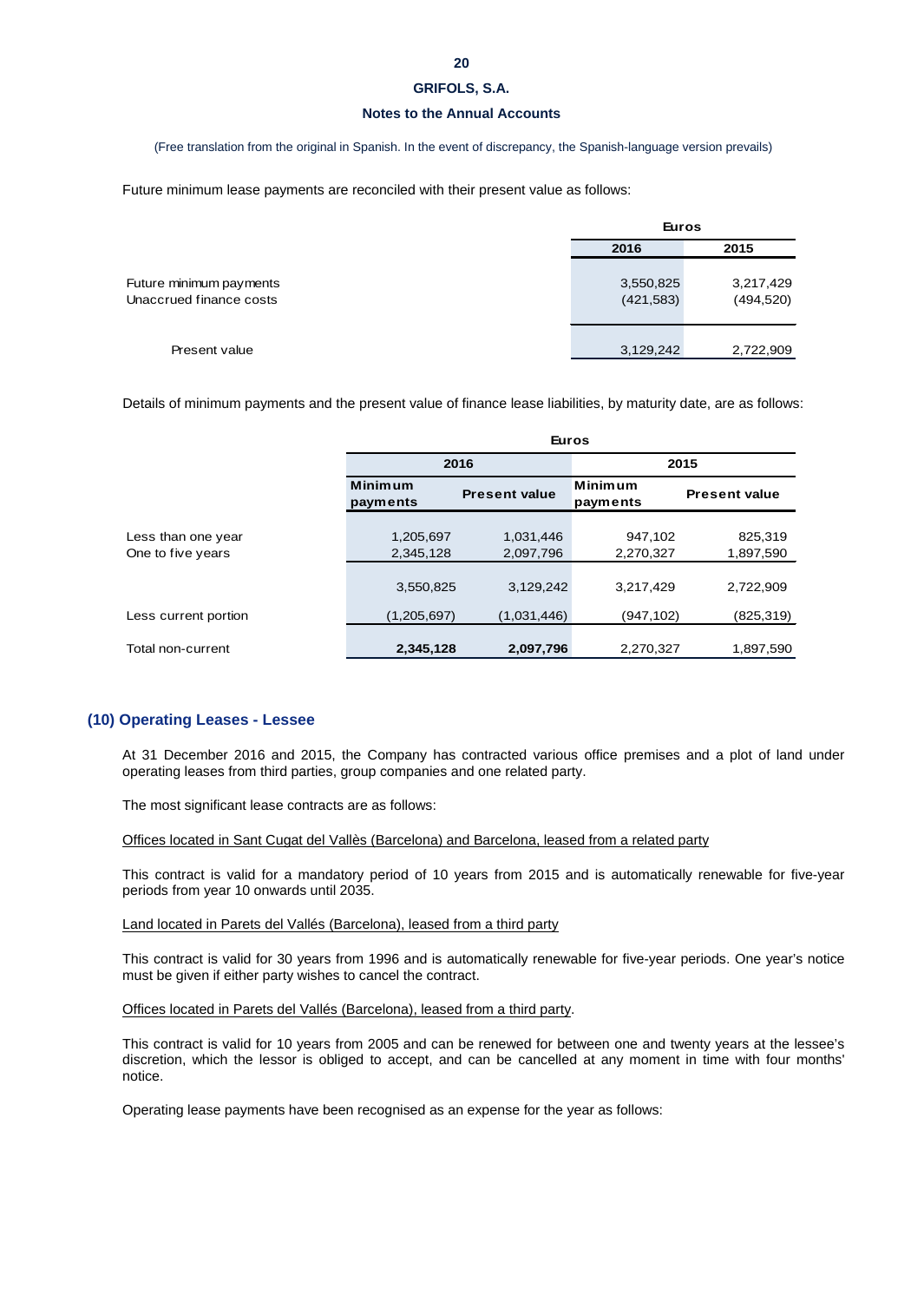# **Notes to the Annual Accounts**

(Free translation from the original in Spanish. In the event of discrepancy, the Spanish-language version prevails)

Future minimum lease payments are reconciled with their present value as follows:

|                                                    | <b>Euros</b>            |                         |
|----------------------------------------------------|-------------------------|-------------------------|
|                                                    | 2016                    | 2015                    |
| Future minimum payments<br>Unaccrued finance costs | 3,550,825<br>(421, 583) | 3,217,429<br>(494, 520) |
| Present value                                      | 3,129,242               | 2,722,909               |

Details of minimum payments and the present value of finance lease liabilities, by maturity date, are as follows:

|                                         | <b>Euros</b>               |                        |                      |                      |
|-----------------------------------------|----------------------------|------------------------|----------------------|----------------------|
|                                         |                            | 2016                   | 2015                 |                      |
|                                         | <b>Minimum</b><br>payments | <b>Present value</b>   | Minimum<br>payments  | <b>Present value</b> |
| Less than one year<br>One to five years | 1,205,697<br>2,345,128     | 1,031,446<br>2,097,796 | 947,102<br>2,270,327 | 825,319<br>1,897,590 |
|                                         | 3,550,825                  | 3,129,242              | 3,217,429            | 2,722,909            |
| Less current portion                    | (1,205,697)                | (1,031,446)            | (947,102)            | (825,319)            |
| Total non-current                       | 2,345,128                  | 2,097,796              | 2,270,327            | 1,897,590            |

# **(10) Operating Leases - Lessee**

At 31 December 2016 and 2015, the Company has contracted various office premises and a plot of land under operating leases from third parties, group companies and one related party.

The most significant lease contracts are as follows:

Offices located in Sant Cugat del Vallès (Barcelona) and Barcelona, leased from a related party

This contract is valid for a mandatory period of 10 years from 2015 and is automatically renewable for five-year periods from year 10 onwards until 2035.

### Land located in Parets del Vallés (Barcelona), leased from a third party

This contract is valid for 30 years from 1996 and is automatically renewable for five-year periods. One year's notice must be given if either party wishes to cancel the contract.

Offices located in Parets del Vallés (Barcelona), leased from a third party.

This contract is valid for 10 years from 2005 and can be renewed for between one and twenty years at the lessee's discretion, which the lessor is obliged to accept, and can be cancelled at any moment in time with four months' notice.

Operating lease payments have been recognised as an expense for the year as follows: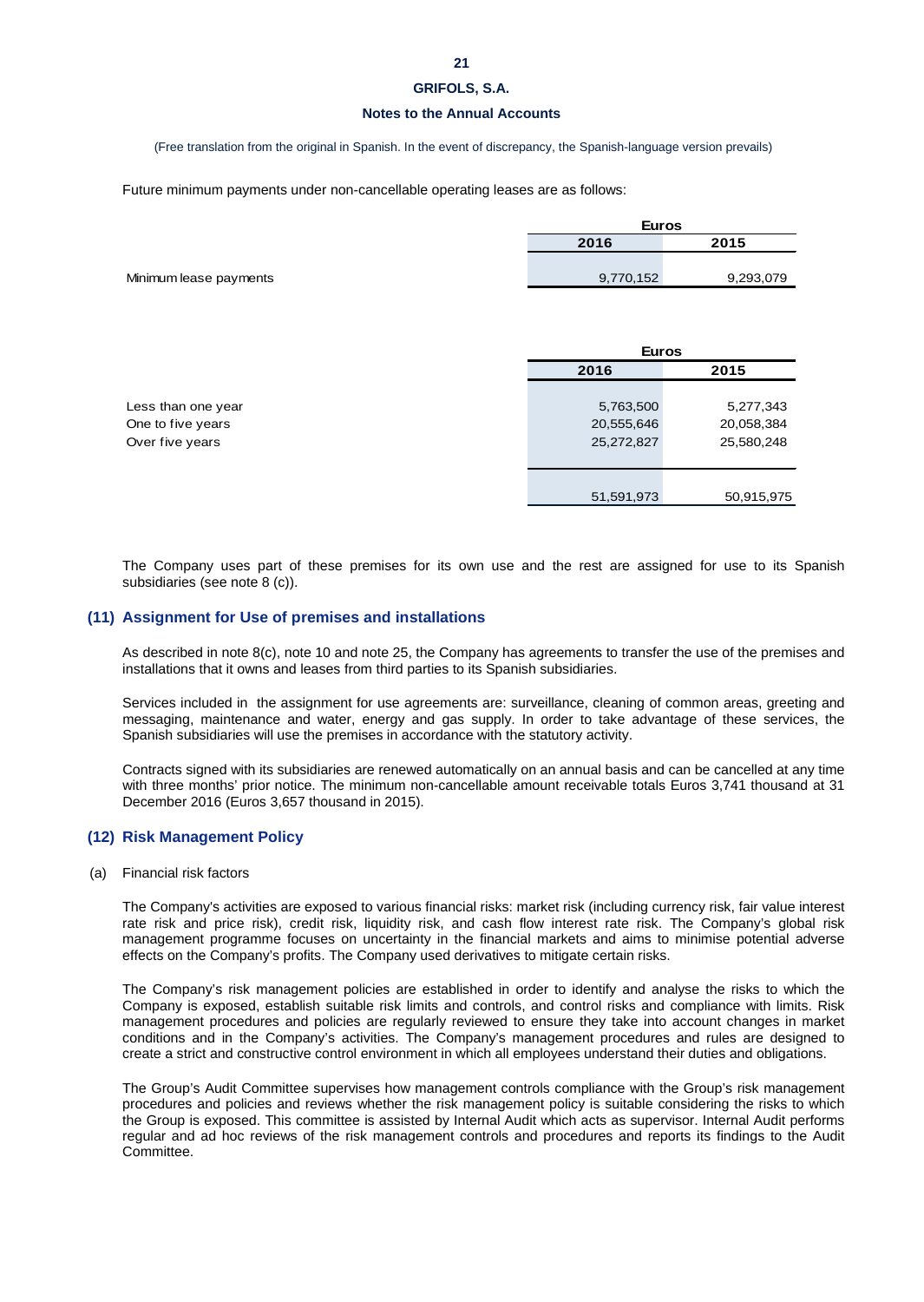# **Notes to the Annual Accounts**

(Free translation from the original in Spanish. In the event of discrepancy, the Spanish-language version prevails)

Future minimum payments under non-cancellable operating leases are as follows:

|                        | <b>Euros</b> |           |  |
|------------------------|--------------|-----------|--|
|                        | 2016         | 2015      |  |
|                        |              |           |  |
| Minimum lease payments | 9,770,152    | 9,293,079 |  |

|                    |            | <b>Euros</b> |  |  |
|--------------------|------------|--------------|--|--|
|                    | 2016       | 2015         |  |  |
|                    |            |              |  |  |
| Less than one year | 5,763,500  | 5,277,343    |  |  |
| One to five years  | 20,555,646 | 20,058,384   |  |  |
| Over five years    | 25,272,827 | 25,580,248   |  |  |
|                    |            |              |  |  |
|                    |            |              |  |  |
|                    | 51,591,973 | 50,915,975   |  |  |

The Company uses part of these premises for its own use and the rest are assigned for use to its Spanish subsidiaries (see note 8 (c)).

# **(11) Assignment for Use of premises and installations**

As described in note 8(c), note 10 and note 25, the Company has agreements to transfer the use of the premises and installations that it owns and leases from third parties to its Spanish subsidiaries.

Services included in the assignment for use agreements are: surveillance, cleaning of common areas, greeting and messaging, maintenance and water, energy and gas supply. In order to take advantage of these services, the Spanish subsidiaries will use the premises in accordance with the statutory activity.

Contracts signed with its subsidiaries are renewed automatically on an annual basis and can be cancelled at any time with three months' prior notice. The minimum non-cancellable amount receivable totals Euros 3,741 thousand at 31 December 2016 (Euros 3,657 thousand in 2015).

# **(12) Risk Management Policy**

(a) Financial risk factors

The Company's activities are exposed to various financial risks: market risk (including currency risk, fair value interest rate risk and price risk), credit risk, liquidity risk, and cash flow interest rate risk. The Company's global risk management programme focuses on uncertainty in the financial markets and aims to minimise potential adverse effects on the Company's profits. The Company used derivatives to mitigate certain risks.

The Company's risk management policies are established in order to identify and analyse the risks to which the Company is exposed, establish suitable risk limits and controls, and control risks and compliance with limits. Risk management procedures and policies are regularly reviewed to ensure they take into account changes in market conditions and in the Company's activities. The Company's management procedures and rules are designed to create a strict and constructive control environment in which all employees understand their duties and obligations.

The Group's Audit Committee supervises how management controls compliance with the Group's risk management procedures and policies and reviews whether the risk management policy is suitable considering the risks to which the Group is exposed. This committee is assisted by Internal Audit which acts as supervisor. Internal Audit performs regular and ad hoc reviews of the risk management controls and procedures and reports its findings to the Audit Committee.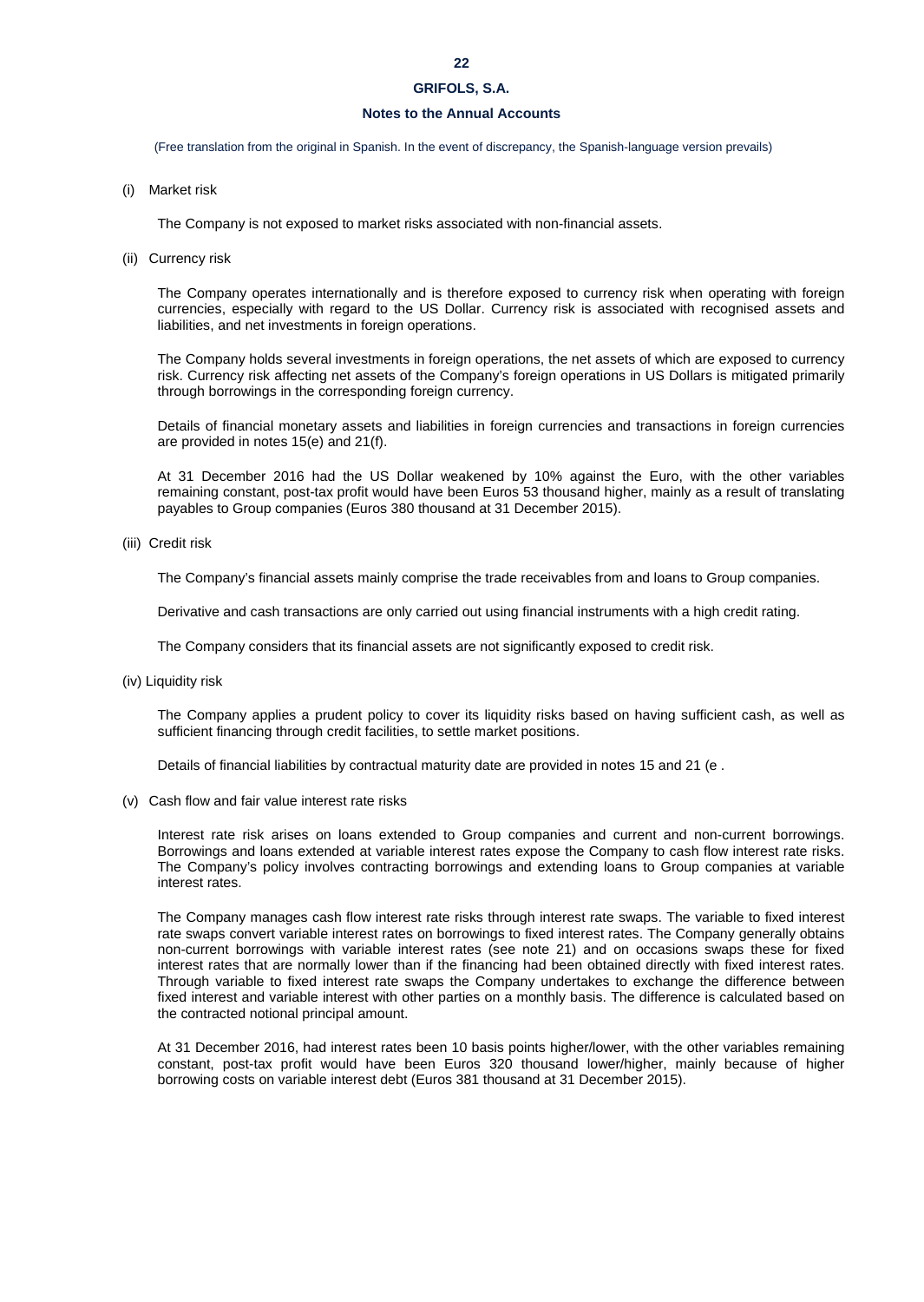# **22**

# **GRIFOLS, S.A.**

# **Notes to the Annual Accounts**

(Free translation from the original in Spanish. In the event of discrepancy, the Spanish-language version prevails)

### (i) Market risk

The Company is not exposed to market risks associated with non-financial assets.

(ii) Currency risk

The Company operates internationally and is therefore exposed to currency risk when operating with foreign currencies, especially with regard to the US Dollar. Currency risk is associated with recognised assets and liabilities, and net investments in foreign operations.

The Company holds several investments in foreign operations, the net assets of which are exposed to currency risk. Currency risk affecting net assets of the Company's foreign operations in US Dollars is mitigated primarily through borrowings in the corresponding foreign currency.

Details of financial monetary assets and liabilities in foreign currencies and transactions in foreign currencies are provided in notes 15(e) and 21(f).

At 31 December 2016 had the US Dollar weakened by 10% against the Euro, with the other variables remaining constant, post-tax profit would have been Euros 53 thousand higher, mainly as a result of translating payables to Group companies (Euros 380 thousand at 31 December 2015).

(iii) Credit risk

The Company's financial assets mainly comprise the trade receivables from and loans to Group companies.

Derivative and cash transactions are only carried out using financial instruments with a high credit rating.

The Company considers that its financial assets are not significantly exposed to credit risk.

(iv) Liquidity risk

The Company applies a prudent policy to cover its liquidity risks based on having sufficient cash, as well as sufficient financing through credit facilities, to settle market positions.

Details of financial liabilities by contractual maturity date are provided in notes 15 and 21 (e .

(v) Cash flow and fair value interest rate risks

Interest rate risk arises on loans extended to Group companies and current and non-current borrowings. Borrowings and loans extended at variable interest rates expose the Company to cash flow interest rate risks. The Company's policy involves contracting borrowings and extending loans to Group companies at variable interest rates.

The Company manages cash flow interest rate risks through interest rate swaps. The variable to fixed interest rate swaps convert variable interest rates on borrowings to fixed interest rates. The Company generally obtains non-current borrowings with variable interest rates (see note 21) and on occasions swaps these for fixed interest rates that are normally lower than if the financing had been obtained directly with fixed interest rates. Through variable to fixed interest rate swaps the Company undertakes to exchange the difference between fixed interest and variable interest with other parties on a monthly basis. The difference is calculated based on the contracted notional principal amount.

At 31 December 2016, had interest rates been 10 basis points higher/lower, with the other variables remaining constant, post-tax profit would have been Euros 320 thousand lower/higher, mainly because of higher borrowing costs on variable interest debt (Euros 381 thousand at 31 December 2015).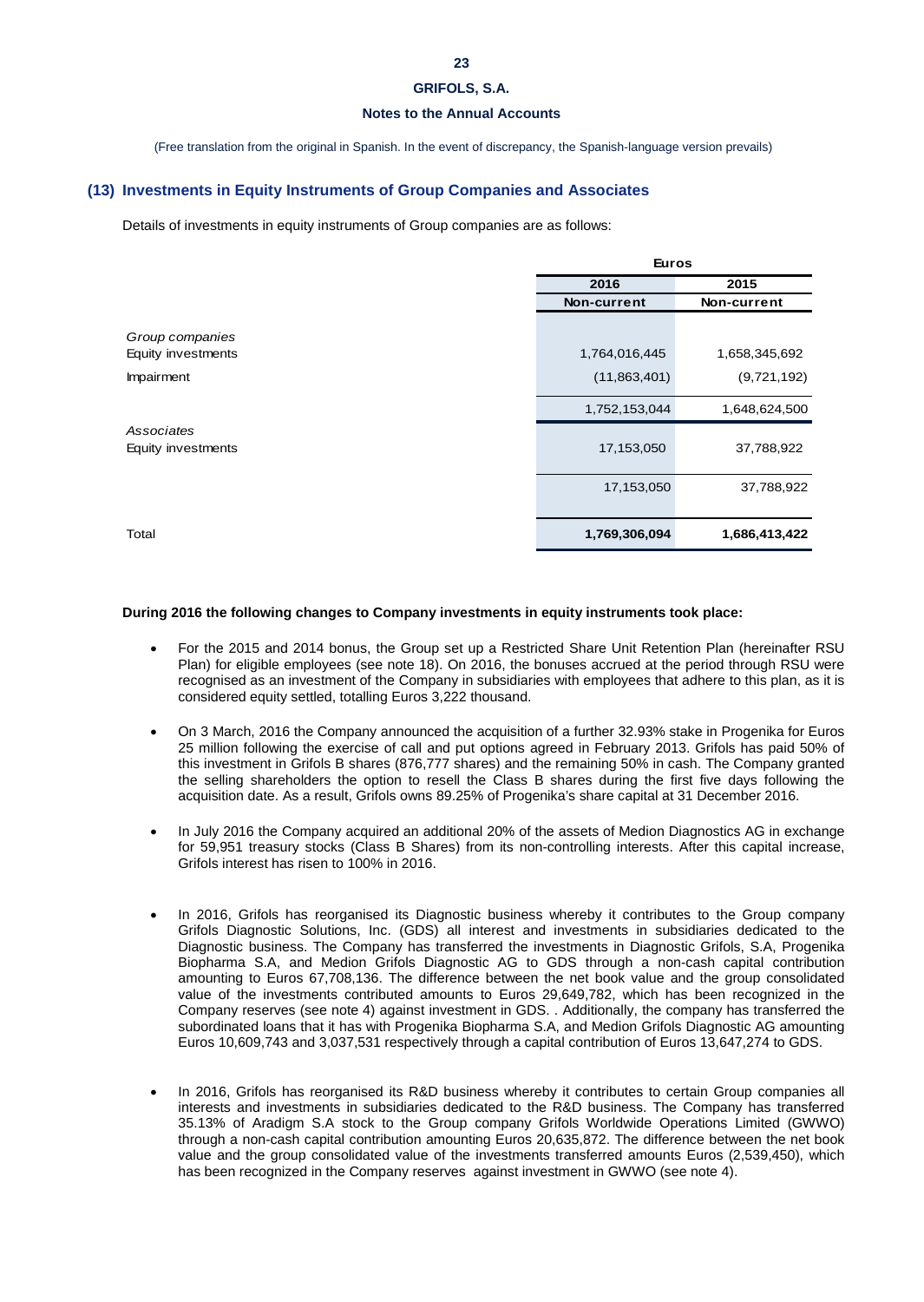# **Notes to the Annual Accounts**

(Free translation from the original in Spanish. In the event of discrepancy, the Spanish-language version prevails)

### **(13) Investments in Equity Instruments of Group Companies and Associates**

Details of investments in equity instruments of Group companies are as follows:

| <b>Euros</b>  |               |
|---------------|---------------|
| 2016          | 2015          |
| Non-current   | Non-current   |
|               |               |
| 1,764,016,445 | 1,658,345,692 |
| (11,863,401)  | (9,721,192)   |
| 1,752,153,044 | 1,648,624,500 |
|               |               |
| 17,153,050    | 37,788,922    |
| 17,153,050    | 37,788,922    |
| 1,769,306,094 | 1,686,413,422 |

# **During 2016 the following changes to Company investments in equity instruments took place:**

- For the 2015 and 2014 bonus, the Group set up a Restricted Share Unit Retention Plan (hereinafter RSU Plan) for eligible employees (see note 18). On 2016, the bonuses accrued at the period through RSU were recognised as an investment of the Company in subsidiaries with employees that adhere to this plan, as it is considered equity settled, totalling Euros 3,222 thousand.
- On 3 March, 2016 the Company announced the acquisition of a further 32.93% stake in Progenika for Euros 25 million following the exercise of call and put options agreed in February 2013. Grifols has paid 50% of this investment in Grifols B shares (876,777 shares) and the remaining 50% in cash. The Company granted the selling shareholders the option to resell the Class B shares during the first five days following the acquisition date. As a result, Grifols owns 89.25% of Progenika's share capital at 31 December 2016.
- In July 2016 the Company acquired an additional 20% of the assets of Medion Diagnostics AG in exchange for 59,951 treasury stocks (Class B Shares) from its non-controlling interests. After this capital increase, Grifols interest has risen to 100% in 2016.
- In 2016, Grifols has reorganised its Diagnostic business whereby it contributes to the Group company Grifols Diagnostic Solutions, Inc. (GDS) all interest and investments in subsidiaries dedicated to the Diagnostic business. The Company has transferred the investments in Diagnostic Grifols, S.A, Progenika Biopharma S.A, and Medion Grifols Diagnostic AG to GDS through a non-cash capital contribution amounting to Euros 67,708,136. The difference between the net book value and the group consolidated value of the investments contributed amounts to Euros 29,649,782, which has been recognized in the Company reserves (see note 4) against investment in GDS. . Additionally, the company has transferred the subordinated loans that it has with Progenika Biopharma S.A, and Medion Grifols Diagnostic AG amounting Euros 10,609,743 and 3,037,531 respectively through a capital contribution of Euros 13,647,274 to GDS.
- In 2016, Grifols has reorganised its R&D business whereby it contributes to certain Group companies all interests and investments in subsidiaries dedicated to the R&D business. The Company has transferred 35.13% of Aradigm S.A stock to the Group company Grifols Worldwide Operations Limited (GWWO) through a non-cash capital contribution amounting Euros 20,635,872. The difference between the net book value and the group consolidated value of the investments transferred amounts Euros (2,539,450), which has been recognized in the Company reserves against investment in GWWO (see note 4).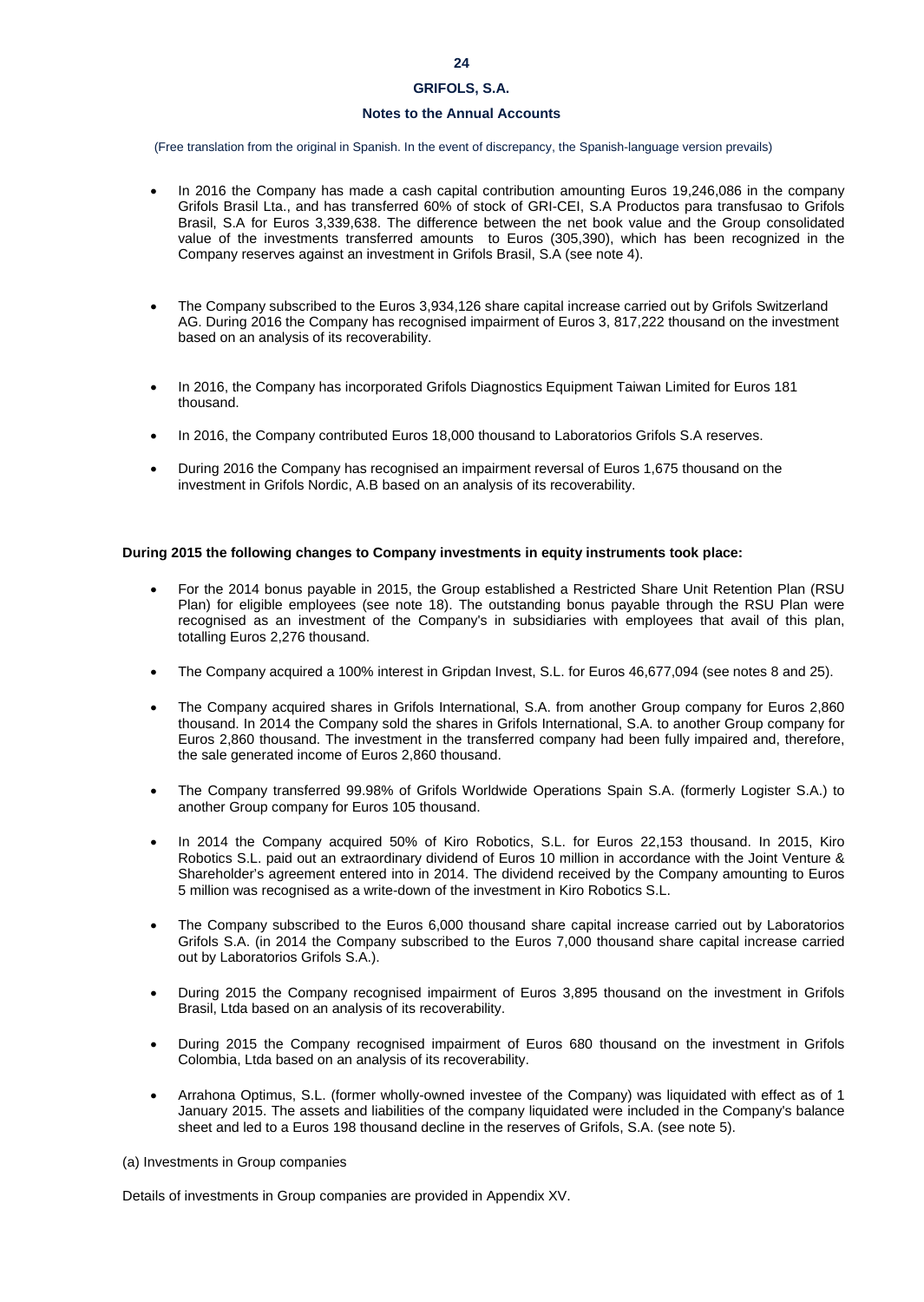# **Notes to the Annual Accounts**

(Free translation from the original in Spanish. In the event of discrepancy, the Spanish-language version prevails)

- In 2016 the Company has made a cash capital contribution amounting Euros 19,246,086 in the company Grifols Brasil Lta., and has transferred 60% of stock of GRI-CEI, S.A Productos para transfusao to Grifols Brasil, S.A for Euros 3,339,638. The difference between the net book value and the Group consolidated value of the investments transferred amounts to Euros (305,390), which has been recognized in the Company reserves against an investment in Grifols Brasil, S.A (see note 4).
- The Company subscribed to the Euros 3,934,126 share capital increase carried out by Grifols Switzerland AG. During 2016 the Company has recognised impairment of Euros 3, 817,222 thousand on the investment based on an analysis of its recoverability.
- In 2016, the Company has incorporated Grifols Diagnostics Equipment Taiwan Limited for Euros 181 thousand.
- In 2016, the Company contributed Euros 18,000 thousand to Laboratorios Grifols S.A reserves.
- During 2016 the Company has recognised an impairment reversal of Euros 1,675 thousand on the investment in Grifols Nordic, A.B based on an analysis of its recoverability.

### **During 2015 the following changes to Company investments in equity instruments took place:**

- For the 2014 bonus payable in 2015, the Group established a Restricted Share Unit Retention Plan (RSU Plan) for eligible employees (see note 18). The outstanding bonus payable through the RSU Plan were recognised as an investment of the Company's in subsidiaries with employees that avail of this plan, totalling Euros 2,276 thousand.
- The Company acquired a 100% interest in Gripdan Invest, S.L. for Euros 46,677,094 (see notes 8 and 25).
- The Company acquired shares in Grifols International, S.A. from another Group company for Euros 2,860 thousand. In 2014 the Company sold the shares in Grifols International, S.A. to another Group company for Euros 2,860 thousand. The investment in the transferred company had been fully impaired and, therefore, the sale generated income of Euros 2,860 thousand.
- The Company transferred 99.98% of Grifols Worldwide Operations Spain S.A. (formerly Logister S.A.) to another Group company for Euros 105 thousand.
- In 2014 the Company acquired 50% of Kiro Robotics, S.L. for Euros 22,153 thousand. In 2015, Kiro Robotics S.L. paid out an extraordinary dividend of Euros 10 million in accordance with the Joint Venture & Shareholder's agreement entered into in 2014. The dividend received by the Company amounting to Euros 5 million was recognised as a write-down of the investment in Kiro Robotics S.L.
- The Company subscribed to the Euros 6,000 thousand share capital increase carried out by Laboratorios Grifols S.A. (in 2014 the Company subscribed to the Euros 7,000 thousand share capital increase carried out by Laboratorios Grifols S.A.).
- During 2015 the Company recognised impairment of Euros 3,895 thousand on the investment in Grifols Brasil, Ltda based on an analysis of its recoverability.
- During 2015 the Company recognised impairment of Euros 680 thousand on the investment in Grifols Colombia, Ltda based on an analysis of its recoverability.
- Arrahona Optimus, S.L. (former wholly-owned investee of the Company) was liquidated with effect as of 1 January 2015. The assets and liabilities of the company liquidated were included in the Company's balance sheet and led to a Euros 198 thousand decline in the reserves of Grifols, S.A. (see note 5).

(a) Investments in Group companies

Details of investments in Group companies are provided in Appendix XV.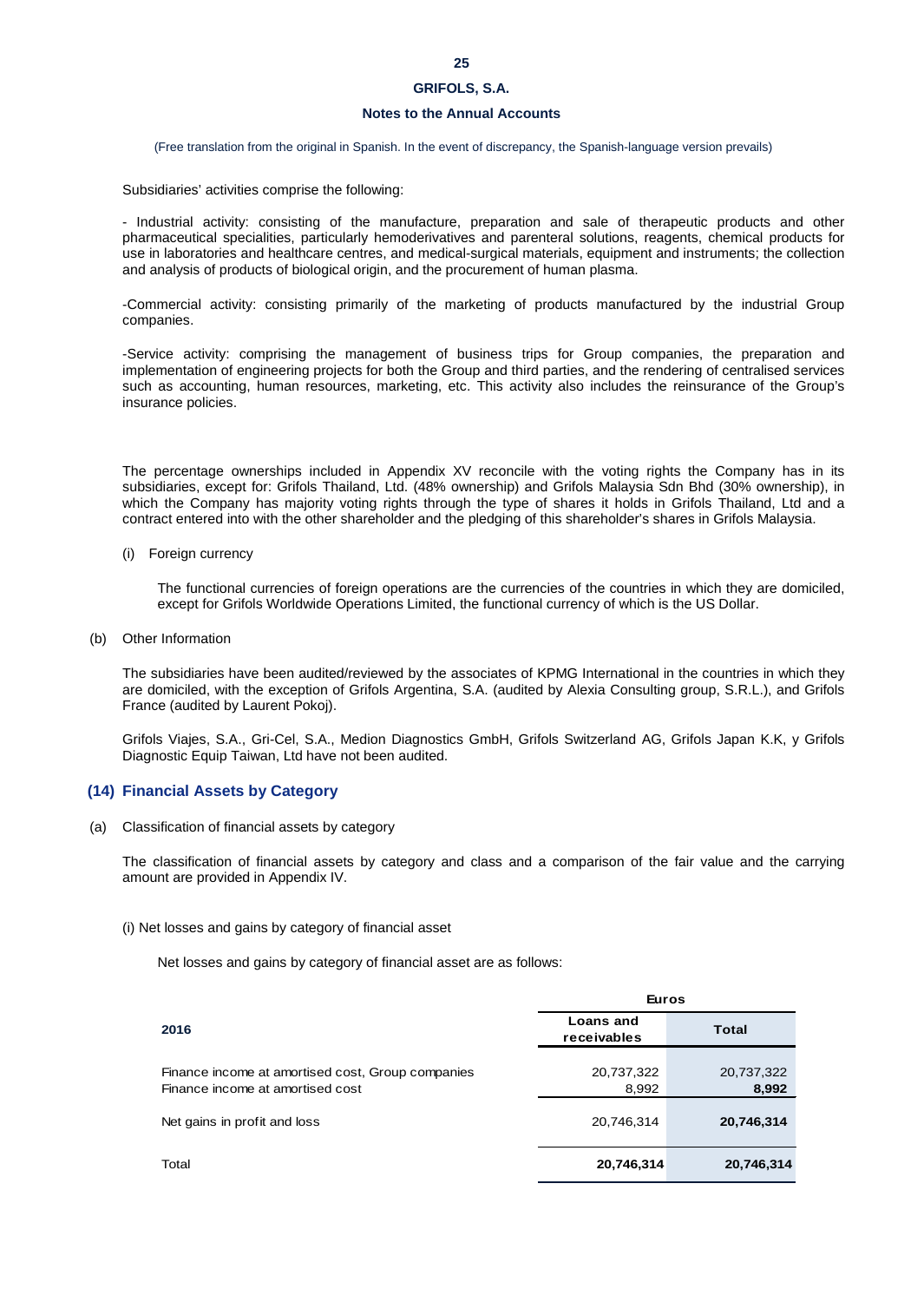# **Notes to the Annual Accounts**

(Free translation from the original in Spanish. In the event of discrepancy, the Spanish-language version prevails)

Subsidiaries' activities comprise the following:

- Industrial activity: consisting of the manufacture, preparation and sale of therapeutic products and other pharmaceutical specialities, particularly hemoderivatives and parenteral solutions, reagents, chemical products for use in laboratories and healthcare centres, and medical-surgical materials, equipment and instruments; the collection and analysis of products of biological origin, and the procurement of human plasma.

-Commercial activity: consisting primarily of the marketing of products manufactured by the industrial Group companies.

-Service activity: comprising the management of business trips for Group companies, the preparation and implementation of engineering projects for both the Group and third parties, and the rendering of centralised services such as accounting, human resources, marketing, etc. This activity also includes the reinsurance of the Group's insurance policies.

The percentage ownerships included in Appendix XV reconcile with the voting rights the Company has in its subsidiaries, except for: Grifols Thailand, Ltd. (48% ownership) and Grifols Malaysia Sdn Bhd (30% ownership), in which the Company has majority voting rights through the type of shares it holds in Grifols Thailand, Ltd and a contract entered into with the other shareholder and the pledging of this shareholder's shares in Grifols Malaysia.

(i) Foreign currency

The functional currencies of foreign operations are the currencies of the countries in which they are domiciled, except for Grifols Worldwide Operations Limited, the functional currency of which is the US Dollar.

(b) Other Information

The subsidiaries have been audited/reviewed by the associates of KPMG International in the countries in which they are domiciled, with the exception of Grifols Argentina, S.A. (audited by Alexia Consulting group, S.R.L.), and Grifols France (audited by Laurent Pokoj).

Grifols Viajes, S.A., Gri-Cel, S.A., Medion Diagnostics GmbH, Grifols Switzerland AG, Grifols Japan K.K, y Grifols Diagnostic Equip Taiwan, Ltd have not been audited.

### **(14) Financial Assets by Category**

(a) Classification of financial assets by category

The classification of financial assets by category and class and a comparison of the fair value and the carrying amount are provided in Appendix IV.

### (i) Net losses and gains by category of financial asset

Net losses and gains by category of financial asset are as follows:

|                                                                                       | <b>Euros</b>                    |                     |
|---------------------------------------------------------------------------------------|---------------------------------|---------------------|
| 2016                                                                                  | <b>Loans and</b><br>receivables | Total               |
| Finance income at amortised cost, Group companies<br>Finance income at amortised cost | 20,737,322<br>8,992             | 20,737,322<br>8,992 |
| Net gains in profit and loss                                                          | 20,746,314                      | 20,746,314          |
| Total                                                                                 | 20,746,314                      | 20,746,314          |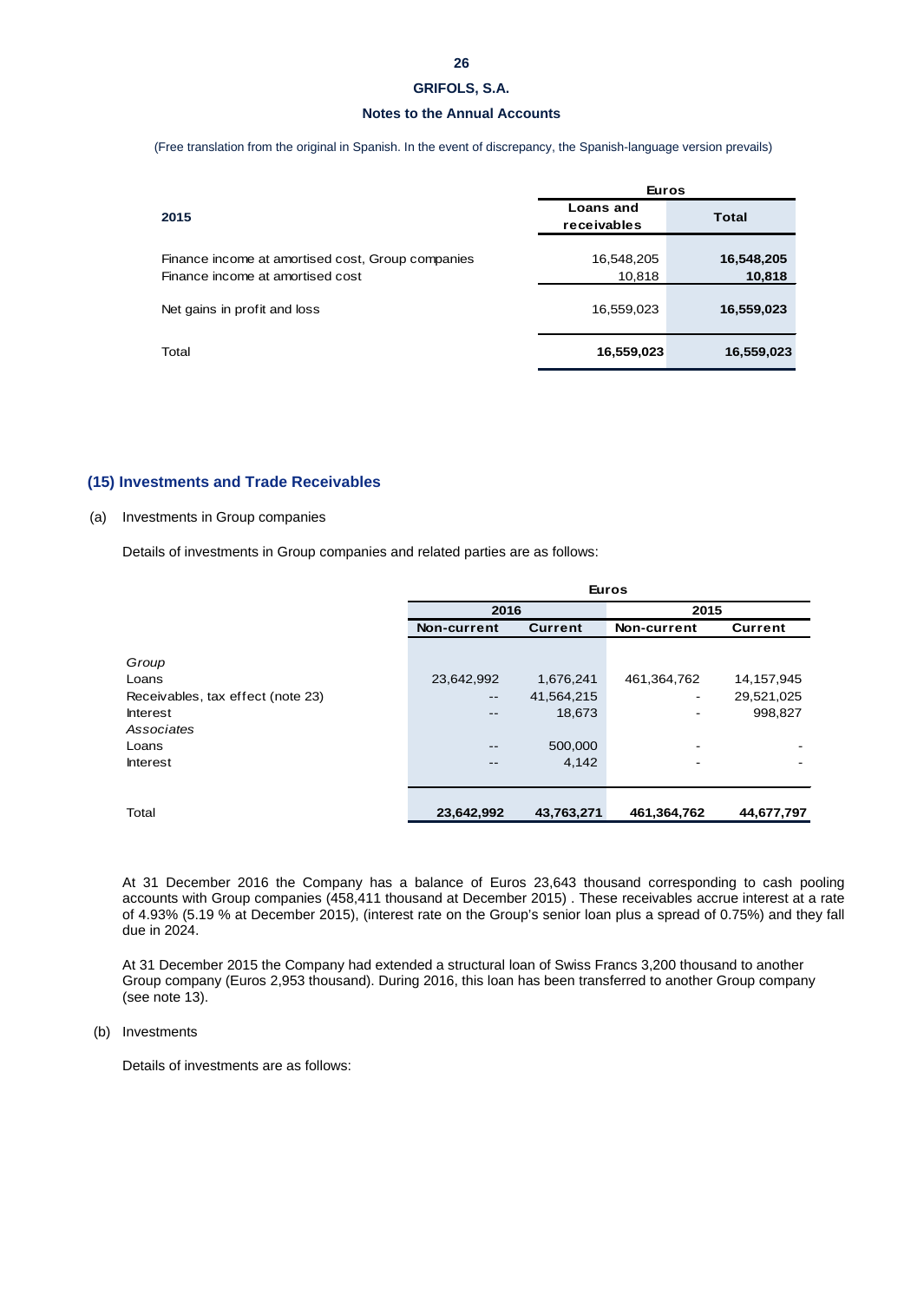### **Notes to the Annual Accounts**

(Free translation from the original in Spanish. In the event of discrepancy, the Spanish-language version prevails)

|                                                                                       | <b>Euros</b>                    |                      |  |
|---------------------------------------------------------------------------------------|---------------------------------|----------------------|--|
| 2015                                                                                  | <b>Loans and</b><br>receivables | <b>Total</b>         |  |
| Finance income at amortised cost, Group companies<br>Finance income at amortised cost | 16,548,205<br>10,818            | 16,548,205<br>10,818 |  |
| Net gains in profit and loss                                                          | 16,559,023                      | 16,559,023           |  |
| Total                                                                                 | 16,559,023                      | 16,559,023           |  |

### **(15) Investments and Trade Receivables**

### (a) Investments in Group companies

Details of investments in Group companies and related parties are as follows:

| 2016                     |                |                          |                      |
|--------------------------|----------------|--------------------------|----------------------|
| Non-current              | <b>Current</b> | Non-current              | <b>Current</b>       |
|                          |                |                          |                      |
|                          |                |                          |                      |
| 23,642,992               | 1,676,241      | 461,364,762              | 14,157,945           |
| $\overline{\phantom{m}}$ | 41,564,215     | $\overline{\phantom{a}}$ | 29,521,025           |
| $- -$                    | 18,673         | $\overline{\phantom{a}}$ | 998,827              |
|                          |                |                          |                      |
| $- -$                    | 500,000        | $\overline{\phantom{a}}$ |                      |
| $- -$                    | 4,142          | $\overline{\phantom{a}}$ |                      |
|                          |                |                          |                      |
|                          |                |                          |                      |
| 23,642,992               | 43,763,271     | 461,364,762              | 44,677,797           |
|                          |                |                          | <b>Euros</b><br>2015 |

At 31 December 2016 the Company has a balance of Euros 23,643 thousand corresponding to cash pooling accounts with Group companies (458,411 thousand at December 2015) . These receivables accrue interest at a rate of 4.93% (5.19 % at December 2015), (interest rate on the Group's senior loan plus a spread of 0.75%) and they fall due in 2024.

At 31 December 2015 the Company had extended a structural loan of Swiss Francs 3,200 thousand to another Group company (Euros 2,953 thousand). During 2016, this loan has been transferred to another Group company (see note 13).

(b) Investments

Details of investments are as follows: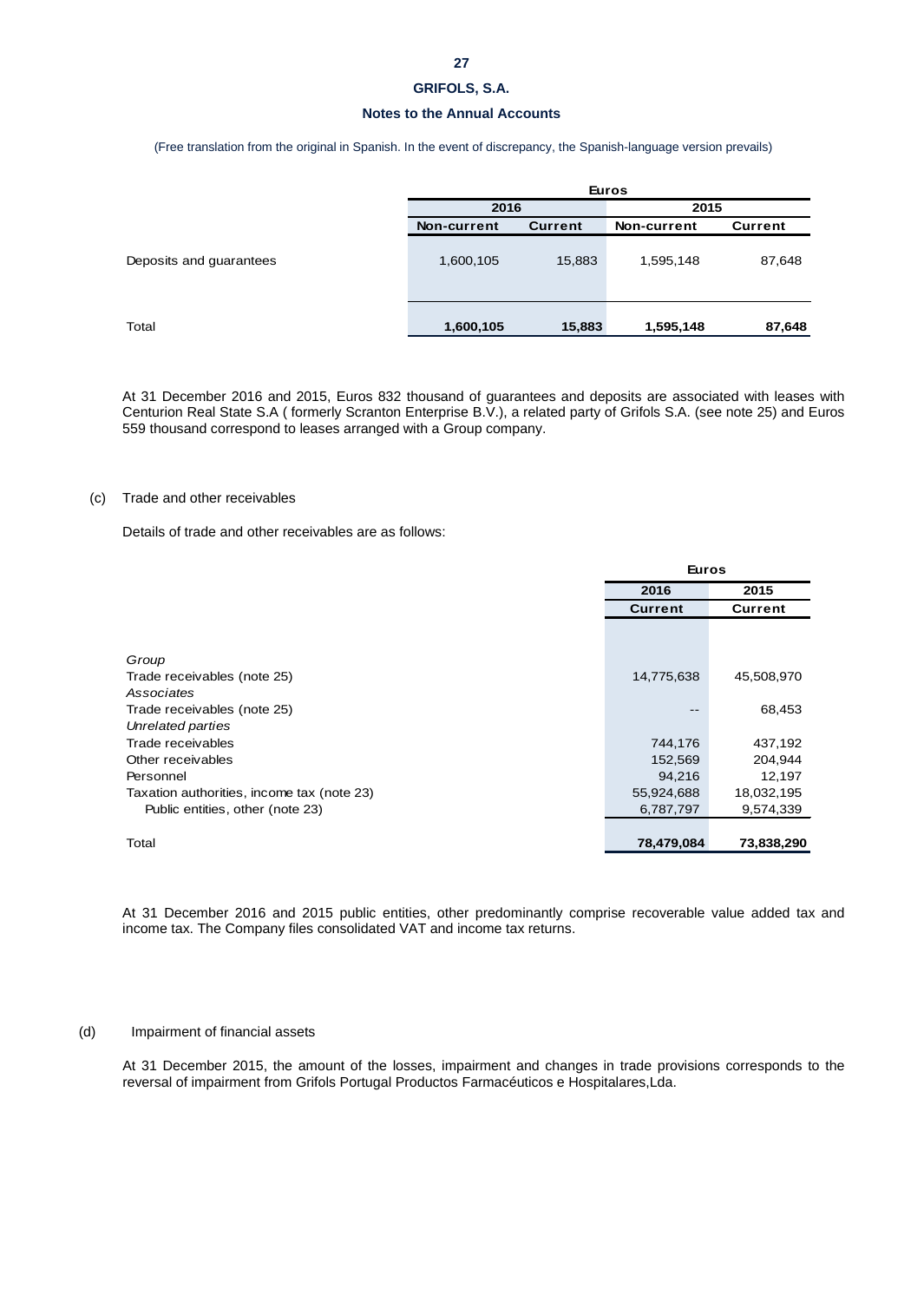### **Notes to the Annual Accounts**

(Free translation from the original in Spanish. In the event of discrepancy, the Spanish-language version prevails)

|                         | <b>Euros</b> |                |             |         |
|-------------------------|--------------|----------------|-------------|---------|
|                         | 2016         |                | 2015        |         |
|                         | Non-current  | <b>Current</b> | Non-current | Current |
| Deposits and guarantees | 1,600,105    | 15,883         | 1,595,148   | 87,648  |
| Total                   | 1,600,105    | 15,883         | 1,595,148   | 87,648  |

At 31 December 2016 and 2015, Euros 832 thousand of guarantees and deposits are associated with leases with Centurion Real State S.A ( formerly Scranton Enterprise B.V.), a related party of Grifols S.A. (see note 25) and Euros 559 thousand correspond to leases arranged with a Group company.

#### (c) Trade and other receivables

Details of trade and other receivables are as follows:

|                                            |                | <b>Euros</b>       |  |  |
|--------------------------------------------|----------------|--------------------|--|--|
|                                            | 2016           | 2015               |  |  |
|                                            | <b>Current</b> | Current            |  |  |
|                                            |                |                    |  |  |
| Group                                      |                |                    |  |  |
| Trade receivables (note 25)                | 14,775,638     | 45,508,970         |  |  |
| Associates                                 |                |                    |  |  |
| Trade receivables (note 25)                |                | 68,453             |  |  |
| Unrelated parties                          |                |                    |  |  |
| Trade receivables                          |                | 437,192<br>744,176 |  |  |
| Other receivables                          |                | 152,569<br>204,944 |  |  |
| Personnel                                  |                | 94,216<br>12,197   |  |  |
| Taxation authorities, income tax (note 23) | 55,924,688     | 18,032,195         |  |  |
| Public entities, other (note 23)           | 6,787,797      | 9,574,339          |  |  |
|                                            |                |                    |  |  |
| Total                                      | 78,479,084     | 73,838,290         |  |  |
|                                            |                |                    |  |  |

At 31 December 2016 and 2015 public entities, other predominantly comprise recoverable value added tax and income tax. The Company files consolidated VAT and income tax returns.

#### (d) Impairment of financial assets

At 31 December 2015, the amount of the losses, impairment and changes in trade provisions corresponds to the reversal of impairment from Grifols Portugal Productos Farmacéuticos e Hospitalares,Lda.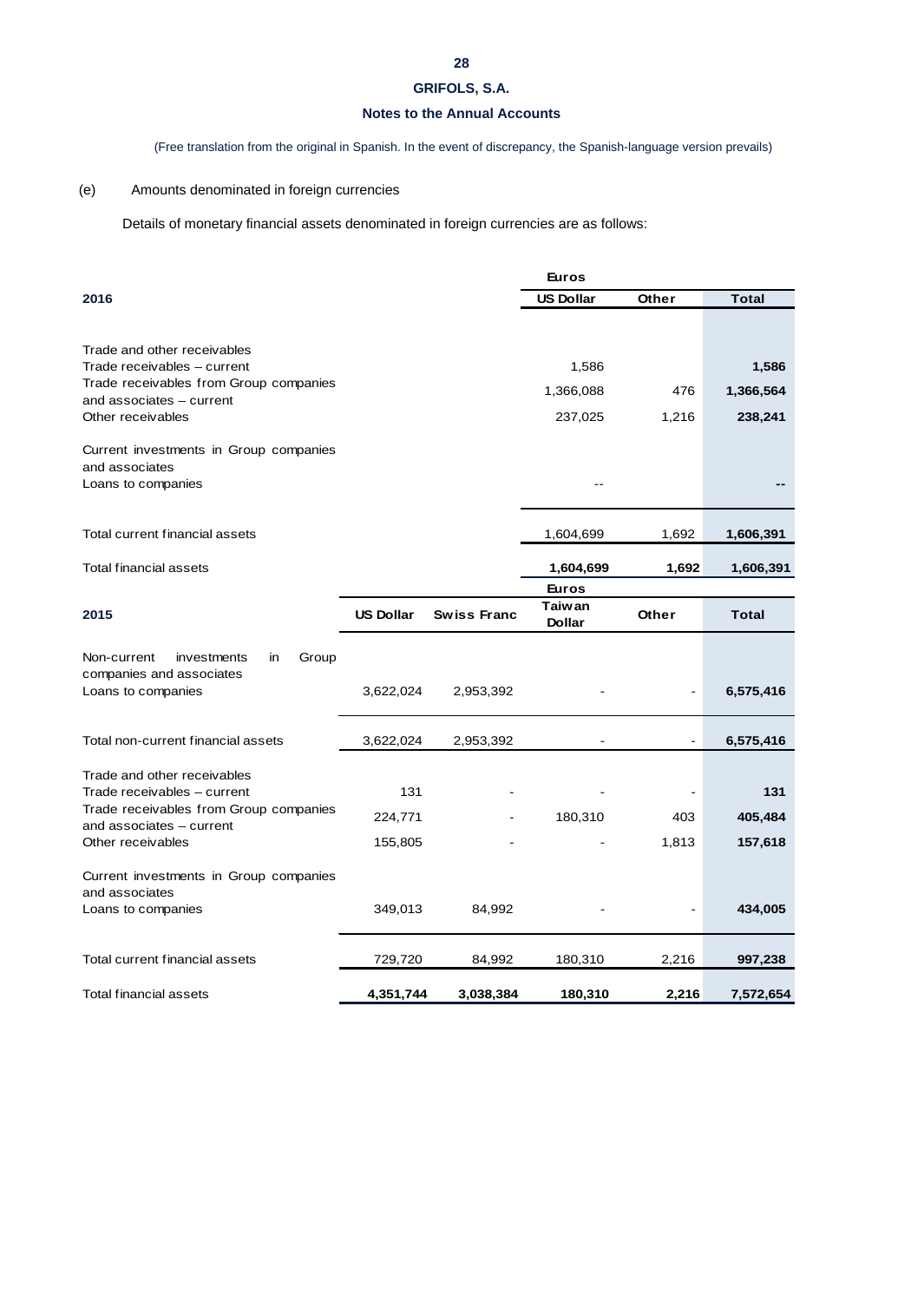# **Notes to the Annual Accounts**

(Free translation from the original in Spanish. In the event of discrepancy, the Spanish-language version prevails)

# (e) Amounts denominated in foreign currencies

Details of monetary financial assets denominated in foreign currencies are as follows:

|                                                                       |                  |                    | <b>Euros</b>            |       |              |
|-----------------------------------------------------------------------|------------------|--------------------|-------------------------|-------|--------------|
| 2016                                                                  |                  |                    | <b>US Dollar</b>        | Other | <b>Total</b> |
|                                                                       |                  |                    |                         |       |              |
| Trade and other receivables                                           |                  |                    |                         |       |              |
| Trade receivables - current                                           |                  |                    | 1,586                   |       | 1,586        |
| Trade receivables from Group companies                                |                  |                    | 1,366,088               | 476   | 1,366,564    |
| and associates - current<br>Other receivables                         |                  |                    | 237,025                 | 1,216 | 238,241      |
|                                                                       |                  |                    |                         |       |              |
| Current investments in Group companies                                |                  |                    |                         |       |              |
| and associates<br>Loans to companies                                  |                  |                    |                         |       |              |
|                                                                       |                  |                    |                         |       |              |
|                                                                       |                  |                    |                         |       |              |
| Total current financial assets                                        |                  |                    | 1,604,699               | 1,692 | 1,606,391    |
| Total financial assets                                                |                  |                    | 1,604,699               | 1,692 | 1,606,391    |
|                                                                       |                  |                    | <b>Euros</b>            |       |              |
| 2015                                                                  | <b>US Dollar</b> | <b>Swiss Franc</b> | <b>Taiwan</b><br>Dollar | Other | <b>Total</b> |
|                                                                       |                  |                    |                         |       |              |
| Non-current<br>Group<br>investments<br>in<br>companies and associates |                  |                    |                         |       |              |
| Loans to companies                                                    | 3,622,024        | 2,953,392          |                         |       | 6,575,416    |
|                                                                       |                  |                    |                         |       |              |
| Total non-current financial assets                                    | 3,622,024        | 2,953,392          |                         |       | 6,575,416    |
|                                                                       |                  |                    |                         |       |              |
| Trade and other receivables<br>Trade receivables - current            | 131              |                    |                         |       | 131          |
| Trade receivables from Group companies                                |                  |                    |                         |       |              |
| and associates - current                                              | 224,771          |                    | 180,310                 | 403   | 405,484      |
| Other receivables                                                     | 155,805          |                    |                         | 1,813 | 157,618      |
| Current investments in Group companies                                |                  |                    |                         |       |              |
| and associates                                                        |                  |                    |                         |       |              |
| Loans to companies                                                    | 349,013          | 84,992             |                         |       | 434,005      |
|                                                                       |                  |                    |                         |       |              |
| Total current financial assets                                        | 729,720          | 84,992             | 180,310                 | 2,216 | 997,238      |
| Total financial assets                                                | 4,351,744        | 3,038,384          | 180,310                 | 2,216 | 7,572,654    |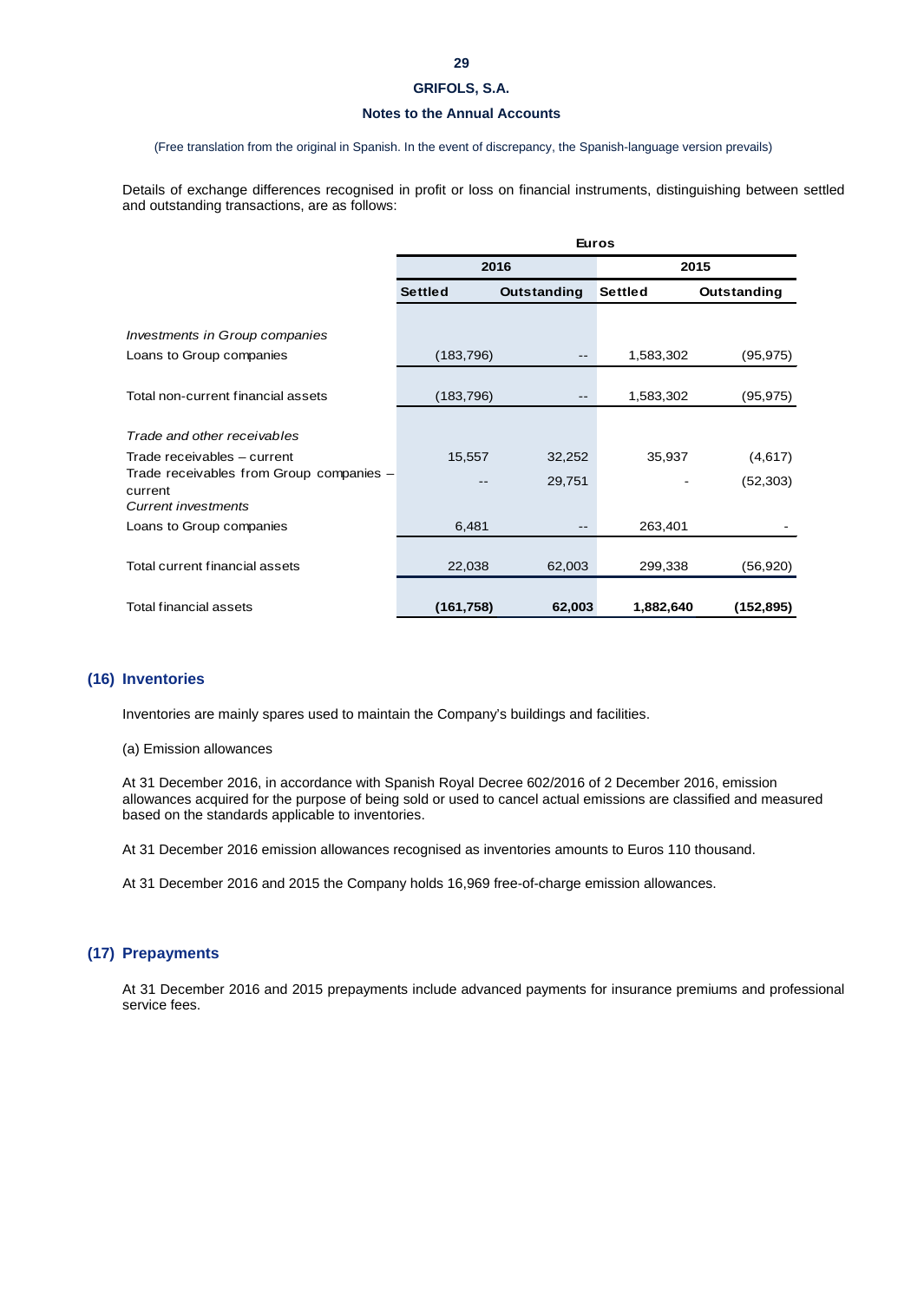### **Notes to the Annual Accounts**

#### (Free translation from the original in Spanish. In the event of discrepancy, the Spanish-language version prevails)

Details of exchange differences recognised in profit or loss on financial instruments, distinguishing between settled and outstanding transactions, are as follows:

|                                          | <b>Euros</b>   |             |                |             |
|------------------------------------------|----------------|-------------|----------------|-------------|
|                                          |                | 2016        |                | 2015        |
|                                          | <b>Settled</b> | Outstanding | <b>Settled</b> | Outstanding |
|                                          |                |             |                |             |
| Investments in Group companies           |                |             |                |             |
| Loans to Group companies                 | (183, 796)     |             | 1,583,302      | (95, 975)   |
|                                          |                |             |                |             |
| Total non-current financial assets       | (183, 796)     |             | 1,583,302      | (95, 975)   |
|                                          |                |             |                |             |
| Trade and other receivables              |                |             |                |             |
| Trade receivables - current              | 15,557         | 32,252      | 35,937         | (4,617)     |
| Trade receivables from Group companies - |                | 29,751      |                | (52, 303)   |
| current<br><b>Current investments</b>    |                |             |                |             |
| Loans to Group companies                 | 6,481          |             | 263,401        |             |
|                                          |                |             |                |             |
| Total current financial assets           | 22,038         | 62,003      | 299,338        | (56, 920)   |
|                                          |                |             |                |             |
| <b>Total financial assets</b>            | (161, 758)     | 62,003      | 1,882,640      | (152,895)   |

# **(16) Inventories**

Inventories are mainly spares used to maintain the Company's buildings and facilities.

#### (a) Emission allowances

At 31 December 2016, in accordance with Spanish Royal Decree 602/2016 of 2 December 2016, emission allowances acquired for the purpose of being sold or used to cancel actual emissions are classified and measured based on the standards applicable to inventories.

At 31 December 2016 emission allowances recognised as inventories amounts to Euros 110 thousand.

At 31 December 2016 and 2015 the Company holds 16,969 free-of-charge emission allowances.

## **(17) Prepayments**

At 31 December 2016 and 2015 prepayments include advanced payments for insurance premiums and professional service fees.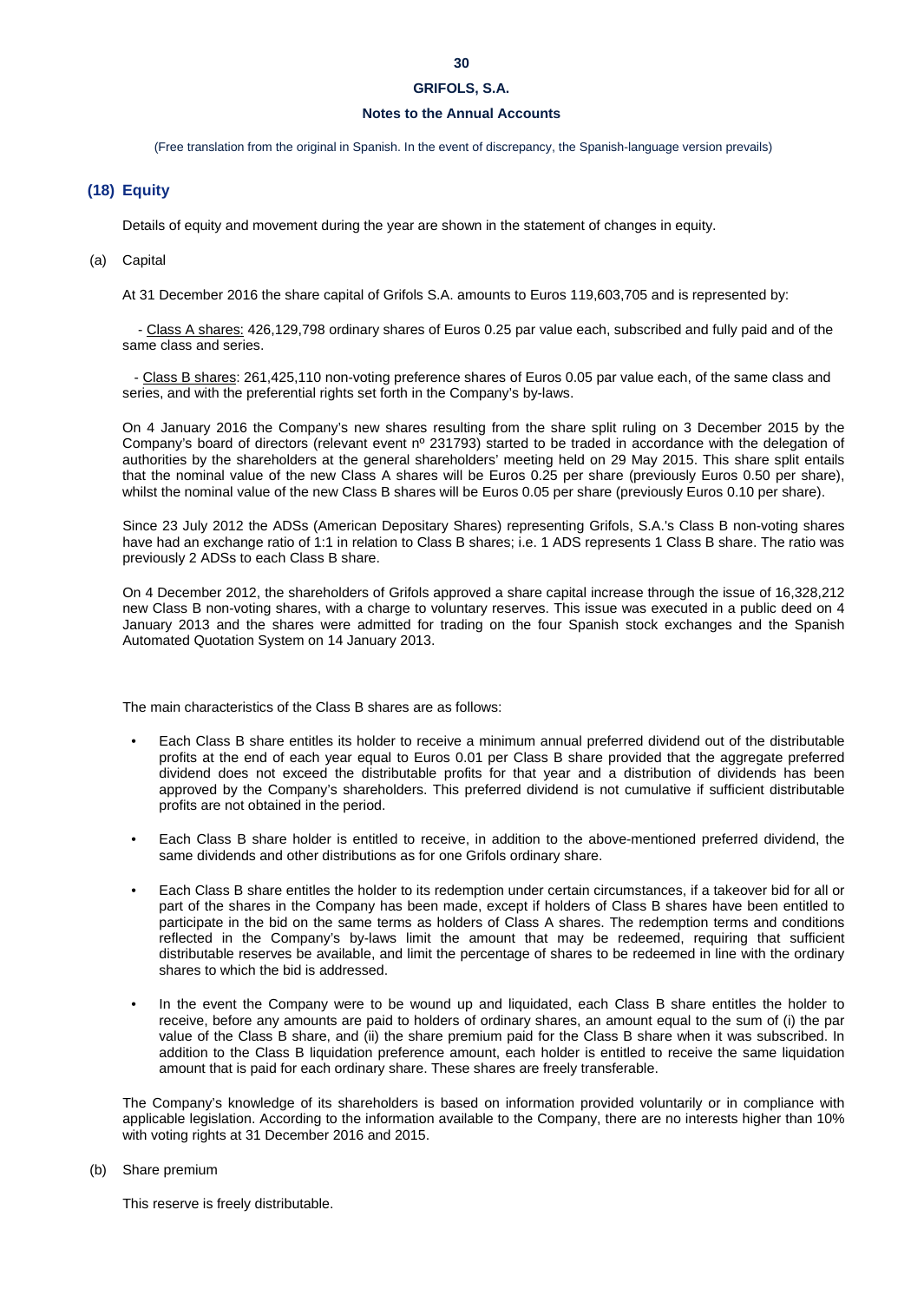### **Notes to the Annual Accounts**

(Free translation from the original in Spanish. In the event of discrepancy, the Spanish-language version prevails)

### **(18) Equity**

Details of equity and movement during the year are shown in the statement of changes in equity.

#### (a) Capital

At 31 December 2016 the share capital of Grifols S.A. amounts to Euros 119,603,705 and is represented by:

 - Class A shares: 426,129,798 ordinary shares of Euros 0.25 par value each, subscribed and fully paid and of the same class and series.

 - Class B shares: 261,425,110 non-voting preference shares of Euros 0.05 par value each, of the same class and series, and with the preferential rights set forth in the Company's by-laws.

On 4 January 2016 the Company's new shares resulting from the share split ruling on 3 December 2015 by the Company's board of directors (relevant event nº 231793) started to be traded in accordance with the delegation of authorities by the shareholders at the general shareholders' meeting held on 29 May 2015. This share split entails that the nominal value of the new Class A shares will be Euros 0.25 per share (previously Euros 0.50 per share), whilst the nominal value of the new Class B shares will be Euros 0.05 per share (previously Euros 0.10 per share).

Since 23 July 2012 the ADSs (American Depositary Shares) representing Grifols, S.A.'s Class B non-voting shares have had an exchange ratio of 1:1 in relation to Class B shares; i.e. 1 ADS represents 1 Class B share. The ratio was previously 2 ADSs to each Class B share.

On 4 December 2012, the shareholders of Grifols approved a share capital increase through the issue of 16,328,212 new Class B non-voting shares, with a charge to voluntary reserves. This issue was executed in a public deed on 4 January 2013 and the shares were admitted for trading on the four Spanish stock exchanges and the Spanish Automated Quotation System on 14 January 2013.

The main characteristics of the Class B shares are as follows:

- Each Class B share entitles its holder to receive a minimum annual preferred dividend out of the distributable profits at the end of each year equal to Euros 0.01 per Class B share provided that the aggregate preferred dividend does not exceed the distributable profits for that year and a distribution of dividends has been approved by the Company's shareholders. This preferred dividend is not cumulative if sufficient distributable profits are not obtained in the period.
- Each Class B share holder is entitled to receive, in addition to the above-mentioned preferred dividend, the same dividends and other distributions as for one Grifols ordinary share.
- Each Class B share entitles the holder to its redemption under certain circumstances, if a takeover bid for all or part of the shares in the Company has been made, except if holders of Class B shares have been entitled to participate in the bid on the same terms as holders of Class A shares. The redemption terms and conditions reflected in the Company's by-laws limit the amount that may be redeemed, requiring that sufficient distributable reserves be available, and limit the percentage of shares to be redeemed in line with the ordinary shares to which the bid is addressed.
- In the event the Company were to be wound up and liquidated, each Class B share entitles the holder to receive, before any amounts are paid to holders of ordinary shares, an amount equal to the sum of (i) the par value of the Class B share, and (ii) the share premium paid for the Class B share when it was subscribed. In addition to the Class B liquidation preference amount, each holder is entitled to receive the same liquidation amount that is paid for each ordinary share. These shares are freely transferable.

The Company's knowledge of its shareholders is based on information provided voluntarily or in compliance with applicable legislation. According to the information available to the Company, there are no interests higher than 10% with voting rights at 31 December 2016 and 2015.

#### (b) Share premium

This reserve is freely distributable.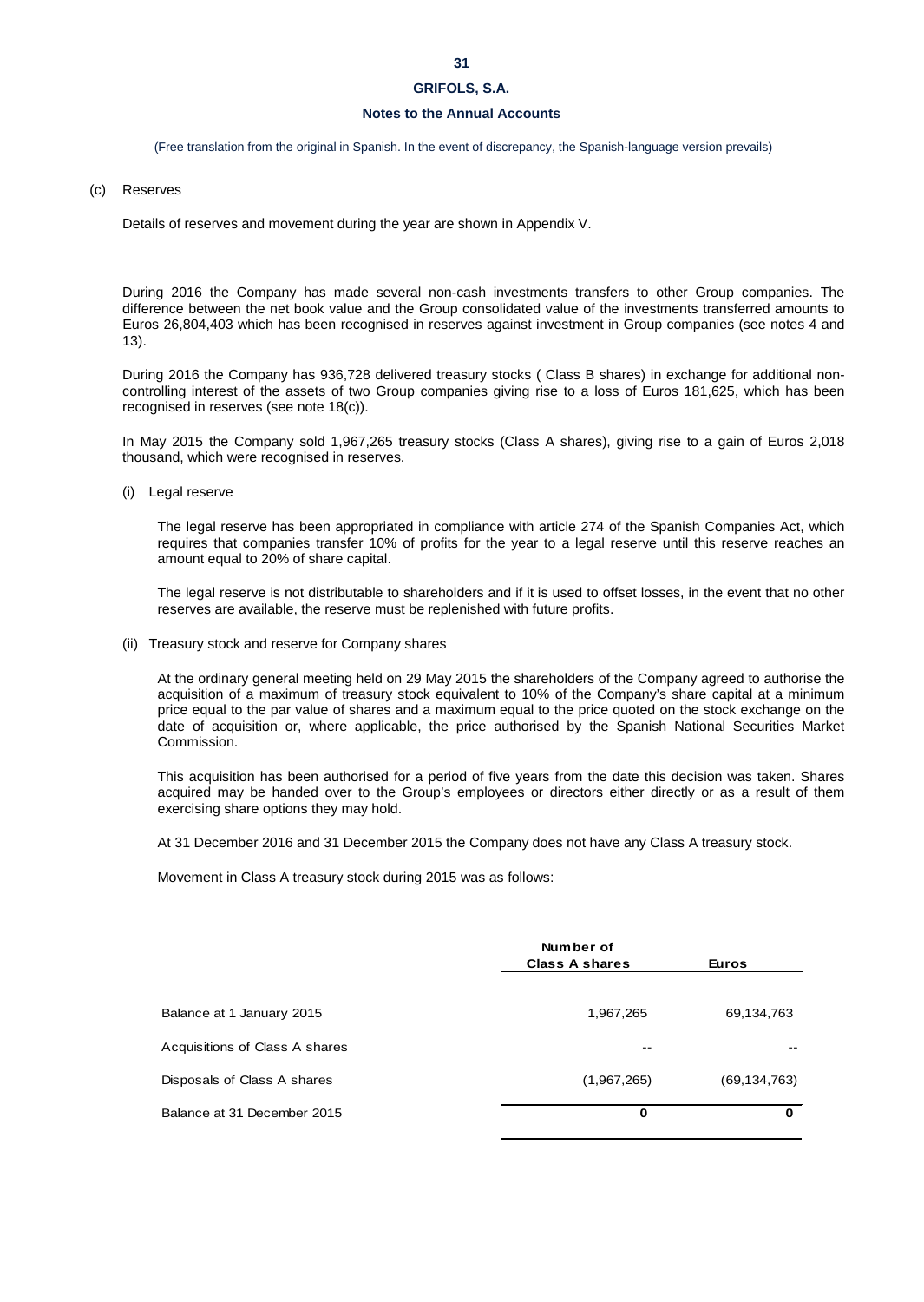### **31**

# **GRIFOLS, S.A.**

### **Notes to the Annual Accounts**

(Free translation from the original in Spanish. In the event of discrepancy, the Spanish-language version prevails)

#### (c) Reserves

Details of reserves and movement during the year are shown in Appendix V.

During 2016 the Company has made several non-cash investments transfers to other Group companies. The difference between the net book value and the Group consolidated value of the investments transferred amounts to Euros 26,804,403 which has been recognised in reserves against investment in Group companies (see notes 4 and 13).

During 2016 the Company has 936,728 delivered treasury stocks ( Class B shares) in exchange for additional noncontrolling interest of the assets of two Group companies giving rise to a loss of Euros 181,625, which has been recognised in reserves (see note 18(c)).

In May 2015 the Company sold 1,967,265 treasury stocks (Class A shares), giving rise to a gain of Euros 2,018 thousand, which were recognised in reserves.

(i) Legal reserve

The legal reserve has been appropriated in compliance with article 274 of the Spanish Companies Act, which requires that companies transfer 10% of profits for the year to a legal reserve until this reserve reaches an amount equal to 20% of share capital.

The legal reserve is not distributable to shareholders and if it is used to offset losses, in the event that no other reserves are available, the reserve must be replenished with future profits.

(ii) Treasury stock and reserve for Company shares

At the ordinary general meeting held on 29 May 2015 the shareholders of the Company agreed to authorise the acquisition of a maximum of treasury stock equivalent to 10% of the Company's share capital at a minimum price equal to the par value of shares and a maximum equal to the price quoted on the stock exchange on the date of acquisition or, where applicable, the price authorised by the Spanish National Securities Market Commission.

This acquisition has been authorised for a period of five years from the date this decision was taken. Shares acquired may be handed over to the Group's employees or directors either directly or as a result of them exercising share options they may hold.

At 31 December 2016 and 31 December 2015 the Company does not have any Class A treasury stock.

Movement in Class A treasury stock during 2015 was as follows:

|                                | Number of<br><b>Class A shares</b> | <b>Euros</b> |
|--------------------------------|------------------------------------|--------------|
| Balance at 1 January 2015      | 1,967,265                          | 69,134,763   |
| Acquisitions of Class A shares | --                                 |              |
| Disposals of Class A shares    | (1,967,265)                        | (69,134,763) |
| Balance at 31 December 2015    | 0                                  | $\Omega$     |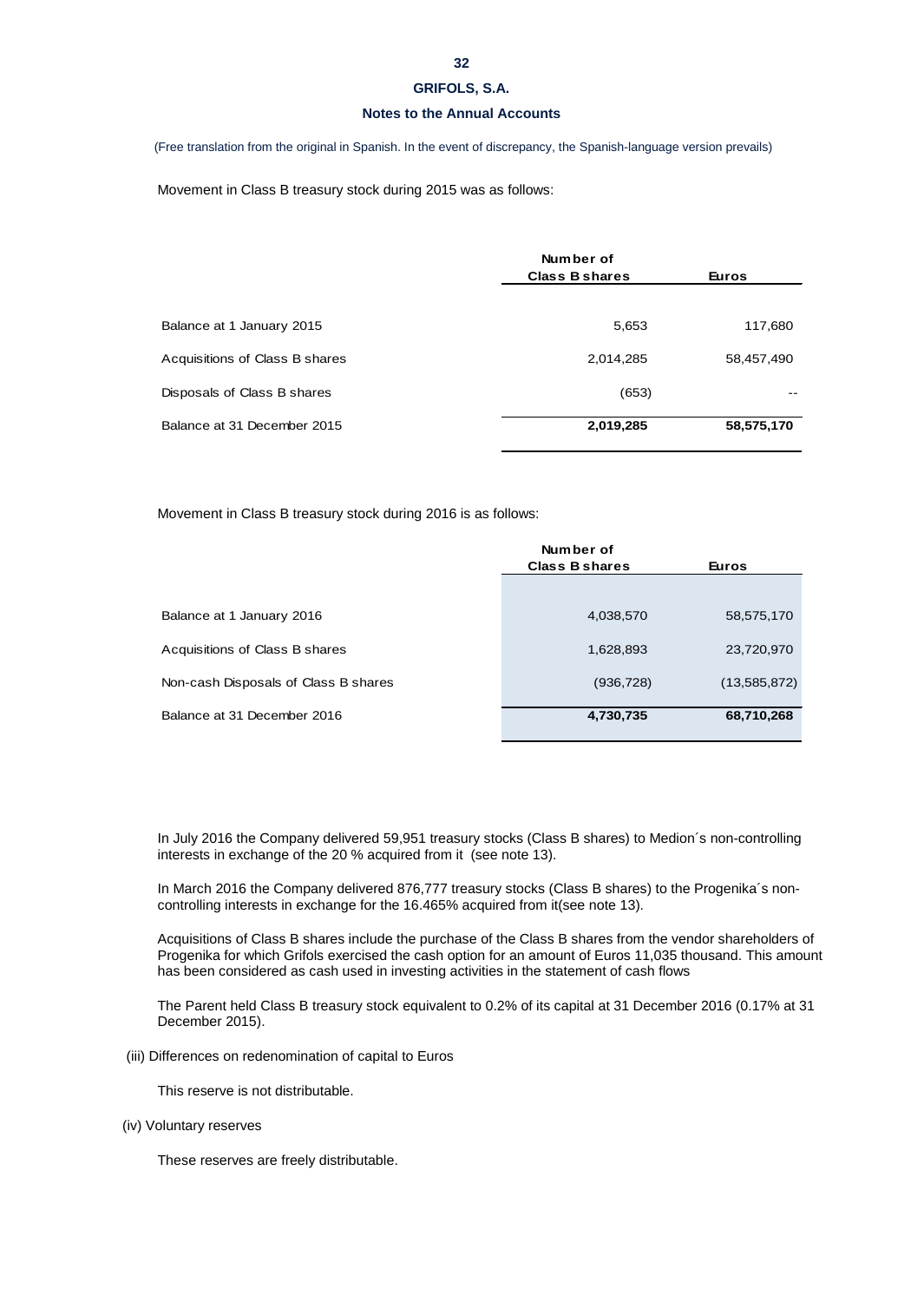## **Notes to the Annual Accounts**

(Free translation from the original in Spanish. In the event of discrepancy, the Spanish-language version prevails)

Movement in Class B treasury stock during 2015 was as follows:

|                                | Number of<br><b>Class B shares</b> | <b>Euros</b> |
|--------------------------------|------------------------------------|--------------|
|                                |                                    |              |
| Balance at 1 January 2015      | 5,653                              | 117,680      |
| Acquisitions of Class B shares | 2,014,285                          | 58,457,490   |
| Disposals of Class B shares    | (653)                              |              |
| Balance at 31 December 2015    | 2,019,285                          | 58,575,170   |

Movement in Class B treasury stock during 2016 is as follows:

| Number of             |              |
|-----------------------|--------------|
| <b>Class B shares</b> | <b>Euros</b> |
|                       |              |
| 4,038,570             | 58,575,170   |
| 1,628,893             | 23,720,970   |
| (936, 728)            | (13,585,872) |
| 4,730,735             | 68,710,268   |
|                       |              |

In July 2016 the Company delivered 59,951 treasury stocks (Class B shares) to Medion´s non-controlling interests in exchange of the 20 % acquired from it (see note 13).

In March 2016 the Company delivered 876,777 treasury stocks (Class B shares) to the Progenika's noncontrolling interests in exchange for the 16.465% acquired from it(see note 13).

Acquisitions of Class B shares include the purchase of the Class B shares from the vendor shareholders of Progenika for which Grifols exercised the cash option for an amount of Euros 11,035 thousand. This amount has been considered as cash used in investing activities in the statement of cash flows

The Parent held Class B treasury stock equivalent to 0.2% of its capital at 31 December 2016 (0.17% at 31 December 2015).

(iii) Differences on redenomination of capital to Euros

This reserve is not distributable.

(iv) Voluntary reserves

These reserves are freely distributable.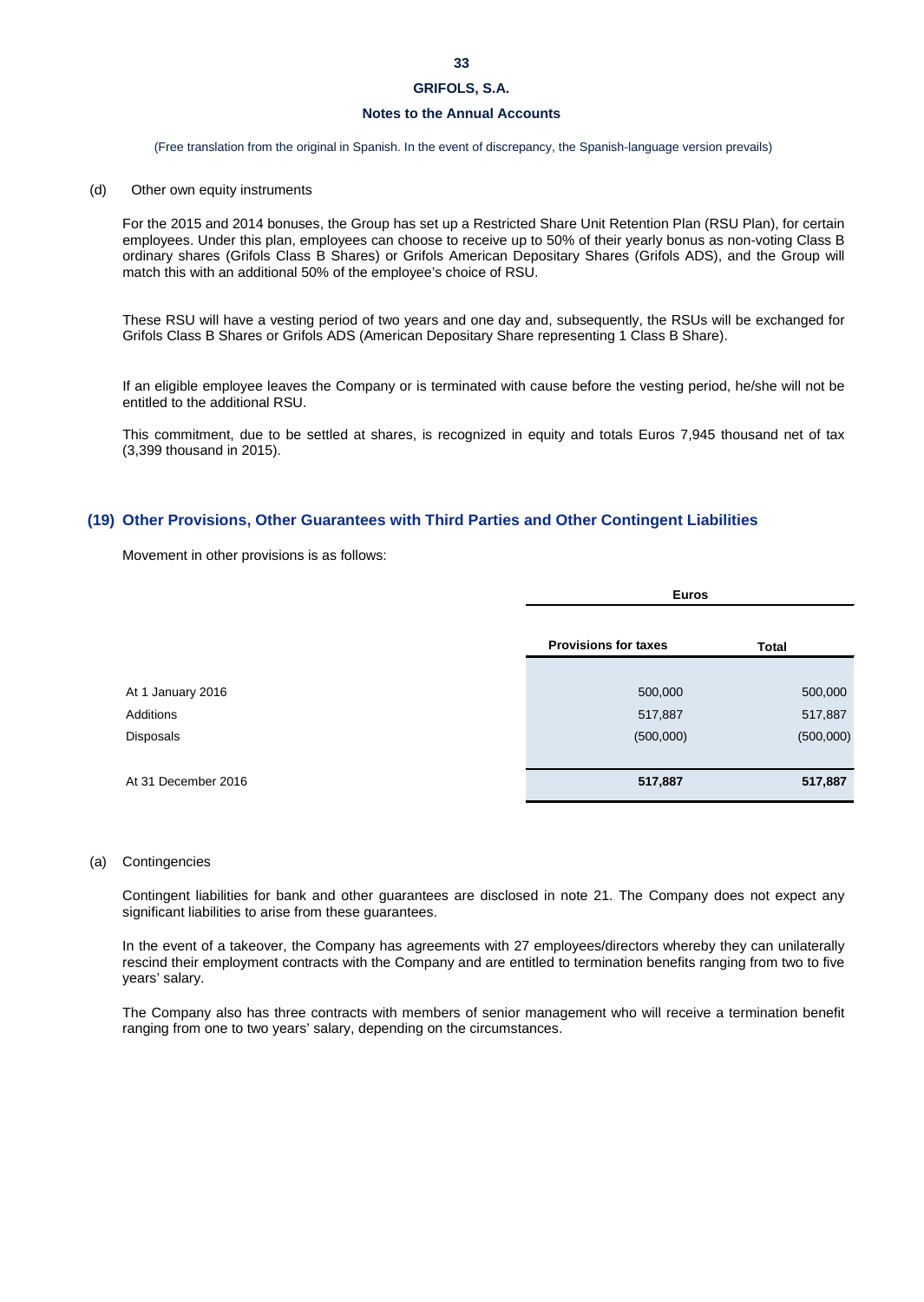# **Notes to the Annual Accounts**

(Free translation from the original in Spanish. In the event of discrepancy, the Spanish-language version prevails)

#### (d) Other own equity instruments

For the 2015 and 2014 bonuses, the Group has set up a Restricted Share Unit Retention Plan (RSU Plan), for certain employees. Under this plan, employees can choose to receive up to 50% of their yearly bonus as non-voting Class B ordinary shares (Grifols Class B Shares) or Grifols American Depositary Shares (Grifols ADS), and the Group will match this with an additional 50% of the employee's choice of RSU.

These RSU will have a vesting period of two years and one day and, subsequently, the RSUs will be exchanged for Grifols Class B Shares or Grifols ADS (American Depositary Share representing 1 Class B Share).

If an eligible employee leaves the Company or is terminated with cause before the vesting period, he/she will not be entitled to the additional RSU.

This commitment, due to be settled at shares, is recognized in equity and totals Euros 7,945 thousand net of tax (3,399 thousand in 2015).

### **(19) Other Provisions, Other Guarantees with Third Parties and Other Contingent Liabilities**

Movement in other provisions is as follows:

|                     | <b>Euros</b>                |              |  |
|---------------------|-----------------------------|--------------|--|
|                     | <b>Provisions for taxes</b> | <b>Total</b> |  |
|                     |                             |              |  |
| At 1 January 2016   | 500,000                     | 500,000      |  |
| Additions           | 517,887                     | 517,887      |  |
| Disposals           | (500,000)                   | (500,000)    |  |
|                     |                             |              |  |
| At 31 December 2016 | 517,887                     | 517,887      |  |

#### (a) Contingencies

Contingent liabilities for bank and other guarantees are disclosed in note 21. The Company does not expect any significant liabilities to arise from these guarantees.

In the event of a takeover, the Company has agreements with 27 employees/directors whereby they can unilaterally rescind their employment contracts with the Company and are entitled to termination benefits ranging from two to five years' salary.

The Company also has three contracts with members of senior management who will receive a termination benefit ranging from one to two years' salary, depending on the circumstances.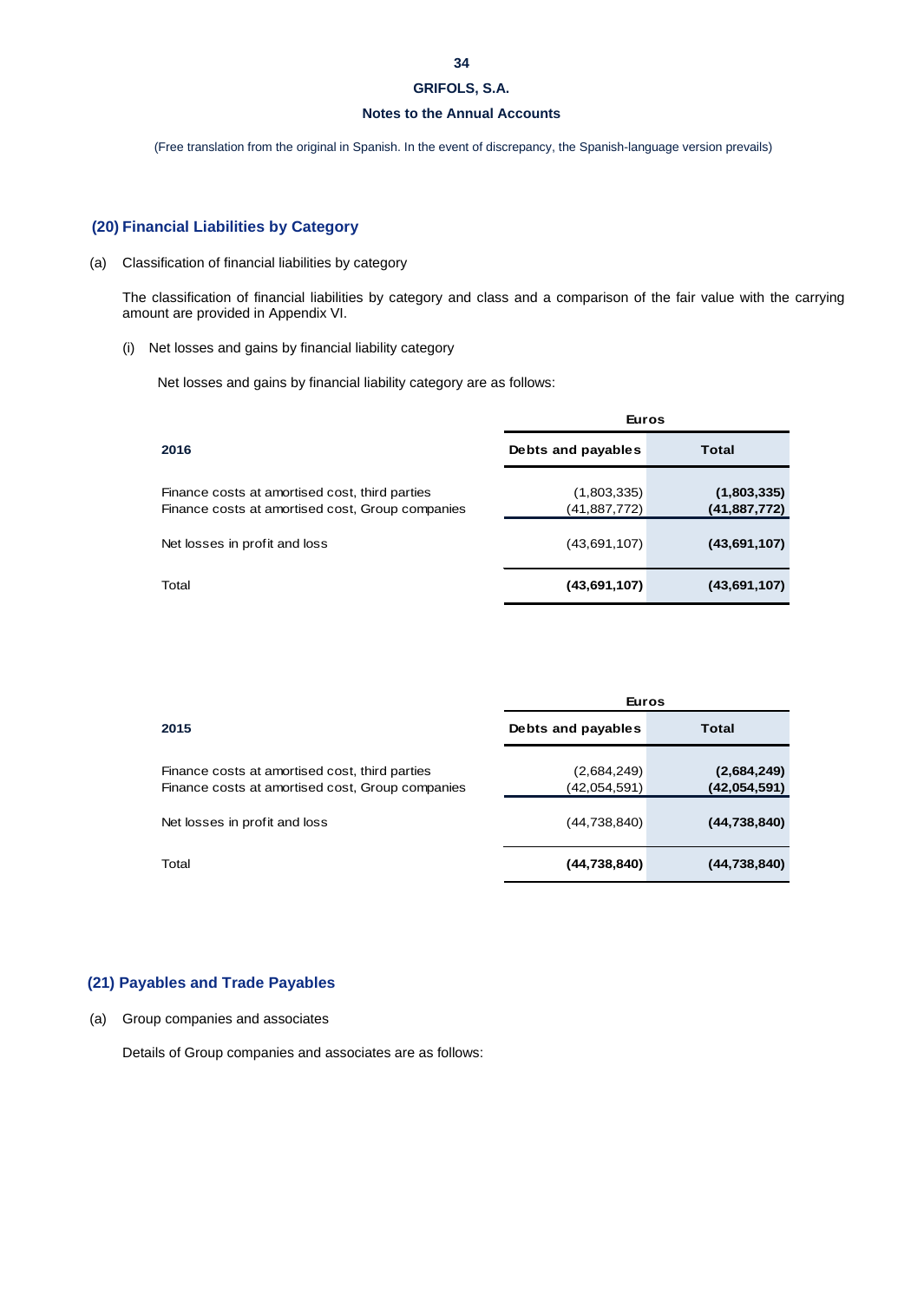## **Notes to the Annual Accounts**

(Free translation from the original in Spanish. In the event of discrepancy, the Spanish-language version prevails)

# **(20) Financial Liabilities by Category**

# (a) Classification of financial liabilities by category

The classification of financial liabilities by category and class and a comparison of the fair value with the carrying amount are provided in Appendix VI.

(i) Net losses and gains by financial liability category

Net losses and gains by financial liability category are as follows:

|                                                                                                    | <b>Euros</b>                |                               |  |
|----------------------------------------------------------------------------------------------------|-----------------------------|-------------------------------|--|
| 2016                                                                                               | Debts and payables          | <b>Total</b>                  |  |
| Finance costs at amortised cost, third parties<br>Finance costs at amortised cost, Group companies | (1,803,335)<br>(41,887,772) | (1,803,335)<br>(41, 887, 772) |  |
| Net losses in profit and loss                                                                      | (43,691,107)                | (43,691,107)                  |  |
| Total                                                                                              | (43,691,107)                | (43,691,107)                  |  |

|                                                                                                    | Euros                       |                             |  |
|----------------------------------------------------------------------------------------------------|-----------------------------|-----------------------------|--|
| 2015                                                                                               | Debts and payables          | Total                       |  |
| Finance costs at amortised cost, third parties<br>Finance costs at amortised cost, Group companies | (2,684,249)<br>(42,054,591) | (2,684,249)<br>(42,054,591) |  |
| Net losses in profit and loss                                                                      | (44,738,840)                | (44, 738, 840)              |  |
| Total                                                                                              | (44,738,840)                | (44, 738, 840)              |  |

# **(21) Payables and Trade Payables**

# (a) Group companies and associates

Details of Group companies and associates are as follows: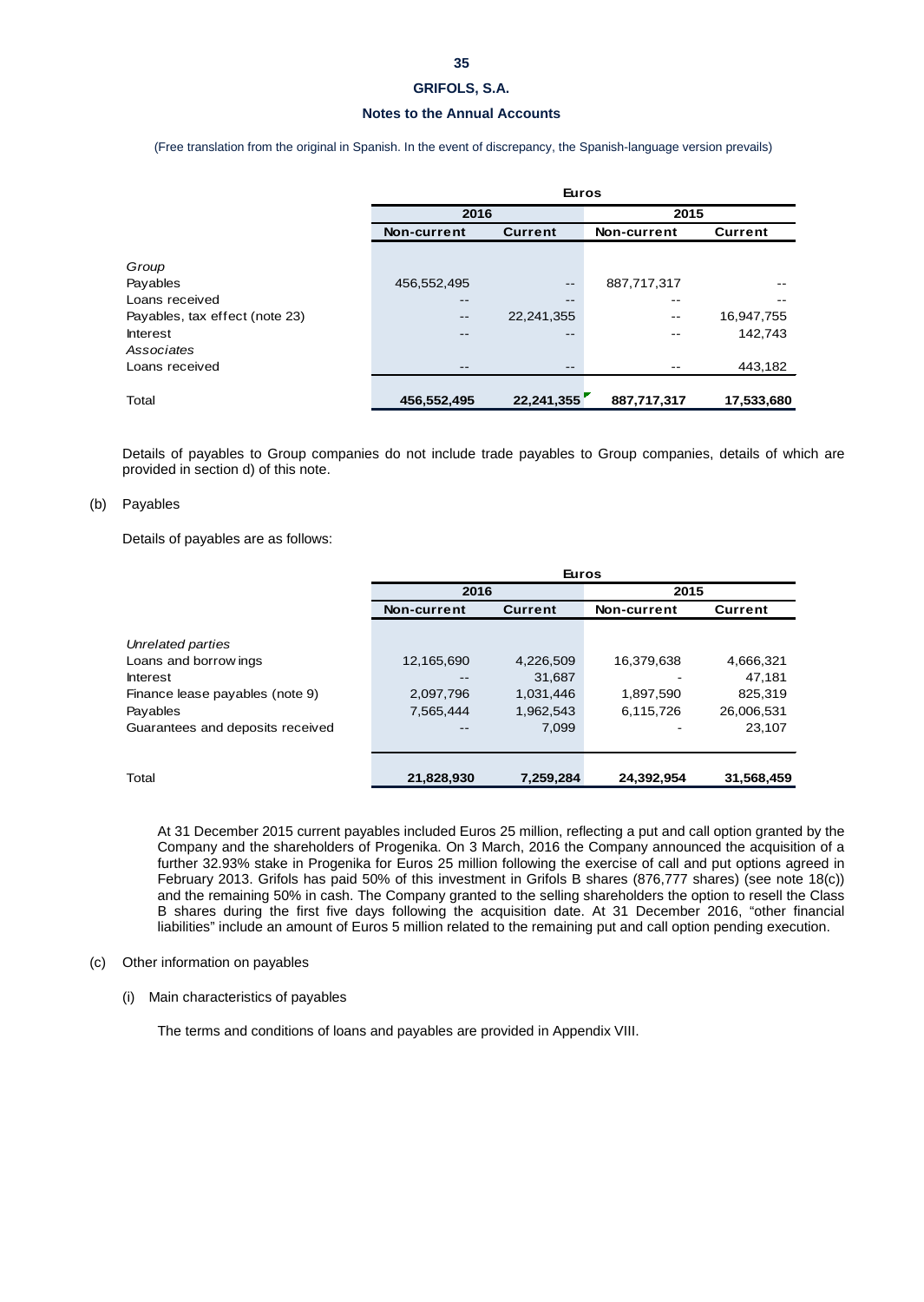## **Notes to the Annual Accounts**

(Free translation from the original in Spanish. In the event of discrepancy, the Spanish-language version prevails)

|                                | <b>Euros</b> |                |             |                |  |  |
|--------------------------------|--------------|----------------|-------------|----------------|--|--|
|                                | 2016         |                | 2015        |                |  |  |
|                                | Non-current  | <b>Current</b> | Non-current | <b>Current</b> |  |  |
|                                |              |                |             |                |  |  |
| Group                          |              |                |             |                |  |  |
| Payables                       | 456,552,495  | $- -$          | 887,717,317 |                |  |  |
| Loans received                 | --           | $- -$          | --          |                |  |  |
| Payables, tax effect (note 23) | $- -$        | 22,241,355     | --          | 16,947,755     |  |  |
| <b>Interest</b>                |              | $- -$          |             | 142,743        |  |  |
| Associates                     |              |                |             |                |  |  |
| Loans received                 | --           | $- -$          |             | 443,182        |  |  |
|                                |              |                |             |                |  |  |
| Total                          | 456,552,495  | 22,241,355     | 887,717,317 | 17,533,680     |  |  |

Details of payables to Group companies do not include trade payables to Group companies, details of which are provided in section d) of this note.

### (b) Payables

Details of payables are as follows:

|                                  | <b>Euros</b> |                |             |            |  |
|----------------------------------|--------------|----------------|-------------|------------|--|
|                                  | 2016         |                | 2015        |            |  |
|                                  | Non-current  | <b>Current</b> | Non-current | Current    |  |
|                                  |              |                |             |            |  |
| Unrelated parties                |              |                |             |            |  |
| Loans and borrow ings            | 12,165,690   | 4,226,509      | 16,379,638  | 4,666,321  |  |
| <b>Interest</b>                  |              | 31,687         |             | 47,181     |  |
| Finance lease payables (note 9)  | 2,097,796    | 1,031,446      | 1,897,590   | 825.319    |  |
| Payables                         | 7,565,444    | 1,962,543      | 6,115,726   | 26,006,531 |  |
| Guarantees and deposits received |              | 7,099          |             | 23,107     |  |
|                                  |              |                |             |            |  |
|                                  |              |                |             |            |  |
| Total                            | 21,828,930   | 7.259.284      | 24.392.954  | 31,568,459 |  |

At 31 December 2015 current payables included Euros 25 million, reflecting a put and call option granted by the Company and the shareholders of Progenika. On 3 March, 2016 the Company announced the acquisition of a further 32.93% stake in Progenika for Euros 25 million following the exercise of call and put options agreed in February 2013. Grifols has paid 50% of this investment in Grifols B shares (876,777 shares) (see note 18(c)) and the remaining 50% in cash. The Company granted to the selling shareholders the option to resell the Class B shares during the first five days following the acquisition date. At 31 December 2016, "other financial liabilities" include an amount of Euros 5 million related to the remaining put and call option pending execution.

### (c) Other information on payables

(i) Main characteristics of payables

The terms and conditions of loans and payables are provided in Appendix VIII.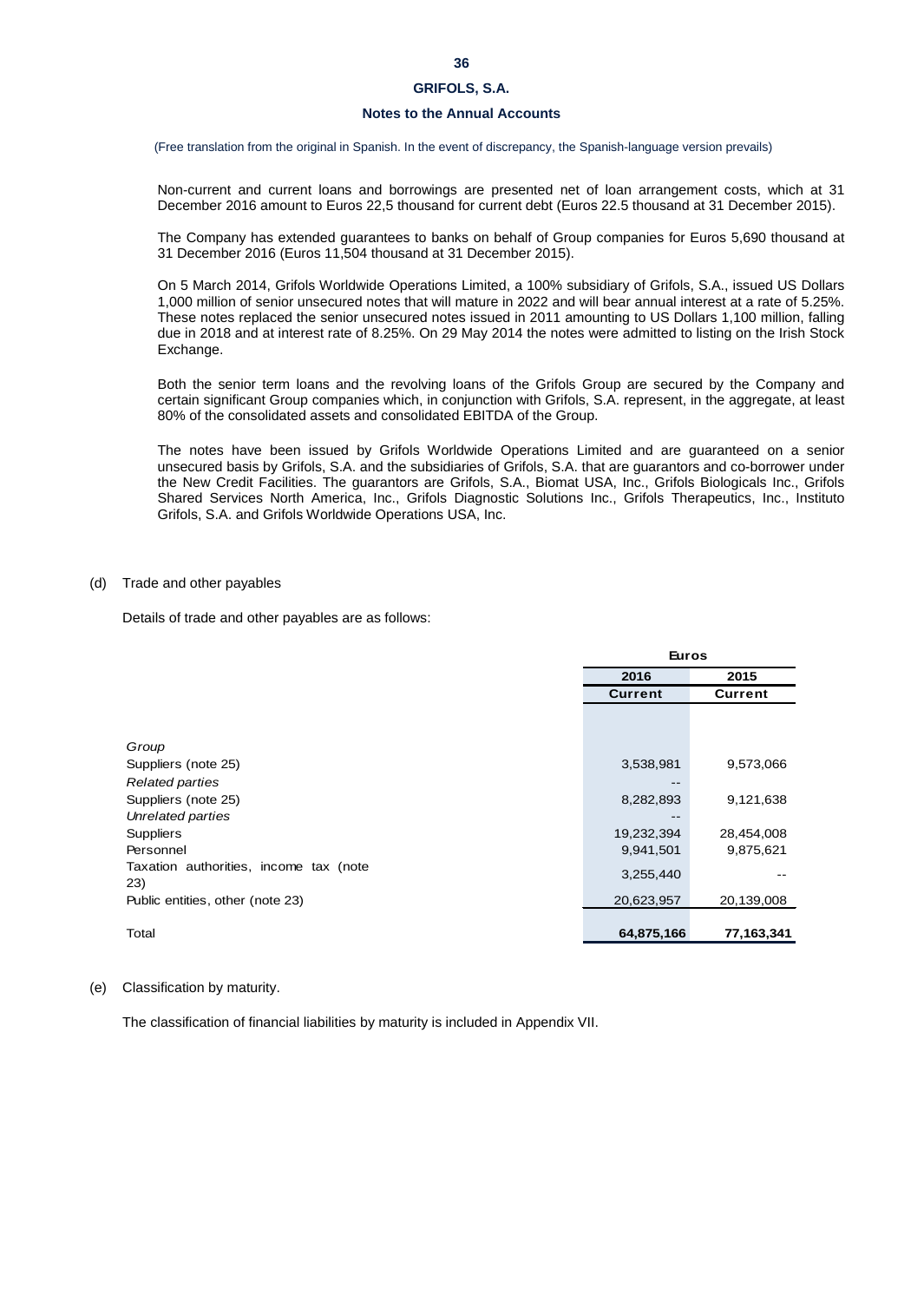### **Notes to the Annual Accounts**

(Free translation from the original in Spanish. In the event of discrepancy, the Spanish-language version prevails)

Non-current and current loans and borrowings are presented net of loan arrangement costs, which at 31 December 2016 amount to Euros 22,5 thousand for current debt (Euros 22.5 thousand at 31 December 2015).

The Company has extended guarantees to banks on behalf of Group companies for Euros 5,690 thousand at 31 December 2016 (Euros 11,504 thousand at 31 December 2015).

On 5 March 2014, Grifols Worldwide Operations Limited, a 100% subsidiary of Grifols, S.A., issued US Dollars 1,000 million of senior unsecured notes that will mature in 2022 and will bear annual interest at a rate of 5.25%. These notes replaced the senior unsecured notes issued in 2011 amounting to US Dollars 1,100 million, falling due in 2018 and at interest rate of 8.25%. On 29 May 2014 the notes were admitted to listing on the Irish Stock Exchange.

Both the senior term loans and the revolving loans of the Grifols Group are secured by the Company and certain significant Group companies which, in conjunction with Grifols, S.A. represent, in the aggregate, at least 80% of the consolidated assets and consolidated EBITDA of the Group.

The notes have been issued by Grifols Worldwide Operations Limited and are guaranteed on a senior unsecured basis by Grifols, S.A. and the subsidiaries of Grifols, S.A. that are guarantors and co-borrower under the New Credit Facilities. The guarantors are Grifols, S.A., Biomat USA, Inc., Grifols Biologicals Inc., Grifols Shared Services North America, Inc., Grifols Diagnostic Solutions Inc., Grifols Therapeutics, Inc., Instituto Grifols, S.A. and Grifols Worldwide Operations USA, Inc.

#### (d) Trade and other payables

Details of trade and other payables are as follows:

| 2016<br>2015<br><b>Current</b><br><b>Current</b><br>9,573,066<br>3,538,981 |  |
|----------------------------------------------------------------------------|--|
|                                                                            |  |
| Group<br>Suppliers (note 25)                                               |  |
|                                                                            |  |
|                                                                            |  |
|                                                                            |  |
|                                                                            |  |
| <b>Related parties</b><br>--                                               |  |
| 8,282,893<br>9,121,638<br>Suppliers (note 25)                              |  |
| Unrelated parties                                                          |  |
| <b>Suppliers</b><br>19,232,394<br>28,454,008                               |  |
| 9,875,621<br>Personnel<br>9,941,501                                        |  |
| Taxation authorities, income tax (note<br>3,255,440                        |  |
| 23)                                                                        |  |
| Public entities, other (note 23)<br>20,623,957<br>20,139,008               |  |
|                                                                            |  |
| Total<br>64,875,166<br>77,163,341                                          |  |

#### (e) Classification by maturity.

The classification of financial liabilities by maturity is included in Appendix VII.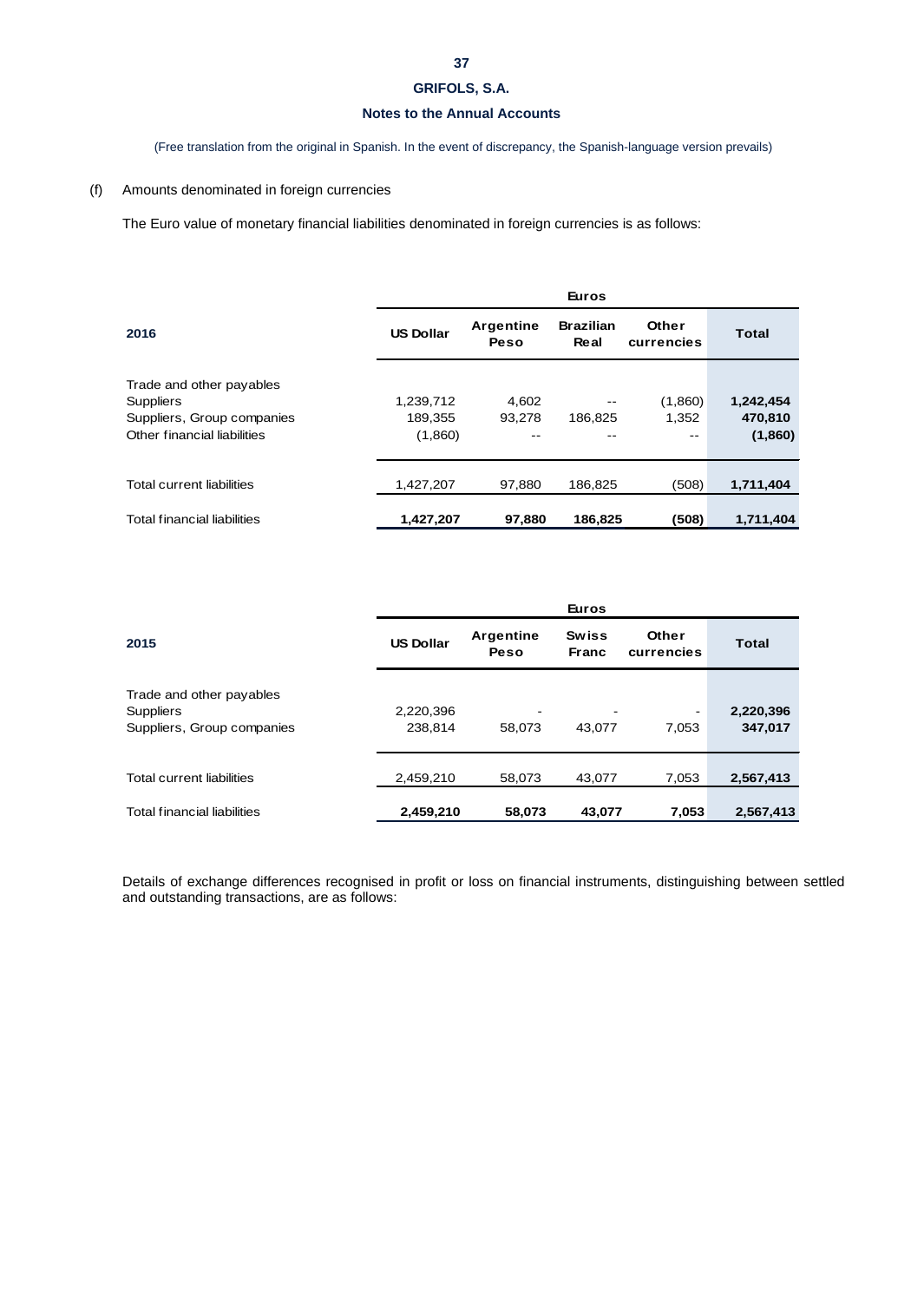# **37**

# **GRIFOLS, S.A.**

# **Notes to the Annual Accounts**

(Free translation from the original in Spanish. In the event of discrepancy, the Spanish-language version prevails)

# (f) Amounts denominated in foreign currencies

The Euro value of monetary financial liabilities denominated in foreign currencies is as follows:

|                                    | <b>Euros</b>     |                   |                          |                     |              |  |  |
|------------------------------------|------------------|-------------------|--------------------------|---------------------|--------------|--|--|
| 2016                               | <b>US Dollar</b> | Argentine<br>Peso | <b>Brazilian</b><br>Real | Other<br>currencies | <b>Total</b> |  |  |
| Trade and other payables           |                  |                   |                          |                     |              |  |  |
| <b>Suppliers</b>                   | 1,239,712        | 4,602             |                          | (1,860)             | 1,242,454    |  |  |
| Suppliers, Group companies         | 189,355          | 93.278            | 186.825                  | 1.352               | 470,810      |  |  |
| Other financial liabilities        | (1,860)          |                   |                          | --                  | (1,860)      |  |  |
| Total current liabilities          | 1,427,207        | 97.880            | 186.825                  | (508)               | 1,711,404    |  |  |
| <b>Total financial liabilities</b> | 1,427,207        | 97,880            | 186,825                  | (508)               | 1,711,404    |  |  |

|                                                                            |                      |                          | <b>Euros</b>                       |                                   |                      |
|----------------------------------------------------------------------------|----------------------|--------------------------|------------------------------------|-----------------------------------|----------------------|
| 2015                                                                       | <b>US Dollar</b>     | <b>Argentine</b><br>Peso | <b>Swiss</b><br><b>Franc</b>       | Other<br>currencies               | <b>Total</b>         |
| Trade and other payables<br><b>Suppliers</b><br>Suppliers, Group companies | 2,220,396<br>238,814 | -<br>58,073              | $\overline{\phantom{a}}$<br>43,077 | $\overline{\phantom{a}}$<br>7,053 | 2,220,396<br>347,017 |
| <b>Total current liabilities</b>                                           | 2,459,210            | 58,073                   | 43,077                             | 7,053                             | 2,567,413            |
| <b>Total financial liabilities</b>                                         | 2,459,210            | 58,073                   | 43,077                             | 7,053                             | 2,567,413            |

Details of exchange differences recognised in profit or loss on financial instruments, distinguishing between settled and outstanding transactions, are as follows: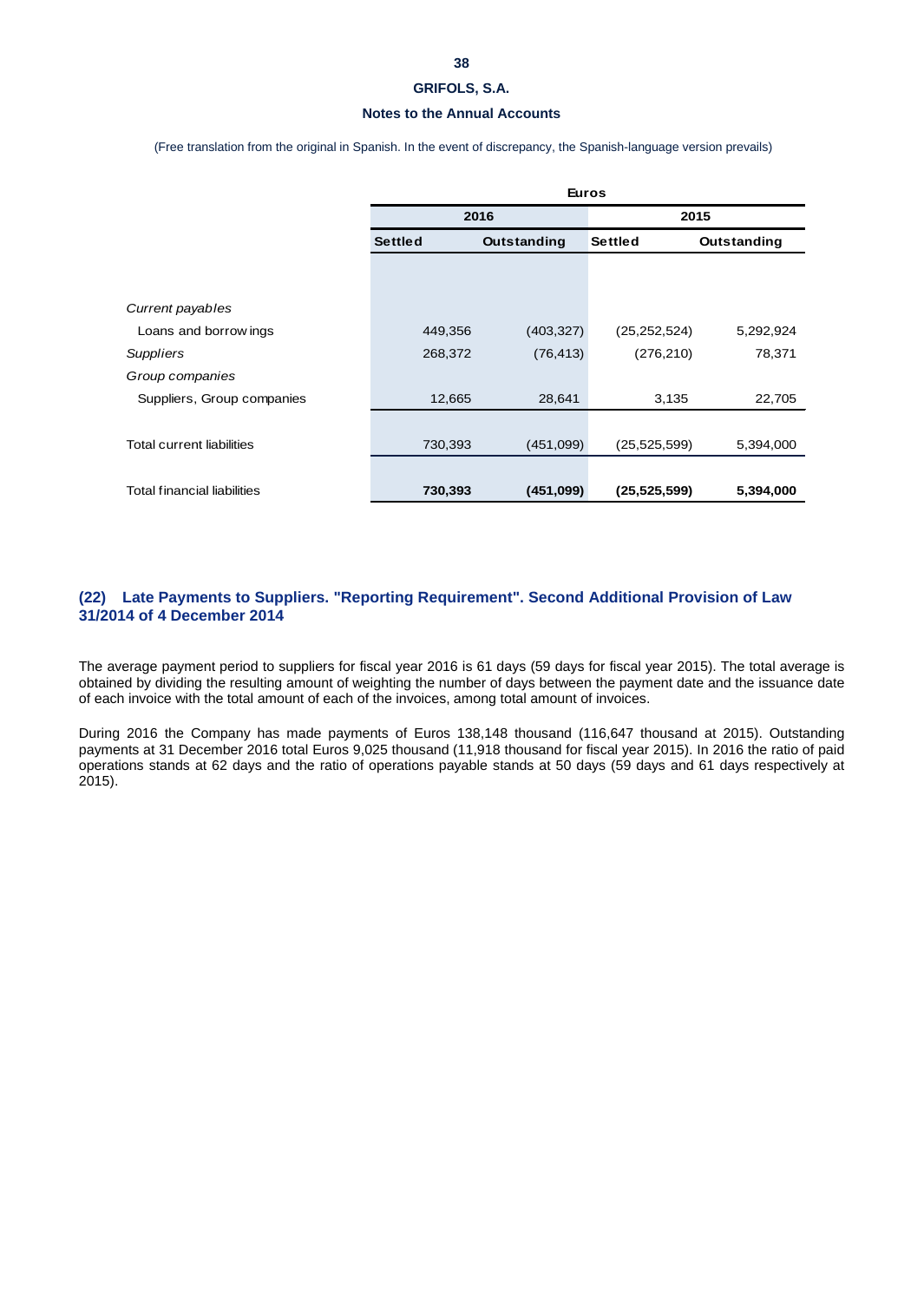## **Notes to the Annual Accounts**

(Free translation from the original in Spanish. In the event of discrepancy, the Spanish-language version prevails)

|                                    | <b>Euros</b>   |             |                |             |  |
|------------------------------------|----------------|-------------|----------------|-------------|--|
|                                    |                | 2016        | 2015           |             |  |
|                                    | <b>Settled</b> | Outstanding | <b>Settled</b> | Outstanding |  |
|                                    |                |             |                |             |  |
|                                    |                |             |                |             |  |
| Current payables                   |                |             |                |             |  |
| Loans and borrow ings              | 449,356        | (403, 327)  | (25,252,524)   | 5,292,924   |  |
| <b>Suppliers</b>                   | 268,372        | (76, 413)   | (276, 210)     | 78,371      |  |
| Group companies                    |                |             |                |             |  |
| Suppliers, Group companies         | 12,665         | 28,641      | 3,135          | 22,705      |  |
|                                    |                |             |                |             |  |
| Total current liabilities          | 730,393        | (451,099)   | (25, 525, 599) | 5,394,000   |  |
|                                    |                |             |                |             |  |
| <b>Total financial liabilities</b> | 730,393        | (451,099)   | (25, 525, 599) | 5,394,000   |  |

# **(22) Late Payments to Suppliers. "Reporting Requirement". Second Additional Provision of Law 31/2014 of 4 December 2014**

The average payment period to suppliers for fiscal year 2016 is 61 days (59 days for fiscal year 2015). The total average is obtained by dividing the resulting amount of weighting the number of days between the payment date and the issuance date of each invoice with the total amount of each of the invoices, among total amount of invoices.

During 2016 the Company has made payments of Euros 138,148 thousand (116,647 thousand at 2015). Outstanding payments at 31 December 2016 total Euros 9,025 thousand (11,918 thousand for fiscal year 2015). In 2016 the ratio of paid operations stands at 62 days and the ratio of operations payable stands at 50 days (59 days and 61 days respectively at 2015).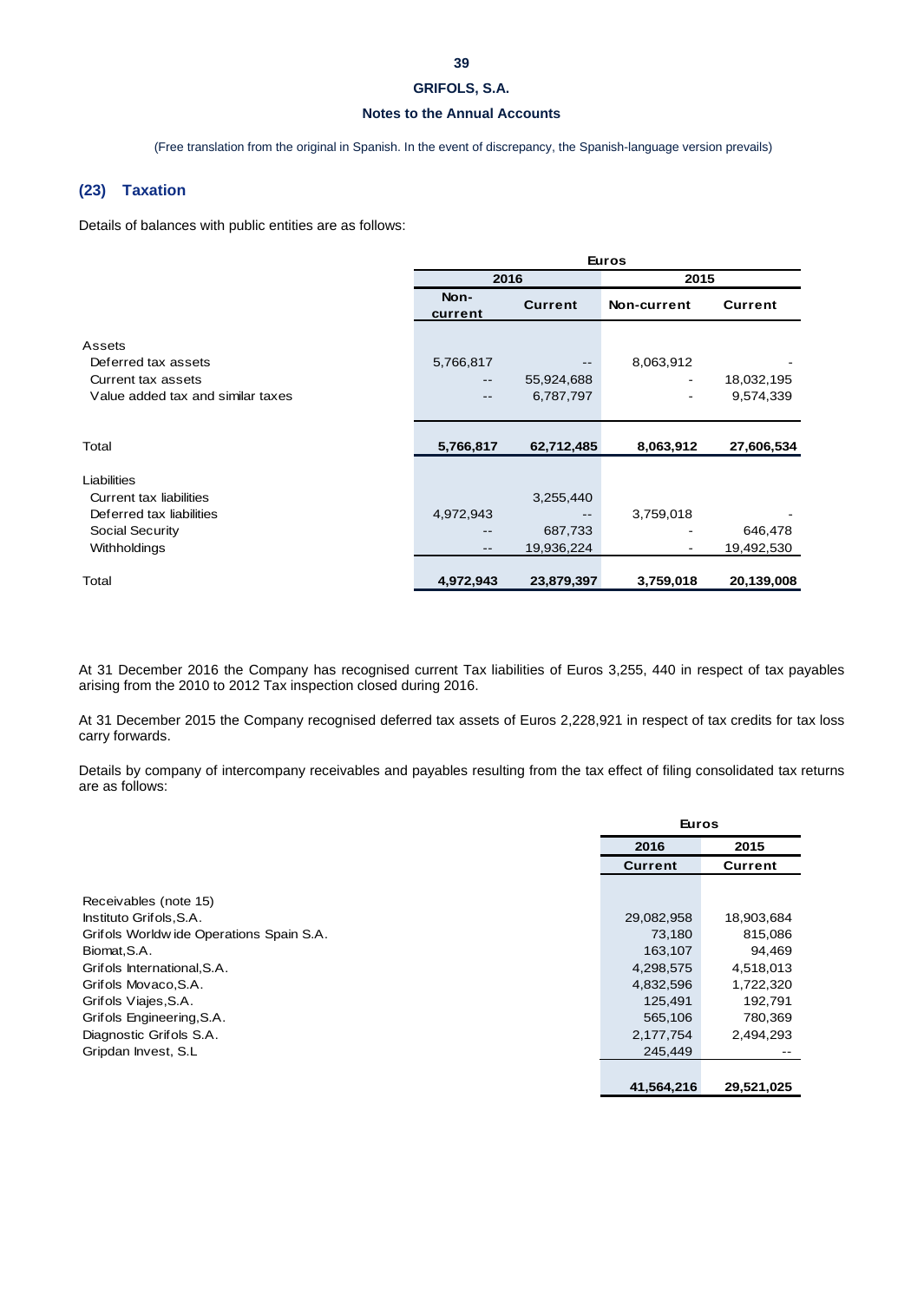# **39**

# **GRIFOLS, S.A.**

# **Notes to the Annual Accounts**

(Free translation from the original in Spanish. In the event of discrepancy, the Spanish-language version prevails)

### **(23) Taxation**

Details of balances with public entities are as follows:

|                                   | <b>Euros</b>      |                |             |                |  |
|-----------------------------------|-------------------|----------------|-------------|----------------|--|
|                                   | 2016              |                | 2015        |                |  |
|                                   | Non-<br>current   | <b>Current</b> | Non-current | <b>Current</b> |  |
| Assets                            |                   |                |             |                |  |
| Deferred tax assets               | 5,766,817         |                | 8,063,912   |                |  |
| Current tax assets                | --                | 55,924,688     |             | 18,032,195     |  |
| Value added tax and similar taxes | --                | 6,787,797      |             | 9,574,339      |  |
|                                   |                   |                |             |                |  |
| Total                             | 5,766,817         | 62,712,485     | 8,063,912   | 27,606,534     |  |
| Liabilities                       |                   |                |             |                |  |
| <b>Current tax liabilities</b>    |                   | 3,255,440      |             |                |  |
| Deferred tax liabilities          | 4,972,943         |                | 3,759,018   |                |  |
| <b>Social Security</b>            |                   | 687,733        |             | 646,478        |  |
| Withholdings                      | $\qquad \qquad -$ | 19,936,224     |             | 19,492,530     |  |
| Total                             | 4,972,943         | 23,879,397     | 3,759,018   | 20,139,008     |  |

At 31 December 2016 the Company has recognised current Tax liabilities of Euros 3,255, 440 in respect of tax payables arising from the 2010 to 2012 Tax inspection closed during 2016.

At 31 December 2015 the Company recognised deferred tax assets of Euros 2,228,921 in respect of tax credits for tax loss carry forwards.

Details by company of intercompany receivables and payables resulting from the tax effect of filing consolidated tax returns are as follows:

|                                         | <b>Euros</b>   |            |
|-----------------------------------------|----------------|------------|
|                                         | 2016           | 2015       |
|                                         | <b>Current</b> | Current    |
|                                         |                |            |
| Receivables (note 15)                   |                |            |
| Instituto Grifols, S.A.                 | 29,082,958     | 18,903,684 |
| Grifols Worldwide Operations Spain S.A. | 73,180         | 815,086    |
| Biomat, S.A.                            | 163,107        | 94,469     |
| Grifols International, S.A.             | 4,298,575      | 4,518,013  |
| Grifols Movaco, S.A.                    | 4,832,596      | 1,722,320  |
| Grifols Viajes, S.A.                    | 125,491        | 192,791    |
| Grifols Engineering, S.A.               | 565,106        | 780,369    |
| Diagnostic Grifols S.A.                 | 2,177,754      | 2,494,293  |
| Gripdan Invest, S.L.                    | 245,449        |            |
|                                         |                |            |
|                                         | 41,564,216     | 29,521,025 |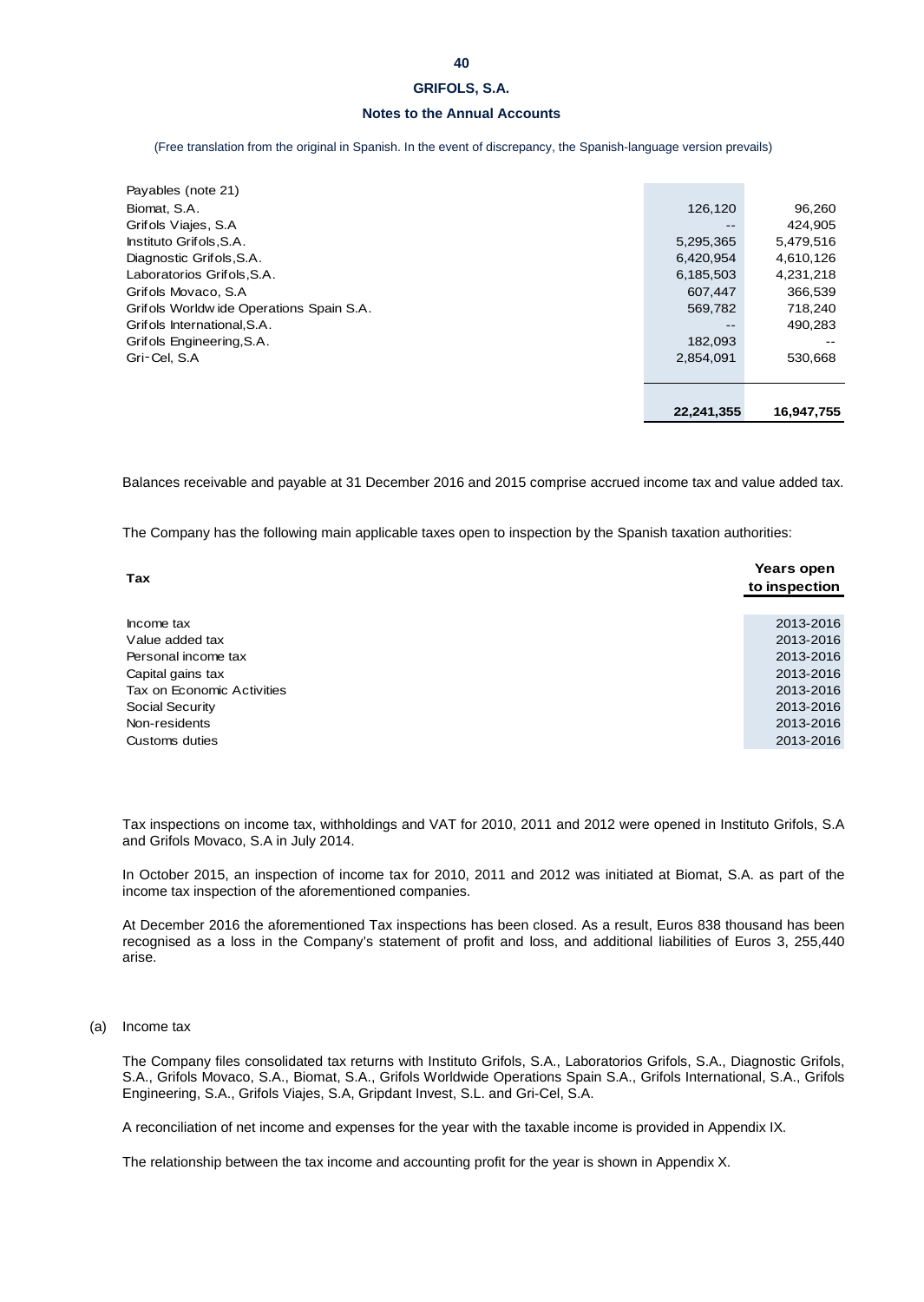# **Notes to the Annual Accounts**

(Free translation from the original in Spanish. In the event of discrepancy, the Spanish-language version prevails)

| 182,093<br>2,854,091 | --<br>530,668 |
|----------------------|---------------|
|                      |               |
|                      |               |
|                      |               |
|                      |               |
| --                   | 490,283       |
| 569,782              | 718,240       |
| 607.447              | 366,539       |
| 6,185,503            | 4,231,218     |
| 6,420,954            | 4,610,126     |
| 5,295,365            | 5,479,516     |
| --                   | 424.905       |
| 126,120              | 96,260        |
|                      |               |
|                      |               |

Balances receivable and payable at 31 December 2016 and 2015 comprise accrued income tax and value added tax.

The Company has the following main applicable taxes open to inspection by the Spanish taxation authorities:

| <b>Tax</b>                 | Years open<br>to inspection |
|----------------------------|-----------------------------|
|                            |                             |
| Income tax                 | 2013-2016                   |
| Value added tax            | 2013-2016                   |
| Personal income tax        | 2013-2016                   |
| Capital gains tax          | 2013-2016                   |
| Tax on Economic Activities | 2013-2016                   |
| Social Security            | 2013-2016                   |
| Non-residents              | 2013-2016                   |
| Customs duties             | 2013-2016                   |

Tax inspections on income tax, withholdings and VAT for 2010, 2011 and 2012 were opened in Instituto Grifols, S.A and Grifols Movaco, S.A in July 2014.

In October 2015, an inspection of income tax for 2010, 2011 and 2012 was initiated at Biomat, S.A. as part of the income tax inspection of the aforementioned companies.

At December 2016 the aforementioned Tax inspections has been closed. As a result, Euros 838 thousand has been recognised as a loss in the Company's statement of profit and loss, and additional liabilities of Euros 3, 255,440 arise.

(a) Income tax

The Company files consolidated tax returns with Instituto Grifols, S.A., Laboratorios Grifols, S.A., Diagnostic Grifols, S.A., Grifols Movaco, S.A., Biomat, S.A., Grifols Worldwide Operations Spain S.A., Grifols International, S.A., Grifols Engineering, S.A., Grifols Viajes, S.A, Gripdant Invest, S.L. and Gri-Cel, S.A.

A reconciliation of net income and expenses for the year with the taxable income is provided in Appendix IX.

The relationship between the tax income and accounting profit for the year is shown in Appendix X.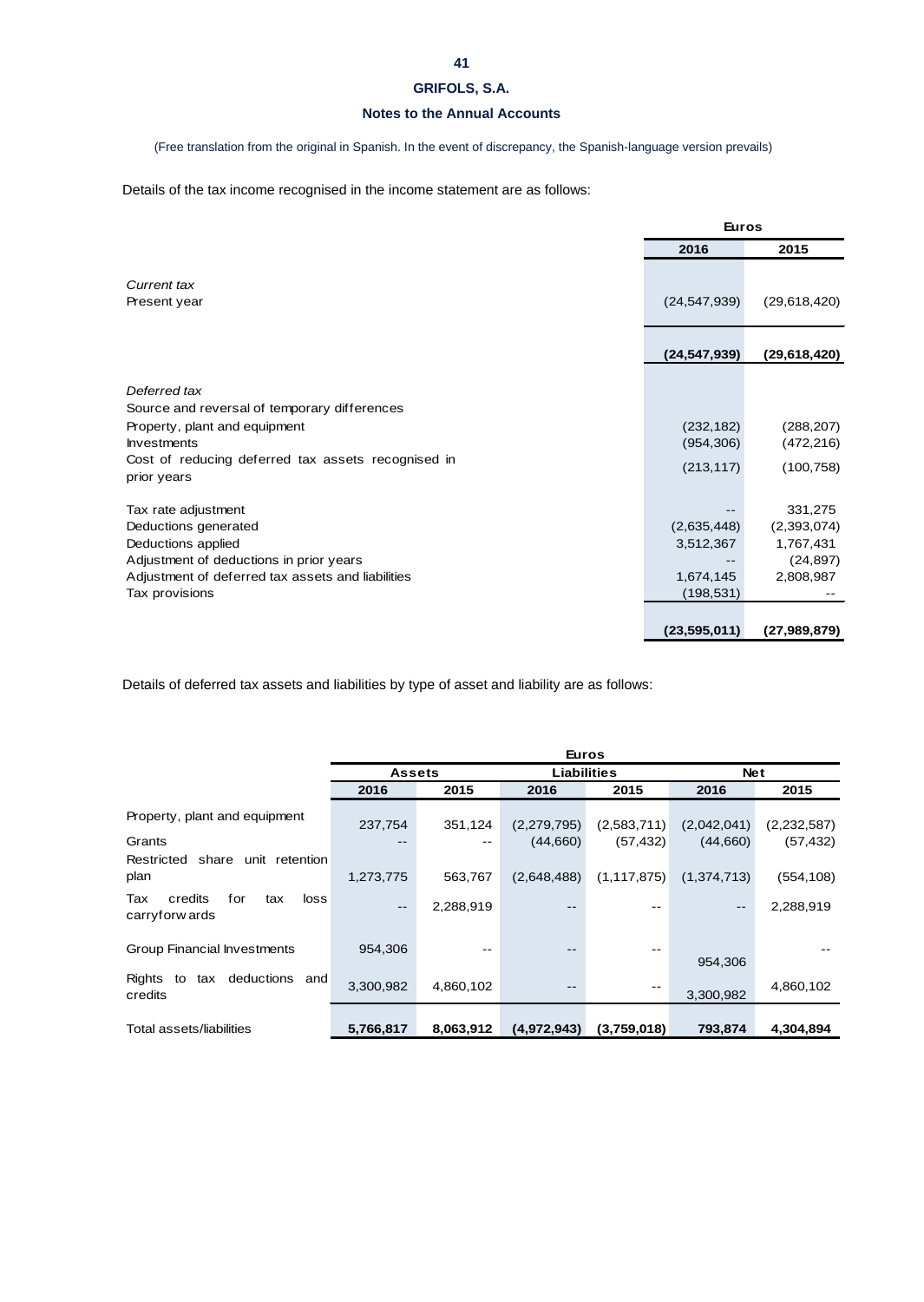# **Notes to the Annual Accounts**

(Free translation from the original in Spanish. In the event of discrepancy, the Spanish-language version prevails)

Details of the tax income recognised in the income statement are as follows:

|                                                                   | <b>Euros</b>   |              |
|-------------------------------------------------------------------|----------------|--------------|
|                                                                   | 2016           | 2015         |
| <b>Current tax</b><br>Present year                                | (24, 547, 939) | (29,618,420) |
|                                                                   | (24, 547, 939) | (29,618,420) |
| Deferred tax                                                      |                |              |
| Source and reversal of temporary differences                      |                |              |
| Property, plant and equipment                                     | (232, 182)     | (288, 207)   |
| <b>Investments</b>                                                | (954, 306)     | (472, 216)   |
| Cost of reducing deferred tax assets recognised in<br>prior years | (213, 117)     | (100, 758)   |
| Tax rate adjustment                                               |                | 331,275      |
| Deductions generated                                              | (2,635,448)    | (2,393,074)  |
| Deductions applied                                                | 3,512,367      | 1,767,431    |
| Adjustment of deductions in prior years                           |                | (24, 897)    |
| Adjustment of deferred tax assets and liabilities                 | 1,674,145      | 2,808,987    |
| Tax provisions                                                    | (198, 531)     |              |
|                                                                   |                |              |
|                                                                   | (23, 595, 011) | (27,989,879) |

Details of deferred tax assets and liabilities by type of asset and liability are as follows:

|                                                        |           |                                     | <b>Euros</b> |               |                   |             |
|--------------------------------------------------------|-----------|-------------------------------------|--------------|---------------|-------------------|-------------|
|                                                        |           | <b>Liabilities</b><br><b>Assets</b> |              | <b>Net</b>    |                   |             |
|                                                        | 2016      | 2015                                | 2016         | 2015          | 2016              | 2015        |
| Property, plant and equipment                          | 237,754   | 351,124                             | (2,279,795)  | (2,583,711)   | (2,042,041)       | (2,232,587) |
| Grants                                                 |           |                                     | (44,660)     | (57, 432)     | (44,660)          | (57, 432)   |
| Restricted share<br>unit retention                     |           |                                     |              |               |                   |             |
| plan                                                   | 1,273,775 | 563,767                             | (2,648,488)  | (1, 117, 875) | (1,374,713)       | (554, 108)  |
| credits<br>Tax<br>for<br>loss<br>tax<br>carryforw ards | $- -$     | 2,288,919                           | --           |               | $\qquad \qquad -$ | 2,288,919   |
| Group Financial Investments                            | 954,306   |                                     | $- -$        |               | 954,306           |             |
| deductions and<br>Rights<br>to<br>tax<br>credits       | 3,300,982 | 4,860,102                           |              | --            | 3,300,982         | 4,860,102   |
| Total assets/liabilities                               | 5,766,817 | 8,063,912                           | (4,972,943)  | (3,759,018)   | 793,874           | 4,304,894   |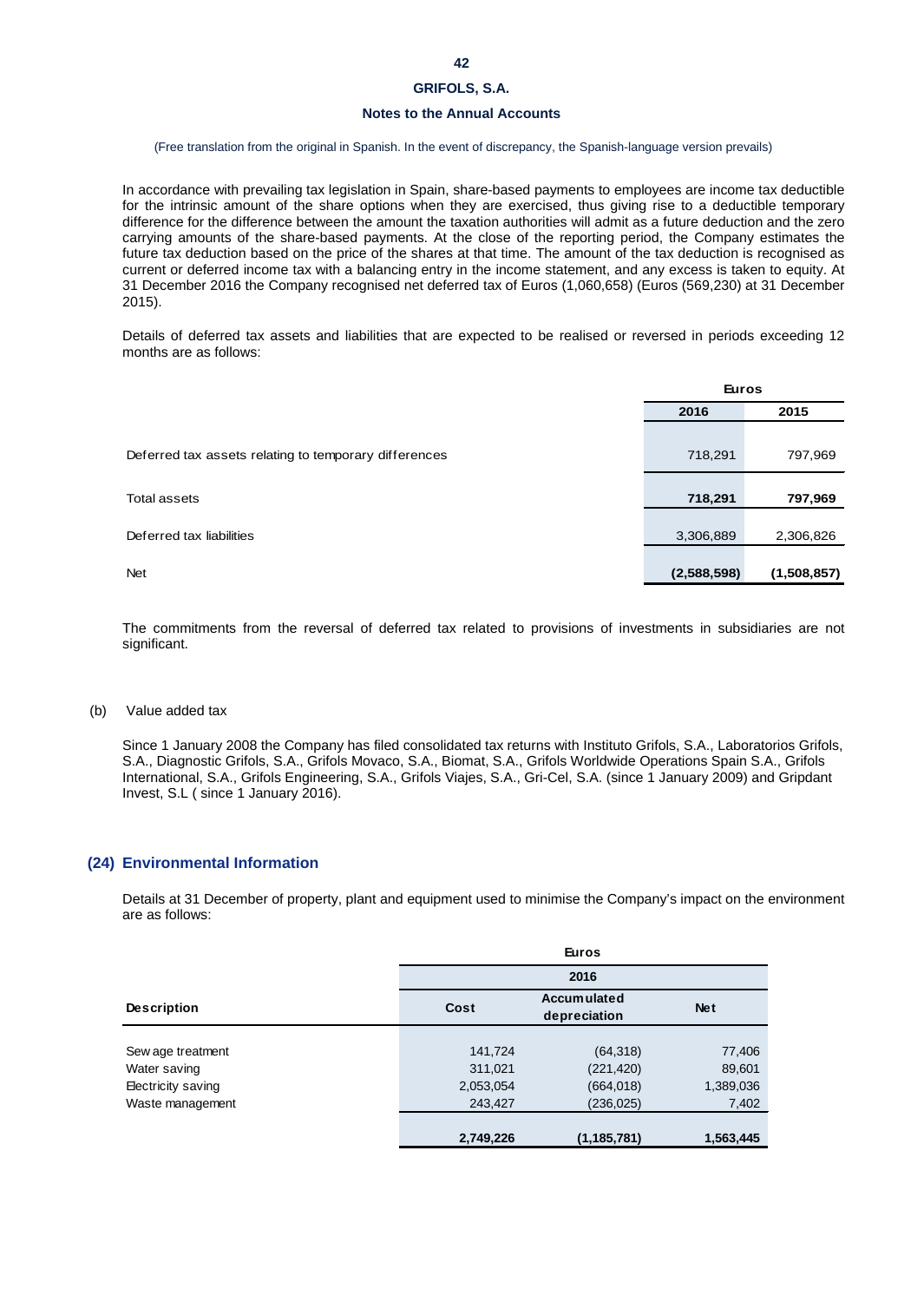# **Notes to the Annual Accounts**

#### (Free translation from the original in Spanish. In the event of discrepancy, the Spanish-language version prevails)

In accordance with prevailing tax legislation in Spain, share-based payments to employees are income tax deductible for the intrinsic amount of the share options when they are exercised, thus giving rise to a deductible temporary difference for the difference between the amount the taxation authorities will admit as a future deduction and the zero carrying amounts of the share-based payments. At the close of the reporting period, the Company estimates the future tax deduction based on the price of the shares at that time. The amount of the tax deduction is recognised as current or deferred income tax with a balancing entry in the income statement, and any excess is taken to equity. At 31 December 2016 the Company recognised net deferred tax of Euros (1,060,658) (Euros (569,230) at 31 December 2015).

Details of deferred tax assets and liabilities that are expected to be realised or reversed in periods exceeding 12 months are as follows:

|                                                       | <b>Euros</b> |             |
|-------------------------------------------------------|--------------|-------------|
|                                                       | 2016         | 2015        |
|                                                       |              |             |
| Deferred tax assets relating to temporary differences | 718,291      | 797,969     |
|                                                       |              |             |
| Total assets                                          | 718,291      | 797,969     |
|                                                       |              |             |
| Deferred tax liabilities                              | 3,306,889    | 2,306,826   |
|                                                       |              |             |
| <b>Net</b>                                            | (2,588,598)  | (1,508,857) |

The commitments from the reversal of deferred tax related to provisions of investments in subsidiaries are not significant.

#### (b) Value added tax

Since 1 January 2008 the Company has filed consolidated tax returns with Instituto Grifols, S.A., Laboratorios Grifols, S.A., Diagnostic Grifols, S.A., Grifols Movaco, S.A., Biomat, S.A., Grifols Worldwide Operations Spain S.A., Grifols International, S.A., Grifols Engineering, S.A., Grifols Viajes, S.A., Gri-Cel, S.A. (since 1 January 2009) and Gripdant Invest, S.L ( since 1 January 2016).

### **(24) Environmental Information**

Details at 31 December of property, plant and equipment used to minimise the Company's impact on the environment are as follows:

|                    |           | <b>Euros</b>                       |            |
|--------------------|-----------|------------------------------------|------------|
|                    |           | 2016                               |            |
| <b>Description</b> | Cost      | <b>Accumulated</b><br>depreciation | <b>Net</b> |
| Sew age treatment  | 141,724   | (64, 318)                          | 77,406     |
| Water saving       | 311,021   | (221, 420)                         | 89,601     |
| Electricity saving | 2,053,054 | (664, 018)                         | 1,389,036  |
| Waste management   | 243,427   | (236,025)                          | 7,402      |
|                    | 2,749,226 | (1, 185, 781)                      | 1,563,445  |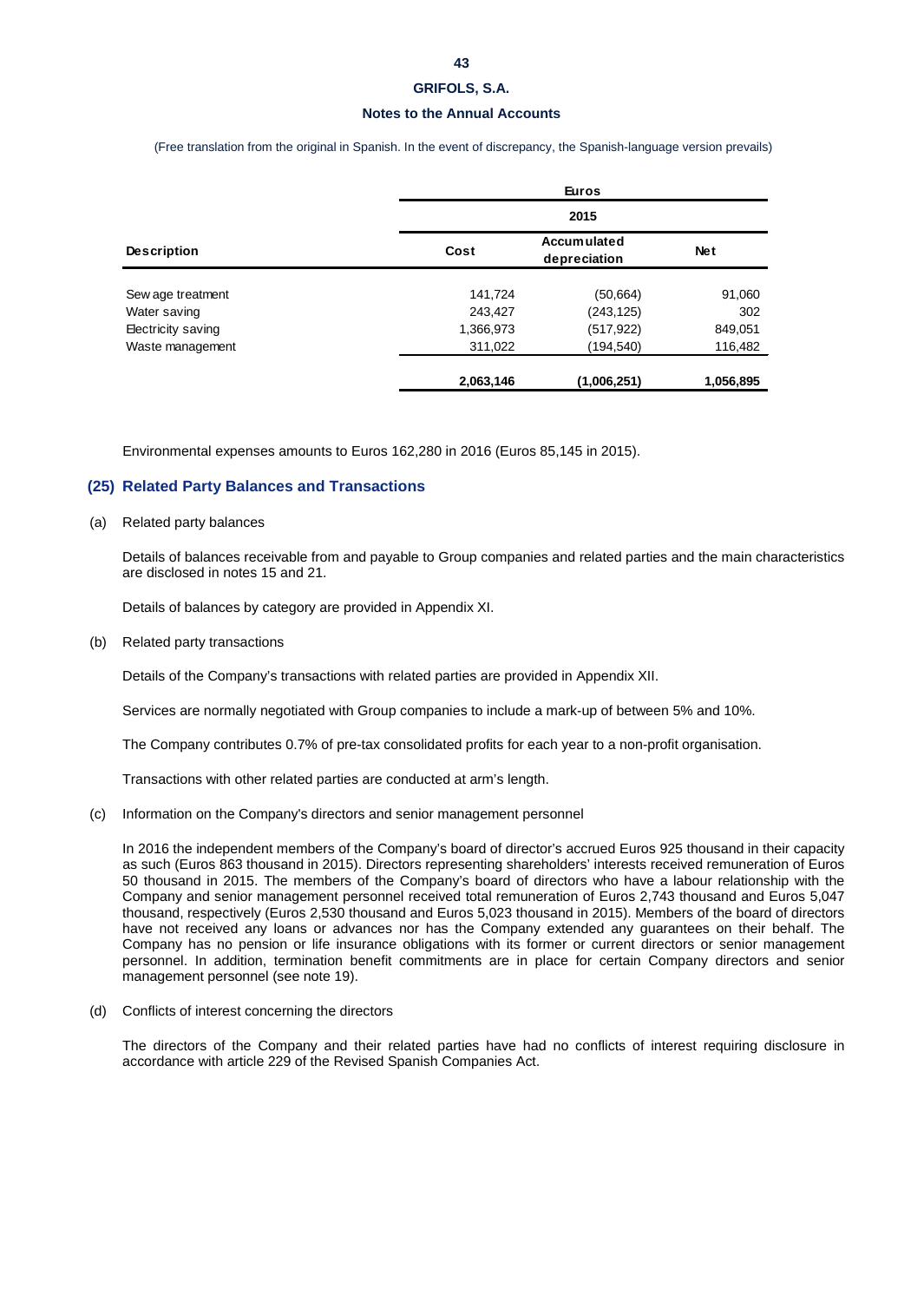#### **Notes to the Annual Accounts**

(Free translation from the original in Spanish. In the event of discrepancy, the Spanish-language version prevails)

| <b>Description</b> |           | <b>Euros</b><br>2015               |            |  |  |  |
|--------------------|-----------|------------------------------------|------------|--|--|--|
|                    |           |                                    |            |  |  |  |
|                    | Cost      | <b>Accumulated</b><br>depreciation | <b>Net</b> |  |  |  |
| Sew age treatment  | 141,724   | (50, 664)                          | 91,060     |  |  |  |
| Water saving       | 243,427   | (243, 125)                         | 302        |  |  |  |
| Electricity saving | 1,366,973 | (517,922)                          | 849,051    |  |  |  |
| Waste management   | 311,022   | (194,540)                          | 116,482    |  |  |  |
|                    | 2,063,146 | (1,006,251)                        | 1,056,895  |  |  |  |

Environmental expenses amounts to Euros 162,280 in 2016 (Euros 85,145 in 2015).

### **(25) Related Party Balances and Transactions**

#### (a) Related party balances

Details of balances receivable from and payable to Group companies and related parties and the main characteristics are disclosed in notes 15 and 21.

Details of balances by category are provided in Appendix XI.

(b) Related party transactions

Details of the Company's transactions with related parties are provided in Appendix XII.

Services are normally negotiated with Group companies to include a mark-up of between 5% and 10%.

The Company contributes 0.7% of pre-tax consolidated profits for each year to a non-profit organisation.

Transactions with other related parties are conducted at arm's length.

(c) Information on the Company's directors and senior management personnel

In 2016 the independent members of the Company's board of director's accrued Euros 925 thousand in their capacity as such (Euros 863 thousand in 2015). Directors representing shareholders' interests received remuneration of Euros 50 thousand in 2015. The members of the Company's board of directors who have a labour relationship with the Company and senior management personnel received total remuneration of Euros 2,743 thousand and Euros 5,047 thousand, respectively (Euros 2,530 thousand and Euros 5,023 thousand in 2015). Members of the board of directors have not received any loans or advances nor has the Company extended any guarantees on their behalf. The Company has no pension or life insurance obligations with its former or current directors or senior management personnel. In addition, termination benefit commitments are in place for certain Company directors and senior management personnel (see note 19).

(d) Conflicts of interest concerning the directors

The directors of the Company and their related parties have had no conflicts of interest requiring disclosure in accordance with article 229 of the Revised Spanish Companies Act.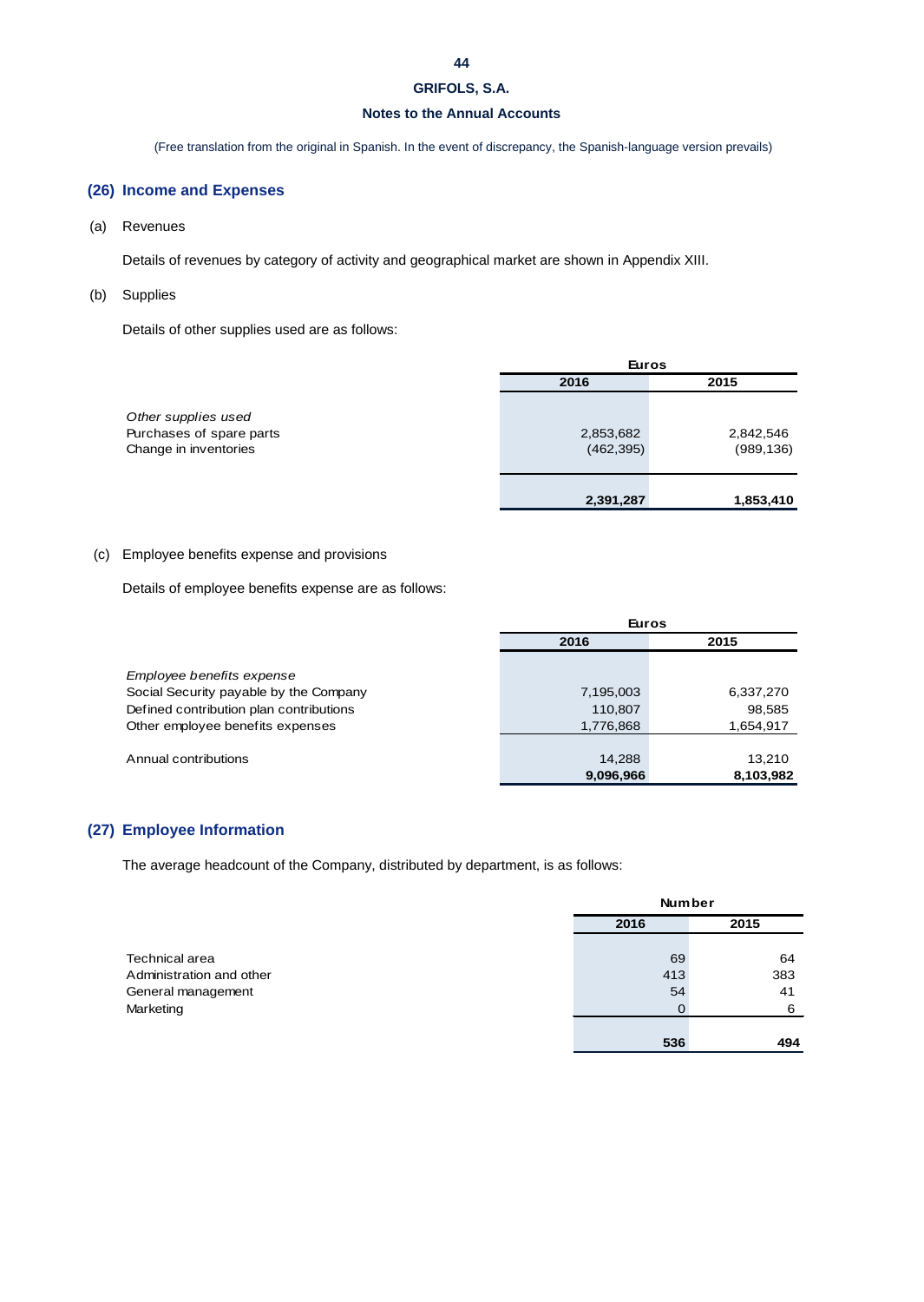# **Notes to the Annual Accounts**

(Free translation from the original in Spanish. In the event of discrepancy, the Spanish-language version prevails)

# **(26) Income and Expenses**

(a) Revenues

Details of revenues by category of activity and geographical market are shown in Appendix XIII.

(b) Supplies

Details of other supplies used are as follows:

|                                                                          | <b>Euros</b>            |                         |  |
|--------------------------------------------------------------------------|-------------------------|-------------------------|--|
|                                                                          | 2016                    | 2015                    |  |
| Other supplies used<br>Purchases of spare parts<br>Change in inventories | 2,853,682<br>(462, 395) | 2,842,546<br>(989, 136) |  |
|                                                                          | 2,391,287               | 1,853,410               |  |

### (c) Employee benefits expense and provisions

Details of employee benefits expense are as follows:

|                                         | <b>Euros</b> |           |  |
|-----------------------------------------|--------------|-----------|--|
|                                         | 2016         | 2015      |  |
|                                         |              |           |  |
| Employee benefits expense               |              |           |  |
| Social Security payable by the Company  | 7,195,003    | 6,337,270 |  |
| Defined contribution plan contributions | 110,807      | 98,585    |  |
| Other employee benefits expenses        | 1,776,868    | 1,654,917 |  |
|                                         |              |           |  |
| Annual contributions                    | 14,288       | 13.210    |  |
|                                         | 9,096,966    | 8,103,982 |  |

# **(27) Employee Information**

The average headcount of the Company, distributed by department, is as follows:

|                          | <b>Number</b> |      |  |
|--------------------------|---------------|------|--|
|                          | 2016          | 2015 |  |
| Technical area           | 69            | 64   |  |
| Administration and other | 413           | 383  |  |
| General management       | 54            | 41   |  |
| Marketing                | O             | 6    |  |
|                          |               |      |  |
|                          | 536           | 494  |  |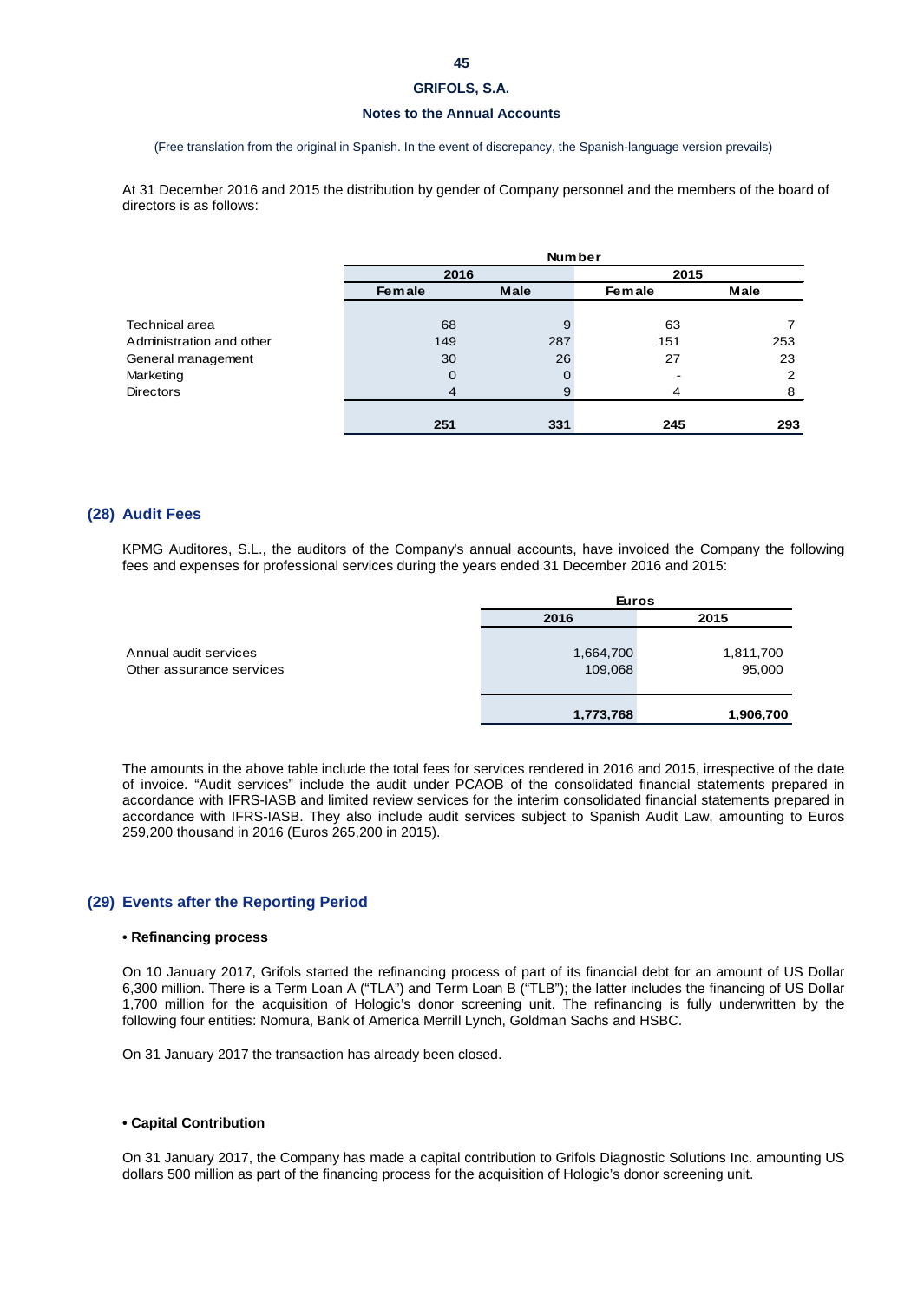#### **Notes to the Annual Accounts**

(Free translation from the original in Spanish. In the event of discrepancy, the Spanish-language version prevails)

At 31 December 2016 and 2015 the distribution by gender of Company personnel and the members of the board of directors is as follows:

|                          | <b>Number</b> |      |        |      |  |
|--------------------------|---------------|------|--------|------|--|
|                          | 2016          |      | 2015   |      |  |
|                          | Female        | Male | Female | Male |  |
|                          |               |      |        |      |  |
| Technical area           | 68            | 9    | 63     |      |  |
| Administration and other | 149           | 287  | 151    | 253  |  |
| General management       | 30            | 26   | 27     | 23   |  |
| Marketing                | 0             | 0    |        | 2    |  |
| <b>Directors</b>         | 4             | 9    | 4      | 8    |  |
|                          |               |      |        |      |  |
|                          | 251           | 331  | 245    | 293  |  |

### **(28) Audit Fees**

KPMG Auditores, S.L., the auditors of the Company's annual accounts, have invoiced the Company the following fees and expenses for professional services during the years ended 31 December 2016 and 2015:

|                                                   | <b>Euros</b>         |                     |  |  |
|---------------------------------------------------|----------------------|---------------------|--|--|
|                                                   | 2016                 | 2015                |  |  |
| Annual audit services<br>Other assurance services | 1,664,700<br>109,068 | 1,811,700<br>95,000 |  |  |
|                                                   | 1,773,768            | 1,906,700           |  |  |

The amounts in the above table include the total fees for services rendered in 2016 and 2015, irrespective of the date of invoice. "Audit services" include the audit under PCAOB of the consolidated financial statements prepared in accordance with IFRS-IASB and limited review services for the interim consolidated financial statements prepared in accordance with IFRS-IASB. They also include audit services subject to Spanish Audit Law, amounting to Euros 259,200 thousand in 2016 (Euros 265,200 in 2015).

### **(29) Events after the Reporting Period**

#### **• Refinancing process**

On 10 January 2017, Grifols started the refinancing process of part of its financial debt for an amount of US Dollar 6,300 million. There is a Term Loan A ("TLA") and Term Loan B ("TLB"); the latter includes the financing of US Dollar 1,700 million for the acquisition of Hologic's donor screening unit. The refinancing is fully underwritten by the following four entities: Nomura, Bank of America Merrill Lynch, Goldman Sachs and HSBC.

On 31 January 2017 the transaction has already been closed.

#### **• Capital Contribution**

On 31 January 2017, the Company has made a capital contribution to Grifols Diagnostic Solutions Inc. amounting US dollars 500 million as part of the financing process for the acquisition of Hologic's donor screening unit.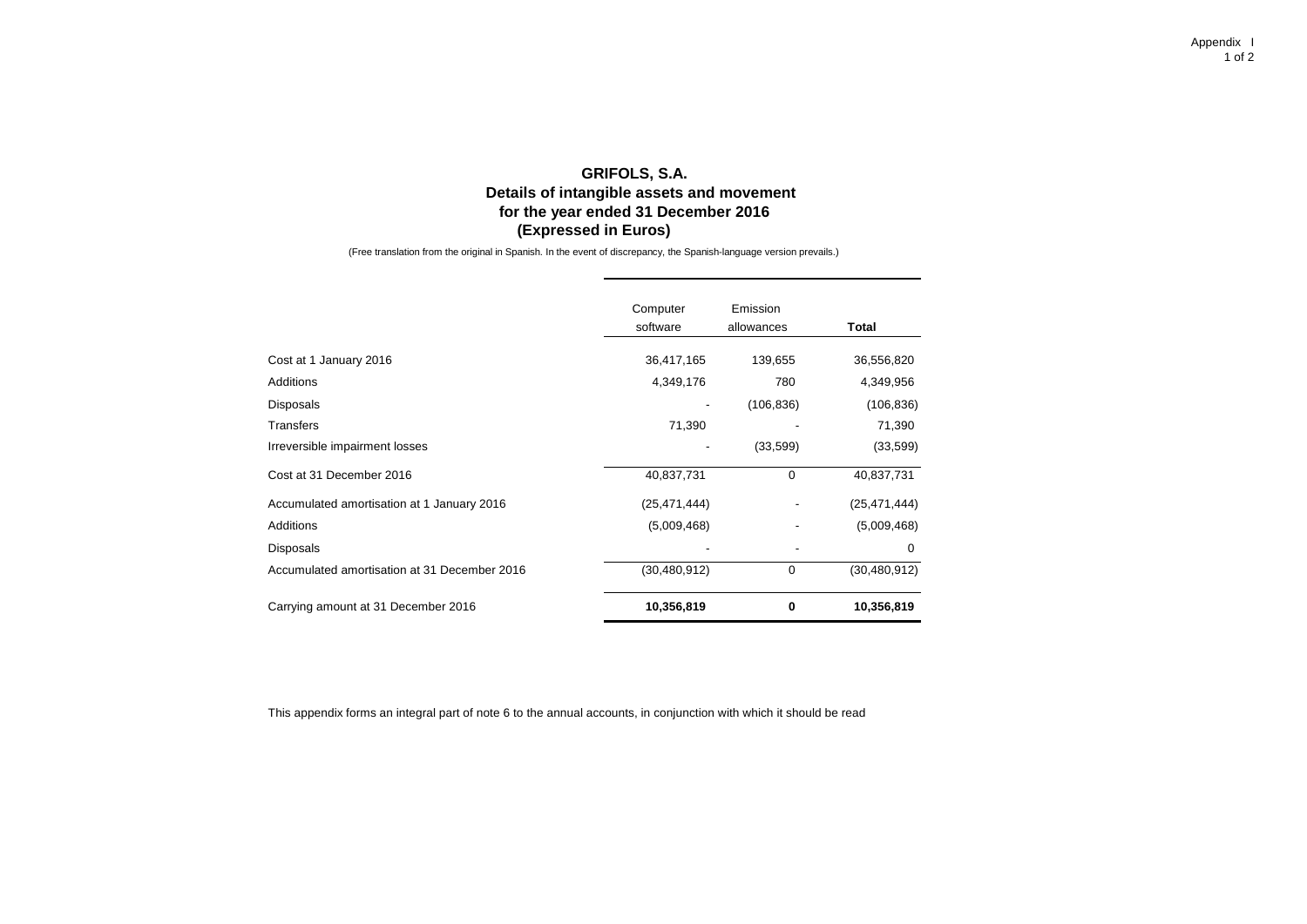# **GRIFOLS, S.A. Details of intangible assets and movement for the year ended 31 December 2016 (Expressed in Euros)**

(Free translation from the original in Spanish. In the event of discrepancy, the Spanish-language version prevails.)

|                                              | Computer<br>software | Emission<br>allowances | Total          |
|----------------------------------------------|----------------------|------------------------|----------------|
| Cost at 1 January 2016                       | 36,417,165           | 139,655                | 36,556,820     |
| Additions                                    | 4,349,176            | 780                    | 4,349,956      |
| <b>Disposals</b>                             |                      | (106, 836)             | (106, 836)     |
| <b>Transfers</b>                             | 71,390               |                        | 71,390         |
| Irreversible impairment losses               | ٠                    | (33,599)               | (33, 599)      |
| Cost at 31 December 2016                     | 40,837,731           | 0                      | 40,837,731     |
| Accumulated amortisation at 1 January 2016   | (25, 471, 444)       |                        | (25, 471, 444) |
| Additions                                    | (5,009,468)          |                        | (5,009,468)    |
| <b>Disposals</b>                             |                      |                        | $\Omega$       |
| Accumulated amortisation at 31 December 2016 | (30, 480, 912)       | 0                      | (30, 480, 912) |
| Carrying amount at 31 December 2016          | 10,356,819           | 0                      | 10,356,819     |

This appendix forms an integral part of note 6 to the annual accounts, in conjunction with which it should be read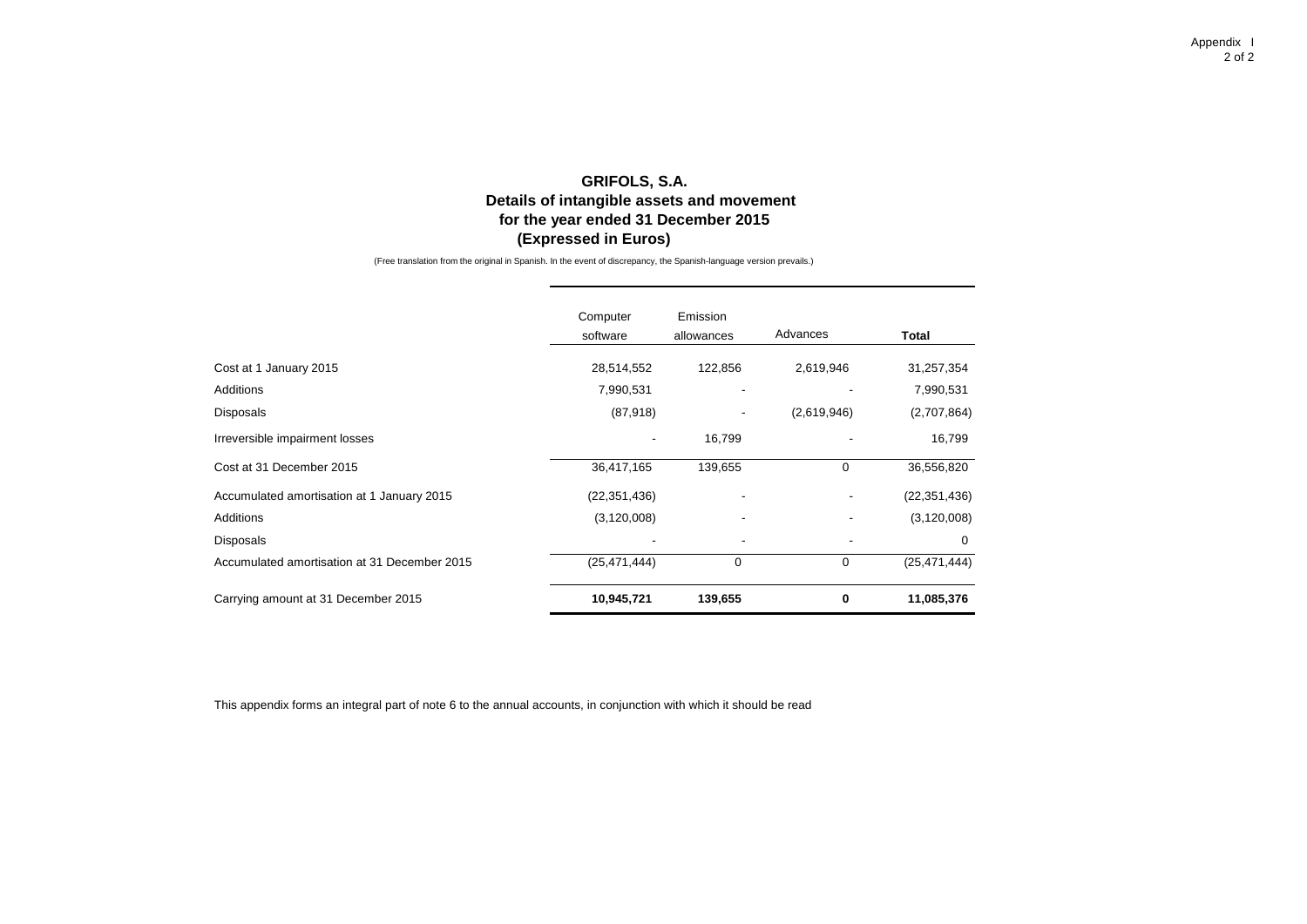# **GRIFOLS, S.A. Details of intangible assets and movement (Expressed in Euros) for the year ended 31 December 2015**

(Free translation from the original in Spanish. In the event of discrepancy, the Spanish-language version prevails.)

|                                              | Computer<br>software | Emission<br>allowances | Advances    | Total          |
|----------------------------------------------|----------------------|------------------------|-------------|----------------|
| Cost at 1 January 2015                       | 28,514,552           | 122,856                | 2,619,946   | 31,257,354     |
| Additions                                    | 7,990,531            |                        |             | 7,990,531      |
| Disposals                                    | (87, 918)            |                        | (2,619,946) | (2,707,864)    |
| Irreversible impairment losses               |                      | 16,799                 |             | 16,799         |
| Cost at 31 December 2015                     | 36,417,165           | 139,655                | $\mathbf 0$ | 36,556,820     |
| Accumulated amortisation at 1 January 2015   | (22, 351, 436)       |                        |             | (22, 351, 436) |
| Additions                                    | (3, 120, 008)        |                        |             | (3, 120, 008)  |
| Disposals                                    |                      |                        |             | 0              |
| Accumulated amortisation at 31 December 2015 | (25, 471, 444)       | $\mathbf 0$            | $\mathbf 0$ | (25, 471, 444) |
| Carrying amount at 31 December 2015          | 10,945,721           | 139,655                | 0           | 11,085,376     |

This appendix forms an integral part of note 6 to the annual accounts, in conjunction with which it should be read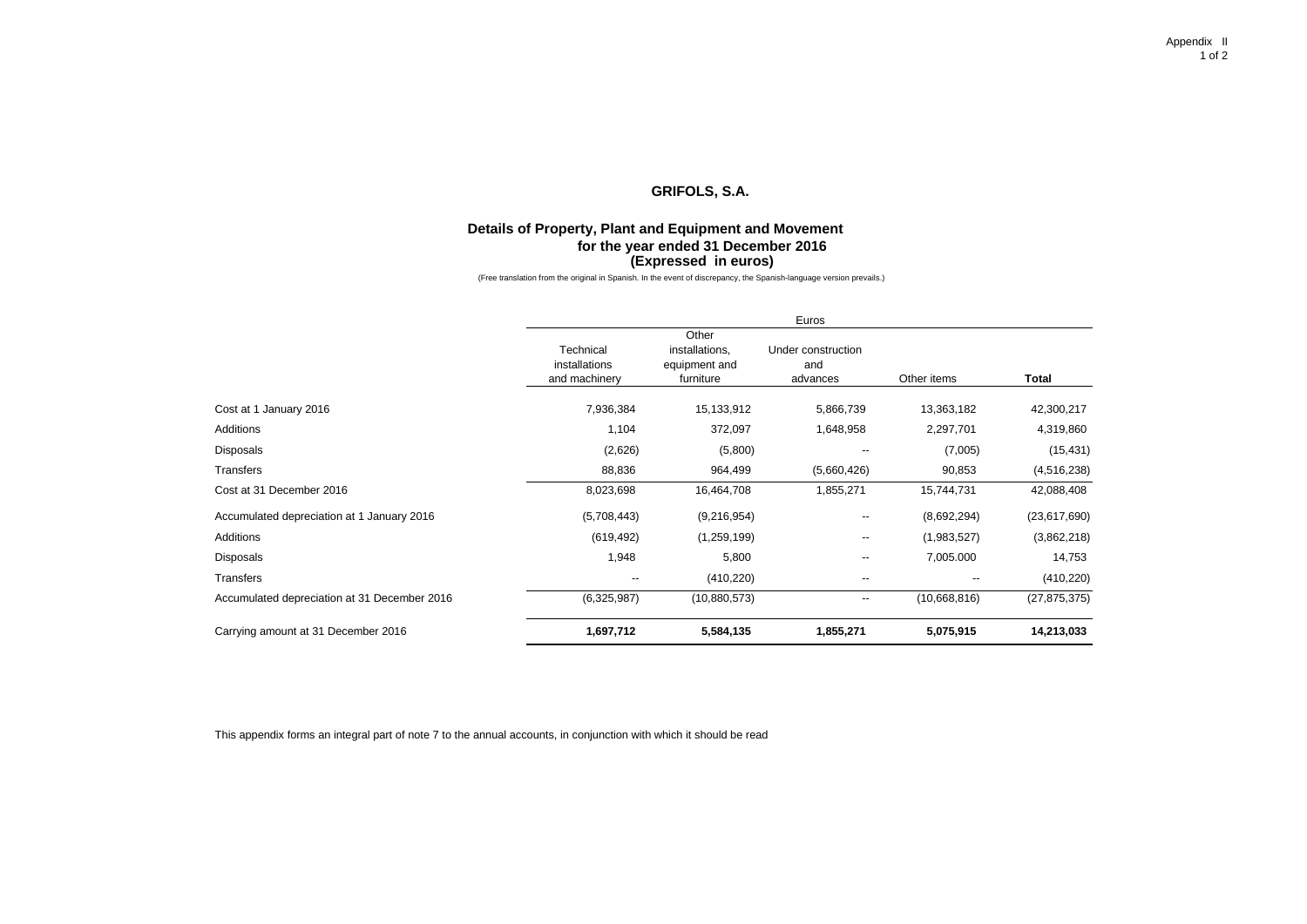## **Details of Property, Plant and Equipment and Movement for the year ended 31 December 2016 (Expressed in euros)**

(Free translation from the original in Spanish. In the event of discrepancy, the Spanish-language version prevails.)

|                                              | Euros                                       |                                                       |                                       |                          |                |
|----------------------------------------------|---------------------------------------------|-------------------------------------------------------|---------------------------------------|--------------------------|----------------|
|                                              | Technical<br>installations<br>and machinery | Other<br>installations,<br>equipment and<br>furniture | Under construction<br>and<br>advances | Other items              | Total          |
| Cost at 1 January 2016                       | 7,936,384                                   | 15,133,912                                            | 5,866,739                             | 13,363,182               | 42,300,217     |
| Additions                                    | 1,104                                       | 372,097                                               | 1,648,958                             | 2,297,701                | 4,319,860      |
| Disposals                                    | (2,626)                                     | (5,800)                                               | $\overline{\phantom{a}}$              | (7,005)                  | (15, 431)      |
| Transfers                                    | 88,836                                      | 964,499                                               | (5,660,426)                           | 90,853                   | (4,516,238)    |
| Cost at 31 December 2016                     | 8,023,698                                   | 16,464,708                                            | 1,855,271                             | 15,744,731               | 42,088,408     |
| Accumulated depreciation at 1 January 2016   | (5,708,443)                                 | (9,216,954)                                           | --                                    | (8,692,294)              | (23,617,690)   |
| Additions                                    | (619, 492)                                  | (1,259,199)                                           | $\overline{\phantom{a}}$              | (1,983,527)              | (3,862,218)    |
| Disposals                                    | 1,948                                       | 5,800                                                 | --                                    | 7,005.000                | 14,753         |
| Transfers                                    | --                                          | (410, 220)                                            | --                                    | $\overline{\phantom{a}}$ | (410, 220)     |
| Accumulated depreciation at 31 December 2016 | (6,325,987)                                 | (10,880,573)                                          | --                                    | (10,668,816)             | (27, 875, 375) |
| Carrying amount at 31 December 2016          | 1,697,712                                   | 5,584,135                                             | 1,855,271                             | 5,075,915                | 14,213,033     |

This appendix forms an integral part of note 7 to the annual accounts, in conjunction with which it should be read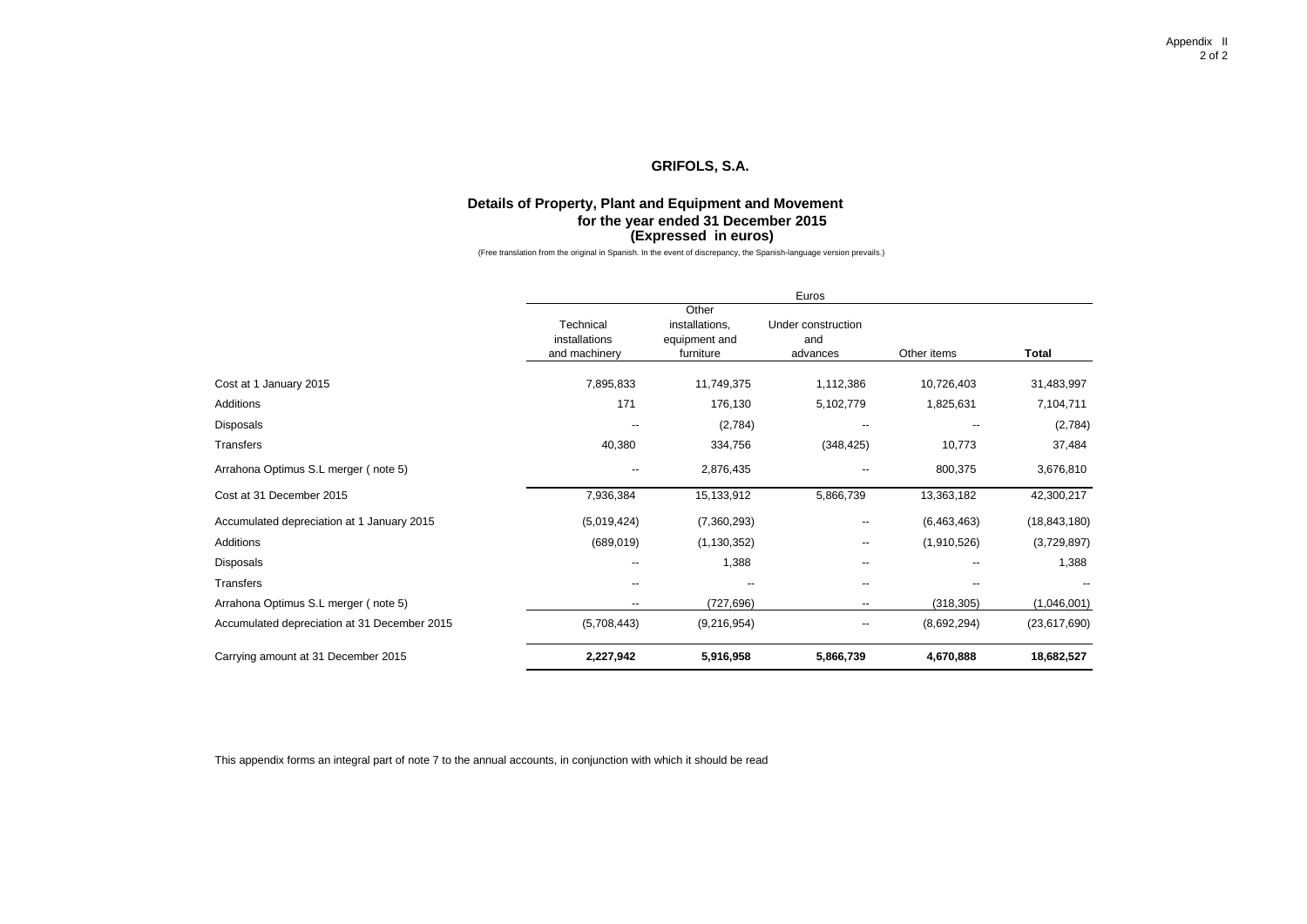### **Details of Property, Plant and Equipment and Movement for the year ended 31 December 2015 (Expressed in euros)**

(Free translation from the original in Spanish. In the event of discrepancy, the Spanish-language version prevails.)

|                                              | Euros                                       |                                                       |                                       |                          |                |
|----------------------------------------------|---------------------------------------------|-------------------------------------------------------|---------------------------------------|--------------------------|----------------|
|                                              | Technical<br>installations<br>and machinery | Other<br>installations,<br>equipment and<br>furniture | Under construction<br>and<br>advances | Other items              | Total          |
| Cost at 1 January 2015                       | 7,895,833                                   | 11,749,375                                            | 1,112,386                             | 10,726,403               | 31,483,997     |
| Additions                                    | 171                                         | 176,130                                               | 5,102,779                             | 1,825,631                | 7,104,711      |
| Disposals                                    |                                             | (2,784)                                               | --                                    | $\overline{\phantom{a}}$ | (2,784)        |
| Transfers                                    | 40,380                                      | 334,756                                               | (348, 425)                            | 10,773                   | 37,484         |
| Arrahona Optimus S.L merger (note 5)         | $\overline{\phantom{a}}$                    | 2,876,435                                             | --                                    | 800,375                  | 3,676,810      |
| Cost at 31 December 2015                     | 7,936,384                                   | 15,133,912                                            | 5,866,739                             | 13,363,182               | 42,300,217     |
| Accumulated depreciation at 1 January 2015   | (5,019,424)                                 | (7,360,293)                                           | --                                    | (6,463,463)              | (18, 843, 180) |
| Additions                                    | (689, 019)                                  | (1, 130, 352)                                         | --                                    | (1,910,526)              | (3,729,897)    |
| Disposals                                    |                                             | 1,388                                                 | $\overline{\phantom{a}}$              |                          | 1,388          |
| Transfers                                    |                                             | --                                                    | --                                    |                          |                |
| Arrahona Optimus S.L merger (note 5)         | --                                          | (727, 696)                                            | --                                    | (318, 305)               | (1,046,001)    |
| Accumulated depreciation at 31 December 2015 | (5,708,443)                                 | (9,216,954)                                           | --                                    | (8,692,294)              | (23,617,690)   |
| Carrying amount at 31 December 2015          | 2,227,942                                   | 5,916,958                                             | 5,866,739                             | 4,670,888                | 18,682,527     |

This appendix forms an integral part of note 7 to the annual accounts, in conjunction with which it should be read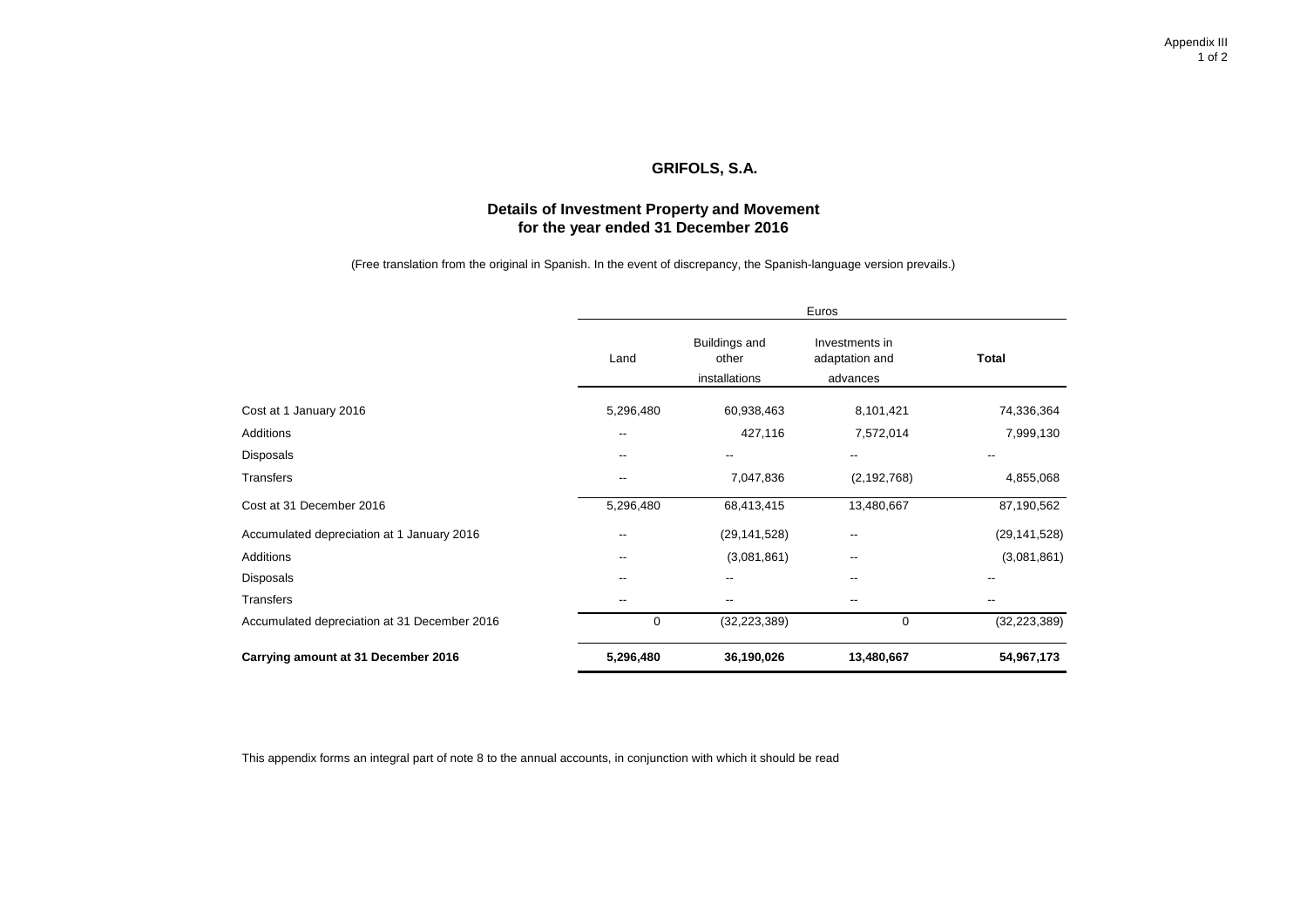# **Details of Investment Property and Movement for the year ended 31 December 2016**

(Free translation from the original in Spanish. In the event of discrepancy, the Spanish-language version prevails.)

|                                              | Euros     |                                         |                                              |                |  |  |
|----------------------------------------------|-----------|-----------------------------------------|----------------------------------------------|----------------|--|--|
|                                              | Land      | Buildings and<br>other<br>installations | Investments in<br>adaptation and<br>advances | Total          |  |  |
| Cost at 1 January 2016                       | 5,296,480 | 60,938,463                              | 8,101,421                                    | 74,336,364     |  |  |
| Additions                                    | --        | 427,116                                 | 7,572,014                                    | 7,999,130      |  |  |
| Disposals                                    | --        |                                         | --                                           | --             |  |  |
| Transfers                                    | --        | 7,047,836                               | (2, 192, 768)                                | 4,855,068      |  |  |
| Cost at 31 December 2016                     | 5,296,480 | 68,413,415                              | 13,480,667                                   | 87,190,562     |  |  |
| Accumulated depreciation at 1 January 2016   | --        | (29, 141, 528)                          | --                                           | (29, 141, 528) |  |  |
| Additions                                    | --        | (3,081,861)                             | $\overline{\phantom{a}}$                     | (3,081,861)    |  |  |
| Disposals                                    | --        |                                         |                                              | --             |  |  |
| Transfers                                    | $- -$     | --                                      | $\overline{\phantom{a}}$                     | --             |  |  |
| Accumulated depreciation at 31 December 2016 | 0         | (32, 223, 389)                          | $\mathbf 0$                                  | (32, 223, 389) |  |  |
| Carrying amount at 31 December 2016          | 5,296,480 | 36,190,026                              | 13,480,667                                   | 54,967,173     |  |  |

This appendix forms an integral part of note 8 to the annual accounts, in conjunction with which it should be read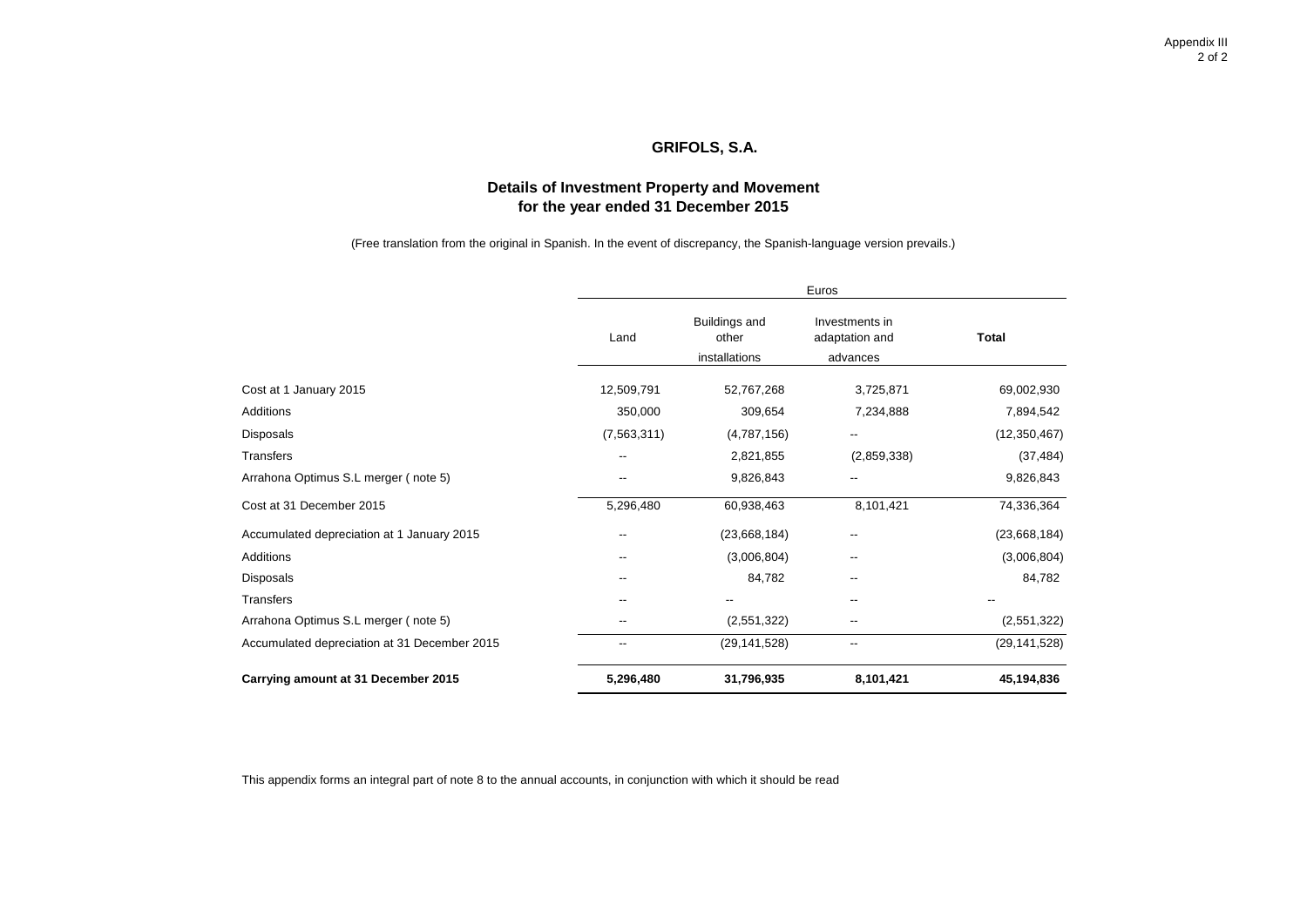# **Details of Investment Property and Movement for the year ended 31 December 2015**

(Free translation from the original in Spanish. In the event of discrepancy, the Spanish-language version prevails.)

|                                              | Euros                    |                                         |                                              |                |  |  |
|----------------------------------------------|--------------------------|-----------------------------------------|----------------------------------------------|----------------|--|--|
|                                              | Land                     | Buildings and<br>other<br>installations | Investments in<br>adaptation and<br>advances | <b>Total</b>   |  |  |
| Cost at 1 January 2015                       | 12,509,791               | 52,767,268                              | 3,725,871                                    | 69,002,930     |  |  |
| Additions                                    | 350,000                  | 309,654                                 | 7,234,888                                    | 7,894,542      |  |  |
| Disposals                                    | (7, 563, 311)            | (4,787,156)                             | --                                           | (12, 350, 467) |  |  |
| Transfers                                    | --                       | 2,821,855                               | (2,859,338)                                  | (37, 484)      |  |  |
| Arrahona Optimus S.L merger (note 5)         | $\overline{\phantom{a}}$ | 9,826,843                               | --                                           | 9,826,843      |  |  |
| Cost at 31 December 2015                     | 5,296,480                | 60,938,463                              | 8,101,421                                    | 74,336,364     |  |  |
| Accumulated depreciation at 1 January 2015   | $\overline{\phantom{a}}$ | (23,668,184)                            | --                                           | (23,668,184)   |  |  |
| Additions                                    | $\overline{\phantom{a}}$ | (3,006,804)                             | --                                           | (3,006,804)    |  |  |
| Disposals                                    | --                       | 84,782                                  | --                                           | 84,782         |  |  |
| Transfers                                    |                          |                                         | --                                           | --             |  |  |
| Arrahona Optimus S.L merger (note 5)         | --                       | (2,551,322)                             | --                                           | (2,551,322)    |  |  |
| Accumulated depreciation at 31 December 2015 | $\overline{\phantom{a}}$ | (29, 141, 528)                          | --                                           | (29, 141, 528) |  |  |
| Carrying amount at 31 December 2015          | 5,296,480                | 31,796,935                              | 8,101,421                                    | 45,194,836     |  |  |

This appendix forms an integral part of note 8 to the annual accounts, in conjunction with which it should be read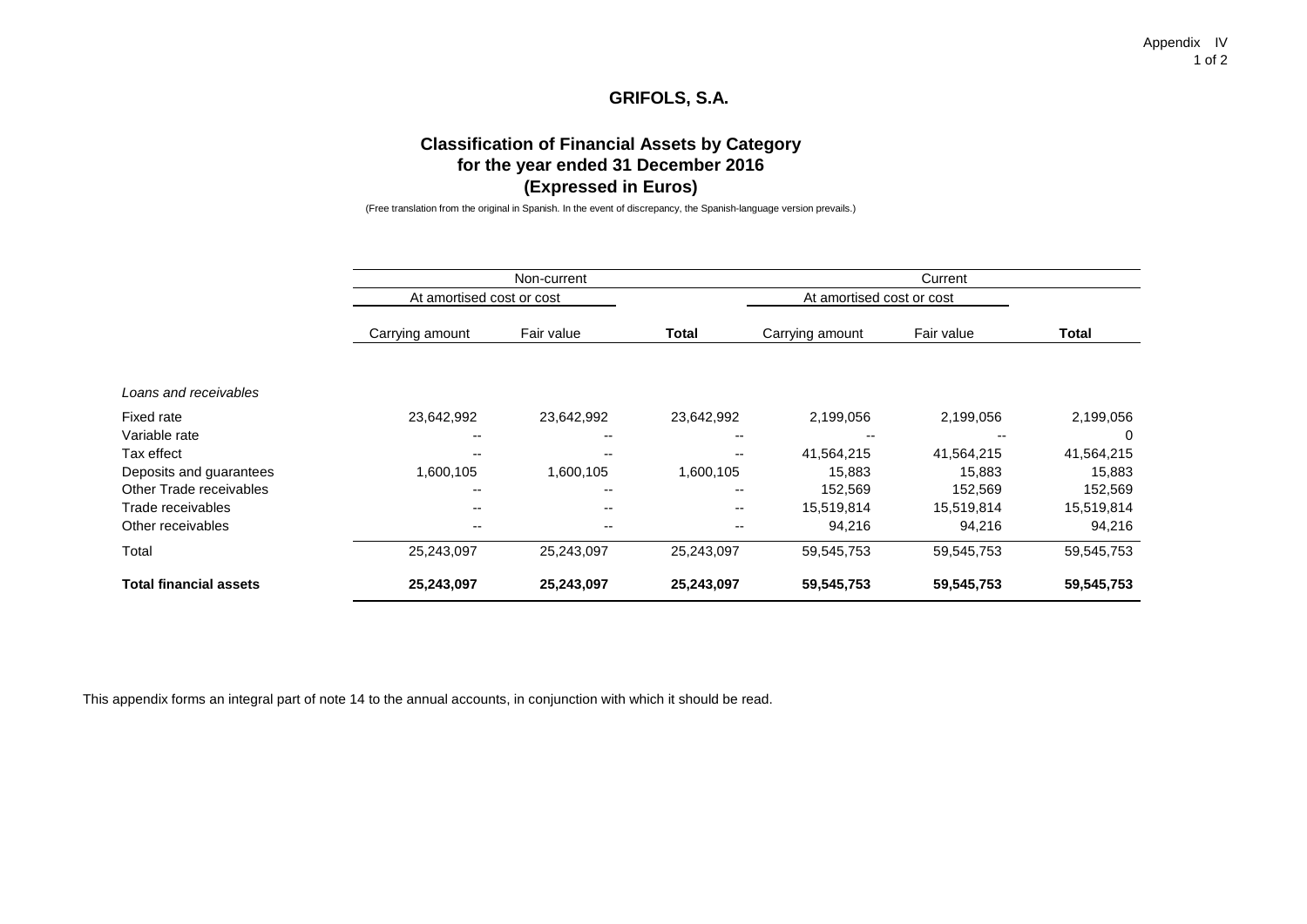Appendix IV 1 of 2

# **GRIFOLS, S.A.**

# **Classification of Financial Assets by Category for the year ended 31 December 2016 (Expressed in Euros)**

(Free translation from the original in Spanish. In the event of discrepancy, the Spanish-language version prevails.)

|                               |                           | Non-current |                          | Current                   |            |            |  |
|-------------------------------|---------------------------|-------------|--------------------------|---------------------------|------------|------------|--|
|                               | At amortised cost or cost |             |                          | At amortised cost or cost |            |            |  |
|                               | Carrying amount           | Fair value  | <b>Total</b>             | Carrying amount           | Fair value | Total      |  |
| Loans and receivables         |                           |             |                          |                           |            |            |  |
| Fixed rate                    | 23,642,992                | 23,642,992  | 23,642,992               | 2,199,056                 | 2,199,056  | 2,199,056  |  |
| Variable rate                 |                           |             | $- -$                    |                           |            | $\Omega$   |  |
| Tax effect                    |                           |             | $- -$                    | 41,564,215                | 41,564,215 | 41,564,215 |  |
| Deposits and guarantees       | 1,600,105                 | 1,600,105   | 1,600,105                | 15,883                    | 15,883     | 15,883     |  |
| Other Trade receivables       | $- -$                     |             | $- -$                    | 152,569                   | 152,569    | 152,569    |  |
| Trade receivables             | $- -$                     | $- -$       | $\overline{\phantom{a}}$ | 15,519,814                | 15,519,814 | 15,519,814 |  |
| Other receivables             | $- -$                     | $- -$       | $\overline{\phantom{m}}$ | 94,216                    | 94,216     | 94,216     |  |
| Total                         | 25,243,097                | 25,243,097  | 25,243,097               | 59,545,753                | 59,545,753 | 59,545,753 |  |
| <b>Total financial assets</b> | 25,243,097                | 25,243,097  | 25,243,097               | 59,545,753                | 59,545,753 | 59,545,753 |  |

This appendix forms an integral part of note 14 to the annual accounts, in conjunction with which it should be read.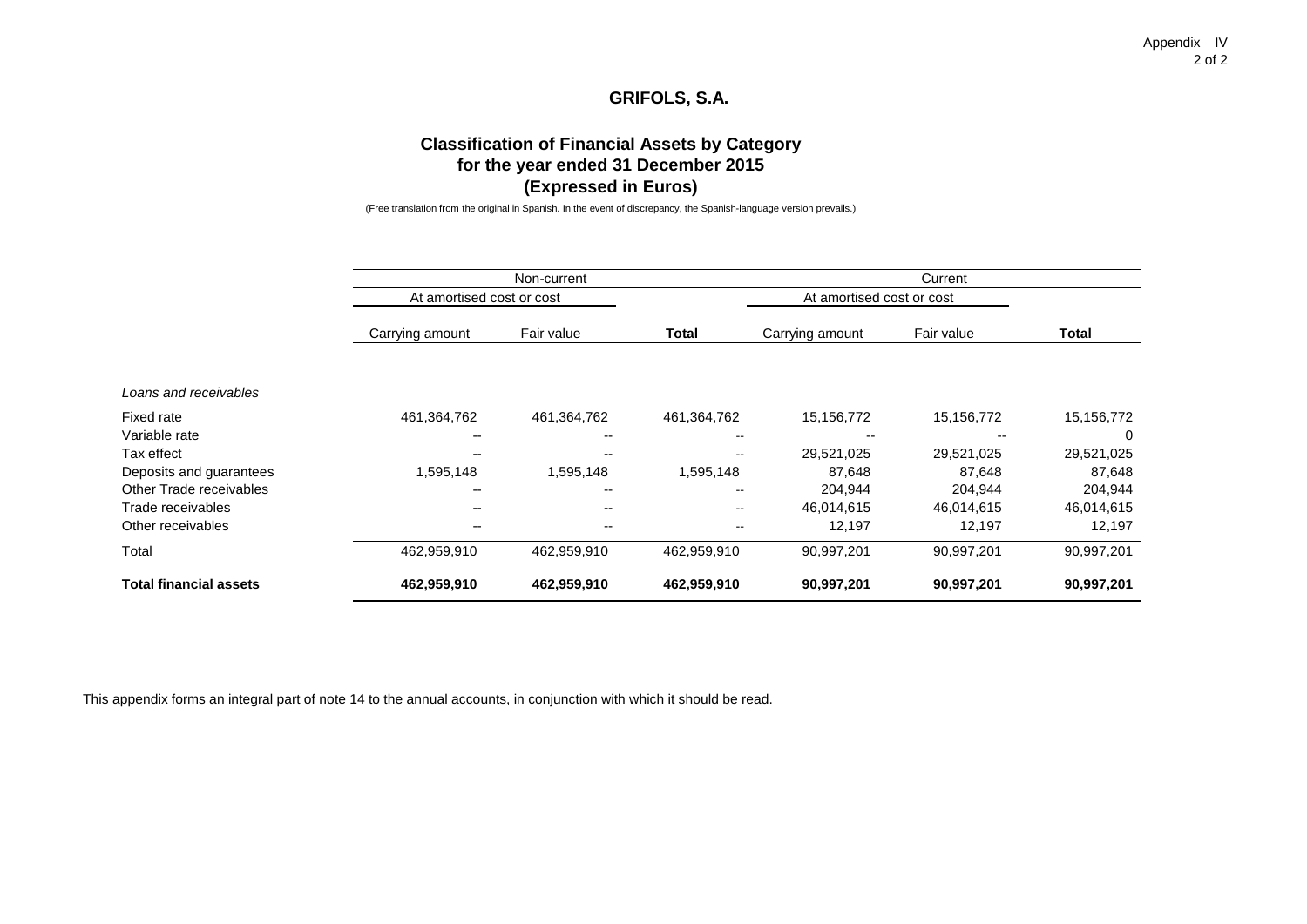Appendix IV 2 of 2

# **GRIFOLS, S.A.**

# **Classification of Financial Assets by Category for the year ended 31 December 2015 (Expressed in Euros)**

(Free translation from the original in Spanish. In the event of discrepancy, the Spanish-language version prevails.)

|                               |                           | Non-current              |                          | Current                   |            |            |  |
|-------------------------------|---------------------------|--------------------------|--------------------------|---------------------------|------------|------------|--|
|                               | At amortised cost or cost |                          |                          | At amortised cost or cost |            |            |  |
|                               | Carrying amount           | Fair value               | <b>Total</b>             | Carrying amount           | Fair value | Total      |  |
| Loans and receivables         |                           |                          |                          |                           |            |            |  |
| Fixed rate                    | 461,364,762               | 461,364,762              | 461,364,762              | 15,156,772                | 15,156,772 | 15,156,772 |  |
| Variable rate                 |                           |                          | $\overline{\phantom{m}}$ |                           |            | $\Omega$   |  |
| Tax effect                    |                           |                          | $\sim$                   | 29,521,025                | 29,521,025 | 29,521,025 |  |
| Deposits and guarantees       | 1,595,148                 | 1,595,148                | 1,595,148                | 87,648                    | 87,648     | 87,648     |  |
| Other Trade receivables       | $- -$                     |                          | $\overline{\phantom{a}}$ | 204,944                   | 204,944    | 204,944    |  |
| Trade receivables             | --                        | $\overline{\phantom{a}}$ | $\sim$                   | 46,014,615                | 46,014,615 | 46,014,615 |  |
| Other receivables             | --                        | $-$                      |                          | 12,197                    | 12,197     | 12,197     |  |
| Total                         | 462,959,910               | 462,959,910              | 462,959,910              | 90,997,201                | 90,997,201 | 90,997,201 |  |
| <b>Total financial assets</b> | 462,959,910               | 462,959,910              | 462,959,910              | 90,997,201                | 90,997,201 | 90,997,201 |  |

This appendix forms an integral part of note 14 to the annual accounts, in conjunction with which it should be read.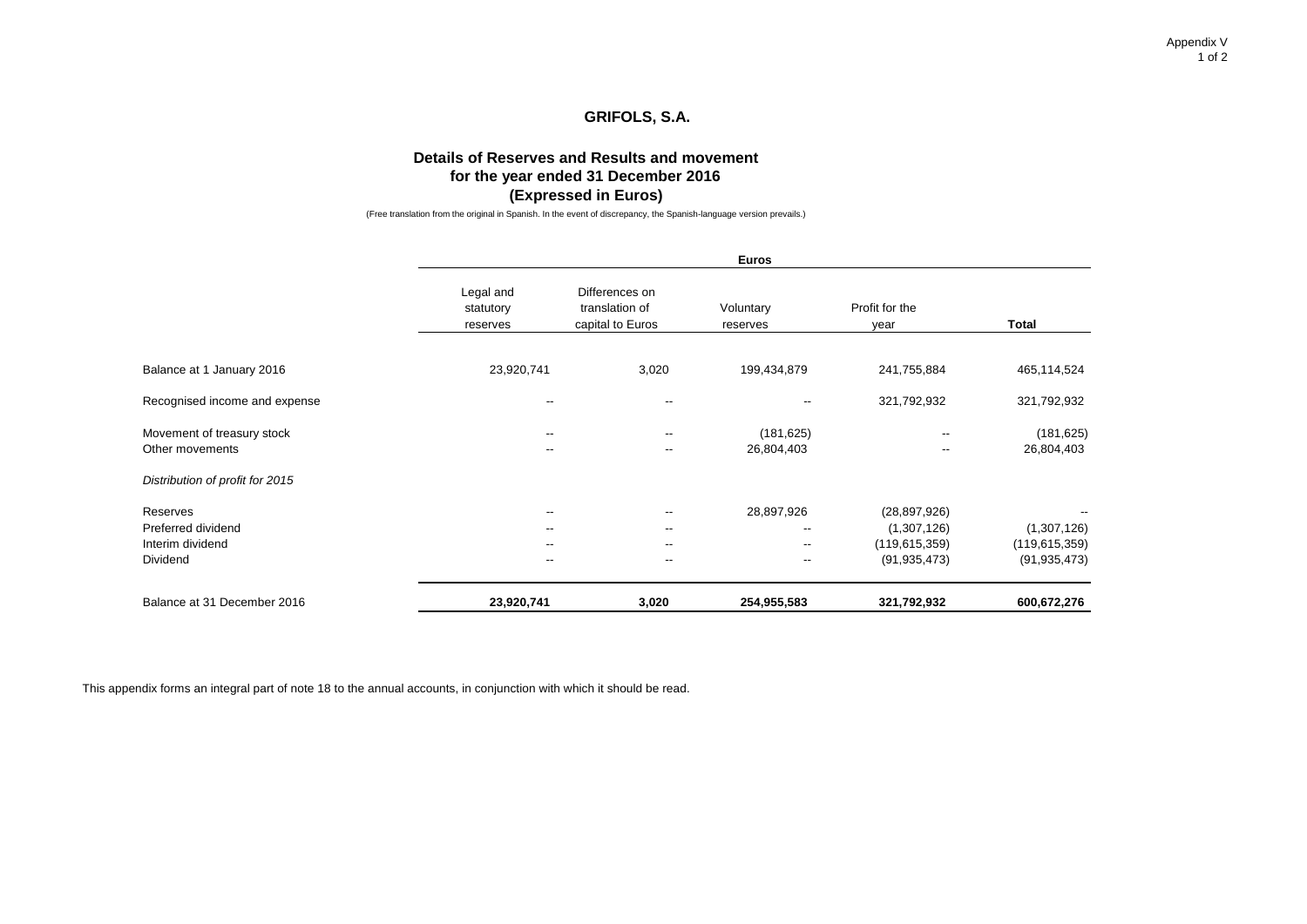Appendix V 1 of 2

# **GRIFOLS, S.A.**

# **Details of Reserves and Results and movement for the year ended 31 December 2016 (Expressed in Euros)**

(Free translation from the original in Spanish. In the event of discrepancy, the Spanish-language version prevails.)

|                                                                | <b>Euros</b>                       |                                                                                                              |                                                                                                |                                                                    |                                                  |  |  |  |
|----------------------------------------------------------------|------------------------------------|--------------------------------------------------------------------------------------------------------------|------------------------------------------------------------------------------------------------|--------------------------------------------------------------------|--------------------------------------------------|--|--|--|
|                                                                | Legal and<br>statutory<br>reserves | Differences on<br>translation of<br>capital to Euros                                                         | Voluntary<br>reserves                                                                          | Profit for the<br>year                                             | <b>Total</b>                                     |  |  |  |
| Balance at 1 January 2016                                      | 23,920,741                         | 3,020                                                                                                        | 199,434,879                                                                                    | 241,755,884                                                        | 465,114,524                                      |  |  |  |
| Recognised income and expense                                  | --                                 | $\overline{\phantom{a}}$                                                                                     | $\overline{\phantom{a}}$                                                                       | 321,792,932                                                        | 321,792,932                                      |  |  |  |
| Movement of treasury stock<br>Other movements                  | --<br>--                           | $\overline{\phantom{a}}$<br>$\overline{\phantom{a}}$                                                         | (181, 625)<br>26,804,403                                                                       | --<br>$\overline{\phantom{a}}$                                     | (181, 625)<br>26,804,403                         |  |  |  |
| Distribution of profit for 2015                                |                                    |                                                                                                              |                                                                                                |                                                                    |                                                  |  |  |  |
| Reserves<br>Preferred dividend<br>Interim dividend<br>Dividend | --<br>--<br>--<br>$- -$            | $\overline{\phantom{a}}$<br>$\overline{\phantom{a}}$<br>$\overline{\phantom{a}}$<br>$\overline{\phantom{a}}$ | 28,897,926<br>$\overline{\phantom{a}}$<br>$\overline{\phantom{a}}$<br>$\overline{\phantom{a}}$ | (28, 897, 926)<br>(1,307,126)<br>(119, 615, 359)<br>(91, 935, 473) | (1,307,126)<br>(119, 615, 359)<br>(91, 935, 473) |  |  |  |
| Balance at 31 December 2016                                    | 23,920,741                         | 3,020                                                                                                        | 254,955,583                                                                                    | 321,792,932                                                        | 600,672,276                                      |  |  |  |

This appendix forms an integral part of note 18 to the annual accounts, in conjunction with which it should be read.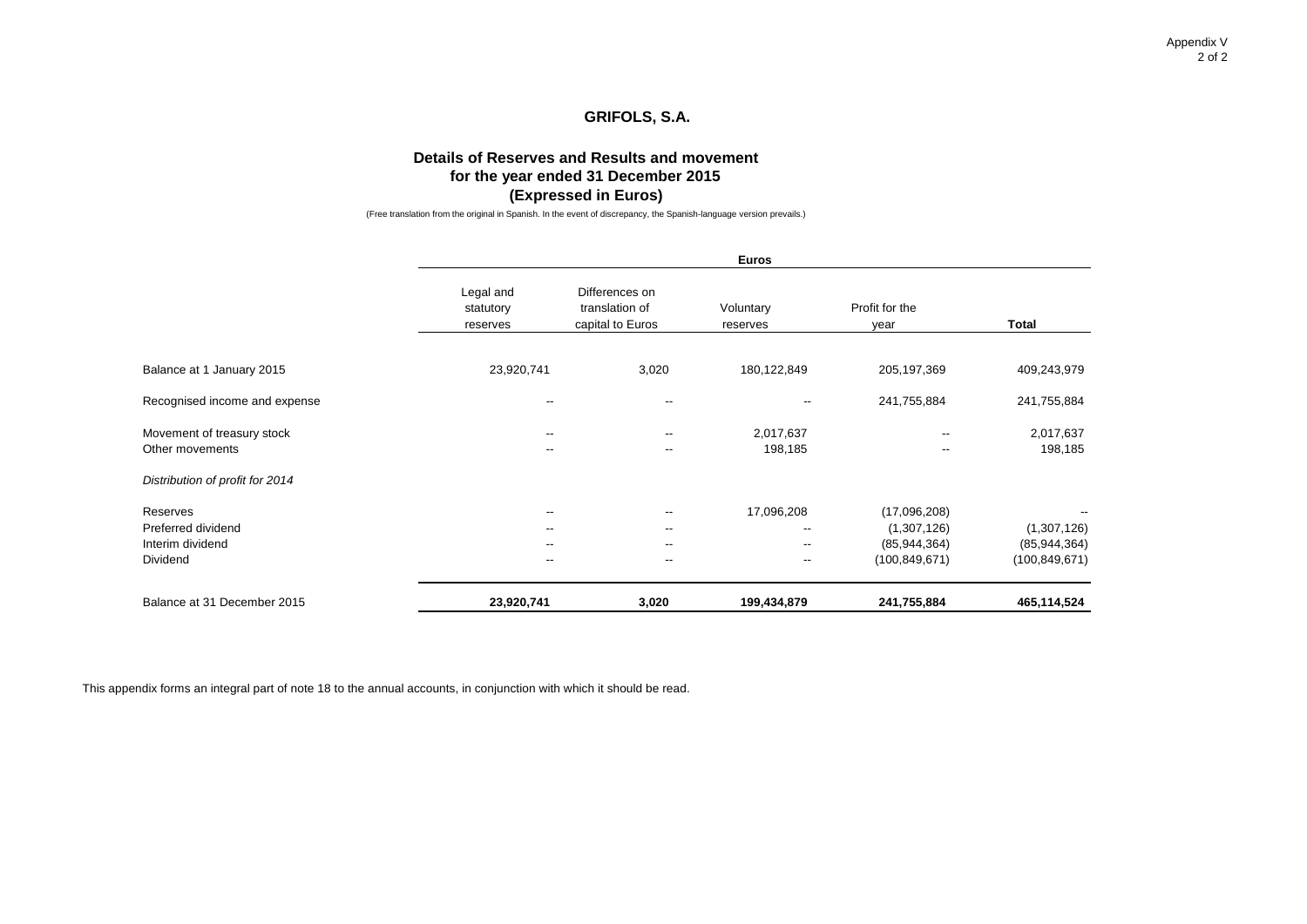Appendix V 2 of 2

# **GRIFOLS, S.A.**

# **Details of Reserves and Results and movement for the year ended 31 December 2015 (Expressed in Euros)**

(Free translation from the original in Spanish. In the event of discrepancy, the Spanish-language version prevails.)

|                                                                |                                    |                                                                                                              | <b>Euros</b>                                                                                   |                                                                  |                                                  |
|----------------------------------------------------------------|------------------------------------|--------------------------------------------------------------------------------------------------------------|------------------------------------------------------------------------------------------------|------------------------------------------------------------------|--------------------------------------------------|
|                                                                | Legal and<br>statutory<br>reserves | Differences on<br>translation of<br>capital to Euros                                                         | Voluntary<br>reserves                                                                          | Profit for the<br>year                                           | <b>Total</b>                                     |
| Balance at 1 January 2015                                      | 23,920,741                         | 3,020                                                                                                        | 180,122,849                                                                                    | 205, 197, 369                                                    | 409,243,979                                      |
| Recognised income and expense                                  | --                                 | $\overline{\phantom{a}}$                                                                                     | $\overline{\phantom{a}}$                                                                       | 241,755,884                                                      | 241,755,884                                      |
| Movement of treasury stock<br>Other movements                  | --<br>--                           | $\overline{\phantom{a}}$<br>$\overline{\phantom{a}}$                                                         | 2,017,637<br>198,185                                                                           | $\overline{\phantom{a}}$<br>$\overline{\phantom{a}}$             | 2,017,637<br>198,185                             |
| Distribution of profit for 2014                                |                                    |                                                                                                              |                                                                                                |                                                                  |                                                  |
| Reserves<br>Preferred dividend<br>Interim dividend<br>Dividend | --<br>--<br>--<br>$- -$            | $\overline{\phantom{a}}$<br>$\overline{\phantom{a}}$<br>$\overline{\phantom{a}}$<br>$\overline{\phantom{a}}$ | 17,096,208<br>$\overline{\phantom{a}}$<br>$\overline{\phantom{a}}$<br>$\overline{\phantom{a}}$ | (17,096,208)<br>(1,307,126)<br>(85, 944, 364)<br>(100, 849, 671) | (1,307,126)<br>(85, 944, 364)<br>(100, 849, 671) |
| Balance at 31 December 2015                                    | 23,920,741                         | 3,020                                                                                                        | 199,434,879                                                                                    | 241,755,884                                                      | 465,114,524                                      |

This appendix forms an integral part of note 18 to the annual accounts, in conjunction with which it should be read.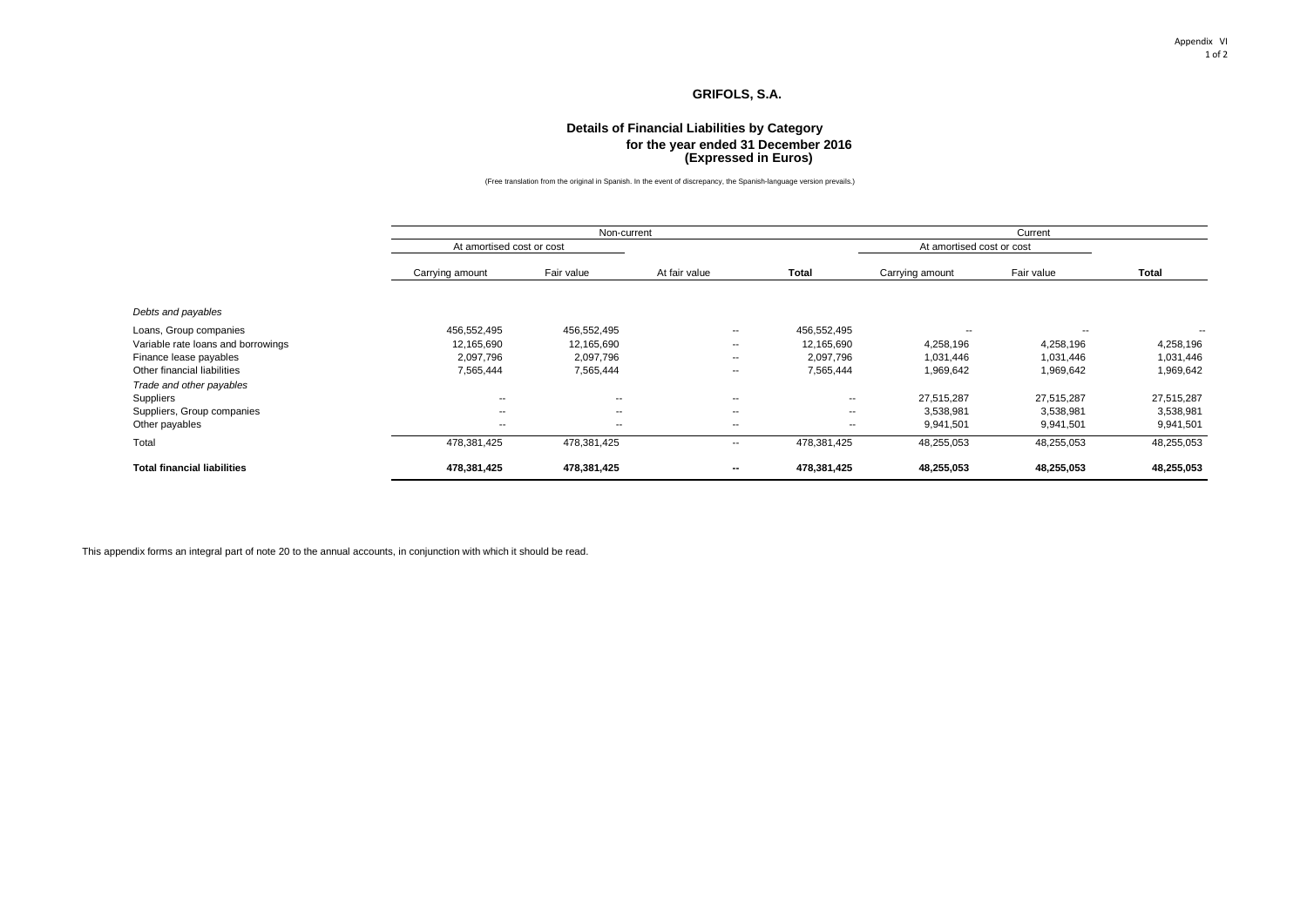#### Appendix VI 1 of 2

### **GRIFOLS, S.A.**

#### **(Expressed in Euros) Details of Financial Liabilities by Category for the year ended 31 December 2016**

(Free translation from the original in Spanish. In the event of discrepancy, the Spanish-language version prevails.)

|                                    |                           | Non-current |                          |             |                           | Current                  |            |  |
|------------------------------------|---------------------------|-------------|--------------------------|-------------|---------------------------|--------------------------|------------|--|
|                                    | At amortised cost or cost |             |                          |             | At amortised cost or cost |                          |            |  |
|                                    | Carrying amount           | Fair value  | At fair value            | Total       | Carrying amount           | Fair value               | Total      |  |
| Debts and payables                 |                           |             |                          |             |                           |                          |            |  |
| Loans, Group companies             | 456,552,495               | 456,552,495 | $\sim$                   | 456,552,495 | --                        | $\overline{\phantom{a}}$ | $\sim$     |  |
| Variable rate loans and borrowings | 12,165,690                | 12,165,690  | $\sim$                   | 12,165,690  | 4,258,196                 | 4,258,196                | 4,258,196  |  |
| Finance lease payables             | 2,097,796                 | 2,097,796   | $\sim$                   | 2,097,796   | 1,031,446                 | 1,031,446                | 1,031,446  |  |
| Other financial liabilities        | 7,565,444                 | 7,565,444   | $\sim$                   | 7,565,444   | 1,969,642                 | 1,969,642                | 1,969,642  |  |
| Trade and other payables           |                           |             |                          |             |                           |                          |            |  |
| <b>Suppliers</b>                   | $\overline{\phantom{a}}$  | $-$         | $\overline{\phantom{a}}$ | --          | 27,515,287                | 27,515,287               | 27,515,287 |  |
| Suppliers, Group companies         | $\sim$                    | $\sim$      | $\sim$                   | $- -$       | 3,538,981                 | 3,538,981                | 3,538,981  |  |
| Other payables                     | $\sim$                    | $\sim$      | $\overline{\phantom{a}}$ | --          | 9,941,501                 | 9,941,501                | 9,941,501  |  |
| Total                              | 478,381,425               | 478,381,425 | $\sim$                   | 478,381,425 | 48,255,053                | 48,255,053               | 48,255,053 |  |
| <b>Total financial liabilities</b> | 478,381,425               | 478,381,425 | $\sim$                   | 478,381,425 | 48,255,053                | 48,255,053               | 48,255,053 |  |

This appendix forms an integral part of note 20 to the annual accounts, in conjunction with which it should be read.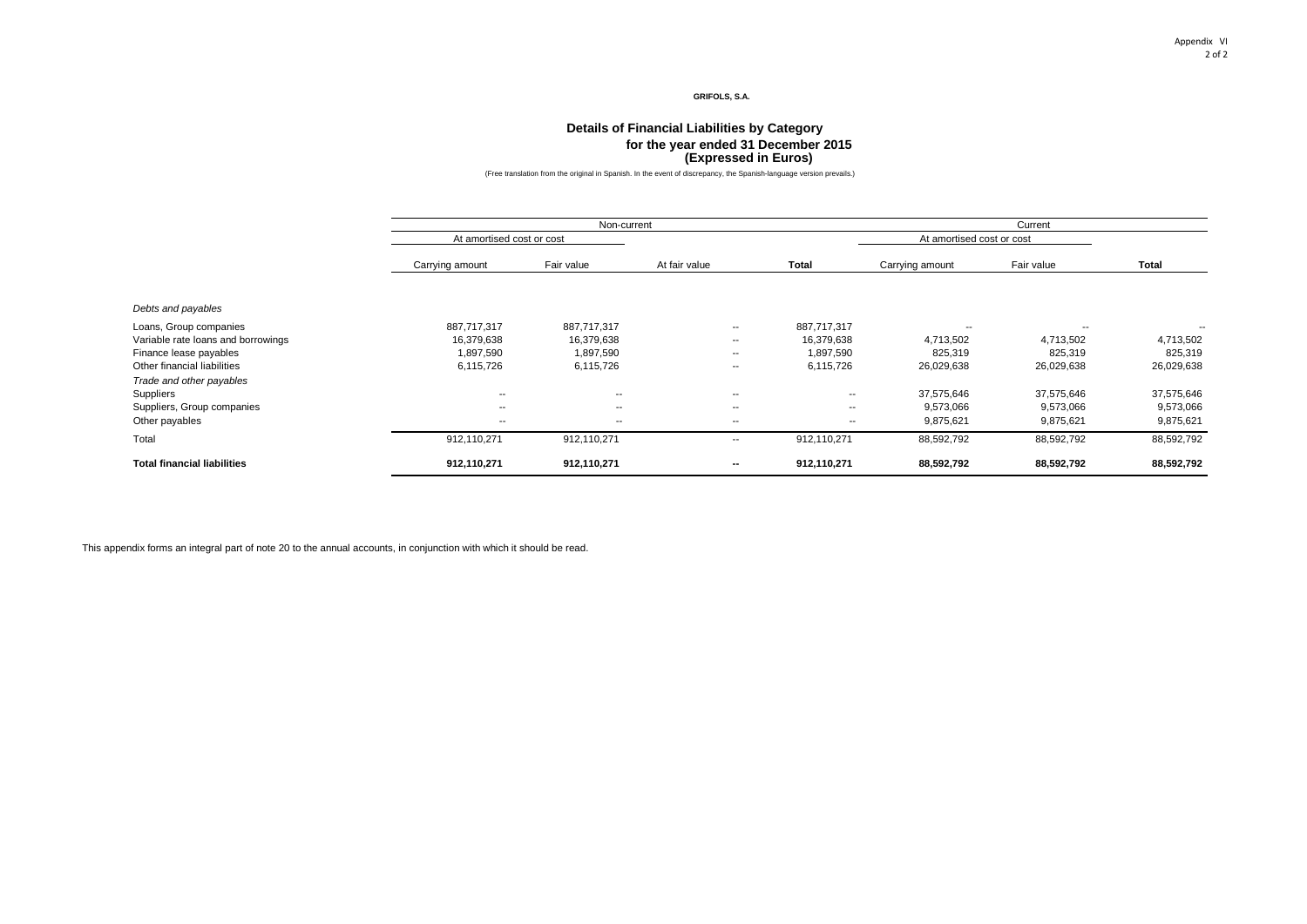#### Appendix VI 2 of 2

#### **GRIFOLS, S.A.**

#### **(Expressed in Euros) Details of Financial Liabilities by Category for the year ended 31 December 2015**

(Free translation from the original in Spanish. In the event of discrepancy, the Spanish-language version prevails.)

|                                    |                           | Non-current              |                          |                          | Current                   |            |            |  |
|------------------------------------|---------------------------|--------------------------|--------------------------|--------------------------|---------------------------|------------|------------|--|
|                                    | At amortised cost or cost |                          |                          |                          | At amortised cost or cost |            |            |  |
|                                    | Carrying amount           | Fair value               | At fair value            | Total                    | Carrying amount           | Fair value | Total      |  |
| Debts and payables                 |                           |                          |                          |                          |                           |            |            |  |
| Loans, Group companies             | 887,717,317               | 887,717,317              | $\overline{\phantom{a}}$ | 887,717,317              | $- -$                     | --         | --         |  |
| Variable rate loans and borrowings | 16,379,638                | 16,379,638               | $\overline{\phantom{a}}$ | 16,379,638               | 4,713,502                 | 4,713,502  | 4,713,502  |  |
| Finance lease payables             | 1,897,590                 | 1,897,590                | $- -$                    | 1,897,590                | 825,319                   | 825,319    | 825,319    |  |
| Other financial liabilities        | 6,115,726                 | 6,115,726                | $\overline{\phantom{a}}$ | 6,115,726                | 26,029,638                | 26,029,638 | 26,029,638 |  |
| Trade and other payables           |                           |                          |                          |                          |                           |            |            |  |
| <b>Suppliers</b>                   | $\sim$                    | $\sim$                   | $\sim$                   | $\sim$                   | 37,575,646                | 37,575,646 | 37,575,646 |  |
| Suppliers, Group companies         | $\overline{\phantom{a}}$  | $\overline{\phantom{a}}$ | $\sim$                   | $\sim$                   | 9,573,066                 | 9,573,066  | 9,573,066  |  |
| Other payables                     | $\sim$                    | $\sim$                   | $\sim$                   | $\overline{\phantom{a}}$ | 9,875,621                 | 9,875,621  | 9,875,621  |  |
| Total                              | 912,110,271               | 912,110,271              | $\overline{\phantom{a}}$ | 912,110,271              | 88,592,792                | 88,592,792 | 88,592,792 |  |
| <b>Total financial liabilities</b> | 912,110,271               | 912,110,271              | $\sim$                   | 912,110,271              | 88,592,792                | 88,592,792 | 88,592,792 |  |

This appendix forms an integral part of note 20 to the annual accounts, in conjunction with which it should be read.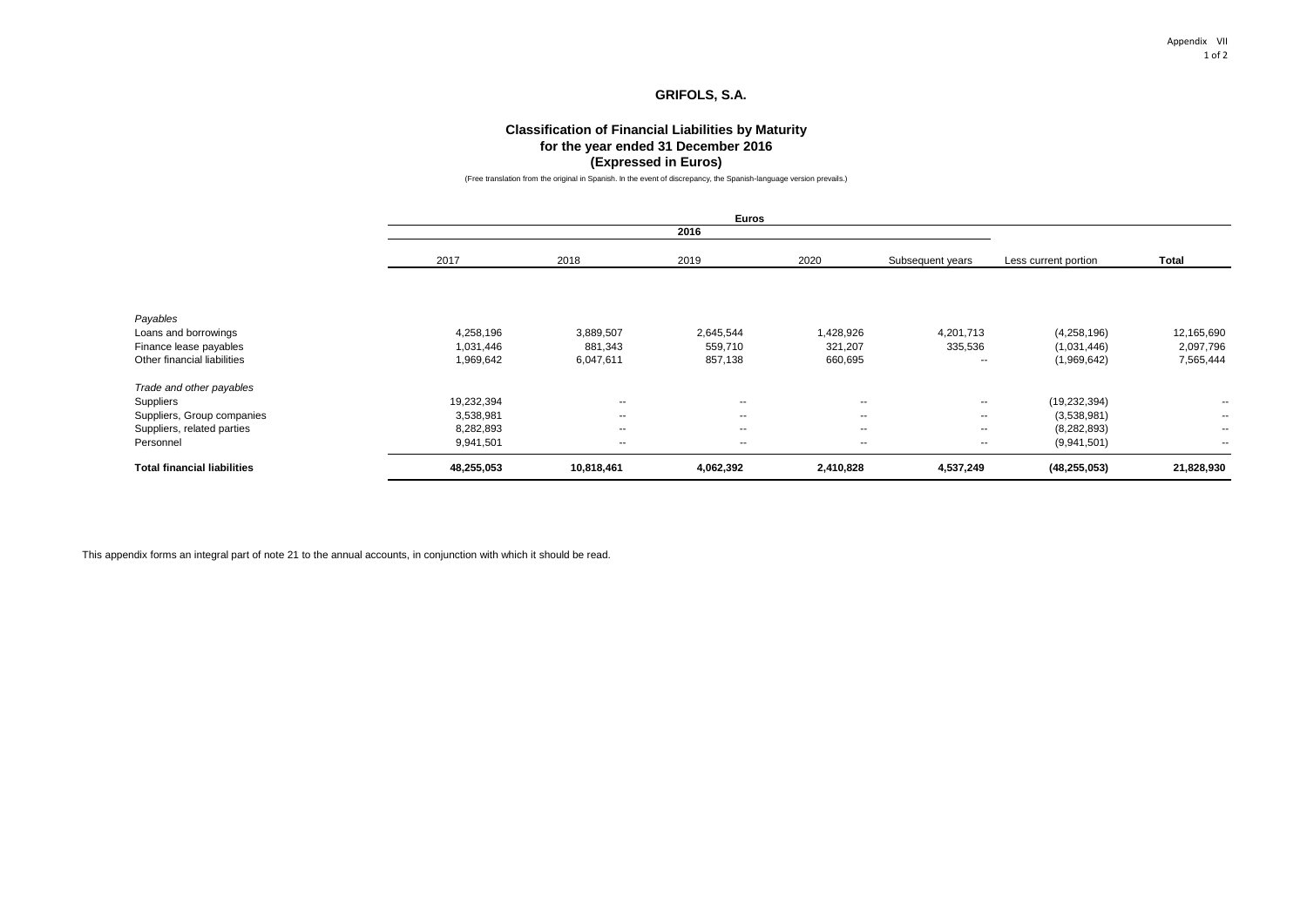### **Classification of Financial Liabilities by Maturity for the year ended 31 December 2016 (Expressed in Euros)**

(Free translation from the original in Spanish. In the event of discrepancy, the Spanish-language version prevails.)

|                                    |            |            | 2016          |           |                  |                      |               |
|------------------------------------|------------|------------|---------------|-----------|------------------|----------------------|---------------|
|                                    | 2017       | 2018       | 2019          | 2020      | Subsequent years | Less current portion | <b>Total</b>  |
|                                    |            |            |               |           |                  |                      |               |
| Payables                           |            |            |               |           |                  |                      |               |
| Loans and borrowings               | 4,258,196  | 3,889,507  | 2,645,544     | 1,428,926 | 4,201,713        | (4,258,196)          | 12,165,690    |
| Finance lease payables             | 1,031,446  | 881,343    | 559,710       | 321,207   | 335,536          | (1,031,446)          | 2,097,796     |
| Other financial liabilities        | 1,969,642  | 6,047,611  | 857,138       | 660,695   | $\sim$           | (1,969,642)          | 7,565,444     |
| Trade and other payables           |            |            |               |           |                  |                      |               |
| Suppliers                          | 19,232,394 | $\sim$     | $\sim$        | $\sim$    | $\sim$           | (19, 232, 394)       | $\sim$        |
| Suppliers, Group companies         | 3,538,981  | $\sim$     | $\sim$        | $\sim$    | $- -$            | (3,538,981)          | $\sim$ $\sim$ |
| Suppliers, related parties         | 8,282,893  | $\sim$     | $\sim$ $\sim$ | $\sim$    | $\sim$           | (8, 282, 893)        | $\sim$        |
| Personnel                          | 9,941,501  | $\sim$     | $\sim$        | $\sim$    | $\sim$           | (9,941,501)          | $\sim$        |
| <b>Total financial liabilities</b> | 48,255,053 | 10,818,461 | 4,062,392     | 2,410,828 | 4,537,249        | (48, 255, 053)       | 21,828,930    |

This appendix forms an integral part of note 21 to the annual accounts, in conjunction with which it should be read.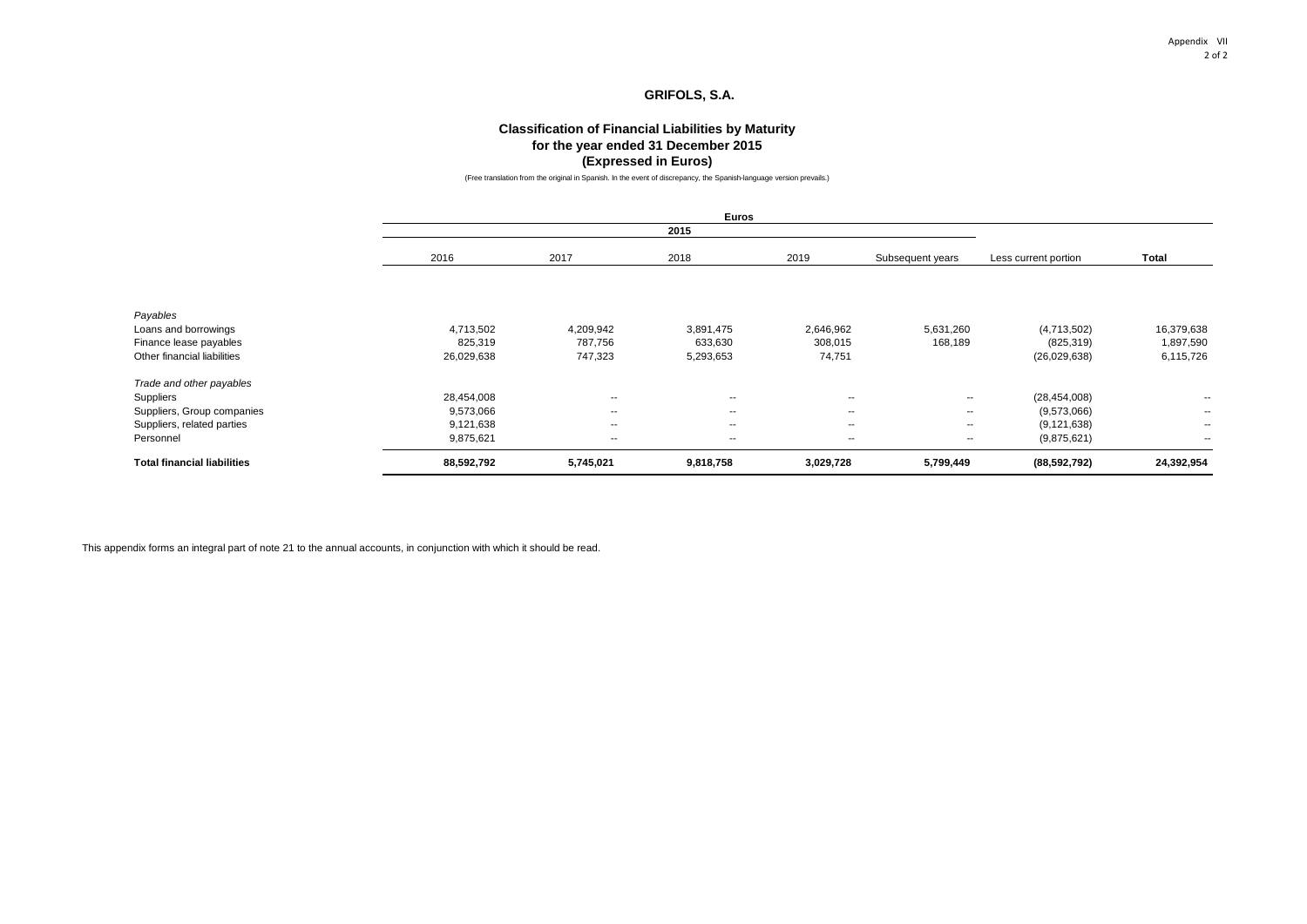# **Classification of Financial Liabilities by Maturity for the year ended 31 December 2015 (Expressed in Euros)**

(Free translation from the original in Spanish. In the event of discrepancy, the Spanish-language version prevails.)

|                                    | 2016       | 2017                     | 2018      | 2019                     | Subsequent years | Less current portion | <b>Total</b>             |
|------------------------------------|------------|--------------------------|-----------|--------------------------|------------------|----------------------|--------------------------|
|                                    |            |                          |           |                          |                  |                      |                          |
| Payables                           |            |                          |           |                          |                  |                      |                          |
| Loans and borrowings               | 4,713,502  | 4,209,942                | 3,891,475 | 2,646,962                | 5,631,260        | (4,713,502)          | 16,379,638               |
| Finance lease payables             | 825,319    | 787,756                  | 633,630   | 308,015                  | 168,189          | (825, 319)           | 1,897,590                |
| Other financial liabilities        | 26,029,638 | 747,323                  | 5,293,653 | 74,751                   |                  | (26,029,638)         | 6,115,726                |
| Trade and other payables           |            |                          |           |                          |                  |                      |                          |
| Suppliers                          | 28,454,008 | $\overline{\phantom{a}}$ | $\sim$    | $\sim$                   | $- -$            | (28, 454, 008)       | --                       |
| Suppliers, Group companies         | 9,573,066  | $\overline{\phantom{a}}$ | $\sim$    | $\overline{\phantom{a}}$ | $- -$            | (9,573,066)          | $\overline{\phantom{a}}$ |
| Suppliers, related parties         | 9,121,638  | $\overline{\phantom{a}}$ | $\sim$    | $\overline{\phantom{a}}$ | $- -$            | (9, 121, 638)        | $\sim$                   |
| Personnel                          | 9,875,621  | $\sim$                   | $- -$     | $\overline{\phantom{a}}$ | $- -$            | (9,875,621)          | $\sim$                   |
| <b>Total financial liabilities</b> | 88,592,792 | 5,745,021                | 9,818,758 | 3,029,728                | 5,799,449        | (88, 592, 792)       | 24,392,954               |

This appendix forms an integral part of note 21 to the annual accounts, in conjunction with which it should be read.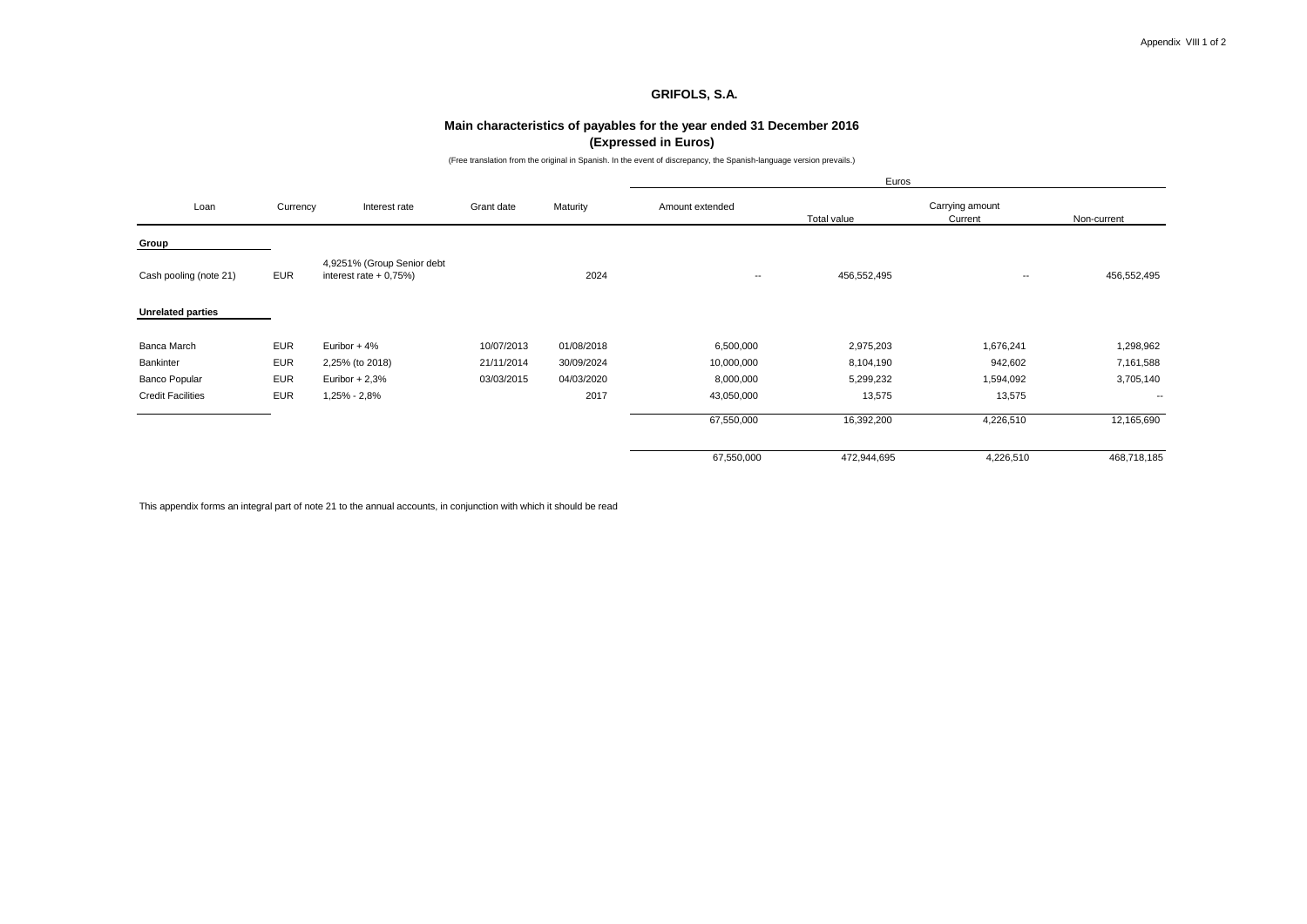### **Main characteristics of payables for the year ended 31 December 2016 (Expressed in Euros)**

(Free translation from the original in Spanish. In the event of discrepancy, the Spanish-language version prevails.)

|                          |            |                                                      |            |            |                          | Euros       |                            |                          |
|--------------------------|------------|------------------------------------------------------|------------|------------|--------------------------|-------------|----------------------------|--------------------------|
| Loan                     | Currency   | Interest rate                                        | Grant date | Maturity   | Amount extended          | Total value | Carrying amount<br>Current | Non-current              |
| Group                    |            |                                                      |            |            |                          |             |                            |                          |
| Cash pooling (note 21)   | <b>EUR</b> | 4,9251% (Group Senior debt<br>interest rate $+0.75%$ |            | 2024       | $\overline{\phantom{a}}$ | 456,552,495 | $\overline{\phantom{a}}$   | 456,552,495              |
| <b>Unrelated parties</b> |            |                                                      |            |            |                          |             |                            |                          |
| Banca March              | <b>EUR</b> | Euribor + 4%                                         | 10/07/2013 | 01/08/2018 | 6,500,000                | 2,975,203   | 1,676,241                  | 1,298,962                |
| Bankinter                | <b>EUR</b> | 2,25% (to 2018)                                      | 21/11/2014 | 30/09/2024 | 10,000,000               | 8,104,190   | 942,602                    | 7,161,588                |
| Banco Popular            | <b>EUR</b> | Euribor $+2,3%$                                      | 03/03/2015 | 04/03/2020 | 8,000,000                | 5,299,232   | 1,594,092                  | 3,705,140                |
| <b>Credit Facilities</b> | <b>EUR</b> | 1,25% - 2,8%                                         |            | 2017       | 43,050,000               | 13,575      | 13,575                     | $\overline{\phantom{a}}$ |
|                          |            |                                                      |            |            | 67,550,000               | 16,392,200  | 4,226,510                  | 12,165,690               |
|                          |            |                                                      |            |            | 67,550,000               | 472,944,695 | 4,226,510                  | 468,718,185              |

This appendix forms an integral part of note 21 to the annual accounts, in conjunction with which it should be read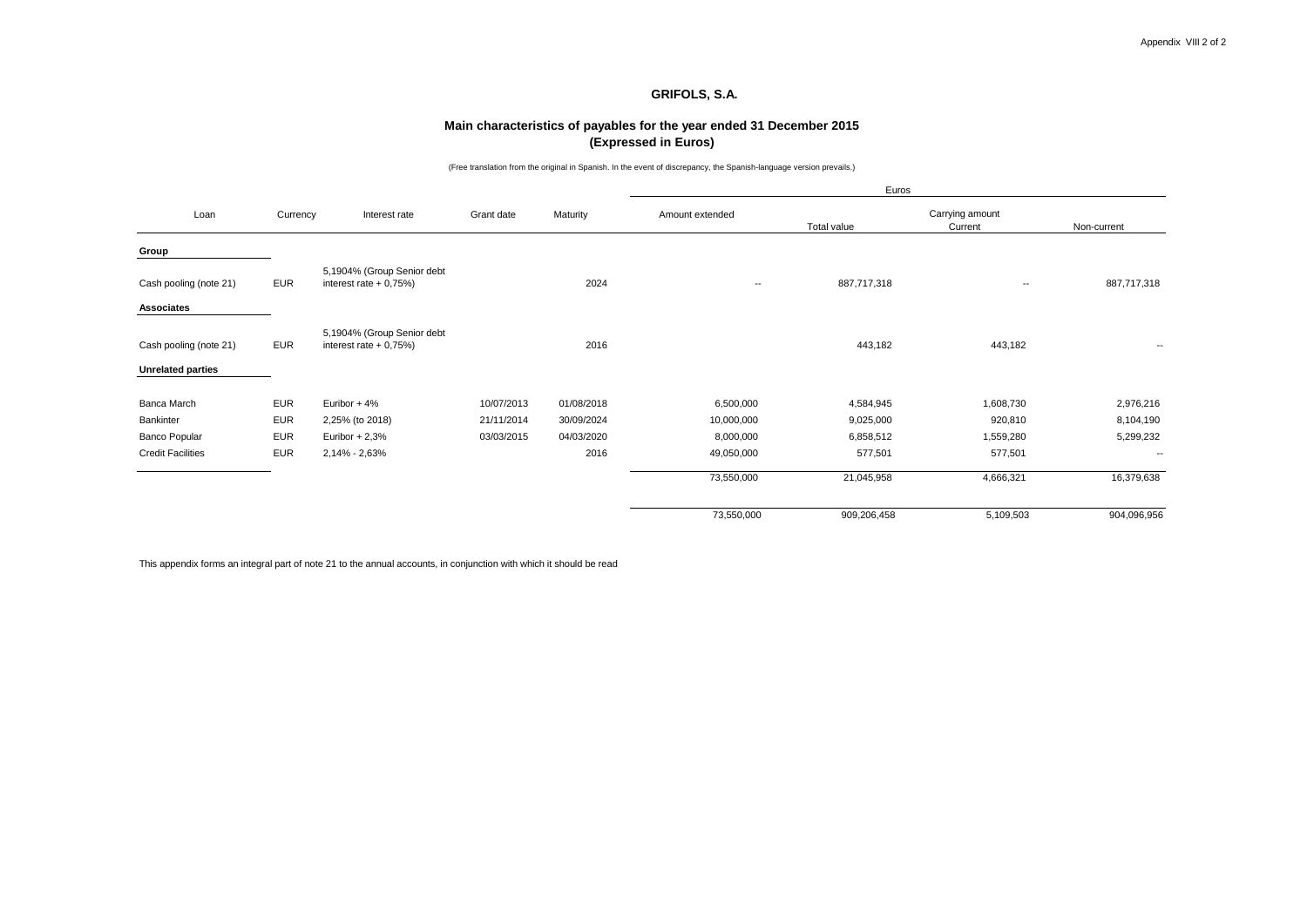### **Main characteristics of payables for the year ended 31 December 2015 (Expressed in Euros)**

(Free translation from the original in Spanish. In the event of discrepancy, the Spanish-language version prevails.)

|                          |            |                                                      |            |            |                          | Euros       |                          |                          |  |
|--------------------------|------------|------------------------------------------------------|------------|------------|--------------------------|-------------|--------------------------|--------------------------|--|
| Loan                     | Currency   | Interest rate                                        | Grant date | Maturity   | Amount extended          |             | Carrying amount          |                          |  |
|                          |            |                                                      |            |            |                          | Total value | Current                  | Non-current              |  |
| Group                    |            |                                                      |            |            |                          |             |                          |                          |  |
| Cash pooling (note 21)   | <b>EUR</b> | 5,1904% (Group Senior debt<br>interest rate $+0,75%$ |            | 2024       | $\overline{\phantom{a}}$ | 887,717,318 | $\overline{\phantom{a}}$ | 887,717,318              |  |
| <b>Associates</b>        |            |                                                      |            |            |                          |             |                          |                          |  |
| Cash pooling (note 21)   | <b>EUR</b> | 5,1904% (Group Senior debt<br>interest rate $+0,75%$ |            | 2016       |                          | 443,182     | 443,182                  | --                       |  |
| <b>Unrelated parties</b> |            |                                                      |            |            |                          |             |                          |                          |  |
| Banca March              | <b>EUR</b> | Euribor + 4%                                         | 10/07/2013 | 01/08/2018 | 6,500,000                | 4,584,945   | 1,608,730                | 2,976,216                |  |
| Bankinter                | <b>EUR</b> | 2,25% (to 2018)                                      | 21/11/2014 | 30/09/2024 | 10,000,000               | 9,025,000   | 920,810                  | 8,104,190                |  |
| <b>Banco Popular</b>     | <b>EUR</b> | Euribor $+2.3%$                                      | 03/03/2015 | 04/03/2020 | 8,000,000                | 6,858,512   | 1,559,280                | 5,299,232                |  |
| <b>Credit Facilities</b> | <b>EUR</b> | 2,14% - 2,63%                                        |            | 2016       | 49,050,000               | 577,501     | 577,501                  | $\overline{\phantom{a}}$ |  |
|                          |            |                                                      |            |            | 73,550,000               | 21,045,958  | 4,666,321                | 16,379,638               |  |
|                          |            |                                                      |            |            | 73,550,000               | 909,206,458 | 5,109,503                | 904,096,956              |  |

This appendix forms an integral part of note 21 to the annual accounts, in conjunction with which it should be read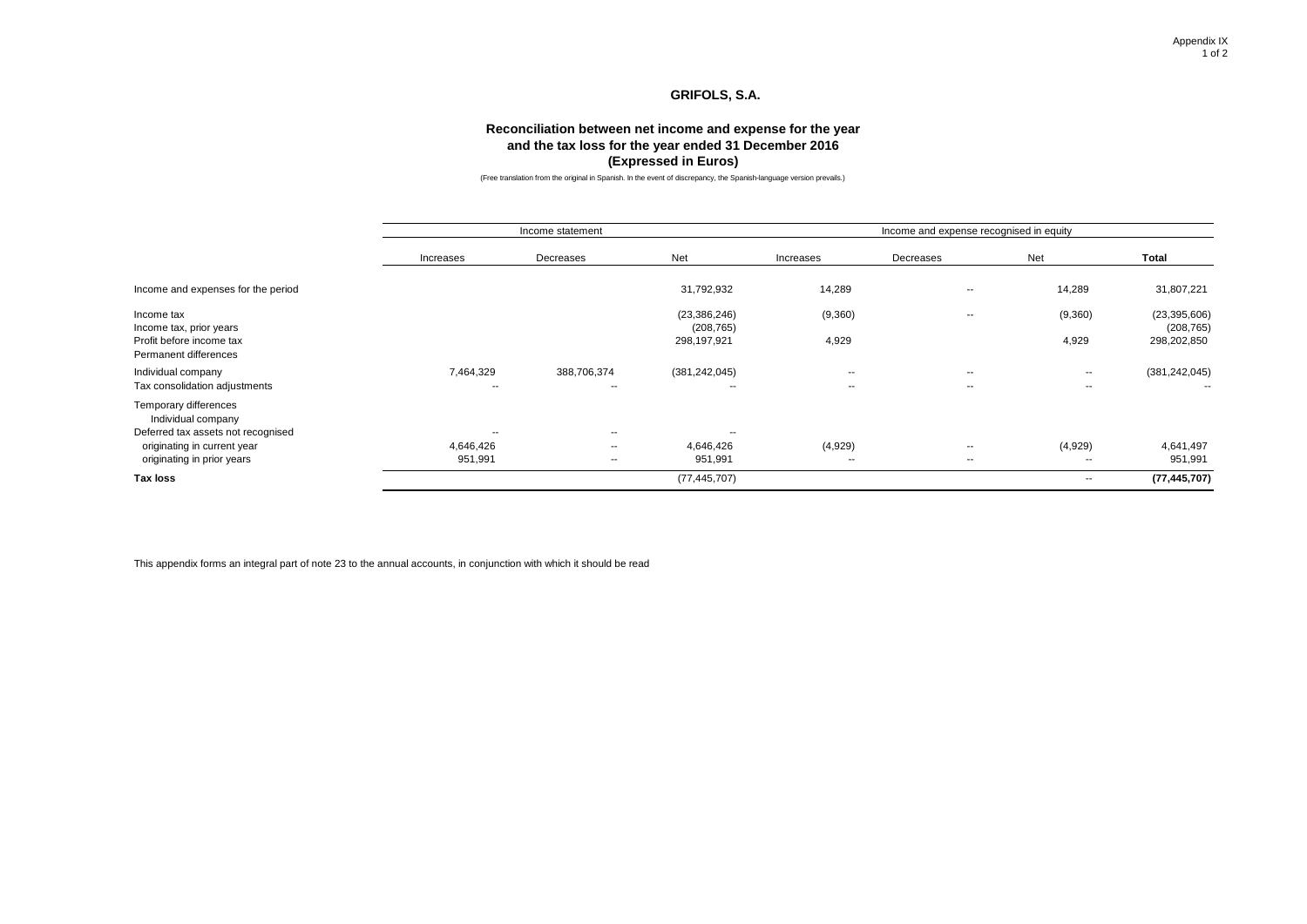### **Reconciliation between net income and expense for the year and the tax loss for the year ended 31 December 2016 (Expressed in Euros)**

(Free translation from the original in Spanish. In the event of discrepancy, the Spanish-language version prevails.)

|                                                     |                 | Income statement                        |                              | Income and expense recognised in equity |            |                          |                              |  |
|-----------------------------------------------------|-----------------|-----------------------------------------|------------------------------|-----------------------------------------|------------|--------------------------|------------------------------|--|
|                                                     | Increases       | Decreases                               | Net                          | Increases                               | Decreases  | Net                      | Total                        |  |
| Income and expenses for the period                  |                 |                                         | 31,792,932                   | 14,289                                  | ۰.         | 14,289                   | 31,807,221                   |  |
| Income tax<br>Income tax, prior years               |                 |                                         | (23, 386, 246)<br>(208, 765) | (9,360)                                 | --         | (9,360)                  | (23, 395, 606)<br>(208, 765) |  |
| Profit before income tax<br>Permanent differences   |                 |                                         | 298,197,921                  | 4,929                                   |            | 4,929                    | 298,202,850                  |  |
| Individual company<br>Tax consolidation adjustments | 7,464,329<br>-- | 388,706,374<br>$\overline{\phantom{a}}$ | (381, 242, 045)<br>--        | $\sim$ $\sim$<br>$\sim$                 | $-$<br>$-$ | $\sim$<br>$\sim$         | (381, 242, 045)<br>$\sim$    |  |
| Temporary differences<br>Individual company         |                 |                                         |                              |                                         |            |                          |                              |  |
| Deferred tax assets not recognised                  | $\sim$          | $\overline{\phantom{a}}$                | --                           |                                         |            |                          |                              |  |
| originating in current year                         | 4,646,426       | $\overline{\phantom{a}}$                | 4,646,426                    | (4,929)                                 | ۰.         | (4,929)                  | 4,641,497                    |  |
| originating in prior years                          | 951,991         | $\sim$                                  | 951,991                      | $\overline{\phantom{a}}$                | ۰.         | $\overline{\phantom{a}}$ | 951,991                      |  |
| <b>Tax loss</b>                                     |                 |                                         | (77, 445, 707)               |                                         |            | $\sim$                   | (77, 445, 707)               |  |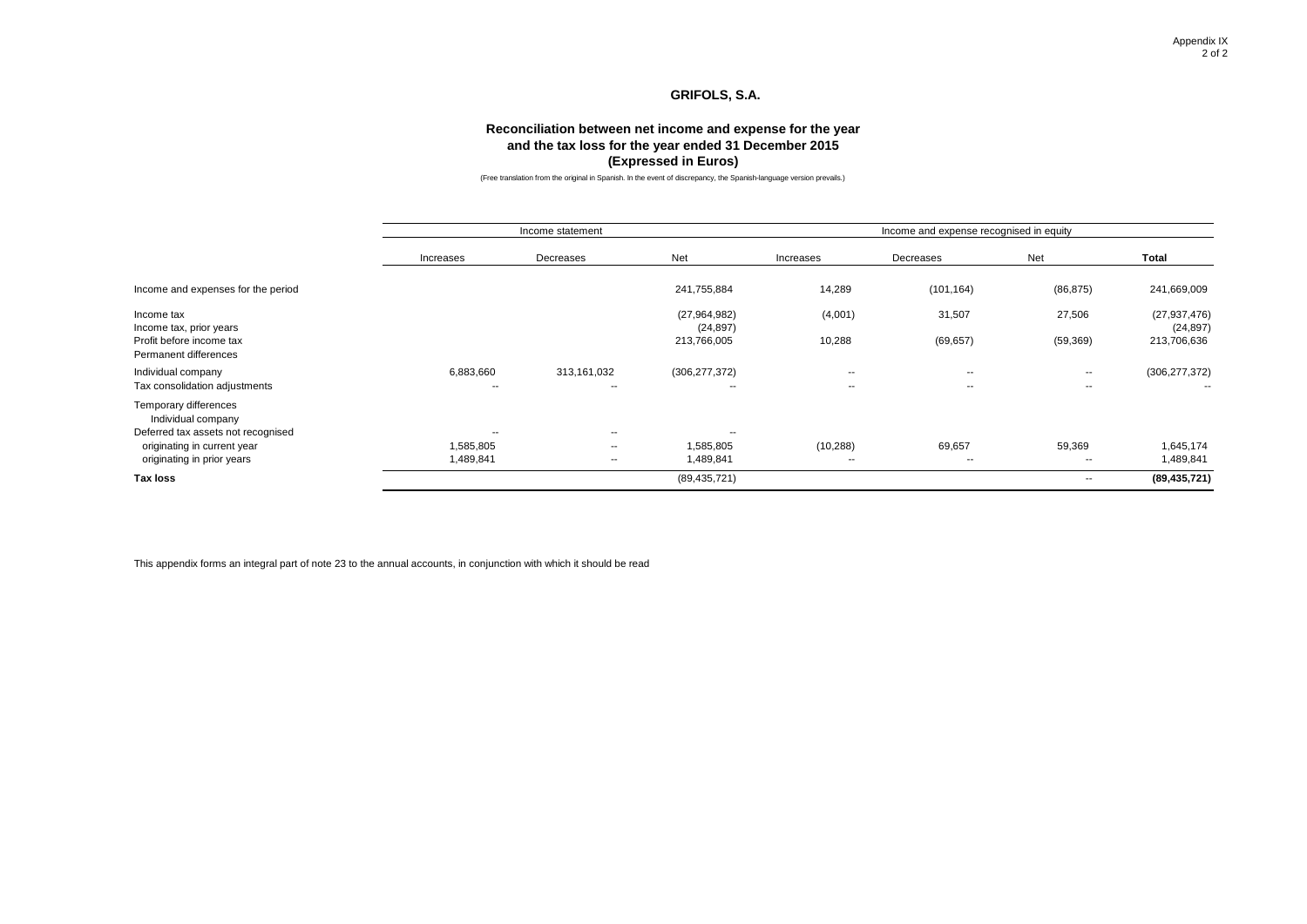### **Reconciliation between net income and expense for the year and the tax loss for the year ended 31 December 2015 (Expressed in Euros)**

(Free translation from the original in Spanish. In the event of discrepancy, the Spanish-language version prevails.)

|                                                   |                          | Income statement         |                           | Income and expense recognised in equity |            |                          |                             |  |
|---------------------------------------------------|--------------------------|--------------------------|---------------------------|-----------------------------------------|------------|--------------------------|-----------------------------|--|
|                                                   | Increases                | Decreases                | Net                       | Increases                               | Decreases  | Net                      | Total                       |  |
| Income and expenses for the period                |                          |                          | 241,755,884               | 14,289                                  | (101, 164) | (86, 875)                | 241,669,009                 |  |
| Income tax<br>Income tax, prior years             |                          |                          | (27,964,982)<br>(24, 897) | (4,001)                                 | 31,507     | 27,506                   | (27, 937, 476)<br>(24, 897) |  |
| Profit before income tax<br>Permanent differences |                          |                          | 213,766,005               | 10,288                                  | (69, 657)  | (59, 369)                | 213,706,636                 |  |
| Individual company                                | 6,883,660                | 313,161,032              | (306, 277, 372)           | $- -$                                   | --         | $-$                      | (306, 277, 372)             |  |
| Tax consolidation adjustments                     | $\overline{\phantom{a}}$ | $\overline{\phantom{a}}$ | --                        | $\sim$                                  | $-$        | $\sim$                   | $\sim$                      |  |
| Temporary differences<br>Individual company       |                          |                          |                           |                                         |            |                          |                             |  |
| Deferred tax assets not recognised                | --                       | $\sim$ $\sim$            | --                        |                                         |            |                          |                             |  |
| originating in current year                       | 1,585,805                | $-$                      | 1,585,805                 | (10, 288)                               | 69,657     | 59,369                   | 1,645,174                   |  |
| originating in prior years                        | 1,489,841                | $\sim$                   | 1,489,841                 | $\overline{\phantom{a}}$                | ۰.         | $\sim$                   | 1,489,841                   |  |
| <b>Tax loss</b>                                   |                          |                          | (89, 435, 721)            |                                         |            | $\overline{\phantom{a}}$ | (89, 435, 721)              |  |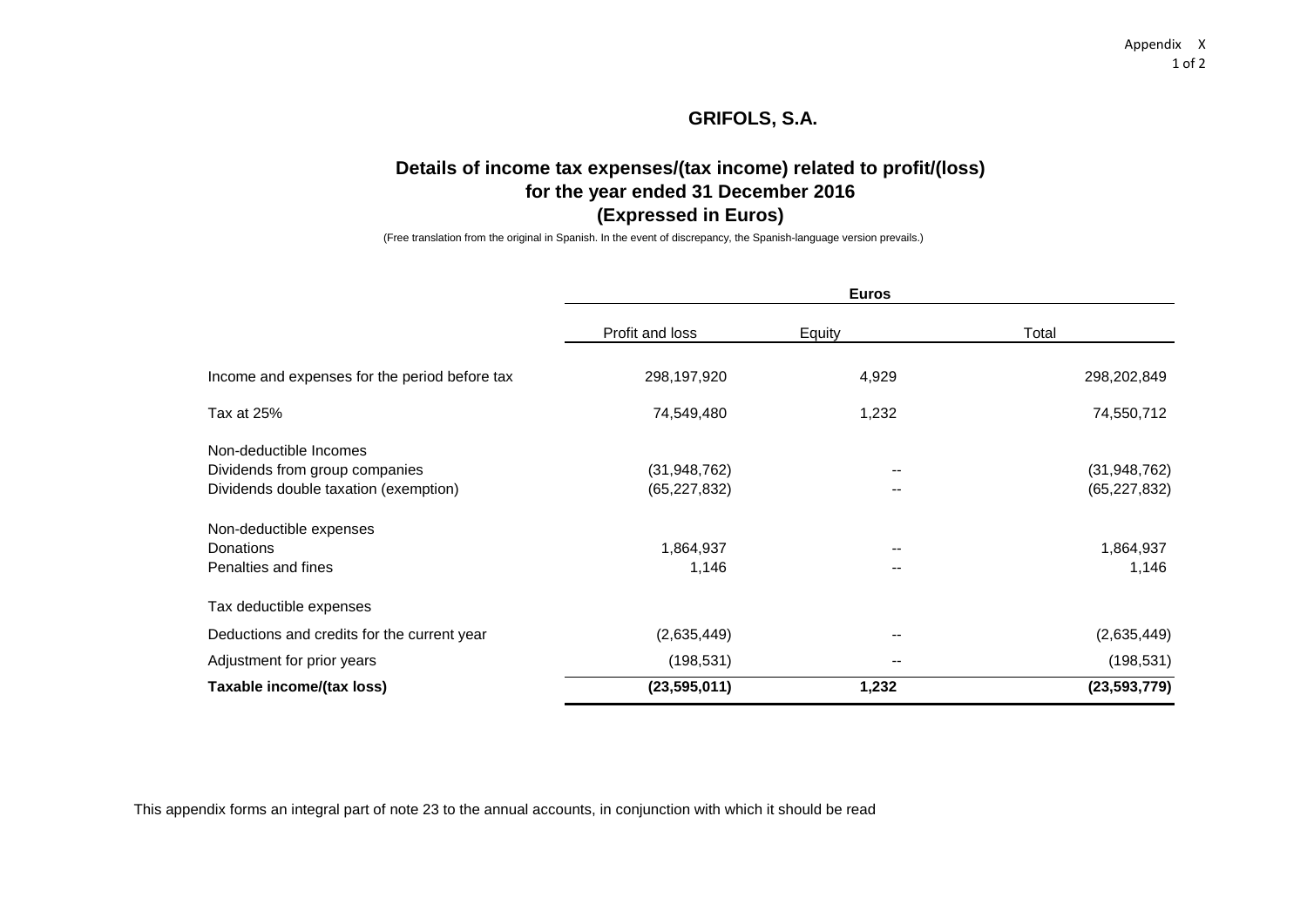# **Details of income tax expenses/(tax income) related to profit/(loss) for the year ended 31 December 2016 (Expressed in Euros)**

(Free translation from the original in Spanish. In the event of discrepancy, the Spanish-language version prevails.)

|                                               |                 | <b>Euros</b> |                |  |
|-----------------------------------------------|-----------------|--------------|----------------|--|
|                                               | Profit and loss | Equity       | Total          |  |
|                                               |                 |              |                |  |
| Income and expenses for the period before tax | 298,197,920     | 4,929        | 298,202,849    |  |
| Tax at 25%                                    | 74,549,480      | 1,232        | 74,550,712     |  |
| Non-deductible Incomes                        |                 |              |                |  |
| Dividends from group companies                | (31, 948, 762)  | $- -$        | (31, 948, 762) |  |
| Dividends double taxation (exemption)         | (65, 227, 832)  |              | (65, 227, 832) |  |
| Non-deductible expenses                       |                 |              |                |  |
| <b>Donations</b>                              | 1,864,937       | $- -$        | 1,864,937      |  |
| Penalties and fines                           | 1,146           |              | 1,146          |  |
| Tax deductible expenses                       |                 |              |                |  |
| Deductions and credits for the current year   | (2,635,449)     | $- -$        | (2,635,449)    |  |
| Adjustment for prior years                    | (198, 531)      | $- -$        | (198, 531)     |  |
| Taxable income/(tax loss)                     | (23, 595, 011)  | 1,232        | (23,593,779)   |  |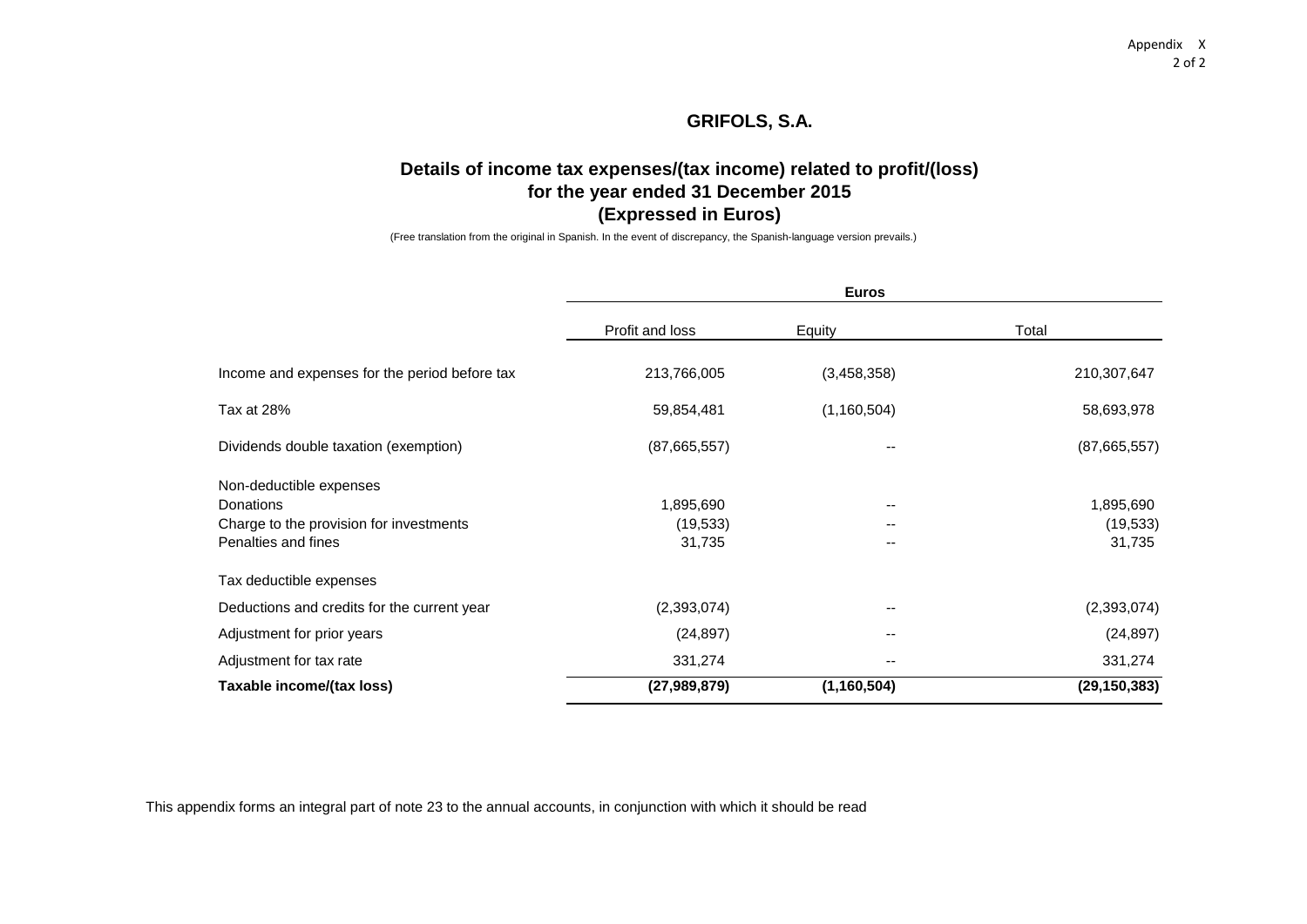# **Details of income tax expenses/(tax income) related to profit/(loss) for the year ended 31 December 2015 (Expressed in Euros)**

(Free translation from the original in Spanish. In the event of discrepancy, the Spanish-language version prevails.)

|                                               |                 | <b>Euros</b>             |                |
|-----------------------------------------------|-----------------|--------------------------|----------------|
|                                               | Profit and loss | Equity                   | Total          |
| Income and expenses for the period before tax | 213,766,005     | (3,458,358)              | 210,307,647    |
| Tax at 28%                                    | 59,854,481      | (1, 160, 504)            | 58,693,978     |
| Dividends double taxation (exemption)         | (87,665,557)    |                          | (87,665,557)   |
| Non-deductible expenses                       |                 |                          |                |
| <b>Donations</b>                              | 1,895,690       |                          | 1,895,690      |
| Charge to the provision for investments       | (19, 533)       |                          | (19, 533)      |
| Penalties and fines                           | 31,735          | --                       | 31,735         |
| Tax deductible expenses                       |                 |                          |                |
| Deductions and credits for the current year   | (2,393,074)     | $\overline{\phantom{a}}$ | (2,393,074)    |
| Adjustment for prior years                    | (24, 897)       | $- -$                    | (24, 897)      |
| Adjustment for tax rate                       | 331,274         |                          | 331,274        |
| Taxable income/(tax loss)                     | (27, 989, 879)  | (1, 160, 504)            | (29, 150, 383) |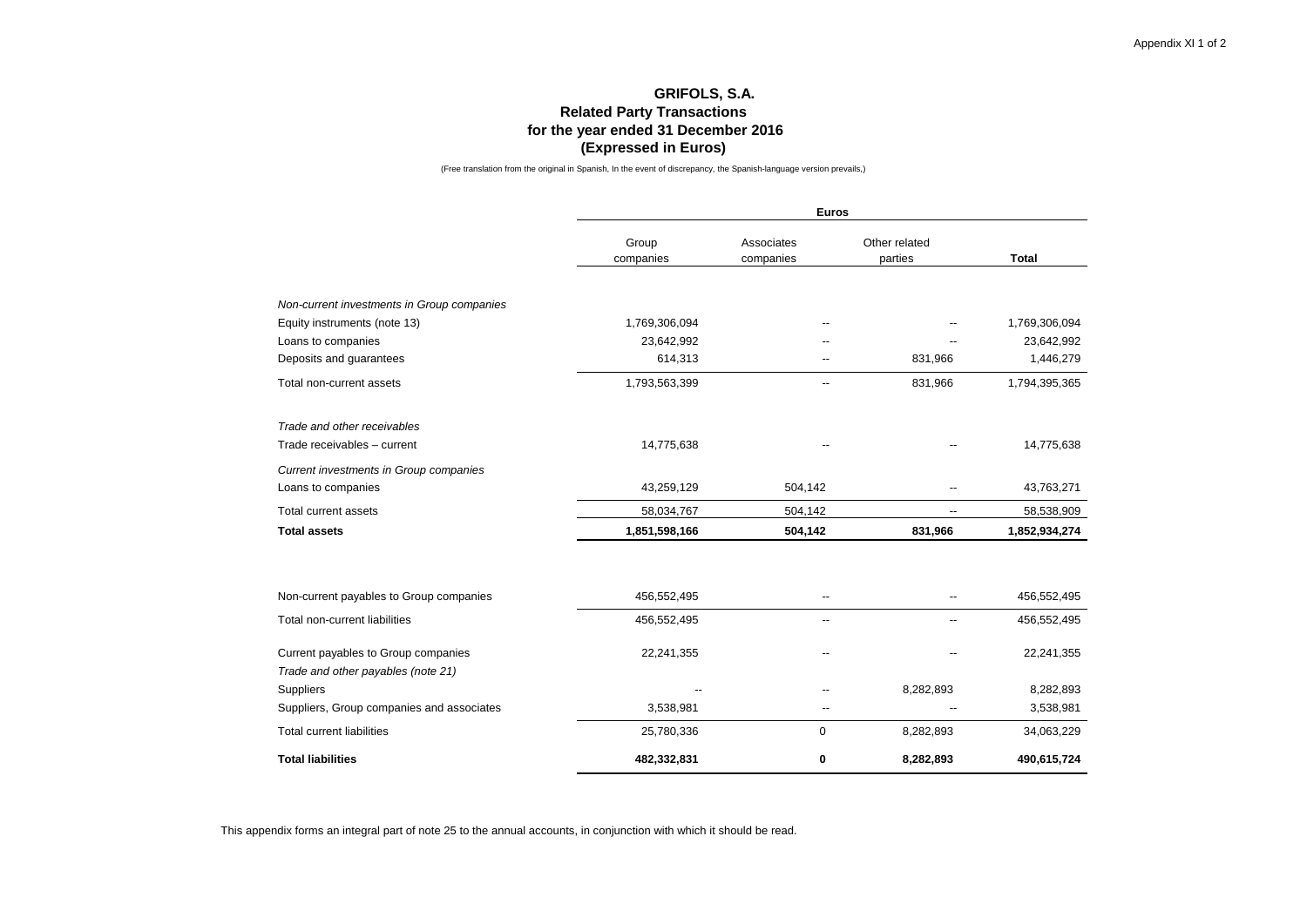### **GRIFOLS, S.A. Related Party Transactions for the year ended 31 December 2016 (Expressed in Euros)**

(Free translation from the original in Spanish, In the event of discrepancy, the Spanish-language version prevails,)

|                                            |                    | <b>Euros</b>             |                          |               |
|--------------------------------------------|--------------------|--------------------------|--------------------------|---------------|
|                                            | Group<br>companies | Associates<br>companies  | Other related<br>parties | <b>Total</b>  |
|                                            |                    |                          |                          |               |
| Non-current investments in Group companies |                    |                          |                          |               |
| Equity instruments (note 13)               | 1,769,306,094      |                          |                          | 1,769,306,094 |
| Loans to companies                         | 23,642,992         |                          |                          | 23,642,992    |
| Deposits and guarantees                    | 614,313            |                          | 831,966                  | 1,446,279     |
| Total non-current assets                   | 1,793,563,399      |                          | 831,966                  | 1,794,395,365 |
| Trade and other receivables                |                    |                          |                          |               |
| Trade receivables - current                | 14,775,638         |                          |                          | 14,775,638    |
| Current investments in Group companies     |                    |                          |                          |               |
| Loans to companies                         | 43,259,129         | 504,142                  |                          | 43,763,271    |
| Total current assets                       | 58,034,767         | 504,142                  |                          | 58,538,909    |
| <b>Total assets</b>                        | 1,851,598,166      | 504,142                  | 831,966                  | 1,852,934,274 |
| Non-current payables to Group companies    | 456,552,495        | --                       |                          | 456,552,495   |
|                                            |                    |                          |                          |               |
| Total non-current liabilities              | 456,552,495        | $\overline{\phantom{a}}$ | --                       | 456,552,495   |
| Current payables to Group companies        | 22,241,355         | --                       |                          | 22,241,355    |
| Trade and other payables (note 21)         |                    |                          |                          |               |
| <b>Suppliers</b>                           |                    |                          | 8,282,893                | 8,282,893     |
| Suppliers, Group companies and associates  | 3,538,981          | $-$                      |                          | 3,538,981     |
| <b>Total current liabilities</b>           | 25,780,336         | 0                        | 8,282,893                | 34,063,229    |
| <b>Total liabilities</b>                   | 482,332,831        | 0                        | 8,282,893                | 490,615,724   |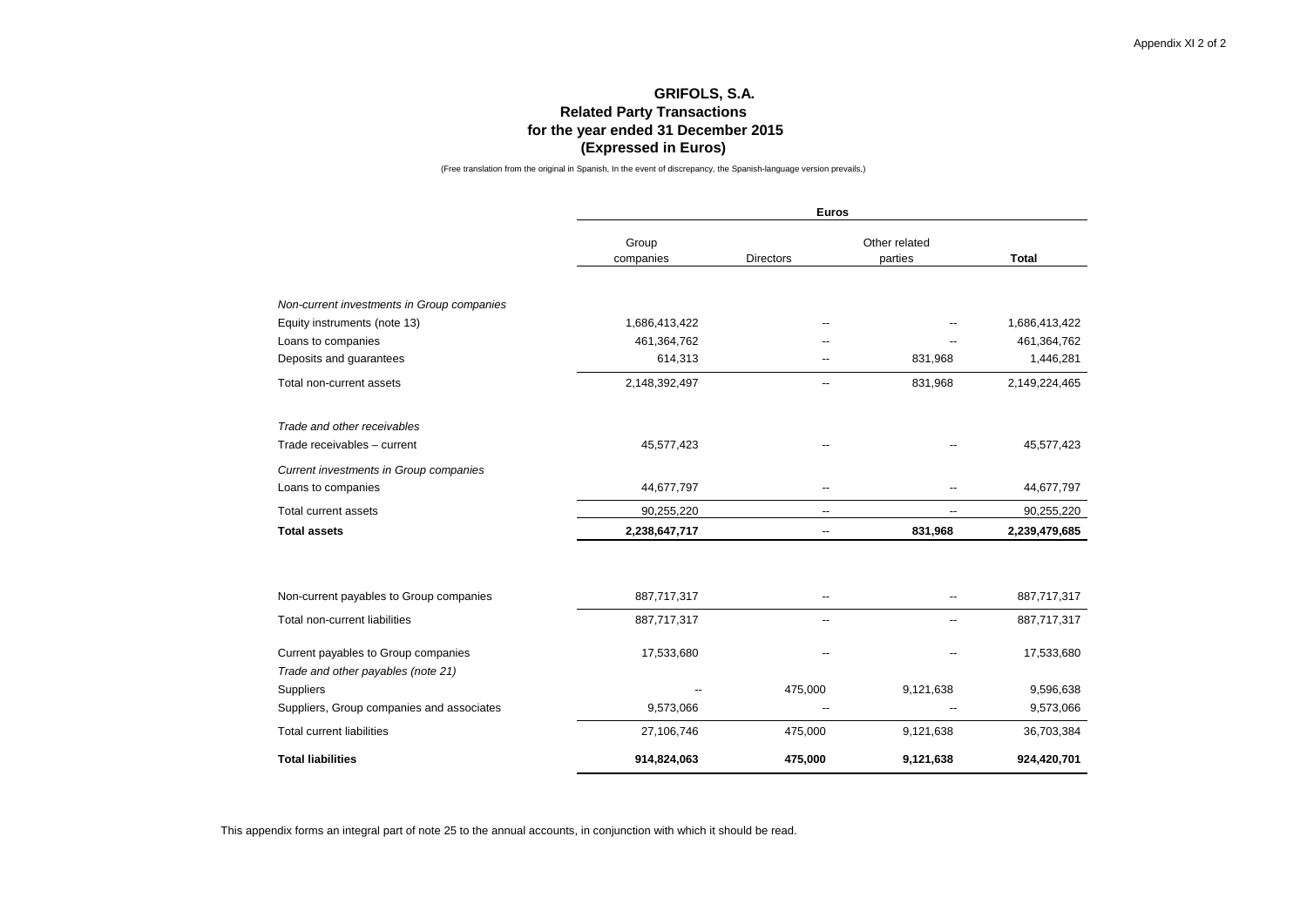### **GRIFOLS, S.A. Related Party Transactions for the year ended 31 December 2015 (Expressed in Euros)**

(Free translation from the original in Spanish, In the event of discrepancy, the Spanish-language version prevails,)

|                                            |                    | <b>Euros</b>             |                          |               |  |  |  |  |  |  |
|--------------------------------------------|--------------------|--------------------------|--------------------------|---------------|--|--|--|--|--|--|
|                                            | Group<br>companies | <b>Directors</b>         | Other related<br>parties | <b>Total</b>  |  |  |  |  |  |  |
|                                            |                    |                          |                          |               |  |  |  |  |  |  |
| Non-current investments in Group companies |                    |                          |                          |               |  |  |  |  |  |  |
| Equity instruments (note 13)               | 1,686,413,422      |                          |                          | 1,686,413,422 |  |  |  |  |  |  |
| Loans to companies                         | 461,364,762        |                          |                          | 461,364,762   |  |  |  |  |  |  |
| Deposits and guarantees                    | 614,313            |                          | 831,968                  | 1,446,281     |  |  |  |  |  |  |
| Total non-current assets                   | 2,148,392,497      |                          | 831,968                  | 2,149,224,465 |  |  |  |  |  |  |
| Trade and other receivables                |                    |                          |                          |               |  |  |  |  |  |  |
| Trade receivables - current                | 45,577,423         |                          |                          | 45,577,423    |  |  |  |  |  |  |
| Current investments in Group companies     |                    |                          |                          |               |  |  |  |  |  |  |
| Loans to companies                         | 44,677,797         |                          |                          | 44,677,797    |  |  |  |  |  |  |
| <b>Total current assets</b>                | 90,255,220         | --                       |                          | 90,255,220    |  |  |  |  |  |  |
| <b>Total assets</b>                        | 2,238,647,717      | $\overline{\phantom{a}}$ | 831,968                  | 2,239,479,685 |  |  |  |  |  |  |
|                                            |                    |                          |                          |               |  |  |  |  |  |  |
| Non-current payables to Group companies    | 887,717,317        |                          |                          | 887,717,317   |  |  |  |  |  |  |
| Total non-current liabilities              | 887,717,317        | --                       |                          | 887,717,317   |  |  |  |  |  |  |
| Current payables to Group companies        | 17,533,680         |                          |                          | 17,533,680    |  |  |  |  |  |  |
| Trade and other payables (note 21)         |                    |                          |                          |               |  |  |  |  |  |  |
| Suppliers                                  |                    | 475,000                  | 9,121,638                | 9,596,638     |  |  |  |  |  |  |
| Suppliers, Group companies and associates  | 9,573,066          |                          |                          | 9,573,066     |  |  |  |  |  |  |
| <b>Total current liabilities</b>           | 27,106,746         | 475,000                  | 9,121,638                | 36,703,384    |  |  |  |  |  |  |
| <b>Total liabilities</b>                   | 914,824,063        | 475,000                  | 9,121,638                | 924,420,701   |  |  |  |  |  |  |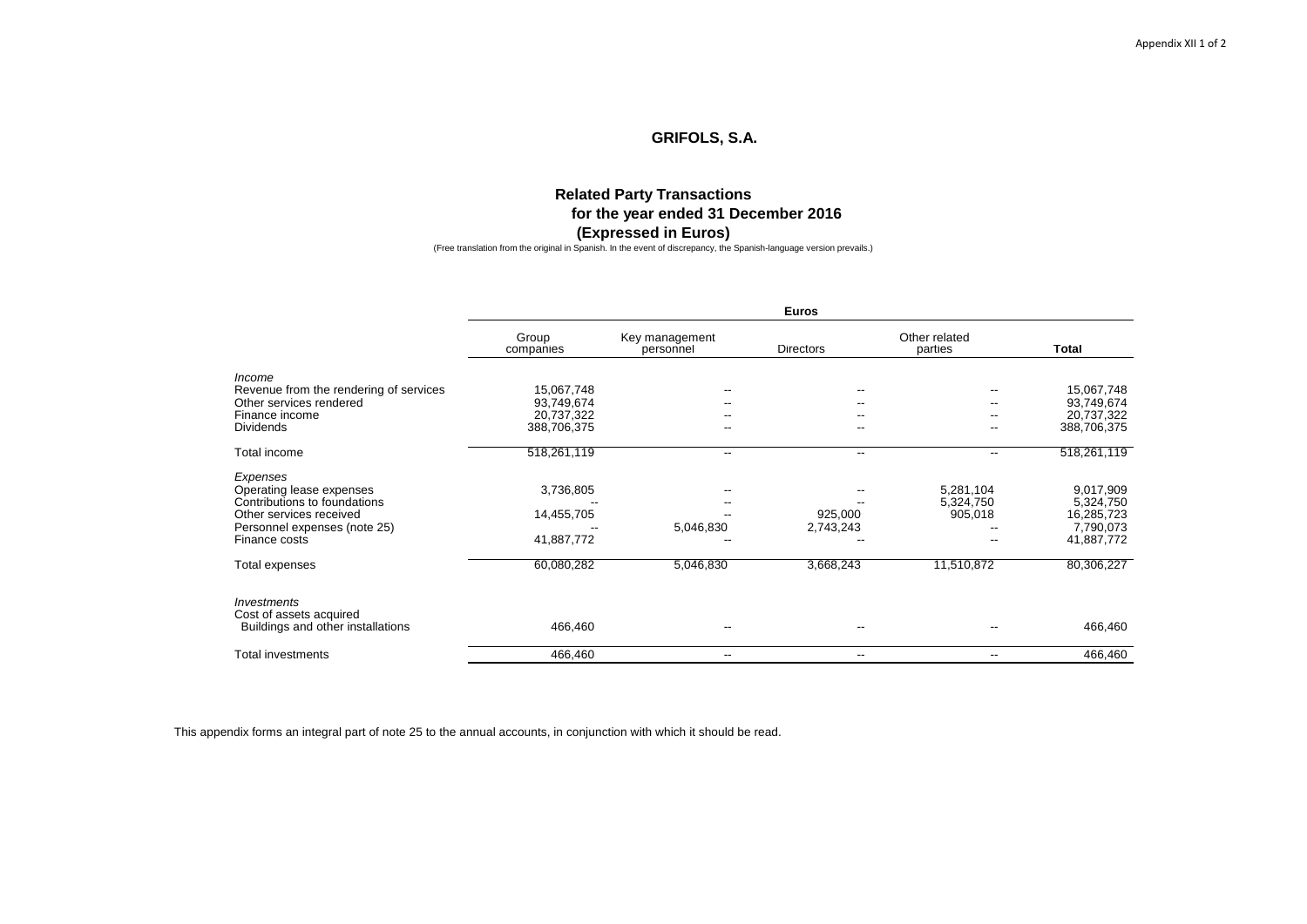### **Related Party Transactions for the year ended 31 December 2016 (Expressed in Euros)**

(Free translation from the original in Spanish. In the event of discrepancy, the Spanish-language version prevails.)

|                                        |                    |                             | <b>Euros</b>             |                          |              |  |  |  |
|----------------------------------------|--------------------|-----------------------------|--------------------------|--------------------------|--------------|--|--|--|
|                                        | Group<br>companies | Key management<br>personnel | <b>Directors</b>         | Other related<br>parties | <b>Total</b> |  |  |  |
| Income                                 |                    |                             |                          |                          |              |  |  |  |
| Revenue from the rendering of services | 15,067,748         |                             |                          |                          | 15,067,748   |  |  |  |
| Other services rendered                | 93,749,674         |                             |                          |                          | 93,749,674   |  |  |  |
| Finance income                         | 20,737,322         |                             |                          |                          | 20,737,322   |  |  |  |
| <b>Dividends</b>                       | 388,706,375        | --                          | --                       | --                       | 388,706,375  |  |  |  |
| Total income                           | 518,261,119        | --                          | $\overline{\phantom{a}}$ | --                       | 518,261,119  |  |  |  |
| Expenses                               |                    |                             |                          |                          |              |  |  |  |
| Operating lease expenses               | 3,736,805          |                             |                          | 5,281,104                | 9,017,909    |  |  |  |
| Contributions to foundations           |                    |                             |                          | 5,324,750                | 5,324,750    |  |  |  |
| Other services received                | 14,455,705         |                             | 925,000                  | 905,018                  | 16,285,723   |  |  |  |
| Personnel expenses (note 25)           |                    | 5,046,830                   | 2,743,243                |                          | 7,790,073    |  |  |  |
| Finance costs                          | 41,887,772         |                             |                          |                          | 41,887,772   |  |  |  |
| Total expenses                         | 60,080,282         | 5,046,830                   | 3,668,243                | 11,510,872               | 80,306,227   |  |  |  |
| Investments<br>Cost of assets acquired |                    |                             |                          |                          |              |  |  |  |
| Buildings and other installations      | 466,460            |                             |                          |                          | 466,460      |  |  |  |
| Total investments                      | 466,460            | $\overline{\phantom{a}}$    | $\overline{\phantom{a}}$ | --                       | 466,460      |  |  |  |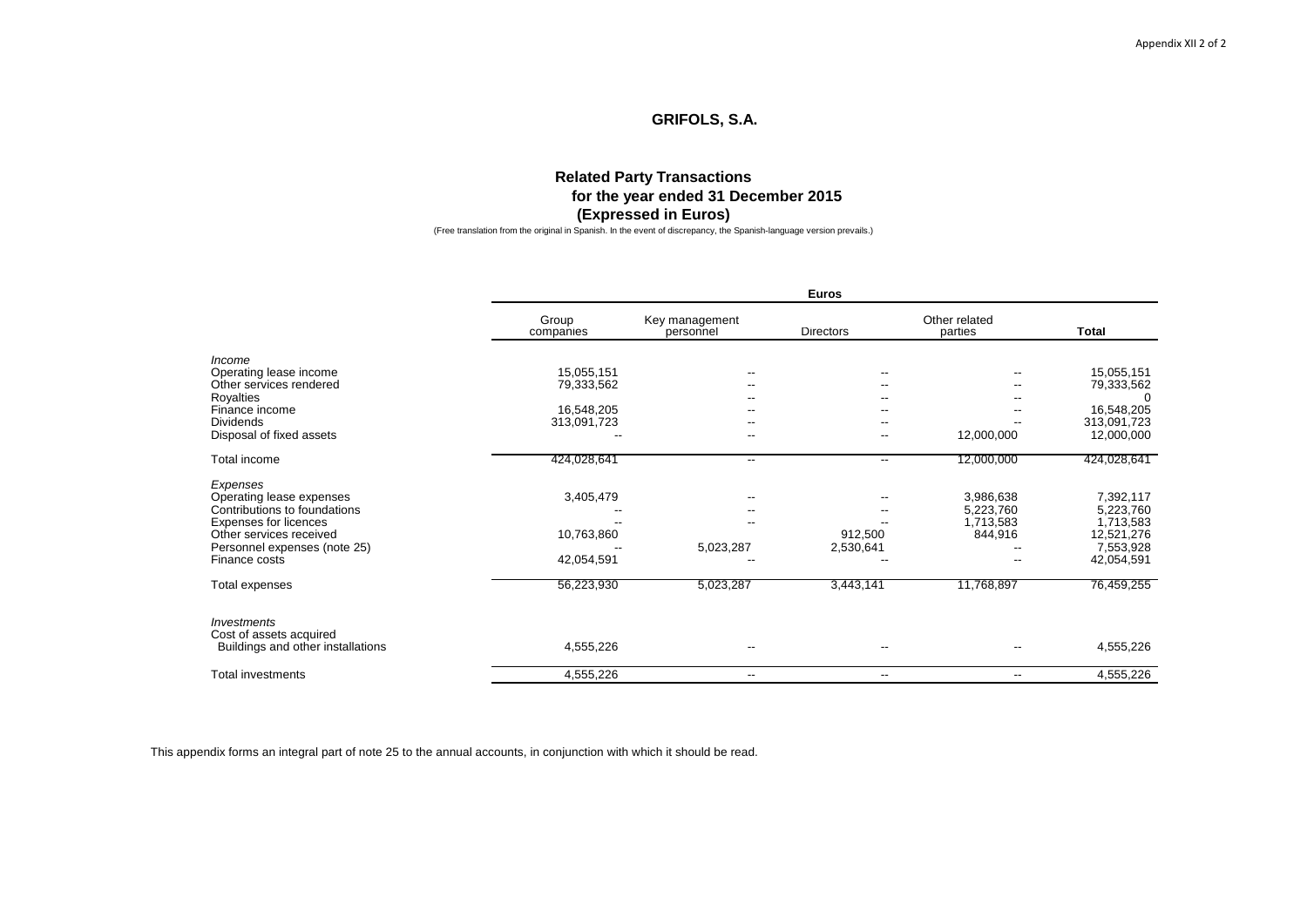### **Related Party Transactions for the year ended 31 December 2015 (Expressed in Euros)**

(Free translation from the original in Spanish. In the event of discrepancy, the Spanish-language version prevails.)

|                                               |                    |                             | Euros                    |                          |                         |  |  |
|-----------------------------------------------|--------------------|-----------------------------|--------------------------|--------------------------|-------------------------|--|--|
|                                               | Group<br>companies | Key management<br>personnel | <b>Directors</b>         | Other related<br>parties | <b>Total</b>            |  |  |
| Income                                        |                    |                             |                          |                          |                         |  |  |
| Operating lease income                        | 15,055,151         |                             |                          |                          | 15,055,151              |  |  |
| Other services rendered                       | 79,333,562         |                             | ٠.                       | --                       | 79,333,562<br>$\Omega$  |  |  |
| Royalties<br>Finance income                   | 16,548,205         |                             |                          |                          | 16,548,205              |  |  |
| <b>Dividends</b>                              | 313,091,723        |                             |                          |                          | 313,091,723             |  |  |
| Disposal of fixed assets                      |                    |                             |                          | 12,000,000               | 12,000,000              |  |  |
| Total income                                  | 424,028,641        | $\overline{\phantom{a}}$    | $\overline{\phantom{a}}$ | 12,000,000               | 424,028,641             |  |  |
| Expenses                                      |                    |                             |                          |                          |                         |  |  |
| Operating lease expenses                      | 3,405,479          |                             |                          | 3,986,638                | 7,392,117               |  |  |
| Contributions to foundations                  |                    |                             |                          | 5,223,760                | 5,223,760               |  |  |
| Expenses for licences                         |                    |                             |                          | 1,713,583                | 1,713,583               |  |  |
| Other services received                       | 10,763,860         |                             | 912,500                  | 844,916                  | 12,521,276              |  |  |
| Personnel expenses (note 25)<br>Finance costs | 42,054,591         | 5,023,287                   | 2,530,641                |                          | 7,553,928<br>42,054,591 |  |  |
| Total expenses                                | 56,223,930         | 5,023,287                   | 3,443,141                | 11,768,897               | 76,459,255              |  |  |
|                                               |                    |                             |                          |                          |                         |  |  |
| Investments<br>Cost of assets acquired        |                    |                             |                          |                          |                         |  |  |
| Buildings and other installations             | 4,555,226          | $\overline{\phantom{a}}$    | --                       | --                       | 4,555,226               |  |  |
| <b>Total investments</b>                      | 4,555,226          | $-$                         | --                       | --                       | 4,555,226               |  |  |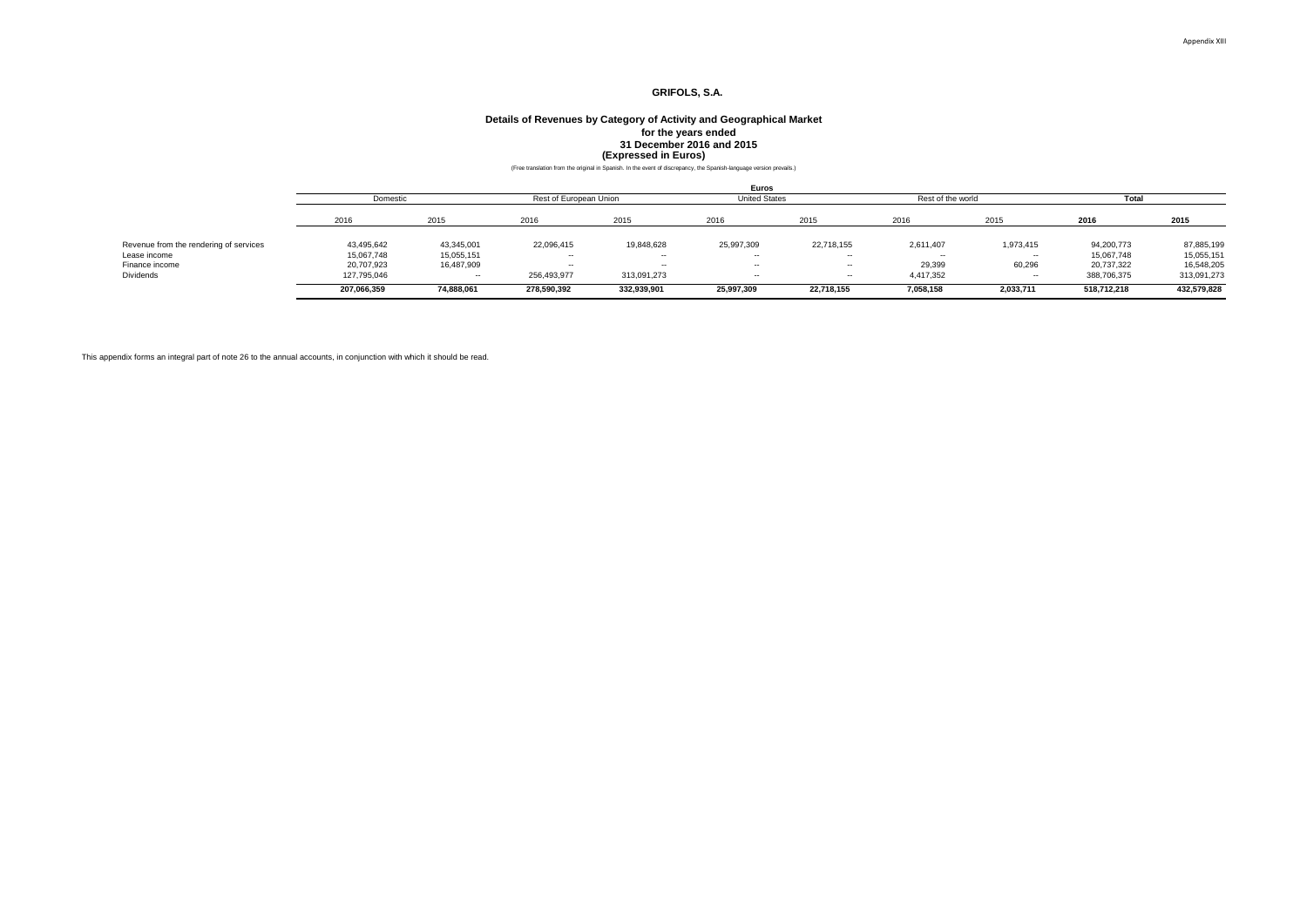### 31 December 2016 and 2015<br>**(Expressed in Euros)**<br>Free translation from the original in Spanish. In the event of discrepancy, the Spanish-language version prevails.) **Details of Revenues by Category of Activity and Geographical Market for the years ended**

|                                        |             | Euros      |                        |             |                      |            |                   |           |             |             |
|----------------------------------------|-------------|------------|------------------------|-------------|----------------------|------------|-------------------|-----------|-------------|-------------|
|                                        | Domestic    |            | Rest of European Union |             | <b>United States</b> |            | Rest of the world |           | Total       |             |
|                                        | 2016        | 2015       | 2016                   | 2015        | 2016                 | 2015       | 2016              | 2015      | 2016        | 2015        |
| Revenue from the rendering of services | 43,495,642  | 43,345,001 | 22,096,415             | 19,848,628  | 25,997,309           | 22,718,155 | 2,611,407         | 1,973,415 | 94,200,773  | 87,885,199  |
| Lease income                           | 15,067,748  | 15,055,151 | $\sim$                 | $\sim$      | $\sim$               | $\sim$     |                   | $\sim$    | 15,067,748  | 15,055,151  |
| Finance income                         | 20.707.923  | 16,487,909 | $-$                    | --          | --                   | $\sim$     | 29.399            | 60,296    | 20,737,322  | 16,548,205  |
| Dividends                              | 127.795.046 | --         | 256.493.977            | 313,091,273 | --                   | $\sim$     | 4.417.352         | $\sim$    | 388,706,375 | 313,091,273 |
|                                        | 207,066,359 | 74,888,061 | 278,590,392            | 332,939,901 | 25,997,309           | 22,718,155 | 7,058,158         | 2,033,711 | 518,712,218 | 432,579,828 |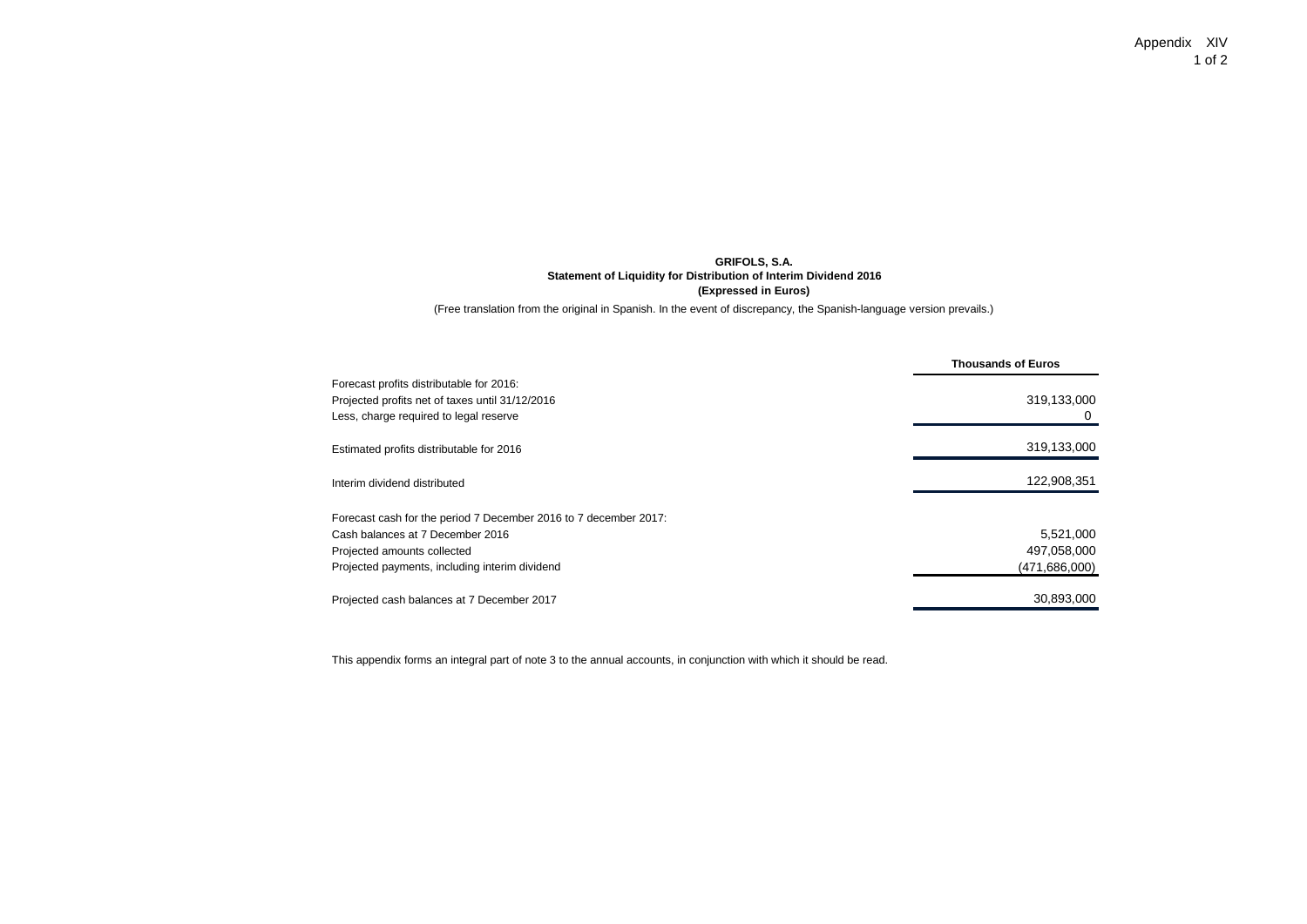Appendix XIV 1 of 2

#### **GRIFOLS, S.A. Statement of Liquidity for Distribution of Interim Dividend 2016 (Expressed in Euros)**

(Free translation from the original in Spanish. In the event of discrepancy, the Spanish-language version prevails.)

| Forecast profits distributable for 2016:                         |               |
|------------------------------------------------------------------|---------------|
|                                                                  |               |
| Projected profits net of taxes until 31/12/2016                  | 319,133,000   |
| Less, charge required to legal reserve                           |               |
| Estimated profits distributable for 2016                         | 319,133,000   |
| Interim dividend distributed                                     | 122,908,351   |
| Forecast cash for the period 7 December 2016 to 7 december 2017: |               |
| Cash balances at 7 December 2016                                 | 5,521,000     |
| Projected amounts collected                                      | 497,058,000   |
| Projected payments, including interim dividend                   | (471,686,000) |
| Projected cash balances at 7 December 2017                       | 30,893,000    |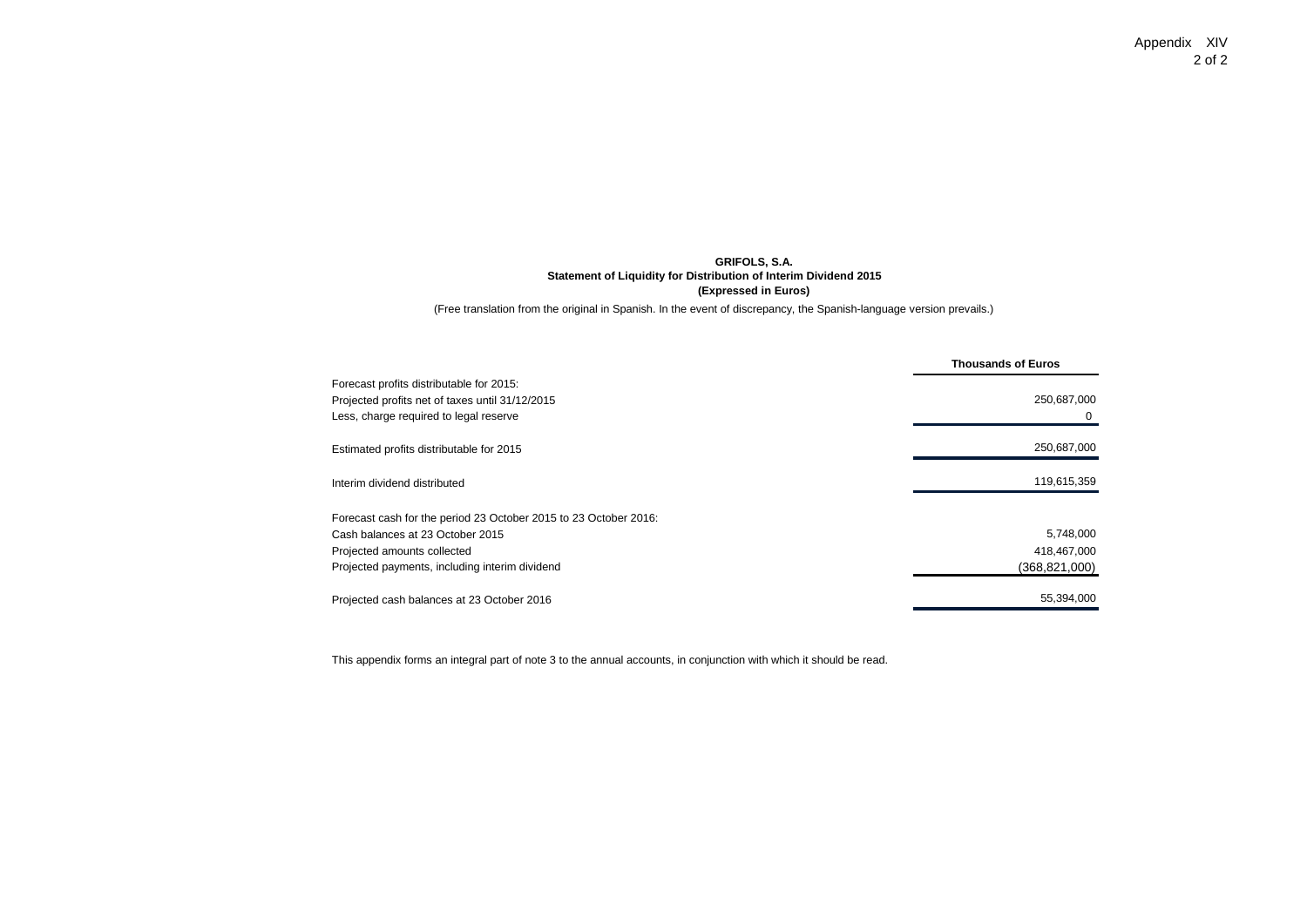Appendix XIV 2 of 2

#### **GRIFOLS, S.A. Statement of Liquidity for Distribution of Interim Dividend 2015 (Expressed in Euros)**

(Free translation from the original in Spanish. In the event of discrepancy, the Spanish-language version prevails.)

|                                                                  | <b>Thousands of Euros</b> |
|------------------------------------------------------------------|---------------------------|
| Forecast profits distributable for 2015:                         |                           |
| Projected profits net of taxes until 31/12/2015                  | 250,687,000               |
| Less, charge required to legal reserve                           |                           |
| Estimated profits distributable for 2015                         | 250,687,000               |
| Interim dividend distributed                                     | 119,615,359               |
| Forecast cash for the period 23 October 2015 to 23 October 2016: |                           |
| Cash balances at 23 October 2015                                 | 5,748,000                 |
| Projected amounts collected                                      | 418,467,000               |
| Projected payments, including interim dividend                   | (368,821,000)             |
| Projected cash balances at 23 October 2016                       | 55,394,000                |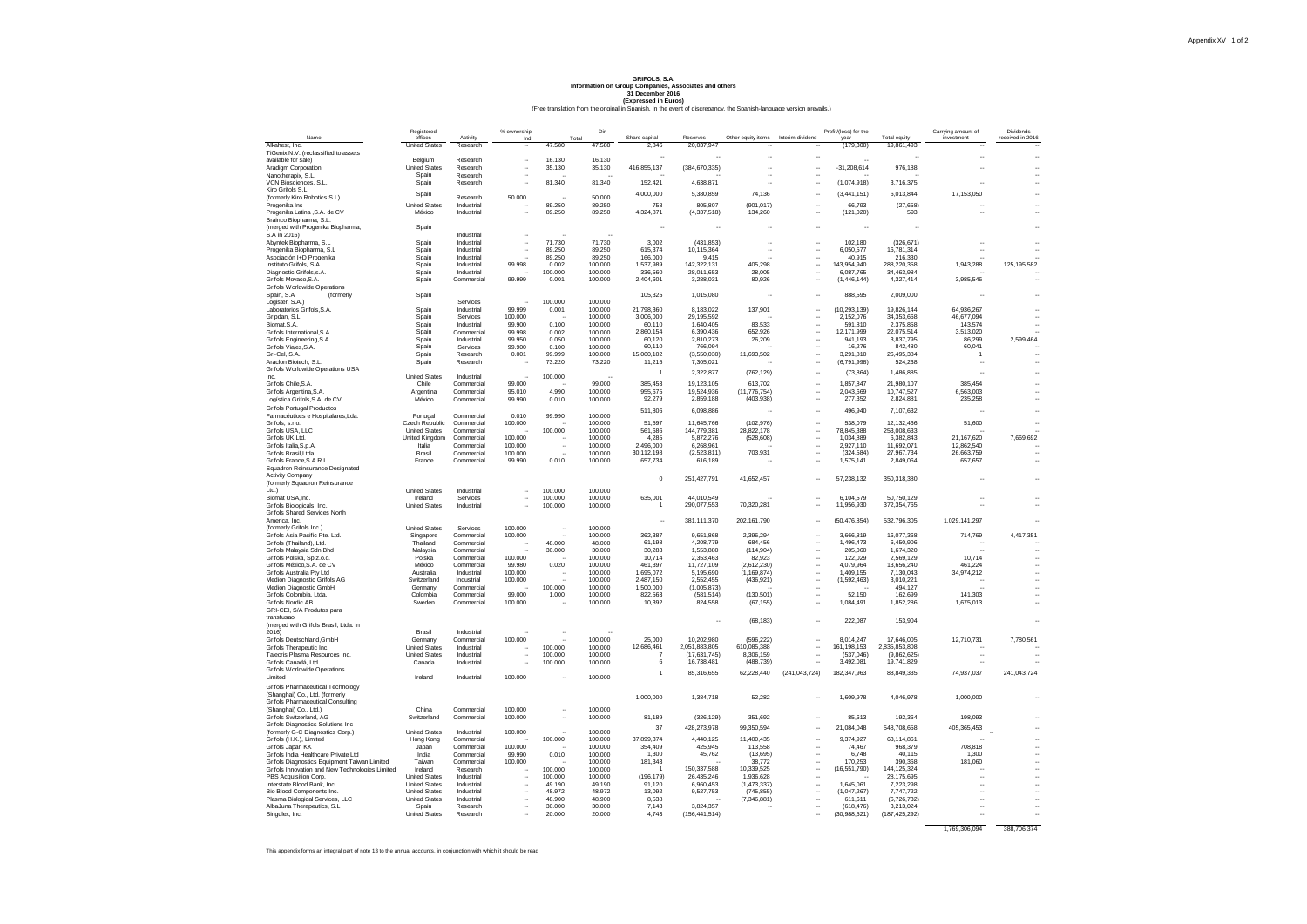### (Free translation from the original in Spanish. In the event of discrepancy, the Spanish-language version prevails.) **GRIFOLS, S.A. Information on Group Companies, Associates and others 31 December 2016 (Expressed in Euros)**

|                                                                     | Registered                                   |                             | % ownership                                  |                      | Dir                |                        |                         |                                               |                            | Profit/(loss) for the  |                            | Carrying amount of       | Dividends        |
|---------------------------------------------------------------------|----------------------------------------------|-----------------------------|----------------------------------------------|----------------------|--------------------|------------------------|-------------------------|-----------------------------------------------|----------------------------|------------------------|----------------------------|--------------------------|------------------|
| Name<br>Alkahest, Inc.                                              | offices<br><b>United States</b>              | <b>Activity</b><br>Research | Ind<br>$\sim$                                | Total<br>47,580      | 47,580             | Share capital<br>2.846 | Reserves<br>20.037.947  | Other equity items Interim dividend<br>$\sim$ |                            | vear<br>(179, 300)     | Total equity<br>19.861.493 | investment               | received in 2016 |
| TiGenix N.V. (reclassified to assets                                |                                              |                             |                                              |                      |                    |                        |                         |                                               |                            |                        |                            |                          |                  |
| available for sale)                                                 | Belgium                                      | Research                    | $\ddot{\phantom{0}}$                         | 16.130               | 16.130             |                        |                         |                                               |                            |                        |                            |                          |                  |
| Aradigm Corporation                                                 | <b>United States</b>                         | Research                    | $\ddot{\phantom{a}}$                         | 35.130               | 35.130             | 416,855,137            | (384, 670, 335)         | $\ddot{\phantom{a}}$                          | à.                         | $-31,208,614$          | 976,188                    |                          |                  |
| Nanotherapix, S.L.                                                  | Spain                                        | Research                    | $\ddot{\phantom{a}}$                         |                      |                    |                        |                         |                                               |                            |                        |                            |                          |                  |
| VCN Biosciences, S.L.                                               | Spain                                        | Research                    |                                              | 81.340               | 81.340             | 152,421                | 4,638,871               |                                               |                            | (1,074,918)            | 3,716,375                  |                          |                  |
| Kiro Grifols S.L.                                                   | Spain                                        |                             |                                              |                      |                    | 4,000,000              | 5,380,859               | 74,136                                        | ä,                         | (3,441,151)            | 6,013,844                  | 17,153,050               |                  |
| (formerly Kiro Robotics S.L)                                        | <b>United States</b>                         | Research                    | 50,000                                       |                      | 50,000             | 758                    | 805.807                 | (901.017)                                     |                            | 66.793                 | (27.658)                   |                          |                  |
| Progenika Inc<br>Progenika Latina ,S.A. de CV                       | México                                       | Industrial<br>Industrial    | $\ddot{\phantom{a}}$                         | 89.250<br>89.250     | 89.250<br>89.250   | 4,324,871              | (4, 337, 518)           | 134,260                                       | ä.                         | (121, 020)             | 593                        |                          |                  |
| Brainco Biopharma, S.L.                                             |                                              |                             |                                              |                      |                    |                        |                         |                                               |                            |                        |                            |                          |                  |
| (merged with Progenika Biopharma,                                   | Spain                                        |                             |                                              |                      |                    |                        |                         |                                               |                            |                        |                            |                          |                  |
| S.A in 2016)                                                        |                                              | Industrial                  |                                              |                      |                    |                        |                         |                                               |                            |                        |                            |                          |                  |
| Abyntek Biopharma, S.L.                                             | Spain                                        | Industrial                  | $\ddotsc$                                    | 71.730               | 71.730             | 3,002                  | (431.853)               | $\sim$                                        |                            | 102.180                | (326.671)                  |                          |                  |
| Progenika Biopharma, S.L.                                           | Spain                                        | Industrial                  | $\ddot{\phantom{a}}$                         | 89.250               | 89.250             | 615,374                | 10,115,364              | $\sim$                                        | ٠.                         | 6.050.577              | 16.781.314                 |                          |                  |
| Asociación I+D Progenika                                            | Spain                                        | Industrial                  |                                              | 89.250               | 89,250             | 166,000                | 9.415                   |                                               | ÷.                         | 40.915                 | 216,330                    |                          |                  |
| Instituto Grifols, S.A.                                             | Spain                                        | Industrial                  | 99.998                                       | 0.002                | 100,000            | 1,537,989              | 142,322,131             | 405.298                                       | $\ddot{\phantom{a}}$       | 143.954.940            | 288.220.358                | 1,943,288                | 125.195.582      |
| Diagnostic Grifols, s.A<br>Grifols Movaco, S.A.                     | Spain                                        | Industrial<br>Commercial    | 99.999                                       | 100.000<br>0.001     | 100.000<br>100,000 | 336,560                | 28,011,653              | 28,005<br>80.926                              |                            | 6,087,765              | 34,463,984                 |                          |                  |
| Grifols Worldwide Operations                                        | Spain                                        |                             |                                              |                      |                    | 2,404,601              | 3,288,031               |                                               |                            | (1, 446, 144)          | 4,327,414                  | 3,985,546                |                  |
| Snain, S.A.<br><i>(formerly</i>                                     | Spain                                        |                             |                                              |                      |                    | 105.325                | 1,015,080               | $\sim$                                        | à.                         | 888.595                | 2,009,000                  |                          |                  |
| Logister, S.A.)                                                     |                                              | Services                    |                                              | 100,000              | 100,000            |                        |                         |                                               |                            |                        |                            |                          |                  |
| Laboratorios Grifols, S.A.                                          | Spain                                        | Industrial                  | 99.999                                       | 0.001                | 100.000            | 21.798.360             | 8.183.022               | 137.901                                       | ÷.                         | (10.293.139)           | 19.826.144                 | 64.936.267               |                  |
| Gripdan, S.L.                                                       | Spain                                        | Services                    | 100,000                                      |                      | 100.000            | 3.006.000              | 29.195.592              |                                               | ٠.                         | 2.152.076              | 34,353,668                 | 46,677,094               |                  |
| Biomat.S.A.                                                         | Spain                                        | Industrial                  | 99,900                                       | 0.100                | 100,000            | 60.110                 | 1,640,405               | 83.533                                        |                            | 591.810                | 2,375,858                  | 143,574                  |                  |
| Grifols International, S.A.                                         | Spain                                        | Commercial                  | 99.998                                       | 0.002                | 100.000            | 2,860,154              | 6,390,436               | 652,926                                       |                            | 12,171,999             | 22,075,514                 | 3,513,020                |                  |
| Grifols Engineering, S.A.                                           | Spain                                        | Industrial                  | 99.950                                       | 0.050                | 100,000            | 60.120                 | 2.810.273               | 26,209                                        |                            | 941.193                | 3.837.795                  | 86,299                   | 2,599,464        |
| Grifols Viaies S.A.                                                 | Spain                                        | Services                    | 99.900                                       | 0.100                | 100,000            | 60.110<br>15.060.102   | 766.094                 | 11.693.502                                    | ÷.                         | 16,276                 | 842.480<br>26, 495, 384    | 60,041                   |                  |
| Gri-Cel S.A.<br>Araclon Biotech, S.L.                               | Spain<br>Spain                               | Research<br>Research        | 0.001                                        | 99.999<br>73.220     | 100,000<br>73.220  |                        | (3.550.030)             |                                               | ÷.<br>$\ddot{\phantom{a}}$ | 3.291.810              |                            | $\mathbf{1}$             |                  |
| Grifols Worldwide Operations USA                                    |                                              |                             |                                              |                      |                    | 11,215                 | 7,305,021               |                                               |                            | (6,791,998)            | 524,238                    |                          |                  |
| Inc.                                                                | <b>United States</b>                         | Industrial                  |                                              | 100.000              |                    | $\overline{1}$         | 2,322,877               | (762, 129)                                    | ۰.                         | (73.864)               | 1.486.885                  |                          |                  |
| Grifols Chile, S.A.                                                 | Chile                                        | Commercial                  | 99,000                                       |                      | 99.000             | 385,453                | 19,123,105              | 613,702                                       |                            | 1,857,847              | 21,980,107                 | 385,454                  |                  |
| Grifols Argentina, S.A.                                             | Argentina                                    | Commercial                  | 95.010                                       | 4.990                | 100,000            | 955,675                | 19,524,936              | (11, 776, 754)                                |                            | 2.043.669              | 10.747.527                 | 6,563,003                |                  |
| Logística Grifols.S.A. de CV                                        | México                                       | Commercial                  | 99.990                                       | 0.010                | 100,000            | 92.279                 | 2.859.188               | (403.938)                                     | ÷.                         | 277.352                | 2.824.881                  | 235,258                  |                  |
| <b>Grifols Portugal Productos</b>                                   |                                              |                             |                                              |                      |                    | 511,806                | 6.098.886               |                                               | à.                         | 496,940                | 7,107,632                  |                          |                  |
| Farmacéutions e Hospitalares I da.                                  | Portugal                                     | Commercial                  | 0.010                                        | 99.990               | 100,000            |                        |                         |                                               |                            |                        |                            |                          |                  |
| Grifols, s.r.o.                                                     | Czech Republic                               | Commercial                  | 100.000                                      |                      | 100,000            | 51.597                 | 11.645.766              | (102.976)                                     | ٠.                         | 538,079                | 12.132.466                 | 51,600                   |                  |
| Grifols USA, LLC                                                    | <b>United States</b>                         | Commercial                  |                                              | 100,000              | 100.000            | 561.686                | 144,779,381             | 28.822.178                                    | ÷.<br>$\ddot{\phantom{a}}$ | 78,845,388             | 253,008,633                |                          |                  |
| Grifols UK.Ltd.<br>Grifols Italia, S.p.A.                           | <b>United Kingdom</b><br>Italia              | Commercial<br>Commercial    | 100.000<br>100.000                           | $\ddot{\phantom{a}}$ | 100,000<br>100,000 | 4.285<br>2,496,000     | 5,872,276<br>6,268,961  | (528, 608)                                    |                            | 1,034,889<br>2,927,110 | 6.382.843<br>11,692,071    | 21.167.620<br>12,862,540 | 7.669.692        |
| Grifols Brasil.Ltda.                                                | Brasil                                       | Commercial                  | 100,000                                      |                      | 100.000            | 30.112.198             | (2,523,811)             | 703,931                                       |                            | (324, 584)             | 27,967,734                 | 26,663,759               |                  |
| Grifols France, S.A.R.L.                                            | France                                       | Commercial                  | 99.990                                       | 0.010                | 100.000            | 657,734                | 616,189                 |                                               |                            | 1.575.141              | 2.849.064                  | 657,657                  |                  |
| Squadron Reinsurance Designated                                     |                                              |                             |                                              |                      |                    |                        |                         |                                               |                            |                        |                            |                          |                  |
| <b>Activity Company</b>                                             |                                              |                             |                                              |                      |                    | $\mathbf 0$            |                         |                                               |                            |                        |                            |                          |                  |
| (formerly Squadron Reinsurance                                      |                                              |                             |                                              |                      |                    |                        | 251,427,791             | 41,652,457                                    |                            | 57,238,132             | 350,318,380                |                          |                  |
| Ltd.)                                                               | <b>United States</b>                         | Industrial                  |                                              | 100,000              | 100.000            |                        |                         |                                               |                            |                        |                            |                          |                  |
| Biomat USA, Inc.                                                    | Ireland                                      | Services                    |                                              | 100,000              | 100,000            | 635,001                | 44,010,549              |                                               |                            | 6,104,579              | 50,750,129                 |                          |                  |
| Grifols Biologicals, Inc.                                           | <b>United States</b>                         | Industrial                  |                                              | 100,000              | 100.000            | $\overline{1}$         | 290,077,553             | 70,320,281                                    |                            | 11,956,930             | 372, 354, 765              |                          |                  |
| Grifols Shared Services North                                       |                                              |                             |                                              |                      |                    |                        |                         |                                               |                            |                        |                            |                          |                  |
| America, Inc.<br>(formerly Grifols Inc.)                            | <b>United States</b>                         | Services                    | 100.000                                      | $\sim$               | 100,000            | $\ddotsc$              | 381.111.370             | 202.161.790                                   | ÷.                         | (50, 476, 854)         | 532,796,305                | 1.029.141.297            |                  |
| Grifols Asia Pacific Pte. Ltd.                                      | Singapore                                    | Commercial                  | 100.000                                      |                      | 100.000            | 362.387                | 9,651,868               | 2.396.294                                     | à.                         | 3.666.819              | 16.077.368                 | 714,769                  | 4,417,351        |
| Grifols (Thailand), Ltd.                                            | Thailand                                     | Commercial                  |                                              | 48.000               | 48.000             | 61,198                 | 4,208,779               | 684,456                                       |                            | 1,496,473              | 6,450,906                  |                          |                  |
| Grifols Malaysia Sdn Bhd                                            | Malaysia                                     | Commercial                  |                                              | 30,000               | 30,000             | 30.283                 | 1.553.880               | (114, 904)                                    |                            | 205,060                | 1.674.320                  |                          |                  |
| Grifols Polska, Sp.z.o.o.                                           | Polska                                       | Commercial                  | 100.000                                      |                      | 100,000            | 10,714                 | 2,353,463               | 82.923                                        | $\ddot{\phantom{a}}$       | 122.029                | 2.569.129                  | 10,714                   |                  |
| Grifols México S.A. de CV                                           | México                                       | Commercial                  | 99.980                                       | 0.020                | 100,000            | 461.397                | 11.727.109              | (2.612.230)                                   | ÷.                         | 4.079.964              | 13.656.240                 | 461.224                  |                  |
| Grifols Australia Ptv Ltd                                           | Australia                                    | Industrial                  | 100,000                                      | $\sim$               | 100,000            | 1.695.072              | 5.195.690               | (1.169.874)                                   |                            | 1.409.155              | 7.130.043                  | 34,974,212               |                  |
| Medion Diagnostic Grifols AG                                        | Switzerland                                  | Industrial                  | 100.000                                      |                      | 100.000            | 2.487.150              | 2.552.455               | (436, 921)                                    | ÷.                         | (1,592,463)            | 3.010.221                  | <b>Service</b>           |                  |
| Medion Diagnostic GmbH                                              | Germany                                      | Commercial                  | 99,000                                       | 100,000              | 100,000            | 1.500.000              | (1,005,873)             |                                               |                            | 52.150                 | 494,127                    |                          |                  |
| Grifols Colombia, Ltda.<br>Grifols Nordic AB                        | Colombia<br>Sweden                           | Commercial<br>Commercial    | 100,000                                      | 1.000                | 100.000<br>100,000 | 822,563<br>10.392      | (581, 514)              | (130, 501)                                    |                            |                        | 162,699<br>1.852.286       | 141,303                  |                  |
| GRI-CEI, S/A Produtos para                                          |                                              |                             |                                              |                      |                    |                        | 824,558                 | (67, 155)                                     |                            | 1,084,491              |                            | 1,675,013                |                  |
| transfusao                                                          |                                              |                             |                                              |                      |                    |                        |                         |                                               |                            |                        |                            |                          |                  |
| (merged with Grifols Brasil, Ltda. in                               |                                              |                             |                                              |                      |                    |                        |                         | (68, 183)                                     |                            | 222,087                | 153,904                    |                          |                  |
| 2016)                                                               | Brasil                                       | Industrial                  |                                              |                      |                    |                        |                         |                                               |                            |                        |                            |                          |                  |
| Grifols Deutschland, GmbH                                           | Germany                                      | Commercial                  | 100.000                                      |                      | 100.000            | 25,000                 | 10,202,980              | (596, 222)                                    | ÷.                         | 8,014,247              | 17,646,005                 | 12,710,731               | 7,780,561        |
| Grifols Therapeutic Inc.                                            | <b>United States</b>                         | Industrial                  |                                              | 100.000              | 100,000            | 12,686.461             | 2,051,883,805           | 610,085,388                                   | $\ddot{\phantom{a}}$       | 161, 198, 153          | 2,835,853,808              |                          |                  |
| Talecris Plasma Resources Inc.                                      | <b>United States</b>                         | Industrial                  | $\ddot{\phantom{0}}$                         | 100.000              | 100.000            | $\overline{7}$         | (17, 631, 745)          | 8,306,159                                     |                            | (537,046)              | (9,862,625)                | ۰.                       |                  |
| Grifols Canadá, Ltd.                                                | Canada                                       | Industrial                  |                                              | 100,000              | 100,000            | 6                      | 16,738,481              | (488, 739)                                    |                            | 3,492,081              | 19,741,829                 |                          |                  |
| Grifols Worldwide Operations<br>I imited                            | Ireland                                      | Industrial                  | 100,000                                      | ٠.                   | 100.000            | $\mathbf{1}$           | 85,316,655              | 62,228,440                                    | (241, 043, 724)            | 182,347,963            | 88,849,335                 | 74,937,037               | 241,043,724      |
|                                                                     |                                              |                             |                                              |                      |                    |                        |                         |                                               |                            |                        |                            |                          |                  |
| <b>Grifols Pharmaceutical Technology</b>                            |                                              |                             |                                              |                      |                    |                        |                         |                                               |                            |                        |                            |                          |                  |
| (Shanghai) Co., Ltd. (formerly<br>Grifols Pharmaceutical Consulting |                                              |                             |                                              |                      |                    | 1,000,000              | 1.384.718               | 52,282                                        |                            | 1.609.978              | 4,046,978                  | 1,000,000                |                  |
| (Shanghai) Co., Ltd.)                                               | China                                        | Commercial                  | 100,000                                      | ٠.                   | 100.000            |                        |                         |                                               |                            |                        |                            |                          |                  |
| Grifols Switzerland, AG                                             | Switzerland                                  | Commercial                  | 100,000                                      | $\ddot{\phantom{a}}$ | 100,000            | 81,189                 | (326, 129)              | 351.692                                       | ÷.                         | 85.613                 | 192,364                    | 198,093                  |                  |
| Grifols Diagnostics Solutions Inc.                                  |                                              |                             |                                              |                      |                    |                        |                         |                                               |                            |                        |                            |                          |                  |
| (formerly G-C Diagnostics Corp.)                                    | <b>United States</b>                         | Industrial                  | 100.000                                      |                      | 100,000            | 37                     | 428,273,978             | 99,350,594                                    |                            | 21,084,048             | 548,708,658                | 405,365,453              |                  |
| Grifols (H.K.), Limited                                             | Hong Kong                                    | Commercial                  |                                              | 100.000              | 100.000            | 37,899,374             | 4,440,125               | 11,400,435                                    | à.                         | 9.374.927              | 63.114.861                 |                          |                  |
| Grifols Japan KK                                                    | Japan                                        | Commercial                  | 100.000                                      |                      | 100.000            | 354,409                | 425,945                 | 113,558                                       |                            | 74,467                 | 968,379                    | 708,818                  |                  |
| Grifols India Healthcare Private Ltd                                | India                                        | Commercial                  | 99,990                                       | 0.010                | 100,000            | 1,300                  | 45,762                  | (13, 695)                                     |                            | 6.748                  | 40.115                     | 1,300                    |                  |
| Grifols Diagnostics Equipment Taiwan Limited                        | Taiwan                                       | Commercial                  | 100.000                                      |                      | 100,000            | 181,343                |                         | 38,772                                        |                            | 170.253                | 390.368                    | 181.060                  |                  |
| Grifols Innovation and New Technologies Limited                     | Ireland                                      | Research                    | $\sim$                                       | 100.000              | 100,000            |                        | 150,337,588             | 10,339,525                                    |                            | (16, 551, 790)         | 144, 125, 324              |                          |                  |
| PBS Acquisition Corp.<br>Interstate Blood Bank, Inc.                | <b>United States</b><br><b>United States</b> | Industrial<br>Industrial    | $\ddot{\phantom{a}}$<br>$\ddot{\phantom{a}}$ | 100,000<br>49.190    | 100,000<br>49.190  | (196, 179)<br>91.120   | 26.435.246<br>6.960.453 | 1.936.628<br>(1.473.337)                      | $\mathbf{r}$               | 1.645.061              | 28.175.695<br>7.223.298    |                          |                  |
| Bio Blood Components Inc.                                           | <b>United States</b>                         | Industrial                  | $\ddot{\phantom{a}}$                         | 48.972               | 48.972             | 13.092                 | 9,527,753               | (745, 855)                                    | ٠.                         | (1,047,267)            | 7,747,722                  |                          |                  |
| Plasma Biological Services, LLC                                     | <b>United States</b>                         | Industrial                  |                                              | 48,900               | 48,900             | 8.538                  |                         | (7.346.881)                                   |                            | 611.611                | (6.726.732)                |                          |                  |
| AlbaJuna Therapeutics, S.L.                                         | Spain                                        | Research                    |                                              | 30,000               | 30.000             | 7,143                  | 3.824.357               |                                               |                            | (618, 476)             | 3,213,024                  |                          |                  |
| Singulex, Inc.                                                      | <b>United States</b>                         | Research                    |                                              | 20,000               | 20,000             | 4.743                  | (156, 441, 514)         |                                               |                            | (30, 988, 521)         | (187, 425, 292)            |                          |                  |
|                                                                     |                                              |                             |                                              |                      |                    |                        |                         |                                               |                            |                        |                            |                          |                  |
|                                                                     |                                              |                             |                                              |                      |                    |                        |                         |                                               |                            |                        |                            | 1,769,306,094            | 388,706,374      |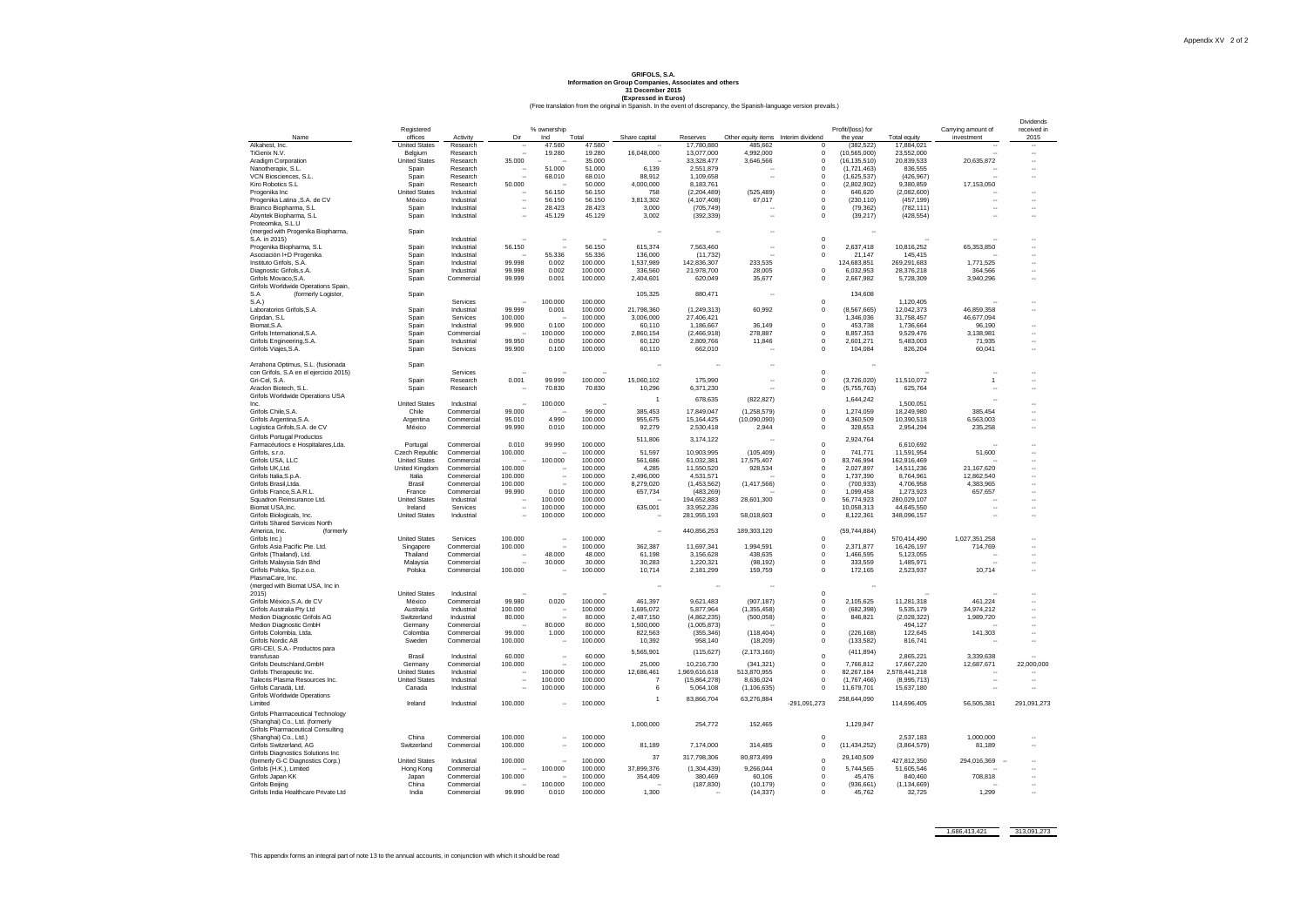### (Free translation from the original in Spanish. In the event of discrepancy, the Spanish-language version prevails.) **GRIFOLS, S.A. Information on Group Companies, Associates and others 31 December 2015 (Expressed in Euros)**

|                                                               |                                              |                          |                   |                                |                    |                    |                          |                                     |                             |                               |                              |                                  | Dividends           |
|---------------------------------------------------------------|----------------------------------------------|--------------------------|-------------------|--------------------------------|--------------------|--------------------|--------------------------|-------------------------------------|-----------------------------|-------------------------------|------------------------------|----------------------------------|---------------------|
| Name                                                          | Registered<br>offices                        | Activity                 | Dir               | % ownership<br>Ind             | Total              | Share capital      | Reserves                 | Other equity items Interim dividend |                             | Profit/(loss) for<br>the year | Total equity                 | Carrying amount of<br>investment | received in<br>2015 |
| Alkahest, Inc.                                                | <b>United States</b>                         | Research                 |                   | 47.580                         | 47.580             |                    | 17,780,880               | 485,662                             | $\mathbf 0$                 | (382, 522)                    | 17,884,021                   |                                  |                     |
| TiGenix N.V.                                                  | Belaium                                      | Research                 |                   | 19.280                         | 19.280             | 16,048,000         | 13,077,000               | 4,992,000                           | $\Omega$                    | (10, 565, 000)                | 23,552,000                   |                                  |                     |
| Aradigm Corporation                                           | <b>United States</b>                         | Research                 | 35.000            |                                | 35.000             |                    | 33,328,477               | 3,646,566                           | $\Omega$                    | (16, 135, 510)                | 20,839,533                   | 20,635,872                       |                     |
| Nanotherapix, S.L.                                            | Spain                                        | Research                 |                   | 51.000                         | 51.000             | 6,139              | 2,551,879                |                                     | $\mathbf 0$                 | (1,721,463)                   | 836,555                      |                                  |                     |
| VCN Biosciences, S.L.                                         | Spain                                        | Research                 |                   | 68.010                         | 68.010             | 88,912             | 1,109,658                |                                     | $\mathbf 0$                 | (1,625,537)                   | (426, 967)                   |                                  |                     |
| Kiro Robotics S.L.                                            | Spain                                        | Research                 | 50.000            |                                | 50.000             | 4,000,000          | 8,183,761                |                                     | $\Omega$                    | (2,802,902)                   | 9,380,859                    | 17,153,050                       |                     |
| Progenika Inc.                                                | <b>United States</b>                         | Industrial               |                   | 56.150                         | 56.150             | 758                | (2.204.489)              | (525, 489)                          | $\mathbf 0$                 | 646.620                       | (2,082,600)                  |                                  |                     |
| Progenika Latina , S.A. de CV                                 | México                                       | Industrial               |                   | 56.150                         | 56.150             | 3,813,302          | (4, 107, 408)            | 67,017                              | $\mathbf 0$                 | (230, 110)                    | (457, 199)                   |                                  |                     |
| Brainco Biopharma, S.L.                                       | Snain                                        | Industrial               | ÷.                | 28.423                         | 28.423             | 3.000              | (705.749)                |                                     | $\mathbf 0$                 | (79.362)                      | (782, 111)                   |                                  |                     |
| Abvntek Biopharma, S.L                                        | Spain                                        | Industrial               |                   | 45.129                         | 45.129             | 3.002              | (392, 339)               |                                     | $\mathbf 0$                 | (39, 217)                     | (428, 554)                   |                                  |                     |
| Proteomika, S.I.U                                             |                                              |                          |                   |                                |                    |                    |                          |                                     |                             |                               |                              |                                  |                     |
| (merged with Progenika Biopharma,                             | Spain                                        |                          |                   |                                |                    |                    |                          |                                     |                             |                               |                              |                                  |                     |
| S.A. in 2015)                                                 |                                              | Industrial               |                   |                                |                    |                    |                          |                                     | $\Omega$                    |                               |                              |                                  |                     |
| Progenika Biopharma, S.L.<br>Asociación I+D Progenika         | Spain<br>Spain                               | Industrial<br>Industrial | 56.150            | $\ddot{\phantom{a}}$<br>55.336 | 56.150<br>55.336   | 615,374<br>136,000 | 7,563,460<br>(11, 732)   |                                     | $\mathbf 0$<br>$\Omega$     | 2,637,418<br>21,147           | 10,816,252<br>145.415        | 65,353,850                       |                     |
| Instituto Grifols, S.A.                                       | Spain                                        | Industrial               | 99.998            | 0.002                          | 100.000            | 1,537,989          | 142,836,307              | 233,535                             |                             | 124,683,851                   | 269,291,683                  | 1,771,525                        |                     |
| Diagnostic Grifols, s.A.                                      | Spain                                        | Industrial               | 99.998            | 0.002                          | 100.000            | 336,560            | 21,978,700               | 28,005                              | $\Omega$                    | 6,032,953                     | 28,376,218                   | 364,566                          |                     |
| Grifols Movaco, S.A.                                          | Spain                                        | Commercial               | 99.999            | 0.001                          | 100.000            | 2,404,601          | 620,049                  | 35,677                              | $\mathbf 0$                 | 2,667,982                     | 5,728,309                    | 3,940,296                        |                     |
| Grifols Worldwide Operations Spain                            |                                              |                          |                   |                                |                    |                    |                          |                                     |                             |                               |                              |                                  |                     |
| S.A<br>(formerly Logister,                                    | Spain                                        |                          |                   |                                |                    | 105,325            | 880,471                  |                                     |                             | 134,608                       |                              |                                  |                     |
| S.A.                                                          |                                              | Services                 |                   | 100.000                        | 100.000            |                    |                          |                                     | $\mathbf 0$                 |                               | 1,120,405                    |                                  |                     |
| Laboratorios Grifols, S.A.                                    | Snain                                        | Industrial               | 99.999            | 0.001                          | 100.000            | 21.798.360         | (1, 249, 313)            | 60,992                              | $\Omega$                    | (8,567,665)                   | 12.042.373                   | 46.859.358                       |                     |
| Gripdan, S.L.                                                 | Spain                                        | Services                 | 100.000           |                                | 100.000            | 3,006,000          | 27,406,421               |                                     |                             | 1.346.036                     | 31,758,457                   | 46.677.094                       |                     |
| Biomat.S.A.                                                   | Spain                                        | Industrial               | 99.900            | 0.100                          | 100,000            | 60.110             | 1,186,667                | 36.149                              | $\mathbf 0$                 | 453.738                       | 1.736.664                    | 96.190                           |                     |
| Grifols International, S.A.                                   | Spain                                        | Commercia                |                   | 100.000                        | 100.000            | 2,860,154          | (2,466,918)              | 278,887                             | $\mathbf 0$                 | 8,857,353                     | 9,529,476                    | 3,138,981                        |                     |
| Grifols Engineering S.A.                                      | Spain                                        | Industrial               | 99.950            | 0.050                          | 100.000            | 60,120             | 2,809,766                | 11,846                              | $\Omega$                    | 2,601,271                     | 5.483.003                    | 71.935                           |                     |
| Grifols Viajes, S.A.                                          | Spain                                        | Services                 | 99.900            | 0.100                          | 100.000            | 60,110             | 662,010                  |                                     | $\mathbf 0$                 | 104,084                       | 826,204                      | 60,041                           |                     |
|                                                               |                                              |                          |                   |                                |                    |                    |                          |                                     |                             |                               |                              |                                  |                     |
| Arrahona Optimus, S.L. (fusionada                             | Spain                                        |                          |                   |                                |                    | ÷.                 | $\ddot{\phantom{a}}$     |                                     |                             |                               |                              |                                  |                     |
| con Grifols, S.A en el ejercicio 2015)                        |                                              | Services                 |                   |                                |                    |                    |                          |                                     | $\circ$                     |                               |                              |                                  |                     |
| Gri-Cel, S.A.                                                 | Spain                                        | Research                 | 0.001             | 99.999                         | 100,000            | 15,060,102         | 175,990                  |                                     | $\mathbf 0$                 | (3,726,020)                   | 11,510,072                   | $\mathbf{1}$                     | ä,                  |
| Araclon Biotech, S.L.                                         | Spain                                        | Research                 |                   | 70.830                         | 70.830             | 10,296             | 6,371,230                |                                     | $\mathbf{0}$                | (5,755,763)                   | 625.764                      |                                  |                     |
| Grifols Worldwide Operations USA                              |                                              |                          |                   |                                |                    | -1                 | 678,635                  | (822, 827)                          |                             | 1.644.242                     |                              |                                  |                     |
| Inc.                                                          | <b>United States</b>                         | Industrial               |                   | 100.000                        |                    |                    |                          |                                     |                             |                               | 1,500,051                    |                                  |                     |
| Grifols Chile, S.A.                                           | Chile                                        | Commercial               | 99,000            |                                | 99.000             | 385,453            | 17,849,047               | (1, 258, 579)                       | $\mathbf 0$                 | 1,274,059                     | 18,249,980                   | 385.454                          |                     |
| Grifols Argentina, S.A.                                       | Argentina                                    | Commercial               | 95.010            | 4.990                          | 100.000            | 955,675            | 15,164,425               | (10,090,090)                        | $\mathbf{0}$                | 4,360,509                     | 10,390,518                   | 6,563,003                        |                     |
| Logística Grifols, S.A. de CV                                 | México                                       | Commercial               | 99.990            | 0.010                          | 100,000            | 92.279             | 2,530,418                | 2.944                               | $\mathbf{0}$                | 328,653                       | 2,954,294                    | 235,258                          |                     |
| <b>Grifols Portugal Productos</b>                             |                                              |                          |                   |                                |                    | 511,806            | 3,174,122                |                                     |                             | 2,924,764                     |                              |                                  |                     |
| Farmacéutiocs e Hospitalares,Lda.                             | Portugal                                     | Commercial               | 0.010             | 99.990                         | 100.000            |                    |                          |                                     | $\mathbf{0}$                |                               | 6,610,692                    |                                  |                     |
| Grifols, s.r.o.                                               | Czech Republic                               | Commercial               | 100.000           |                                | 100.000            | 51,597             | 10,903,995               | (105, 409)                          | $\mathbf 0$                 | 741.771                       | 11,591,954                   | 51,600                           | ÷.                  |
| Grifols USA, LLC<br>Grifols UK.Ltd.                           | <b>United States</b>                         | Commercial<br>Commercial | 100,000           | 100.000<br>×,                  | 100.000<br>100,000 | 561,686<br>4.285   | 61,032,381               | 17,575,407                          | $\mathbf 0$<br>$\Omega$     | 83,746,994<br>2.027.897       | 162,916,469<br>14.511.236    | 21.167.620                       |                     |
| Grifols Italia, S.p.A.                                        | United Kingdom<br>Italia                     | Commercial               | 100,000           | à,                             | 100,000            | 2.496.000          | 11,550,520               | 928,534                             | $\mathbf 0$                 |                               |                              | 12.862.540                       |                     |
| Grifols Brasil I tda                                          | Brasil                                       | Commercial               | 100,000           |                                | 100,000            | 8.279.020          | 4,531,571<br>(1,453,562) | (1,417,566)                         | $\Omega$                    | 1,737,390<br>(700.933)        | 8,764,961<br>4.706.958       | 4,383,965                        |                     |
|                                                               |                                              | Commercial               | 99.990            | 0.010                          | 100,000            | 657,734            | (483, 269)               |                                     | $\mathbf 0$                 | 1,099,458                     | 1.273.923                    | 657,657                          |                     |
| Grifols France, S.A.R.L.<br>Squadron Reinsurance Ltd.         | France<br><b>United States</b>               | Industrial               |                   | 100,000                        | 100.000            |                    | 194.652.883              | 28,601,300                          | $\Omega$                    | 56,774,923                    | 280.029.107                  |                                  |                     |
| Biomat USA.Inc                                                | Ireland                                      | Services                 |                   | 100.000                        | 100.000            | 635,001            | 33,952,236               |                                     |                             | 10,058,313                    | 44,645,550                   |                                  |                     |
| Grifols Biologicals, Inc.                                     | <b>United States</b>                         | Industrial               |                   | 100.000                        | 100.000            |                    | 281,955,193              | 58,018,603                          | $\mathbf{0}$                | 8,122,361                     | 348,096,157                  |                                  |                     |
| Grifols Shared Services North                                 |                                              |                          |                   |                                |                    |                    |                          |                                     |                             |                               |                              |                                  |                     |
| (formerly<br>America, Inc.                                    |                                              |                          |                   |                                |                    |                    | 440,856,253              | 189,303,120                         |                             | (59,744,884)                  |                              |                                  |                     |
| Grifols Inc.)                                                 | <b>United States</b>                         | Services                 | 100.000           | ł,                             | 100.000            |                    |                          |                                     | $\mathbf 0$                 |                               | 570,414,490                  | 1,027,351,258                    |                     |
| Grifols Asia Pacific Pte. Ltd.                                | Singapore                                    | Commercial               | 100.000           |                                | 100.000            | 362,387            | 11,697,341               | 1,994,591                           | $\mathbf{0}$                | 2,371,877                     | 16,426,197                   | 714,769                          |                     |
| Grifols (Thailand), Ltd.                                      | Thailand                                     | Commercial               |                   | 48.000                         | 48.000             | 61,198             | 3,156,628                | 438,635                             | $\mathbf 0$                 | 1,466,595                     | 5,123,055                    |                                  |                     |
| Grifols Malaysia Sdn Bhd                                      | Malaysia                                     | Commercial               |                   | 30.000                         | 30.000             | 30,283             | 1,220,321                | (98, 192)                           | $\mathbf 0$                 | 333,559                       | 1,485,971                    |                                  |                     |
| Grifols Polska, Sp.z.o.o.                                     | Polska                                       | Commercial               | 100.000           | ÷.                             | 100,000            | 10.714             | 2,181,299                | 159,759                             | $\Omega$                    | 172,165                       | 2,523,937                    | 10,714                           | ä.                  |
| PlasmaCare, Inc.                                              |                                              |                          |                   |                                |                    |                    |                          |                                     |                             |                               |                              |                                  |                     |
| (merged with Biomat USA, Inc in                               |                                              |                          |                   |                                |                    | $\sim$             | ٠.                       |                                     |                             |                               |                              |                                  |                     |
| 2015                                                          | <b>United States</b>                         | Industrial               |                   |                                |                    |                    |                          |                                     | $\mathbf{0}$                |                               |                              |                                  |                     |
| Grifols México.S.A. de CV                                     | México                                       | Commercial               | 99.980            | 0.020                          | 100.000            | 461,397            | 9,621,483                | (907, 187)                          | $^{\circ}$                  | 2,105,625                     | 11,281,318                   | 461.224                          |                     |
| Grifols Australia Pty Ltd                                     | Australia                                    | Industrial               | 100,000           |                                | 100.000            | 1,695,072          | 5,877,964                | (1,355,458)                         | $\mathbf 0$                 | (682, 398)                    | 5,535,179                    | 34,974,212                       |                     |
| Medion Diagnostic Grifols AG                                  | Switzerland                                  | Industrial               | 80,000            |                                | 80.000             | 2,487,150          | (4,862,235)              | (500, 058)                          | $\Omega$                    | 846,821                       | (2,028,322)                  | 1,989,720                        |                     |
| Medion Diagnostic GmbH                                        | Germany                                      | Commercial               |                   | 80.000                         | 80.000             | 1,500,000          | (1,005,873)              |                                     | $\mathbf 0$                 |                               | 494,127                      |                                  |                     |
| Grifols Colombia, Ltda.                                       | Colombia                                     | Commercial               | 99.000            | 1.000                          | 100.000            | 822,563            | (355, 346)               | (118, 404)                          | $\mathbf{0}$                | (226.168)                     | 122,645                      | 141,303                          |                     |
| Grifols Nordic AB                                             | Sweden                                       | Commercial               | 100.000           |                                | 100.000            | 10,392             | 958,140                  | (18, 209)                           | $\mathbf 0$                 | (133, 582)                    | 816,741                      |                                  |                     |
| GRI-CEI, S.A.- Productos para                                 |                                              |                          |                   |                                |                    | 5,565,901          | (115, 627)               | (2, 173, 160)                       |                             | (411, 894)                    |                              |                                  |                     |
| transfusao<br>Grifols Deutschland.GmbH                        | Brasil                                       | Industrial<br>Commercial | 60,000<br>100,000 | ÷.                             | 60,000<br>100,000  | 25,000             | 10,216,730               | (341.321)                           | $\mathbf{0}$<br>$\mathbf 0$ | 7,766,812                     | 2,865,221                    | 3,339,638<br>12,687,671          | 22,000,000          |
|                                                               | Germany                                      |                          |                   |                                | 100.000            | 12.686.461         | 1.969.616.618            | 513.870.955                         | $\Omega$                    | 82.267.184                    | 17,667,220                   |                                  |                     |
| Grifols Therapeutic Inc.<br>Talecris Plasma Resources Inc.    | <b>United States</b><br><b>United States</b> | Industrial<br>Industrial |                   | 100.000<br>100.000             | 100,000            | $\overline{7}$     | (15,864,278)             | 8,636,024                           | $\mathbf 0$                 | (1,767,466)                   | 2.578.441.218<br>(8,995,713) |                                  |                     |
| Grifols Canadá, Ltd.                                          | Canada                                       | Industrial               | ×.                | 100.000                        | 100,000            | 6                  | 5,064,108                | (1, 106, 635)                       | $^{\circ}$                  | 11.679.701                    | 15,637,180                   |                                  |                     |
| <b>Grifols Worldwide Operations</b>                           |                                              |                          |                   |                                |                    |                    |                          |                                     |                             |                               |                              |                                  |                     |
| Limited                                                       | Ireland                                      | Industrial               | 100.000           | ÷.                             | 100.000            | $\overline{1}$     | 83,866,704               | 63,276,884                          | $-291,091,273$              | 258,644,090                   | 114,696,405                  | 56,505,381                       | 291,091,273         |
|                                                               |                                              |                          |                   |                                |                    |                    |                          |                                     |                             |                               |                              |                                  |                     |
| Grifols Pharmaceutical Technology                             |                                              |                          |                   |                                |                    |                    |                          |                                     |                             |                               |                              |                                  |                     |
| (Shanghai) Co., Ltd. (formerly                                |                                              |                          |                   |                                |                    | 1,000,000          | 254,772                  | 152.465                             |                             | 1.129.947                     |                              |                                  |                     |
| Grifols Pharmaceutical Consulting<br>(Shanghai) Co., Ltd.)    | China                                        | Commercial               | 100,000           |                                | 100,000            |                    |                          |                                     | $\Omega$                    |                               | 2.537.183                    | 1.000.000                        |                     |
|                                                               | Switzerland                                  | Commercial               | 100.000           |                                | 100,000            | 81,189             | 7,174,000                | 314,485                             | $\mathbf{0}$                | (11, 434, 252)                |                              |                                  |                     |
| Grifols Switzerland, AG<br>Grifols Diagnostics Solutions Inc. |                                              |                          |                   |                                |                    |                    |                          |                                     |                             |                               | (3,864,579)                  | 81,189                           |                     |
| (formerly G-C Diagnostics Corp.)                              | <b>United States</b>                         | Industrial               | 100.000           |                                | 100.000            | 37                 | 317,798,306              | 80,873,499                          | $\mathbf{0}$                | 29,140,509                    | 427,812,350                  | 294,016,369                      |                     |
| Grifols (H.K.), Limited                                       | Hong Kong                                    | Commercial               |                   | 100.000                        | 100,000            | 37,899,376         | (1,304,439)              | 9,266,044                           | $^{\circ}$                  | 5,744,565                     | 51.605.546                   |                                  |                     |
| Grifols Japan KK                                              | Japan                                        | Commercial               | 100.000           |                                | 100.000            | 354,409            | 380.469                  | 60,106                              | $\mathbf 0$                 | 45.476                        | 840,460                      | 708,818                          |                     |
| Grifols Beijing                                               | China                                        | Commercial               |                   | 100.000                        | 100.000            |                    | (187, 830)               | (10, 179)                           | $\mathbf{0}$                | (936, 661)                    | (1, 134, 669)                |                                  |                     |
| Grifols India Healthcare Private Ltd                          | India                                        | Commercial               | 99.990            | 0.010                          | 100,000            | 1.300              |                          | (14, 337)                           | $\Omega$                    | 45,762                        | 32,725                       | 1.299                            |                     |
|                                                               |                                              |                          |                   |                                |                    |                    |                          |                                     |                             |                               |                              |                                  |                     |

1,686,413,421 313,091,273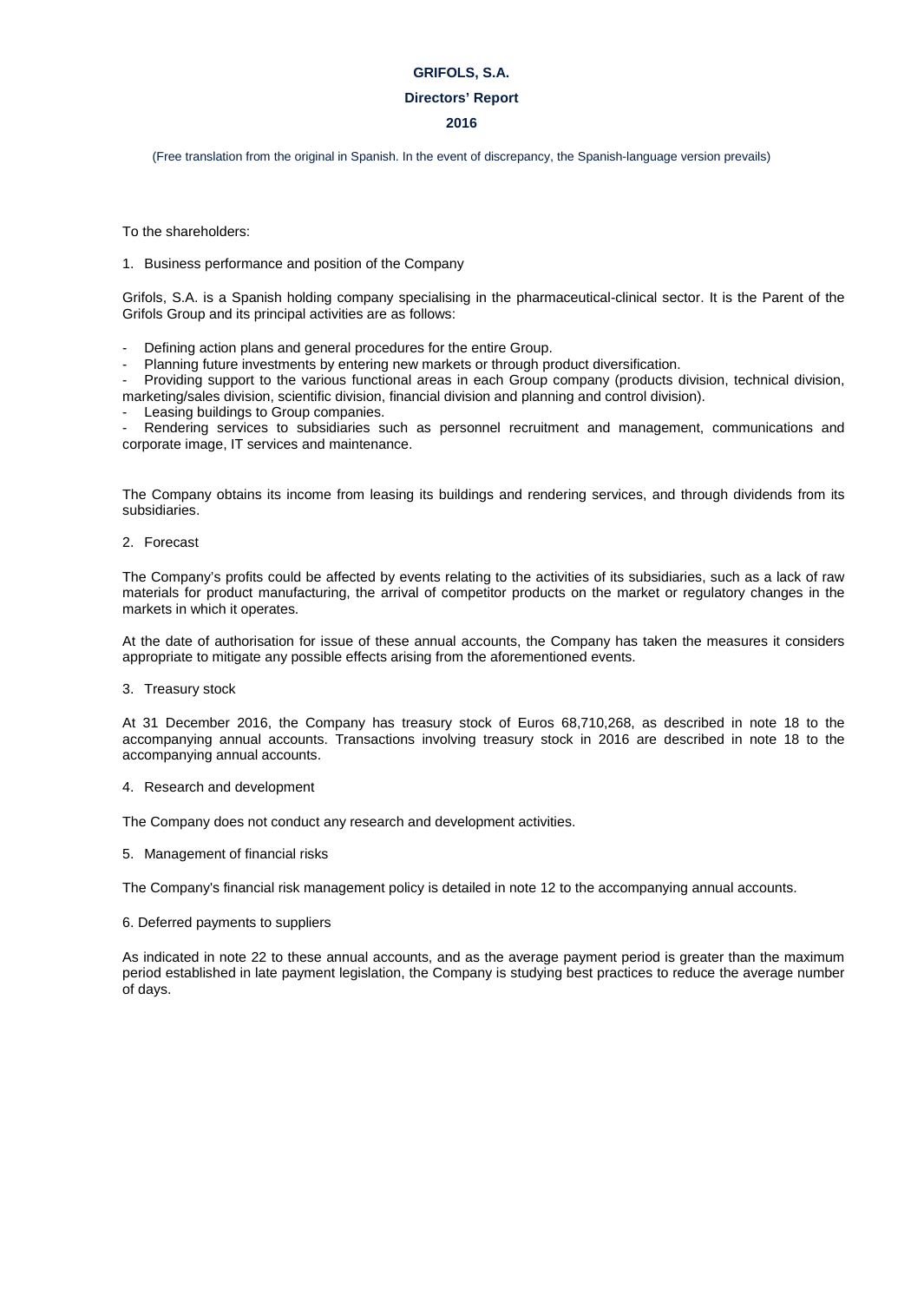#### **Directors' Report**

### **2016**

(Free translation from the original in Spanish. In the event of discrepancy, the Spanish-language version prevails)

To the shareholders:

#### 1. Business performance and position of the Company

Grifols, S.A. is a Spanish holding company specialising in the pharmaceutical-clinical sector. It is the Parent of the Grifols Group and its principal activities are as follows:

- Defining action plans and general procedures for the entire Group.
- Planning future investments by entering new markets or through product diversification.

Providing support to the various functional areas in each Group company (products division, technical division, marketing/sales division, scientific division, financial division and planning and control division).

Leasing buildings to Group companies.

Rendering services to subsidiaries such as personnel recruitment and management, communications and corporate image, IT services and maintenance.

The Company obtains its income from leasing its buildings and rendering services, and through dividends from its subsidiaries.

2. Forecast

The Company's profits could be affected by events relating to the activities of its subsidiaries, such as a lack of raw materials for product manufacturing, the arrival of competitor products on the market or regulatory changes in the markets in which it operates.

At the date of authorisation for issue of these annual accounts, the Company has taken the measures it considers appropriate to mitigate any possible effects arising from the aforementioned events.

3. Treasury stock

At 31 December 2016, the Company has treasury stock of Euros 68,710,268, as described in note 18 to the accompanying annual accounts. Transactions involving treasury stock in 2016 are described in note 18 to the accompanying annual accounts.

4. Research and development

The Company does not conduct any research and development activities.

5. Management of financial risks

The Company's financial risk management policy is detailed in note 12 to the accompanying annual accounts.

6. Deferred payments to suppliers

As indicated in note 22 to these annual accounts, and as the average payment period is greater than the maximum period established in late payment legislation, the Company is studying best practices to reduce the average number of days.